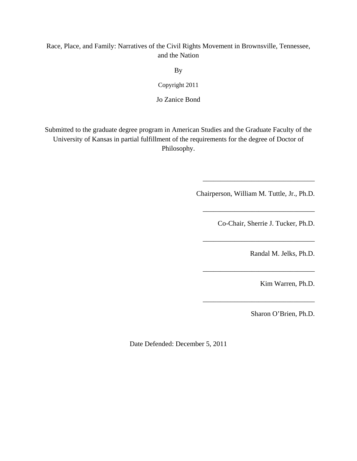## Race, Place, and Family: Narratives of the Civil Rights Movement in Brownsville, Tennessee, and the Nation

By

Copyright 2011

Jo Zanice Bond

Submitted to the graduate degree program in American Studies and the Graduate Faculty of the University of Kansas in partial fulfillment of the requirements for the degree of Doctor of Philosophy.

Chairperson, William M. Tuttle, Jr., Ph.D.

\_\_\_\_\_\_\_\_\_\_\_\_\_\_\_\_\_\_\_\_\_\_\_\_\_\_\_\_\_\_\_\_

\_\_\_\_\_\_\_\_\_\_\_\_\_\_\_\_\_\_\_\_\_\_\_\_\_\_\_\_\_\_\_\_

\_\_\_\_\_\_\_\_\_\_\_\_\_\_\_\_\_\_\_\_\_\_\_\_\_\_\_\_\_\_\_\_

\_\_\_\_\_\_\_\_\_\_\_\_\_\_\_\_\_\_\_\_\_\_\_\_\_\_\_\_\_\_\_\_

\_\_\_\_\_\_\_\_\_\_\_\_\_\_\_\_\_\_\_\_\_\_\_\_\_\_\_\_\_\_\_\_

Co-Chair, Sherrie J. Tucker, Ph.D.

Randal M. Jelks, Ph.D.

Kim Warren, Ph.D.

Sharon O'Brien, Ph.D.

Date Defended: December 5, 2011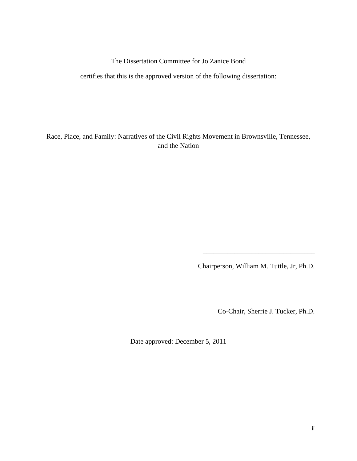The Dissertation Committee for Jo Zanice Bond

certifies that this is the approved version of the following dissertation:

Race, Place, and Family: Narratives of the Civil Rights Movement in Brownsville, Tennessee, and the Nation

Chairperson, William M. Tuttle, Jr, Ph.D.

 $\overline{\phantom{a}}$  ,  $\overline{\phantom{a}}$  ,  $\overline{\phantom{a}}$  ,  $\overline{\phantom{a}}$  ,  $\overline{\phantom{a}}$  ,  $\overline{\phantom{a}}$  ,  $\overline{\phantom{a}}$  ,  $\overline{\phantom{a}}$  ,  $\overline{\phantom{a}}$  ,  $\overline{\phantom{a}}$  ,  $\overline{\phantom{a}}$  ,  $\overline{\phantom{a}}$  ,  $\overline{\phantom{a}}$  ,  $\overline{\phantom{a}}$  ,  $\overline{\phantom{a}}$  ,  $\overline{\phantom{a}}$ 

Co-Chair, Sherrie J. Tucker, Ph.D.

\_\_\_\_\_\_\_\_\_\_\_\_\_\_\_\_\_\_\_\_\_\_\_\_\_\_\_\_\_\_\_\_

Date approved: December 5, 2011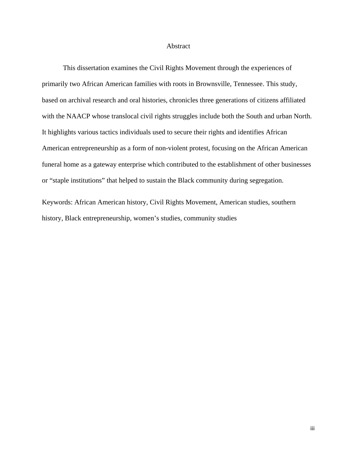### Abstract

This dissertation examines the Civil Rights Movement through the experiences of primarily two African American families with roots in Brownsville, Tennessee. This study, based on archival research and oral histories, chronicles three generations of citizens affiliated with the NAACP whose translocal civil rights struggles include both the South and urban North. It highlights various tactics individuals used to secure their rights and identifies African American entrepreneurship as a form of non-violent protest, focusing on the African American funeral home as a gateway enterprise which contributed to the establishment of other businesses or "staple institutions" that helped to sustain the Black community during segregation.

Keywords: African American history, Civil Rights Movement, American studies, southern history, Black entrepreneurship, women's studies, community studies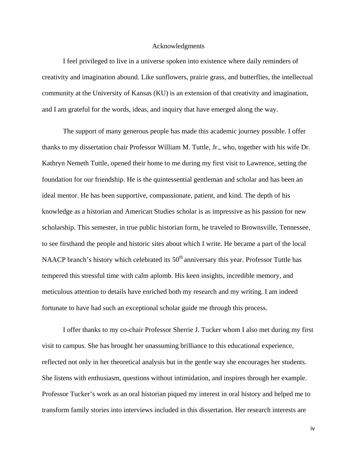### Acknowledgments

I feel privileged to live in a universe spoken into existence where daily reminders of creativity and imagination abound. Like sunflowers, prairie grass, and butterflies, the intellectual community at the University of Kansas (KU) is an extension of that creativity and imagination, and I am grateful for the words, ideas, and inquiry that have emerged along the way.

The support of many generous people has made this academic journey possible. I offer thanks to my dissertation chair Professor William M. Tuttle, Jr., who, together with his wife Dr. Kathryn Nemeth Tuttle, opened their home to me during my first visit to Lawrence, setting the foundation for our friendship. He is the quintessential gentleman and scholar and has been an ideal mentor. He has been supportive, compassionate, patient, and kind. The depth of his knowledge as a historian and American Studies scholar is as impressive as his passion for new scholarship. This semester, in true public historian form, he traveled to Brownsville, Tennessee, to see firsthand the people and historic sites about which I write. He became a part of the local NAACP branch's history which celebrated its  $50<sup>th</sup>$  anniversary this year. Professor Tuttle has tempered this stressful time with calm aplomb. His keen insights, incredible memory, and meticulous attention to details have enriched both my research and my writing. I am indeed fortunate to have had such an exceptional scholar guide me through this process.

I offer thanks to my co-chair Professor Sherrie J. Tucker whom I also met during my first visit to campus. She has brought her unassuming brilliance to this educational experience, reflected not only in her theoretical analysis but in the gentle way she encourages her students. She listens with enthusiasm, questions without intimidation, and inspires through her example. Professor Tucker's work as an oral historian piqued my interest in oral history and helped me to transform family stories into interviews included in this dissertation. Her research interests are

iv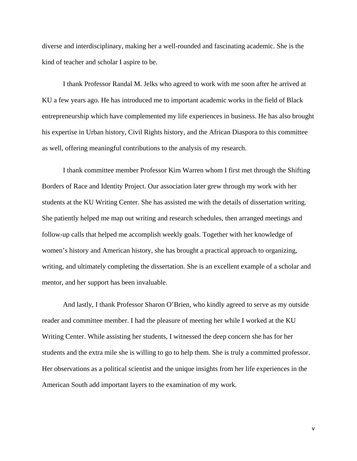diverse and interdisciplinary, making her a well-rounded and fascinating academic. She is the kind of teacher and scholar I aspire to be.

I thank Professor Randal M. Jelks who agreed to work with me soon after he arrived at KU a few years ago. He has introduced me to important academic works in the field of Black entrepreneurship which have complemented my life experiences in business. He has also brought his expertise in Urban history, Civil Rights history, and the African Diaspora to this committee as well, offering meaningful contributions to the analysis of my research.

I thank committee member Professor Kim Warren whom I first met through the Shifting Borders of Race and Identity Project. Our association later grew through my work with her students at the KU Writing Center. She has assisted me with the details of dissertation writing. She patiently helped me map out writing and research schedules, then arranged meetings and follow-up calls that helped me accomplish weekly goals. Together with her knowledge of women's history and American history, she has brought a practical approach to organizing, writing, and ultimately completing the dissertation. She is an excellent example of a scholar and mentor, and her support has been invaluable.

And lastly, I thank Professor Sharon O'Brien, who kindly agreed to serve as my outside reader and committee member. I had the pleasure of meeting her while I worked at the KU Writing Center. While assisting her students, I witnessed the deep concern she has for her students and the extra mile she is willing to go to help them. She is truly a committed professor. Her observations as a political scientist and the unique insights from her life experiences in the American South add important layers to the examination of my work.

v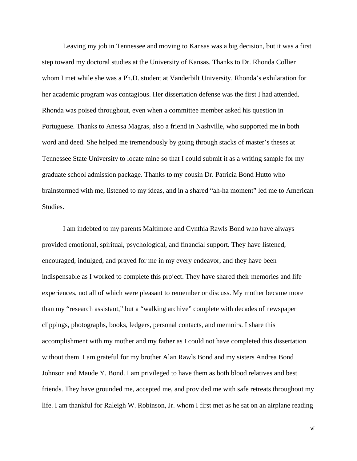Leaving my job in Tennessee and moving to Kansas was a big decision, but it was a first step toward my doctoral studies at the University of Kansas. Thanks to Dr. Rhonda Collier whom I met while she was a Ph.D. student at Vanderbilt University. Rhonda's exhilaration for her academic program was contagious. Her dissertation defense was the first I had attended. Rhonda was poised throughout, even when a committee member asked his question in Portuguese. Thanks to Anessa Magras, also a friend in Nashville, who supported me in both word and deed. She helped me tremendously by going through stacks of master's theses at Tennessee State University to locate mine so that I could submit it as a writing sample for my graduate school admission package. Thanks to my cousin Dr. Patricia Bond Hutto who brainstormed with me, listened to my ideas, and in a shared "ah-ha moment" led me to American Studies.

I am indebted to my parents Maltimore and Cynthia Rawls Bond who have always provided emotional, spiritual, psychological, and financial support. They have listened, encouraged, indulged, and prayed for me in my every endeavor, and they have been indispensable as I worked to complete this project. They have shared their memories and life experiences, not all of which were pleasant to remember or discuss. My mother became more than my "research assistant," but a "walking archive" complete with decades of newspaper clippings, photographs, books, ledgers, personal contacts, and memoirs. I share this accomplishment with my mother and my father as I could not have completed this dissertation without them. I am grateful for my brother Alan Rawls Bond and my sisters Andrea Bond Johnson and Maude Y. Bond. I am privileged to have them as both blood relatives and best friends. They have grounded me, accepted me, and provided me with safe retreats throughout my life. I am thankful for Raleigh W. Robinson, Jr. whom I first met as he sat on an airplane reading

vi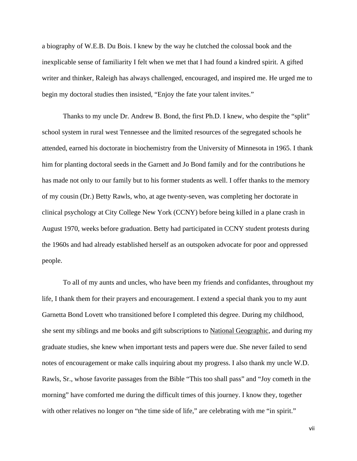a biography of W.E.B. Du Bois. I knew by the way he clutched the colossal book and the inexplicable sense of familiarity I felt when we met that I had found a kindred spirit. A gifted writer and thinker, Raleigh has always challenged, encouraged, and inspired me. He urged me to begin my doctoral studies then insisted, "Enjoy the fate your talent invites."

Thanks to my uncle Dr. Andrew B. Bond, the first Ph.D. I knew, who despite the "split" school system in rural west Tennessee and the limited resources of the segregated schools he attended, earned his doctorate in biochemistry from the University of Minnesota in 1965. I thank him for planting doctoral seeds in the Garnett and Jo Bond family and for the contributions he has made not only to our family but to his former students as well. I offer thanks to the memory of my cousin (Dr.) Betty Rawls, who, at age twenty-seven, was completing her doctorate in clinical psychology at City College New York (CCNY) before being killed in a plane crash in August 1970, weeks before graduation. Betty had participated in CCNY student protests during the 1960s and had already established herself as an outspoken advocate for poor and oppressed people.

To all of my aunts and uncles, who have been my friends and confidantes, throughout my life, I thank them for their prayers and encouragement. I extend a special thank you to my aunt Garnetta Bond Lovett who transitioned before I completed this degree. During my childhood, she sent my siblings and me books and gift subscriptions to National Geographic, and during my graduate studies, she knew when important tests and papers were due. She never failed to send notes of encouragement or make calls inquiring about my progress. I also thank my uncle W.D. Rawls, Sr., whose favorite passages from the Bible "This too shall pass" and "Joy cometh in the morning" have comforted me during the difficult times of this journey. I know they, together with other relatives no longer on "the time side of life," are celebrating with me "in spirit."

vii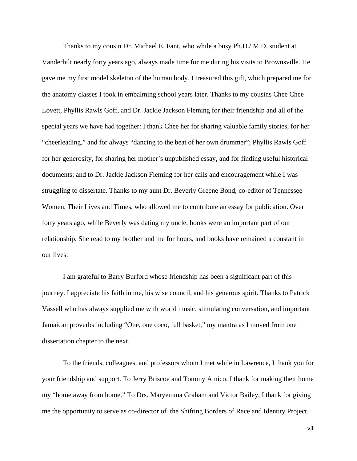Thanks to my cousin Dr. Michael E. Fant, who while a busy Ph.D./ M.D. student at Vanderbilt nearly forty years ago, always made time for me during his visits to Brownsville. He gave me my first model skeleton of the human body. I treasured this gift, which prepared me for the anatomy classes I took in embalming school years later. Thanks to my cousins Chee Chee Lovett, Phyllis Rawls Goff, and Dr. Jackie Jackson Fleming for their friendship and all of the special years we have had together: I thank Chee her for sharing valuable family stories, for her "cheerleading," and for always "dancing to the beat of her own drummer"; Phyllis Rawls Goff for her generosity, for sharing her mother's unpublished essay, and for finding useful historical documents; and to Dr. Jackie Jackson Fleming for her calls and encouragement while I was struggling to dissertate. Thanks to my aunt Dr. Beverly Greene Bond, co-editor of Tennessee Women, Their Lives and Times, who allowed me to contribute an essay for publication. Over forty years ago, while Beverly was dating my uncle, books were an important part of our relationship. She read to my brother and me for hours, and books have remained a constant in our lives.

I am grateful to Barry Burford whose friendship has been a significant part of this journey. I appreciate his faith in me, his wise council, and his generous spirit. Thanks to Patrick Vassell who has always supplied me with world music, stimulating conversation, and important Jamaican proverbs including "One, one coco, full basket," my mantra as I moved from one dissertation chapter to the next.

To the friends, colleagues, and professors whom I met while in Lawrence, I thank you for your friendship and support. To Jerry Briscoe and Tommy Amico, I thank for making their home my "home away from home." To Drs. Maryemma Graham and Victor Bailey, I thank for giving me the opportunity to serve as co-director of the Shifting Borders of Race and Identity Project.

viii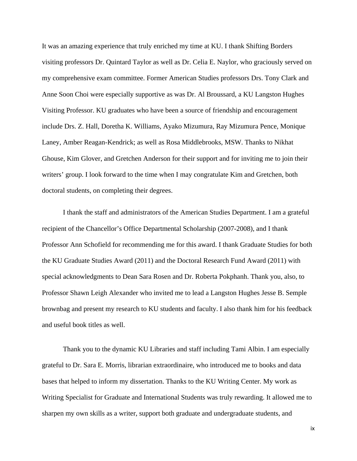It was an amazing experience that truly enriched my time at KU. I thank Shifting Borders visiting professors Dr. Quintard Taylor as well as Dr. Celia E. Naylor, who graciously served on my comprehensive exam committee. Former American Studies professors Drs. Tony Clark and Anne Soon Choi were especially supportive as was Dr. Al Broussard, a KU Langston Hughes Visiting Professor. KU graduates who have been a source of friendship and encouragement include Drs. Z. Hall, Doretha K. Williams, Ayako Mizumura, Ray Mizumura Pence, Monique Laney, Amber Reagan-Kendrick; as well as Rosa Middlebrooks, MSW. Thanks to Nikhat Ghouse, Kim Glover, and Gretchen Anderson for their support and for inviting me to join their writers' group. I look forward to the time when I may congratulate Kim and Gretchen, both doctoral students, on completing their degrees.

I thank the staff and administrators of the American Studies Department. I am a grateful recipient of the Chancellor's Office Departmental Scholarship (2007-2008), and I thank Professor Ann Schofield for recommending me for this award. I thank Graduate Studies for both the KU Graduate Studies Award (2011) and the Doctoral Research Fund Award (2011) with special acknowledgments to Dean Sara Rosen and Dr. Roberta Pokphanh. Thank you, also, to Professor Shawn Leigh Alexander who invited me to lead a Langston Hughes Jesse B. Semple brownbag and present my research to KU students and faculty. I also thank him for his feedback and useful book titles as well.

Thank you to the dynamic KU Libraries and staff including Tami Albin. I am especially grateful to Dr. Sara E. Morris, librarian extraordinaire, who introduced me to books and data bases that helped to inform my dissertation. Thanks to the KU Writing Center. My work as Writing Specialist for Graduate and International Students was truly rewarding. It allowed me to sharpen my own skills as a writer, support both graduate and undergraduate students, and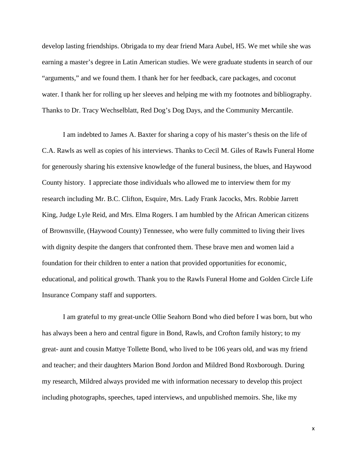develop lasting friendships. Obrigada to my dear friend Mara Aubel, H5. We met while she was earning a master's degree in Latin American studies. We were graduate students in search of our "arguments," and we found them. I thank her for her feedback, care packages, and coconut water. I thank her for rolling up her sleeves and helping me with my footnotes and bibliography. Thanks to Dr. Tracy Wechselblatt, Red Dog's Dog Days, and the Community Mercantile.

I am indebted to James A. Baxter for sharing a copy of his master's thesis on the life of C.A. Rawls as well as copies of his interviews. Thanks to Cecil M. Giles of Rawls Funeral Home for generously sharing his extensive knowledge of the funeral business, the blues, and Haywood County history. I appreciate those individuals who allowed me to interview them for my research including Mr. B.C. Clifton, Esquire, Mrs. Lady Frank Jacocks, Mrs. Robbie Jarrett King, Judge Lyle Reid, and Mrs. Elma Rogers. I am humbled by the African American citizens of Brownsville, (Haywood County) Tennessee, who were fully committed to living their lives with dignity despite the dangers that confronted them. These brave men and women laid a foundation for their children to enter a nation that provided opportunities for economic, educational, and political growth. Thank you to the Rawls Funeral Home and Golden Circle Life Insurance Company staff and supporters.

I am grateful to my great-uncle Ollie Seahorn Bond who died before I was born, but who has always been a hero and central figure in Bond, Rawls, and Crofton family history; to my great- aunt and cousin Mattye Tollette Bond, who lived to be 106 years old, and was my friend and teacher; and their daughters Marion Bond Jordon and Mildred Bond Roxborough. During my research, Mildred always provided me with information necessary to develop this project including photographs, speeches, taped interviews, and unpublished memoirs. She, like my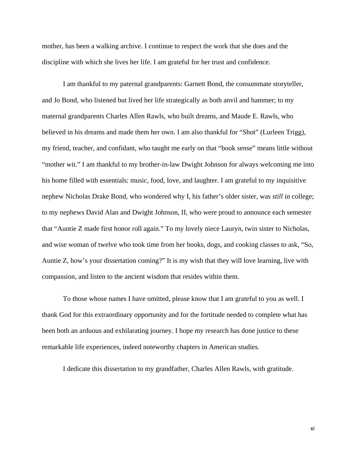mother, has been a walking archive. I continue to respect the work that she does and the discipline with which she lives her life. I am grateful for her trust and confidence.

I am thankful to my paternal grandparents: Garnett Bond, the consummate storyteller, and Jo Bond, who listened but lived her life strategically as both anvil and hammer; to my maternal grandparents Charles Allen Rawls, who built dreams, and Maude E. Rawls, who believed in his dreams and made them her own. I am also thankful for "Shot" (Lurleen Trigg), my friend, teacher, and confidant, who taught me early on that "book sense" means little without "mother wit." I am thankful to my brother-in-law Dwight Johnson for always welcoming me into his home filled with essentials: music, food, love, and laughter. I am grateful to my inquisitive nephew Nicholas Drake Bond, who wondered why I, his father's older sister, was *still* in college; to my nephews David Alan and Dwight Johnson, II, who were proud to announce each semester that "Auntie Z made first honor roll again." To my lovely niece Lauryn, twin sister to Nicholas, and wise woman of twelve who took time from her books, dogs, and cooking classes to ask, "So, Auntie Z, how's your dissertation coming?" It is my wish that they will love learning, live with compassion, and listen to the ancient wisdom that resides within them.

To those whose names I have omitted, please know that I am grateful to you as well. I thank God for this extraordinary opportunity and for the fortitude needed to complete what has been both an arduous and exhilarating journey. I hope my research has done justice to these remarkable life experiences, indeed noteworthy chapters in American studies.

I dedicate this dissertation to my grandfather, Charles Allen Rawls, with gratitude.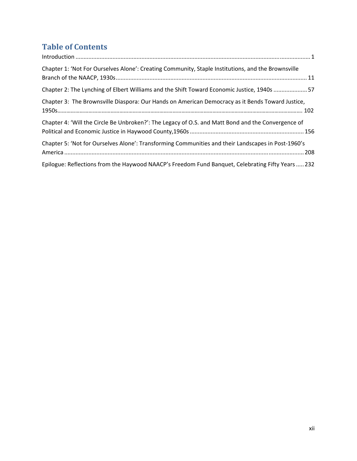# **Table of Contents**

| Chapter 1: 'Not For Ourselves Alone': Creating Community, Staple Institutions, and the Brownsville |
|----------------------------------------------------------------------------------------------------|
| Chapter 2: The Lynching of Elbert Williams and the Shift Toward Economic Justice, 1940s 57         |
| Chapter 3: The Brownsville Diaspora: Our Hands on American Democracy as it Bends Toward Justice,   |
| Chapter 4: 'Will the Circle Be Unbroken?': The Legacy of O.S. and Matt Bond and the Convergence of |
| Chapter 5: 'Not for Ourselves Alone': Transforming Communities and their Landscapes in Post-1960's |
| Epilogue: Reflections from the Haywood NAACP's Freedom Fund Banquet, Celebrating Fifty Years  232  |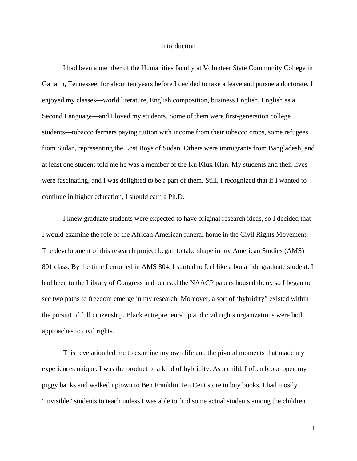### Introduction

I had been a member of the Humanities faculty at Volunteer State Community College in Gallatin, Tennessee, for about ten years before I decided to take a leave and pursue a doctorate. I enjoyed my classes—world literature, English composition, business English, English as a Second Language—and I loved my students. Some of them were first-generation college students—tobacco farmers paying tuition with income from their tobacco crops, some refugees from Sudan, representing the Lost Boys of Sudan. Others were immigrants from Bangladesh, and at least one student told me he was a member of the Ku Klux Klan. My students and their lives were fascinating, and I was delighted to be a part of them. Still, I recognized that if I wanted to continue in higher education, I should earn a Ph.D.

I knew graduate students were expected to have original research ideas, so I decided that I would examine the role of the African American funeral home in the Civil Rights Movement. The development of this research project began to take shape in my American Studies (AMS) 801 class. By the time I enrolled in AMS 804, I started to feel like a bona fide graduate student. I had been to the Library of Congress and perused the NAACP papers housed there, so I began to see two paths to freedom emerge in my research. Moreover, a sort of 'hybridity" existed within the pursuit of full citizenship. Black entrepreneurship and civil rights organizations were both approaches to civil rights.

This revelation led me to examine my own life and the pivotal moments that made my experiences unique. I was the product of a kind of hybridity. As a child, I often broke open my piggy banks and walked uptown to Ben Franklin Ten Cent store to buy books. I had mostly "invisible" students to teach unless I was able to find some actual students among the children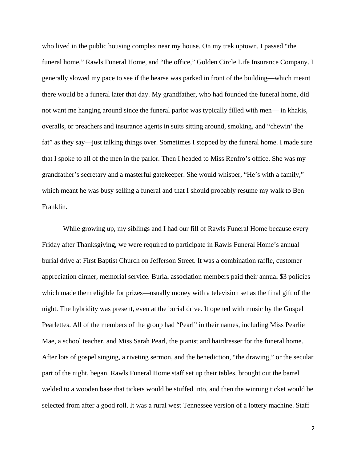who lived in the public housing complex near my house. On my trek uptown, I passed "the funeral home," Rawls Funeral Home, and "the office," Golden Circle Life Insurance Company. I generally slowed my pace to see if the hearse was parked in front of the building—which meant there would be a funeral later that day. My grandfather, who had founded the funeral home, did not want me hanging around since the funeral parlor was typically filled with men— in khakis, overalls, or preachers and insurance agents in suits sitting around, smoking, and "chewin' the fat" as they say—just talking things over. Sometimes I stopped by the funeral home. I made sure that I spoke to all of the men in the parlor. Then I headed to Miss Renfro's office. She was my grandfather's secretary and a masterful gatekeeper. She would whisper, "He's with a family," which meant he was busy selling a funeral and that I should probably resume my walk to Ben Franklin.

While growing up, my siblings and I had our fill of Rawls Funeral Home because every Friday after Thanksgiving, we were required to participate in Rawls Funeral Home's annual burial drive at First Baptist Church on Jefferson Street. It was a combination raffle, customer appreciation dinner, memorial service. Burial association members paid their annual \$3 policies which made them eligible for prizes—usually money with a television set as the final gift of the night. The hybridity was present, even at the burial drive. It opened with music by the Gospel Pearlettes. All of the members of the group had "Pearl" in their names, including Miss Pearlie Mae, a school teacher, and Miss Sarah Pearl, the pianist and hairdresser for the funeral home. After lots of gospel singing, a riveting sermon, and the benediction, "the drawing," or the secular part of the night, began. Rawls Funeral Home staff set up their tables, brought out the barrel welded to a wooden base that tickets would be stuffed into, and then the winning ticket would be selected from after a good roll. It was a rural west Tennessee version of a lottery machine. Staff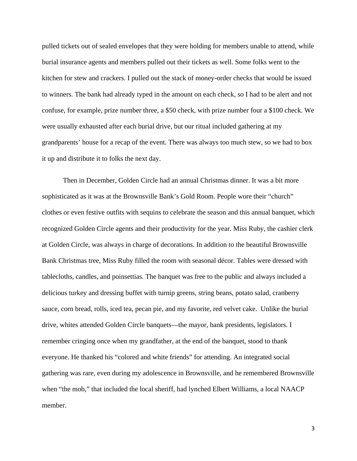pulled tickets out of sealed envelopes that they were holding for members unable to attend, while burial insurance agents and members pulled out their tickets as well. Some folks went to the kitchen for stew and crackers. I pulled out the stack of money-order checks that would be issued to winners. The bank had already typed in the amount on each check, so I had to be alert and not confuse, for example, prize number three, a \$50 check, with prize number four a \$100 check. We were usually exhausted after each burial drive, but our ritual included gathering at my grandparents' house for a recap of the event. There was always too much stew, so we had to box it up and distribute it to folks the next day.

Then in December, Golden Circle had an annual Christmas dinner. It was a bit more sophisticated as it was at the Brownsville Bank's Gold Room. People wore their "church" clothes or even festive outfits with sequins to celebrate the season and this annual banquet, which recognized Golden Circle agents and their productivity for the year. Miss Ruby, the cashier clerk at Golden Circle, was always in charge of decorations. In addition to the beautiful Brownsville Bank Christmas tree, Miss Ruby filled the room with seasonal décor. Tables were dressed with tablecloths, candles, and poinsettias. The banquet was free to the public and always included a delicious turkey and dressing buffet with turnip greens, string beans, potato salad, cranberry sauce, corn bread, rolls, iced tea, pecan pie, and my favorite, red velvet cake. Unlike the burial drive, whites attended Golden Circle banquets—the mayor, bank presidents, legislators. I remember cringing once when my grandfather, at the end of the banquet, stood to thank everyone. He thanked his "colored and white friends" for attending. An integrated social gathering was rare, even during my adolescence in Brownsville, and he remembered Brownsville when "the mob," that included the local sheriff, had lynched Elbert Williams, a local NAACP member.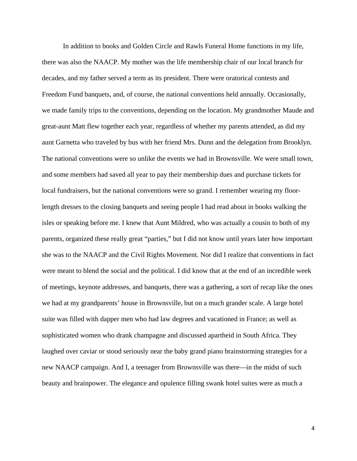In addition to books and Golden Circle and Rawls Funeral Home functions in my life, there was also the NAACP. My mother was the life membership chair of our local branch for decades, and my father served a term as its president. There were oratorical contests and Freedom Fund banquets, and, of course, the national conventions held annually. Occasionally, we made family trips to the conventions, depending on the location. My grandmother Maude and great-aunt Matt flew together each year, regardless of whether my parents attended, as did my aunt Garnetta who traveled by bus with her friend Mrs. Dunn and the delegation from Brooklyn. The national conventions were so unlike the events we had in Brownsville. We were small town, and some members had saved all year to pay their membership dues and purchase tickets for local fundraisers, but the national conventions were so grand. I remember wearing my floorlength dresses to the closing banquets and seeing people I had read about in books walking the isles or speaking before me. I knew that Aunt Mildred, who was actually a cousin to both of my parents, organized these really great "parties," but I did not know until years later how important she was to the NAACP and the Civil Rights Movement. Nor did I realize that conventions in fact were meant to blend the social and the political. I did know that at the end of an incredible week of meetings, keynote addresses, and banquets, there was a gathering, a sort of recap like the ones we had at my grandparents' house in Brownsville, but on a much grander scale. A large hotel suite was filled with dapper men who had law degrees and vacationed in France; as well as sophisticated women who drank champagne and discussed apartheid in South Africa. They laughed over caviar or stood seriously near the baby grand piano brainstorming strategies for a new NAACP campaign. And I, a teenager from Brownsville was there—in the midst of such beauty and brainpower. The elegance and opulence filling swank hotel suites were as much a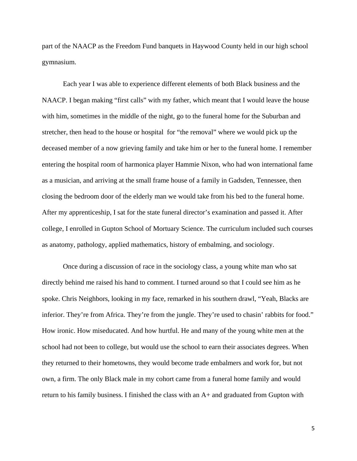part of the NAACP as the Freedom Fund banquets in Haywood County held in our high school gymnasium.

Each year I was able to experience different elements of both Black business and the NAACP. I began making "first calls" with my father, which meant that I would leave the house with him, sometimes in the middle of the night, go to the funeral home for the Suburban and stretcher, then head to the house or hospital for "the removal" where we would pick up the deceased member of a now grieving family and take him or her to the funeral home. I remember entering the hospital room of harmonica player Hammie Nixon, who had won international fame as a musician, and arriving at the small frame house of a family in Gadsden, Tennessee, then closing the bedroom door of the elderly man we would take from his bed to the funeral home. After my apprenticeship, I sat for the state funeral director's examination and passed it. After college, I enrolled in Gupton School of Mortuary Science. The curriculum included such courses as anatomy, pathology, applied mathematics, history of embalming, and sociology.

Once during a discussion of race in the sociology class, a young white man who sat directly behind me raised his hand to comment. I turned around so that I could see him as he spoke. Chris Neighbors, looking in my face, remarked in his southern drawl, "Yeah, Blacks are inferior. They're from Africa. They're from the jungle. They're used to chasin' rabbits for food." How ironic. How miseducated. And how hurtful. He and many of the young white men at the school had not been to college, but would use the school to earn their associates degrees. When they returned to their hometowns, they would become trade embalmers and work for, but not own, a firm. The only Black male in my cohort came from a funeral home family and would return to his family business. I finished the class with an A+ and graduated from Gupton with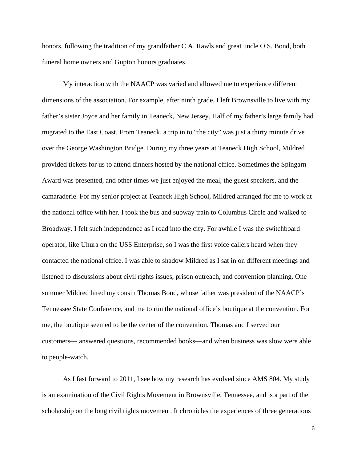honors, following the tradition of my grandfather C.A. Rawls and great uncle O.S. Bond, both funeral home owners and Gupton honors graduates.

My interaction with the NAACP was varied and allowed me to experience different dimensions of the association. For example, after ninth grade, I left Brownsville to live with my father's sister Joyce and her family in Teaneck, New Jersey. Half of my father's large family had migrated to the East Coast. From Teaneck, a trip in to "the city" was just a thirty minute drive over the George Washington Bridge. During my three years at Teaneck High School, Mildred provided tickets for us to attend dinners hosted by the national office. Sometimes the Spingarn Award was presented, and other times we just enjoyed the meal, the guest speakers, and the camaraderie. For my senior project at Teaneck High School, Mildred arranged for me to work at the national office with her. I took the bus and subway train to Columbus Circle and walked to Broadway. I felt such independence as I road into the city. For awhile I was the switchboard operator, like Uhura on the USS Enterprise, so I was the first voice callers heard when they contacted the national office. I was able to shadow Mildred as I sat in on different meetings and listened to discussions about civil rights issues, prison outreach, and convention planning. One summer Mildred hired my cousin Thomas Bond, whose father was president of the NAACP's Tennessee State Conference, and me to run the national office's boutique at the convention. For me, the boutique seemed to be the center of the convention. Thomas and I served our customers— answered questions, recommended books—and when business was slow were able to people-watch.

As I fast forward to 2011, I see how my research has evolved since AMS 804. My study is an examination of the Civil Rights Movement in Brownsville, Tennessee, and is a part of the scholarship on the long civil rights movement. It chronicles the experiences of three generations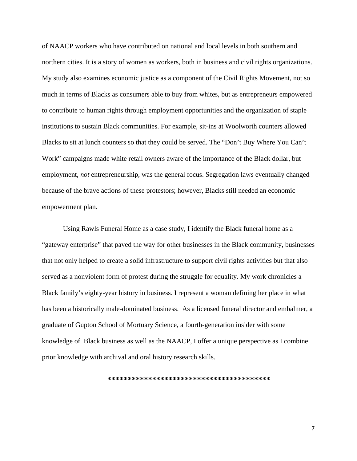of NAACP workers who have contributed on national and local levels in both southern and northern cities. It is a story of women as workers, both in business and civil rights organizations. My study also examines economic justice as a component of the Civil Rights Movement, not so much in terms of Blacks as consumers able to buy from whites, but as entrepreneurs empowered to contribute to human rights through employment opportunities and the organization of staple institutions to sustain Black communities. For example, sit-ins at Woolworth counters allowed Blacks to sit at lunch counters so that they could be served. The "Don't Buy Where You Can't Work" campaigns made white retail owners aware of the importance of the Black dollar, but employment, *not* entrepreneurship, was the general focus. Segregation laws eventually changed because of the brave actions of these protestors; however, Blacks still needed an economic empowerment plan.

Using Rawls Funeral Home as a case study, I identify the Black funeral home as a "gateway enterprise" that paved the way for other businesses in the Black community, businesses that not only helped to create a solid infrastructure to support civil rights activities but that also served as a nonviolent form of protest during the struggle for equality. My work chronicles a Black family's eighty-year history in business. I represent a woman defining her place in what has been a historically male-dominated business. As a licensed funeral director and embalmer, a graduate of Gupton School of Mortuary Science, a fourth-generation insider with some knowledge of Black business as well as the NAACP, I offer a unique perspective as I combine prior knowledge with archival and oral history research skills.

**\*\*\*\*\*\*\*\*\*\*\*\*\*\*\*\*\*\*\*\*\*\*\*\*\*\*\*\*\*\*\*\*\*\*\*\*\*\*\*\***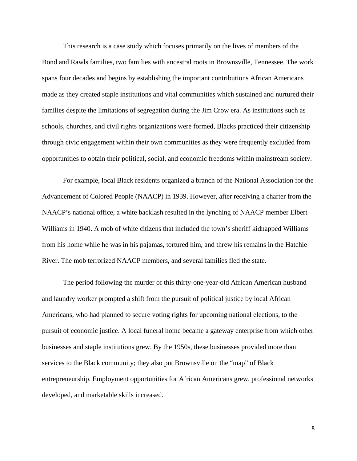This research is a case study which focuses primarily on the lives of members of the Bond and Rawls families, two families with ancestral roots in Brownsville, Tennessee. The work spans four decades and begins by establishing the important contributions African Americans made as they created staple institutions and vital communities which sustained and nurtured their families despite the limitations of segregation during the Jim Crow era. As institutions such as schools, churches, and civil rights organizations were formed, Blacks practiced their citizenship through civic engagement within their own communities as they were frequently excluded from opportunities to obtain their political, social, and economic freedoms within mainstream society.

For example, local Black residents organized a branch of the National Association for the Advancement of Colored People (NAACP) in 1939. However, after receiving a charter from the NAACP's national office, a white backlash resulted in the lynching of NAACP member Elbert Williams in 1940. A mob of white citizens that included the town's sheriff kidnapped Williams from his home while he was in his pajamas, tortured him, and threw his remains in the Hatchie River. The mob terrorized NAACP members, and several families fled the state.

The period following the murder of this thirty-one-year-old African American husband and laundry worker prompted a shift from the pursuit of political justice by local African Americans, who had planned to secure voting rights for upcoming national elections, to the pursuit of economic justice. A local funeral home became a gateway enterprise from which other businesses and staple institutions grew. By the 1950s, these businesses provided more than services to the Black community; they also put Brownsville on the "map" of Black entrepreneurship. Employment opportunities for African Americans grew, professional networks developed, and marketable skills increased.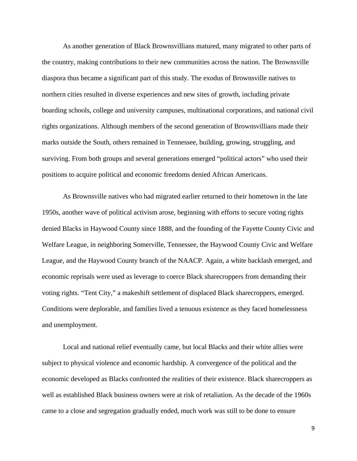As another generation of Black Brownsvillians matured, many migrated to other parts of the country, making contributions to their new communities across the nation. The Brownsville diaspora thus became a significant part of this study. The exodus of Brownsville natives to northern cities resulted in diverse experiences and new sites of growth, including private boarding schools, college and university campuses, multinational corporations, and national civil rights organizations. Although members of the second generation of Brownsvillians made their marks outside the South, others remained in Tennessee, building, growing, struggling, and surviving. From both groups and several generations emerged "political actors" who used their positions to acquire political and economic freedoms denied African Americans.

As Brownsville natives who had migrated earlier returned to their hometown in the late 1950s, another wave of political activism arose, beginning with efforts to secure voting rights denied Blacks in Haywood County since 1888, and the founding of the Fayette County Civic and Welfare League, in neighboring Somerville, Tennessee, the Haywood County Civic and Welfare League, and the Haywood County branch of the NAACP. Again, a white backlash emerged, and economic reprisals were used as leverage to coerce Black sharecroppers from demanding their voting rights. "Tent City," a makeshift settlement of displaced Black sharecroppers, emerged. Conditions were deplorable, and families lived a tenuous existence as they faced homelessness and unemployment.

Local and national relief eventually came, but local Blacks and their white allies were subject to physical violence and economic hardship. A convergence of the political and the economic developed as Blacks confronted the realities of their existence. Black sharecroppers as well as established Black business owners were at risk of retaliation. As the decade of the 1960s came to a close and segregation gradually ended, much work was still to be done to ensure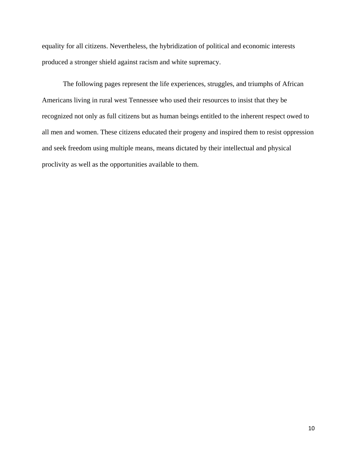equality for all citizens. Nevertheless, the hybridization of political and economic interests produced a stronger shield against racism and white supremacy.

 The following pages represent the life experiences, struggles, and triumphs of African Americans living in rural west Tennessee who used their resources to insist that they be recognized not only as full citizens but as human beings entitled to the inherent respect owed to all men and women. These citizens educated their progeny and inspired them to resist oppression and seek freedom using multiple means, means dictated by their intellectual and physical proclivity as well as the opportunities available to them.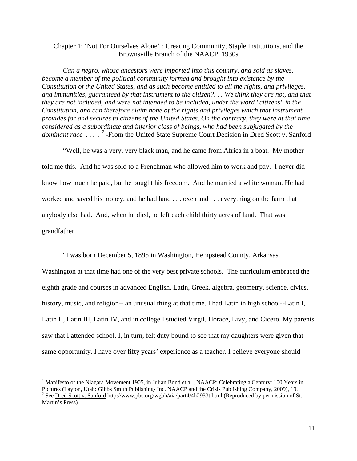### Chapter 1: 'Not For Ourselves Alone'<sup>1</sup>: Creating Community, Staple Institutions, and the Brownsville Branch of the NAACP, 1930s

*Can a negro, whose ancestors were imported into this country, and sold as slaves, become a member of the political community formed and brought into existence by the Constitution of the United States, and as such become entitled to all the rights, and privileges, and immunities, guaranteed by that instrument to the citizen?. . . We think they are not, and that they are not included, and were not intended to be included, under the word "citizens" in the Constitution, and can therefore claim none of the rights and privileges which that instrument provides for and secures to citizens of the United States. On the contrary, they were at that time considered as a subordinate and inferior class of beings, who had been subjugated by the dominant race* ....<sup>2</sup>-From the United State Supreme Court Decision in <u>Dred Scott v. Sanford</u>

"Well, he was a very, very black man, and he came from Africa in a boat. My mother told me this. And he was sold to a Frenchman who allowed him to work and pay. I never did know how much he paid, but he bought his freedom. And he married a white woman. He had worked and saved his money, and he had land . . . oxen and . . . everything on the farm that anybody else had. And, when he died, he left each child thirty acres of land. That was grandfather.

"I was born December 5, 1895 in Washington, Hempstead County, Arkansas.

Washington at that time had one of the very best private schools. The curriculum embraced the eighth grade and courses in advanced English, Latin, Greek, algebra, geometry, science, civics, history, music, and religion-- an unusual thing at that time. I had Latin in high school--Latin I, Latin II, Latin III, Latin IV, and in college I studied Virgil, Horace, Livy, and Cicero. My parents saw that I attended school. I, in turn, felt duty bound to see that my daughters were given that same opportunity. I have over fifty years' experience as a teacher. I believe everyone should

<sup>&</sup>lt;sup>1</sup> Manifesto of the Niagara Movement 1905, in Julian Bond et al., NAACP: Celebrating a Century: 100 Years in Pictures (Layton, Utah: Gibbs Smith Publishing- Inc. NAACP and the Crisis Publishing Company, 2009), 19.<br><sup>2</sup> See <u>Dred Scott v. Sanford</u> http://www.pbs.org/wgbh/aia/part4/4h2933t.html (Reproduced by permission of St. Martin's Press).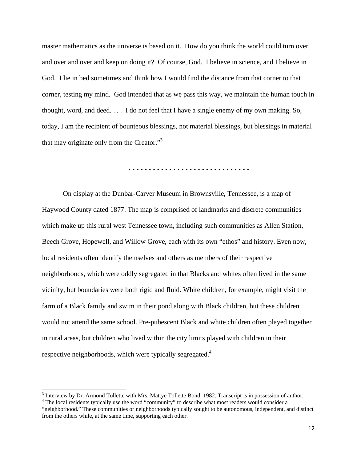master mathematics as the universe is based on it. How do you think the world could turn over and over and over and keep on doing it? Of course, God. I believe in science, and I believe in God. I lie in bed sometimes and think how I would find the distance from that corner to that corner, testing my mind. God intended that as we pass this way, we maintain the human touch in thought, word, and deed. . . . I do not feel that I have a single enemy of my own making. So, today, I am the recipient of bounteous blessings, not material blessings, but blessings in material that may originate only from the Creator."<sup>3</sup>

#### **. . . . . . . . . . . . . . . . . . . . . . . . . . . . . .**

 On display at the Dunbar-Carver Museum in Brownsville, Tennessee, is a map of Haywood County dated 1877. The map is comprised of landmarks and discrete communities which make up this rural west Tennessee town, including such communities as Allen Station, Beech Grove, Hopewell, and Willow Grove, each with its own "ethos" and history. Even now, local residents often identify themselves and others as members of their respective neighborhoods, which were oddly segregated in that Blacks and whites often lived in the same vicinity, but boundaries were both rigid and fluid. White children, for example, might visit the farm of a Black family and swim in their pond along with Black children, but these children would not attend the same school. Pre-pubescent Black and white children often played together in rural areas, but children who lived within the city limits played with children in their respective neighborhoods, which were typically segregated.<sup>4</sup>

 $3$  Interview by Dr. Armond Tollette with Mrs. Mattye Tollette Bond, 1982. Transcript is in possession of author.<br> $4$  The local residents tunically use the word "community" to describe what meet readers would consider a

<sup>&</sup>lt;sup>4</sup> The local residents typically use the word "community" to describe what most readers would consider a

<sup>&</sup>quot;neighborhood." These communities or neighborhoods typically sought to be autonomous, independent, and distinct from the others while, at the same time, supporting each other.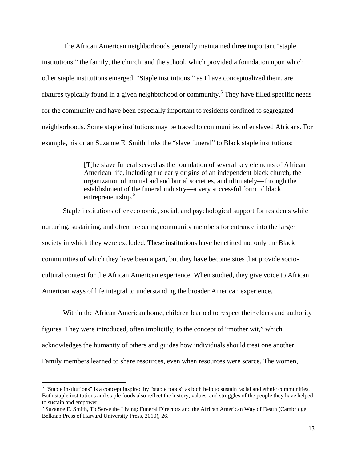The African American neighborhoods generally maintained three important "staple institutions," the family, the church, and the school, which provided a foundation upon which other staple institutions emerged. "Staple institutions," as I have conceptualized them, are fixtures typically found in a given neighborhood or community.<sup>5</sup> They have filled specific needs for the community and have been especially important to residents confined to segregated neighborhoods. Some staple institutions may be traced to communities of enslaved Africans. For example, historian Suzanne E. Smith links the "slave funeral" to Black staple institutions:

> [T]he slave funeral served as the foundation of several key elements of African American life, including the early origins of an independent black church, the organization of mutual aid and burial societies, and ultimately—through the establishment of the funeral industry—a very successful form of black entrepreneurship.<sup>6</sup>

Staple institutions offer economic, social, and psychological support for residents while nurturing, sustaining, and often preparing community members for entrance into the larger society in which they were excluded. These institutions have benefitted not only the Black communities of which they have been a part, but they have become sites that provide sociocultural context for the African American experience. When studied, they give voice to African American ways of life integral to understanding the broader American experience.

Within the African American home, children learned to respect their elders and authority figures. They were introduced, often implicitly, to the concept of "mother wit," which acknowledges the humanity of others and guides how individuals should treat one another. Family members learned to share resources, even when resources were scarce. The women,

<sup>&</sup>lt;sup>5</sup> "Staple institutions" is a concept inspired by "staple foods" as both help to sustain racial and ethnic communities. Both staple institutions and staple foods also reflect the history, values, and struggles of the people they have helped to sustain and empower.

<sup>&</sup>lt;sup>6</sup> Suzanne E. Smith, To Serve the Living: Funeral Directors and the African American Way of Death (Cambridge: Belknap Press of Harvard University Press, 2010), 26.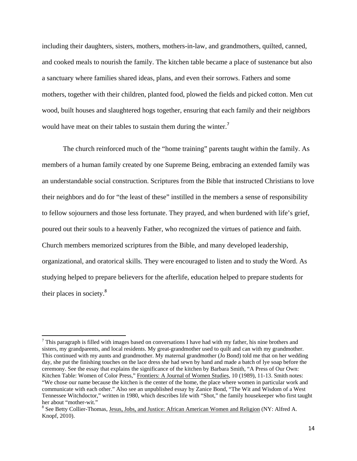including their daughters, sisters, mothers, mothers-in-law, and grandmothers, quilted, canned, and cooked meals to nourish the family. The kitchen table became a place of sustenance but also a sanctuary where families shared ideas, plans, and even their sorrows. Fathers and some mothers, together with their children, planted food, plowed the fields and picked cotton. Men cut wood, built houses and slaughtered hogs together, ensuring that each family and their neighbors would have meat on their tables to sustain them during the winter.<sup>7</sup>

The church reinforced much of the "home training" parents taught within the family. As members of a human family created by one Supreme Being, embracing an extended family was an understandable social construction. Scriptures from the Bible that instructed Christians to love their neighbors and do for "the least of these" instilled in the members a sense of responsibility to fellow sojourners and those less fortunate. They prayed, and when burdened with life's grief, poured out their souls to a heavenly Father, who recognized the virtues of patience and faith. Church members memorized scriptures from the Bible, and many developed leadership, organizational, and oratorical skills. They were encouraged to listen and to study the Word. As studying helped to prepare believers for the afterlife, education helped to prepare students for their places in society. $8$ 

 $<sup>7</sup>$  This paragraph is filled with images based on conversations I have had with my father, his nine brothers and</sup> sisters, my grandparents, and local residents. My great-grandmother used to quilt and can with my grandmother. This continued with my aunts and grandmother. My maternal grandmother (Jo Bond) told me that on her wedding day, she put the finishing touches on the lace dress she had sewn by hand and made a batch of lye soap before the ceremony. See the essay that explains the significance of the kitchen by Barbara Smith, "A Press of Our Own: Kitchen Table: Women of Color Press," Frontiers: A Journal of Women Studies, 10 (1989), 11-13. Smith notes: "We chose our name because the kitchen is the center of the home, the place where women in particular work and communicate with each other." Also see an unpublished essay by Zanice Bond, "The Wit and Wisdom of a West Tennessee Witchdoctor," written in 1980, which describes life with "Shot," the family housekeeper who first taught her about "mother-wit."

<sup>&</sup>lt;sup>8</sup> See Betty Collier-Thomas, Jesus, Jobs, and Justice: African American Women and Religion (NY: Alfred A. Knopf, 2010).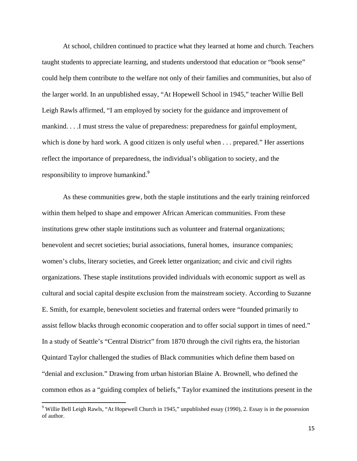At school, children continued to practice what they learned at home and church. Teachers taught students to appreciate learning, and students understood that education or "book sense" could help them contribute to the welfare not only of their families and communities, but also of the larger world. In an unpublished essay, "At Hopewell School in 1945," teacher Willie Bell Leigh Rawls affirmed, "I am employed by society for the guidance and improvement of mankind. . . .I must stress the value of preparedness: preparedness for gainful employment, which is done by hard work. A good citizen is only useful when . . . prepared." Her assertions reflect the importance of preparedness, the individual's obligation to society, and the responsibility to improve humankind.<sup>9</sup>

As these communities grew, both the staple institutions and the early training reinforced within them helped to shape and empower African American communities. From these institutions grew other staple institutions such as volunteer and fraternal organizations; benevolent and secret societies; burial associations, funeral homes, insurance companies; women's clubs, literary societies, and Greek letter organization; and civic and civil rights organizations. These staple institutions provided individuals with economic support as well as cultural and social capital despite exclusion from the mainstream society. According to Suzanne E. Smith, for example, benevolent societies and fraternal orders were "founded primarily to assist fellow blacks through economic cooperation and to offer social support in times of need." In a study of Seattle's "Central District" from 1870 through the civil rights era, the historian Quintard Taylor challenged the studies of Black communities which define them based on "denial and exclusion." Drawing from urban historian Blaine A. Brownell, who defined the common ethos as a "guiding complex of beliefs," Taylor examined the institutions present in the

<sup>&</sup>lt;sup>9</sup> Willie Bell Leigh Rawls, "At Hopewell Church in 1945," unpublished essay (1990), 2. Essay is in the possession of author.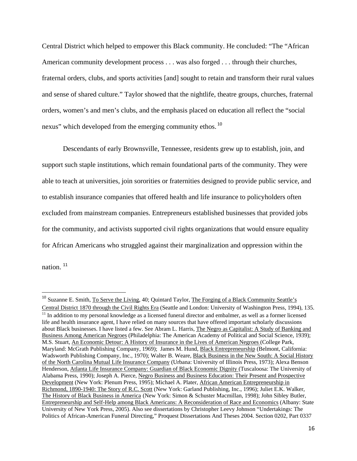Central District which helped to empower this Black community. He concluded: "The "African American community development process . . . was also forged . . . through their churches, fraternal orders, clubs, and sports activities [and] sought to retain and transform their rural values and sense of shared culture." Taylor showed that the nightlife, theatre groups, churches, fraternal orders, women's and men's clubs, and the emphasis placed on education all reflect the "social nexus" which developed from the emerging community ethos.<sup>10</sup>

Descendants of early Brownsville, Tennessee, residents grew up to establish, join, and support such staple institutions, which remain foundational parts of the community. They were able to teach at universities, join sororities or fraternities designed to provide public service, and to establish insurance companies that offered health and life insurance to policyholders often excluded from mainstream companies. Entrepreneurs established businesses that provided jobs for the community, and activists supported civil rights organizations that would ensure equality for African Americans who struggled against their marginalization and oppression within the

nation. <sup>11</sup>

<sup>&</sup>lt;sup>10</sup> Suzanne E. Smith, To Serve the Living, 40; Quintard Taylor, The Forging of a Black Community Seattle's Central District 1870 through the Civil Rights Era (Seattle and London: University of Washington Press, 1994), 135.<br><sup>11</sup> In addition to my personal knowledge as a licensed funeral director and embalmer, as well as a forme life and health insurance agent, I have relied on many sources that have offered important scholarly discussions about Black businesses. I have listed a few. See Abram L. Harris, The Negro as Capitalist: A Study of Banking and Business Among American Negroes (Philadelphia: The American Academy of Political and Social Science, 1939); M.S. Stuart, An Economic Detour: A History of Insurance in the Lives of American Negroes (College Park, Maryland: McGrath Publishing Company, 1969); James M. Hund, Black Entrepreneurship (Belmont, California: Wadsworth Publishing Company, Inc., 1970); Walter B. Weare, Black Business in the New South: A Social History of the North Carolina Mutual Life Insurance Company (Urbana: University of Illinois Press, 1973); Alexa Benson Henderson, Atlanta Life Insurance Company: Guardian of Black Economic Dignity (Tuscaloosa: The University of Alabama Press, 1990); Joseph A. Pierce, Negro Business and Business Education: Their Present and Prospective Development (New York: Plenum Press, 1995); Michael A. Plater, African American Entrepreneurship in Richmond, 1890-1940: The Story of R.C. Scott (New York: Garland Publishing, Inc., 1996); Juliet E.K. Walker, The History of Black Business in America (New York: Simon & Schuster Macmillan, 1998); John Sibley Butler, Entrepreneurship and Self-Help among Black Americans: A Reconsideration of Race and Economics (Albany: State University of New York Press, 2005). Also see dissertations by Christopher Leevy Johnson "Undertakings: The Politics of African-American Funeral Directing," Proquest Dissertations And Theses 2004. Section 0202, Part 0337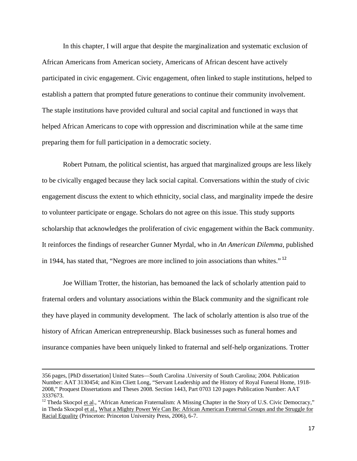In this chapter, I will argue that despite the marginalization and systematic exclusion of African Americans from American society, Americans of African descent have actively participated in civic engagement. Civic engagement, often linked to staple institutions, helped to establish a pattern that prompted future generations to continue their community involvement. The staple institutions have provided cultural and social capital and functioned in ways that helped African Americans to cope with oppression and discrimination while at the same time preparing them for full participation in a democratic society.

Robert Putnam, the political scientist, has argued that marginalized groups are less likely to be civically engaged because they lack social capital. Conversations within the study of civic engagement discuss the extent to which ethnicity, social class, and marginality impede the desire to volunteer participate or engage. Scholars do not agree on this issue. This study supports scholarship that acknowledges the proliferation of civic engagement within the Back community. It reinforces the findings of researcher Gunner Myrdal, who in *An American Dilemma,* published in 1944, has stated that, "Negroes are more inclined to join associations than whites." <sup>12</sup>

Joe William Trotter, the historian, has bemoaned the lack of scholarly attention paid to fraternal orders and voluntary associations within the Black community and the significant role they have played in community development. The lack of scholarly attention is also true of the history of African American entrepreneurship. Black businesses such as funeral homes and insurance companies have been uniquely linked to fraternal and self-help organizations. Trotter

<u> 1989 - Johann Stein, marwolaethau a gweledydd a ganlad y ganlad y ganlad y ganlad y ganlad y ganlad y ganlad</u>

<sup>356</sup> pages, [PhD dissertation] United States—South Carolina .University of South Carolina; 2004. Publication Number: AAT 3130454; and Kim Cliett Long, "Servant Leadership and the History of Royal Funeral Home, 1918- 2008," Proquest Dissertations and Theses 2008. Section 1443, Part 0703 120 pages Publication Number: AAT 3337673.

 $12$  Theda Skocpol et al., "African American Fraternalism: A Missing Chapter in the Story of U.S. Civic Democracy," in Theda Skocpol et al., What a Mighty Power We Can Be: African American Fraternal Groups and the Struggle for Racial Equality (Princeton: Princeton University Press, 2006), 6-7.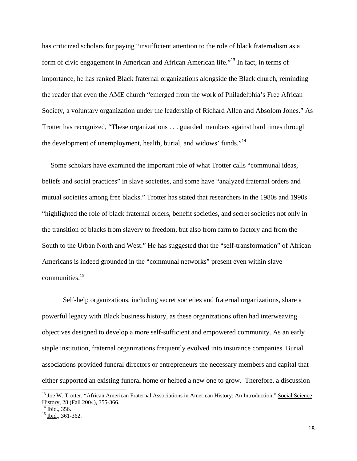has criticized scholars for paying "insufficient attention to the role of black fraternalism as a form of civic engagement in American and African American life."<sup>13</sup> In fact, in terms of importance, he has ranked Black fraternal organizations alongside the Black church, reminding the reader that even the AME church "emerged from the work of Philadelphia's Free African Society, a voluntary organization under the leadership of Richard Allen and Absolom Jones." As Trotter has recognized, "These organizations . . . guarded members against hard times through the development of unemployment, health, burial, and widows' funds."<sup>14</sup>

 Some scholars have examined the important role of what Trotter calls "communal ideas, beliefs and social practices" in slave societies, and some have "analyzed fraternal orders and mutual societies among free blacks." Trotter has stated that researchers in the 1980s and 1990s "highlighted the role of black fraternal orders, benefit societies, and secret societies not only in the transition of blacks from slavery to freedom, but also from farm to factory and from the South to the Urban North and West." He has suggested that the "self-transformation" of African Americans is indeed grounded in the "communal networks" present even within slave communities.<sup>15</sup>

Self-help organizations, including secret societies and fraternal organizations, share a powerful legacy with Black business history, as these organizations often had interweaving objectives designed to develop a more self-sufficient and empowered community. As an early staple institution, fraternal organizations frequently evolved into insurance companies. Burial associations provided funeral directors or entrepreneurs the necessary members and capital that either supported an existing funeral home or helped a new one to grow. Therefore, a discussion

<sup>&</sup>lt;sup>13</sup> Joe W. Trotter, "African American Fraternal Associations in American History: An Introduction," Social Science History, 28 (Fall 2004), 355-366.

 $\overline{\frac{14 \text{ Ibid.}}{14 \text{ Ibid.}}},$  356.

 $15 \overline{\text{Ibid}}$ ., 361-362.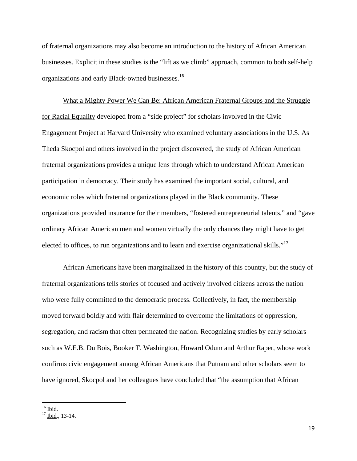of fraternal organizations may also become an introduction to the history of African American businesses. Explicit in these studies is the "lift as we climb" approach, common to both self-help organizations and early Black-owned businesses.<sup>16</sup>

What a Mighty Power We Can Be: African American Fraternal Groups and the Struggle for Racial Equality developed from a "side project" for scholars involved in the Civic Engagement Project at Harvard University who examined voluntary associations in the U.S. As Theda Skocpol and others involved in the project discovered, the study of African American fraternal organizations provides a unique lens through which to understand African American participation in democracy. Their study has examined the important social, cultural, and economic roles which fraternal organizations played in the Black community. These organizations provided insurance for their members, "fostered entrepreneurial talents," and "gave ordinary African American men and women virtually the only chances they might have to get elected to offices, to run organizations and to learn and exercise organizational skills."<sup>17</sup>

African Americans have been marginalized in the history of this country, but the study of fraternal organizations tells stories of focused and actively involved citizens across the nation who were fully committed to the democratic process. Collectively, in fact, the membership moved forward boldly and with flair determined to overcome the limitations of oppression, segregation, and racism that often permeated the nation. Recognizing studies by early scholars such as W.E.B. Du Bois, Booker T. Washington, Howard Odum and Arthur Raper, whose work confirms civic engagement among African Americans that Putnam and other scholars seem to have ignored, Skocpol and her colleagues have concluded that "the assumption that African

 $16$  Ibid.

 $17 \overline{\text{Ibid}}$ ., 13-14.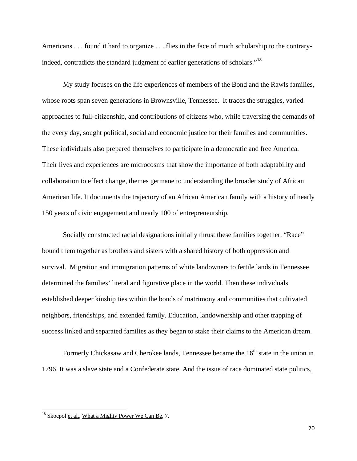Americans . . . found it hard to organize . . . flies in the face of much scholarship to the contraryindeed, contradicts the standard judgment of earlier generations of scholars."<sup>18</sup>

My study focuses on the life experiences of members of the Bond and the Rawls families, whose roots span seven generations in Brownsville, Tennessee. It traces the struggles, varied approaches to full-citizenship, and contributions of citizens who, while traversing the demands of the every day, sought political, social and economic justice for their families and communities. These individuals also prepared themselves to participate in a democratic and free America. Their lives and experiences are microcosms that show the importance of both adaptability and collaboration to effect change, themes germane to understanding the broader study of African American life. It documents the trajectory of an African American family with a history of nearly 150 years of civic engagement and nearly 100 of entrepreneurship.

Socially constructed racial designations initially thrust these families together. "Race" bound them together as brothers and sisters with a shared history of both oppression and survival. Migration and immigration patterns of white landowners to fertile lands in Tennessee determined the families' literal and figurative place in the world. Then these individuals established deeper kinship ties within the bonds of matrimony and communities that cultivated neighbors, friendships, and extended family. Education, landownership and other trapping of success linked and separated families as they began to stake their claims to the American dream.

Formerly Chickasaw and Cherokee lands, Tennessee became the  $16<sup>th</sup>$  state in the union in 1796. It was a slave state and a Confederate state. And the issue of race dominated state politics,

<sup>&</sup>lt;sup>18</sup> Skocpol et al., What a Mighty Power We Can Be, 7.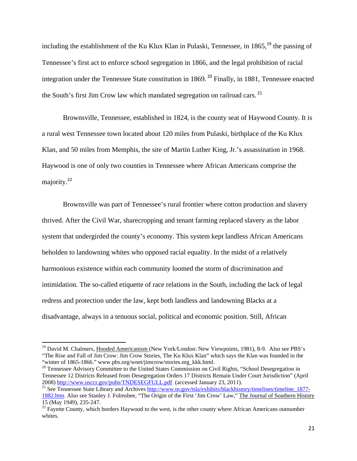including the establishment of the Ku Klux Klan in Pulaski, Tennessee, in  $1865$ <sup>19</sup>, the passing of Tennessee's first act to enforce school segregation in 1866, and the legal prohibition of racial integration under the Tennessee State constitution in 1869. <sup>20</sup> Finally, in 1881, Tennessee enacted the South's first Jim Crow law which mandated segregation on railroad cars.<sup>21</sup>

Brownsville, Tennessee, established in 1824, is the county seat of Haywood County. It is a rural west Tennessee town located about 120 miles from Pulaski, birthplace of the Ku Klux Klan, and 50 miles from Memphis, the site of Martin Luther King, Jr.'s assassination in 1968. Haywood is one of only two counties in Tennessee where African Americans comprise the majority.<sup>22</sup>

Brownsville was part of Tennessee's rural frontier where cotton production and slavery thrived. After the Civil War, sharecropping and tenant farming replaced slavery as the labor system that undergirded the county's economy. This system kept landless African Americans beholden to landowning whites who opposed racial equality. In the midst of a relatively harmonious existence within each community loomed the storm of discrimination and intimidation. The so-called etiquette of race relations in the South, including the lack of legal redress and protection under the law, kept both landless and landowning Blacks at a disadvantage, always in a tenuous social, political and economic position. Still, African

<sup>&</sup>lt;sup>19</sup> David M. Chalmers, Hooded Americanism (New York/London: New Viewpoints, 1981), 8-9. Also see PBS's "The Rise and Fall of Jim Crow: Jim Crow Stories, The Ku Klux Klan" which says the Klan was founded in the "winter of 1865-1866." www.pbs.org/wnet/jimcrow/stories.org\_kkk.html.

<sup>&</sup>lt;sup>20</sup> Tennessee Advisory Committee to the United States Commission on Civil Rights, "School Desegregation in Tennessee 12 Districts Released from Desegregation Orders 17 Districts Remain Under Court Jurisdiction" (April 2008) http://www.usccr.gov/pubs/TNDESEGFULL.pdf (accessed January 23, 2011).

<sup>&</sup>lt;sup>21</sup> See Tennessee State Library and Archives http://www.tn.gov/tsla/exhibits/blackhistory/timelines/timeline\_1877-1882.htm. Also see Stanley J. Folmsbee, "The Origin of the First 'Jim Crow' Law," The Journal of Southern History 15 (May 1949), 235-247.

<sup>&</sup>lt;sup>22</sup> Fayette County, which borders Haywood to the west, is the other county where African Americans outnumber whites.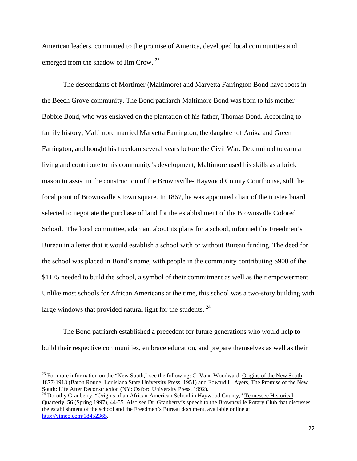American leaders, committed to the promise of America, developed local communities and emerged from the shadow of Jim Crow.<sup>23</sup>

The descendants of Mortimer (Maltimore) and Maryetta Farrington Bond have roots in the Beech Grove community. The Bond patriarch Maltimore Bond was born to his mother Bobbie Bond, who was enslaved on the plantation of his father, Thomas Bond. According to family history, Maltimore married Maryetta Farrington, the daughter of Anika and Green Farrington, and bought his freedom several years before the Civil War. Determined to earn a living and contribute to his community's development, Maltimore used his skills as a brick mason to assist in the construction of the Brownsville- Haywood County Courthouse, still the focal point of Brownsville's town square. In 1867, he was appointed chair of the trustee board selected to negotiate the purchase of land for the establishment of the Brownsville Colored School. The local committee, adamant about its plans for a school, informed the Freedmen's Bureau in a letter that it would establish a school with or without Bureau funding. The deed for the school was placed in Bond's name, with people in the community contributing \$900 of the \$1175 needed to build the school, a symbol of their commitment as well as their empowerment. Unlike most schools for African Americans at the time, this school was a two-story building with large windows that provided natural light for the students.  $24$ 

The Bond patriarch established a precedent for future generations who would help to build their respective communities, embrace education, and prepare themselves as well as their

<sup>&</sup>lt;sup>23</sup> For more information on the "New South," see the following: C. Vann Woodward, Origins of the New South, 1877-1913 (Baton Rouge: Louisiana State University Press, 1951) and Edward L. Ayers, The Promise of the New South: Life After Reconstruction (NY: Oxford University Press, 1992).

<sup>&</sup>lt;sup>24</sup> Dorothy Granberry, "Origins of an African-American School in Haywood County," Tennessee Historical Quarterly, 56 (Spring 1997), 44-55. Also see Dr. Granberry's speech to the Brownsville Rotary Club that discusses the establishment of the school and the Freedmen's Bureau document, available online at http://vimeo.com/18452365.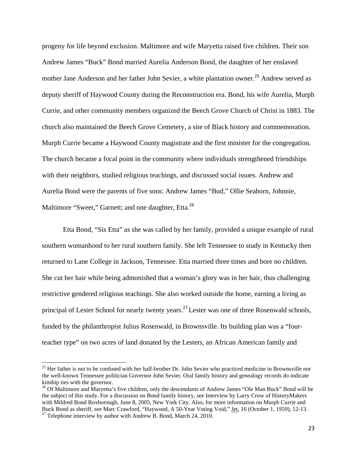progeny for life beyond exclusion. Maltimore and wife Maryetta raised five children. Their son Andrew James "Buck" Bond married Aurelia Anderson Bond, the daughter of her enslaved mother Jane Anderson and her father John Sevier, a white plantation owner.<sup>25</sup> Andrew served as deputy sheriff of Haywood County during the Reconstruction era. Bond, his wife Aurelia, Murph Currie, and other community members organized the Beech Grove Church of Christ in 1883. The church also maintained the Beech Grove Cemetery, a site of Black history and commemoration. Murph Currie became a Haywood County magistrate and the first minister for the congregation. The church became a focal point in the community where individuals strengthened friendships with their neighbors, studied religious teachings, and discussed social issues. Andrew and Aurelia Bond were the parents of five sons: Andrew James "Bud," Ollie Seahorn, Johnnie, Maltimore "Sweet," Garnett; and one daughter, Etta.<sup>26</sup>

Etta Bond, "Sis Etta" as she was called by her family, provided a unique example of rural southern womanhood to her rural southern family. She left Tennessee to study in Kentucky then returned to Lane College in Jackson, Tennessee. Etta married three times and bore no children. She cut her hair while being admonished that a woman's glory was in her hair, thus challenging restrictive gendered religious teachings. She also worked outside the home, earning a living as principal of Lester School for nearly twenty years.<sup>27</sup> Lester was one of three Rosenwald schools, funded by the philanthropist Julius Rosenwald, in Brownsville. Its building plan was a "fourteacher type" on two acres of land donated by the Lesters, an African American family and

<sup>&</sup>lt;sup>25</sup> Her father is not to be confused with her half-brother Dr. John Sevier who practiced medicine in Brownsville nor the well-known Tennessee politician Governor John Sevier. Oral family history and genealogy records do indicate kinship ties with the governor.

<sup>&</sup>lt;sup>26</sup> Of Maltimore and Maryetta's five children, only the descendants of Andrew James "Ole Man Buck" Bond will be the subject of this study. For a discussion on Bond family history, see Interview by Larry Crow of HistoryMakers with Mildred Bond Roxborough, June 8, 2005, New York City. Also, for more information on Murph Currie and Buck Bond as sheriff, see Marc Crawford, "Haywood, A 50-Year Voting Void," <u>Jet</u>, 16 (October 1, 1959), 12-13.<br><sup>27</sup> Telephone interview by author with Andrew B. Bond, March 24, 2010.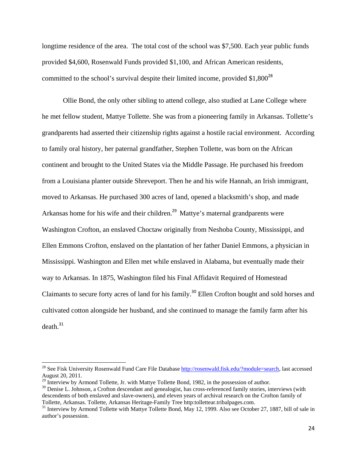longtime residence of the area. The total cost of the school was \$7,500. Each year public funds provided \$4,600, Rosenwald Funds provided \$1,100, and African American residents, committed to the school's survival despite their limited income, provided  $$1,800^{28}$ 

Ollie Bond, the only other sibling to attend college, also studied at Lane College where he met fellow student, Mattye Tollette. She was from a pioneering family in Arkansas. Tollette's grandparents had asserted their citizenship rights against a hostile racial environment. According to family oral history, her paternal grandfather, Stephen Tollette, was born on the African continent and brought to the United States via the Middle Passage. He purchased his freedom from a Louisiana planter outside Shreveport. Then he and his wife Hannah, an Irish immigrant, moved to Arkansas. He purchased 300 acres of land, opened a blacksmith's shop, and made Arkansas home for his wife and their children.<sup>29</sup> Mattye's maternal grandparents were Washington Crofton, an enslaved Choctaw originally from Neshoba County, Mississippi, and Ellen Emmons Crofton, enslaved on the plantation of her father Daniel Emmons, a physician in Mississippi. Washington and Ellen met while enslaved in Alabama, but eventually made their way to Arkansas. In 1875, Washington filed his Final Affidavit Required of Homestead Claimants to secure forty acres of land for his family.<sup>30</sup> Ellen Crofton bought and sold horses and cultivated cotton alongside her husband, and she continued to manage the family farm after his  $death<sup>31</sup>$ 

<sup>&</sup>lt;sup>28</sup> See Fisk University Rosenwald Fund Care File Database http://rosenwald.fisk.edu/?module=search, last accessed August 20, 2011.

 $^{29}$  Interview by Armond Tollette, Jr. with Mattye Tollette Bond, 1982, in the possession of author.

<sup>&</sup>lt;sup>30</sup> Denise L. Johnson, a Crofton descendant and genealogist, has cross-referenced family stories, interviews (with descendents of both enslaved and slave-owners), and eleven years of archival research on the Crofton family of Tollette, Arkansas. Tollette, Arkansas Heritage-Family Tree http:tollettear.tribalpages.com. 31 Interview by Armond Tollette with Mattye Tollette Bond, May 12, 1999. Also see October 27, 1887, bill of sale in

author's possession.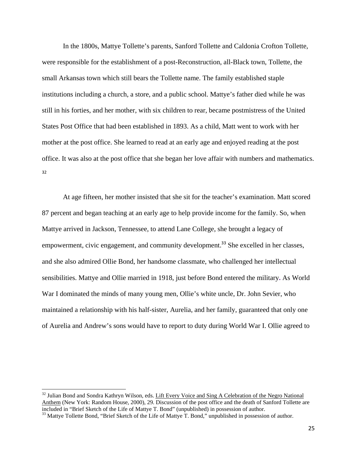In the 1800s, Mattye Tollette's parents, Sanford Tollette and Caldonia Crofton Tollette, were responsible for the establishment of a post-Reconstruction, all-Black town, Tollette, the small Arkansas town which still bears the Tollette name. The family established staple institutions including a church, a store, and a public school. Mattye's father died while he was still in his forties, and her mother, with six children to rear, became postmistress of the United States Post Office that had been established in 1893. As a child, Matt went to work with her mother at the post office. She learned to read at an early age and enjoyed reading at the post office. It was also at the post office that she began her love affair with numbers and mathematics. 32

At age fifteen, her mother insisted that she sit for the teacher's examination. Matt scored 87 percent and began teaching at an early age to help provide income for the family. So, when Mattye arrived in Jackson, Tennessee, to attend Lane College, she brought a legacy of empowerment, civic engagement, and community development.<sup>33</sup> She excelled in her classes, and she also admired Ollie Bond, her handsome classmate, who challenged her intellectual sensibilities. Mattye and Ollie married in 1918, just before Bond entered the military**.** As World War I dominated the minds of many young men, Ollie's white uncle, Dr. John Sevier, who maintained a relationship with his half-sister, Aurelia, and her family, guaranteed that only one of Aurelia and Andrew's sons would have to report to duty during World War I. Ollie agreed to

<sup>&</sup>lt;sup>32</sup> Julian Bond and Sondra Kathryn Wilson, eds. Lift Every Voice and Sing A Celebration of the Negro National Anthem (New York: Random House, 2000), 29. Discussion of the post office and the death of Sanford Tollette are included in "Brief Sketch of the Life of Mattye T. Bond" (unpublished) in possession of author.

<sup>&</sup>lt;sup>33</sup> Mattye Tollette Bond, "Brief Sketch of the Life of Mattye T. Bond," unpublished in possession of author.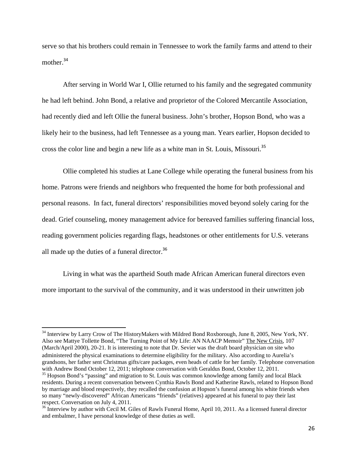serve so that his brothers could remain in Tennessee to work the family farms and attend to their mother.<sup>34</sup>

After serving in World War I, Ollie returned to his family and the segregated community he had left behind. John Bond, a relative and proprietor of the Colored Mercantile Association, had recently died and left Ollie the funeral business. John's brother, Hopson Bond, who was a likely heir to the business, had left Tennessee as a young man. Years earlier, Hopson decided to cross the color line and begin a new life as a white man in St. Louis, Missouri.<sup>35</sup>

Ollie completed his studies at Lane College while operating the funeral business from his home. Patrons were friends and neighbors who frequented the home for both professional and personal reasons. In fact, funeral directors' responsibilities moved beyond solely caring for the dead. Grief counseling, money management advice for bereaved families suffering financial loss, reading government policies regarding flags, headstones or other entitlements for U.S. veterans all made up the duties of a funeral director.<sup>36</sup>

Living in what was the apartheid South made African American funeral directors even more important to the survival of the community, and it was understood in their unwritten job

<sup>&</sup>lt;sup>34</sup> Interview by Larry Crow of The HistoryMakers with Mildred Bond Roxborough, June 8, 2005, New York, NY. Also see Mattye Tollette Bond, "The Turning Point of My Life: AN NAACP Memoir" The New Crisis, 107 (March/April 2000), 20-21. It is interesting to note that Dr. Sevier was the draft board physician on site who administered the physical examinations to determine eligibility for the military. Also according to Aurelia's grandsons, her father sent Christmas gifts/care packages, even heads of cattle for her family. Telephone conversation with Andrew Bond October 12, 2011; telephone conversation with Geraldus Bond, October 12, 2011.

<sup>&</sup>lt;sup>35</sup> Hopson Bond's "passing" and migration to St. Louis was common knowledge among family and local Black residents. During a recent conversation between Cynthia Rawls Bond and Katherine Rawls, related to Hopson Bond by marriage and blood respectively, they recalled the confusion at Hopson's funeral among his white friends when so many "newly-discovered" African Americans "friends" (relatives) appeared at his funeral to pay their last respect. Conversation on July 4, 2011.

<sup>&</sup>lt;sup>36</sup> Interview by author with Cecil M. Giles of Rawls Funeral Home, April 10, 2011. As a licensed funeral director and embalmer, I have personal knowledge of these duties as well.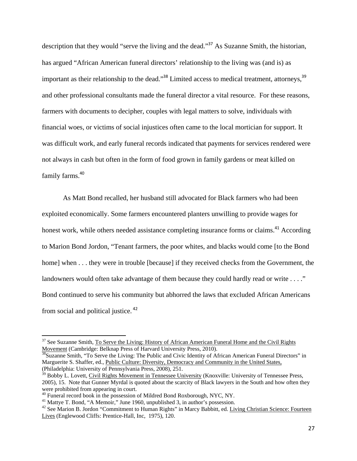description that they would "serve the living and the dead."<sup>37</sup> As Suzanne Smith, the historian, has argued "African American funeral directors' relationship to the living was (and is) as important as their relationship to the dead."<sup>38</sup> Limited access to medical treatment, attorneys,<sup>39</sup> and other professional consultants made the funeral director a vital resource. For these reasons, farmers with documents to decipher, couples with legal matters to solve, individuals with financial woes, or victims of social injustices often came to the local mortician for support. It was difficult work, and early funeral records indicated that payments for services rendered were not always in cash but often in the form of food grown in family gardens or meat killed on family farms.<sup>40</sup>

As Matt Bond recalled, her husband still advocated for Black farmers who had been exploited economically. Some farmers encountered planters unwilling to provide wages for honest work, while others needed assistance completing insurance forms or claims.<sup>41</sup> According to Marion Bond Jordon, "Tenant farmers, the poor whites, and blacks would come [to the Bond home] when  $\dots$  they were in trouble [because] if they received checks from the Government, the landowners would often take advantage of them because they could hardly read or write . . . ." Bond continued to serve his community but abhorred the laws that excluded African Americans from social and political justice.<sup>42</sup>

<sup>&</sup>lt;sup>37</sup> See Suzanne Smith, To Serve the Living: History of African American Funeral Home and the Civil Rights Movement (Cambridge: Belknap Press of Harvard University Press, 2010).

<sup>&</sup>lt;sup>38</sup>Suzanne Smith, "To Serve the Living: The Public and Civic Identity of African American Funeral Directors" in Marguerite S. Shaffer, ed., Public Culture: Diversity, Democracy and Community in the United States, (Philadelphia: University of Pennsylvania Press, 2008), 251.

<sup>39</sup> Bobby L. Lovett, Civil Rights Movement in Tennessee University (Knoxville: University of Tennessee Press, 2005), 15. Note that Gunner Myrdal is quoted about the scarcity of Black lawyers in the South and how often they were prohibited from appearing in court.

<sup>&</sup>lt;sup>40</sup> Funeral record book in the possession of Mildred Bond Roxborough, NYC, NY.

<sup>&</sup>lt;sup>41</sup> Mattye T. Bond, "A Memoir," June 1960, unpublished 3, in author's possession.

<sup>&</sup>lt;sup>42</sup> See Marion B. Jordon "Commitment to Human Rights" in Marcy Babbitt, ed. Living Christian Science: Fourteen Lives (Englewood Cliffs: Prentice-Hall, Inc, 1975), 120.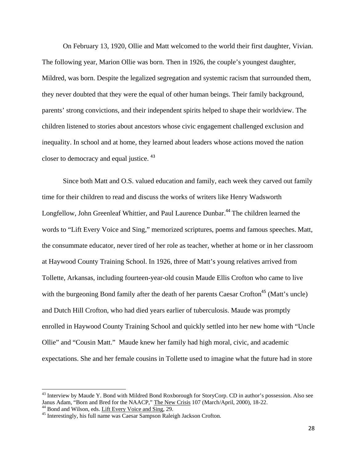On February 13, 1920, Ollie and Matt welcomed to the world their first daughter, Vivian. The following year, Marion Ollie was born. Then in 1926, the couple's youngest daughter, Mildred, was born. Despite the legalized segregation and systemic racism that surrounded them, they never doubted that they were the equal of other human beings. Their family background, parents' strong convictions, and their independent spirits helped to shape their worldview. The children listened to stories about ancestors whose civic engagement challenged exclusion and inequality. In school and at home, they learned about leaders whose actions moved the nation closer to democracy and equal justice. <sup>43</sup>

Since both Matt and O.S. valued education and family, each week they carved out family time for their children to read and discuss the works of writers like Henry Wadsworth Longfellow, John Greenleaf Whittier, and Paul Laurence Dunbar.<sup>44</sup> The children learned the words to "Lift Every Voice and Sing*,*" memorized scriptures, poems and famous speeches. Matt, the consummate educator, never tired of her role as teacher, whether at home or in her classroom at Haywood County Training School. In 1926, three of Matt's young relatives arrived from Tollette, Arkansas, including fourteen-year-old cousin Maude Ellis Crofton who came to live with the burgeoning Bond family after the death of her parents Caesar Crofton<sup>45</sup> (Matt's uncle) and Dutch Hill Crofton, who had died years earlier of tuberculosis. Maude was promptly enrolled in Haywood County Training School and quickly settled into her new home with "Uncle Ollie" and "Cousin Matt." Maude knew her family had high moral, civic, and academic expectations. She and her female cousins in Tollette used to imagine what the future had in store

<sup>&</sup>lt;sup>43</sup> Interview by Maude Y. Bond with Mildred Bond Roxborough for StoryCorp. CD in author's possession. Also see Janus Adam, "Born and Bred for the NAACP," The New Crisis 107 (March/April, 2000), 18-22. <sup>44</sup> Bond and Wilson, eds. <u>Lift Every Voice and Sing</u>, 29.

<sup>&</sup>lt;sup>45</sup> Interestingly, his full name was Caesar Sampson Raleigh Jackson Crofton.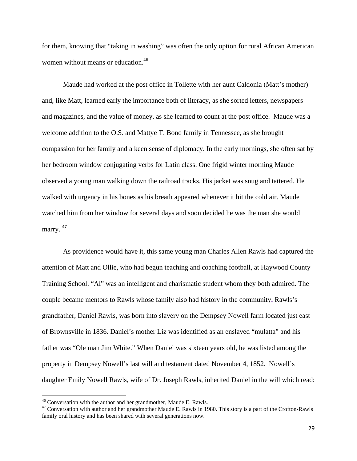for them, knowing that "taking in washing" was often the only option for rural African American women without means or education.<sup>46</sup>

Maude had worked at the post office in Tollette with her aunt Caldonia (Matt's mother) and, like Matt, learned early the importance both of literacy, as she sorted letters, newspapers and magazines, and the value of money, as she learned to count at the post office. Maude was a welcome addition to the O.S. and Mattye T. Bond family in Tennessee, as she brought compassion for her family and a keen sense of diplomacy. In the early mornings, she often sat by her bedroom window conjugating verbs for Latin class. One frigid winter morning Maude observed a young man walking down the railroad tracks. His jacket was snug and tattered. He walked with urgency in his bones as his breath appeared whenever it hit the cold air. Maude watched him from her window for several days and soon decided he was the man she would marry.<sup>47</sup>

As providence would have it, this same young man Charles Allen Rawls had captured the attention of Matt and Ollie, who had begun teaching and coaching football, at Haywood County Training School. "Al" was an intelligent and charismatic student whom they both admired. The couple became mentors to Rawls whose family also had history in the community**.** Rawls's grandfather, Daniel Rawls, was born into slavery on the Dempsey Nowell farm located just east of Brownsville in 1836. Daniel's mother Liz was identified as an enslaved "mulatta" and his father was "Ole man Jim White." When Daniel was sixteen years old, he was listed among the property in Dempsey Nowell's last will and testament dated November 4, 1852. Nowell's daughter Emily Nowell Rawls, wife of Dr. Joseph Rawls, inherited Daniel in the will which read:

<sup>46</sup> Conversation with the author and her grandmother, Maude E. Rawls.

 $47$  Conversation with author and her grandmother Maude E. Rawls in 1980. This story is a part of the Crofton-Rawls family oral history and has been shared with several generations now.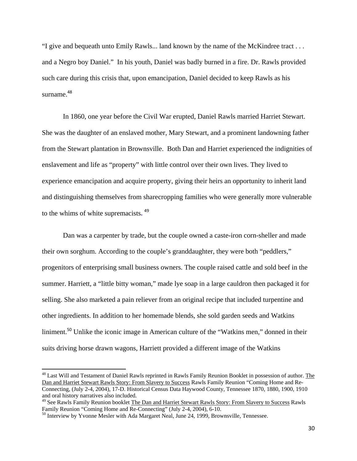"I give and bequeath unto Emily Rawls... land known by the name of the McKindree tract . . . and a Negro boy Daniel." In his youth, Daniel was badly burned in a fire. Dr. Rawls provided such care during this crisis that, upon emancipation, Daniel decided to keep Rawls as his surname.<sup>48</sup>

In 1860, one year before the Civil War erupted, Daniel Rawls married Harriet Stewart. She was the daughter of an enslaved mother, Mary Stewart, and a prominent landowning father from the Stewart plantation in Brownsville. Both Dan and Harriet experienced the indignities of enslavement and life as "property" with little control over their own lives. They lived to experience emancipation and acquire property, giving their heirs an opportunity to inherit land and distinguishing themselves from sharecropping families who were generally more vulnerable to the whims of white supremacists**.** <sup>49</sup>

Dan was a carpenter by trade, but the couple owned a caste-iron corn-sheller and made their own sorghum. According to the couple's granddaughter, they were both "peddlers," progenitors of enterprising small business owners. The couple raised cattle and sold beef in the summer. Harriett, a "little bitty woman," made lye soap in a large cauldron then packaged it for selling. She also marketed a pain reliever from an original recipe that included turpentine and other ingredients. In addition to her homemade blends, she sold garden seeds and Watkins liniment.<sup>50</sup> Unlike the iconic image in American culture of the "Watkins men," donned in their suits driving horse drawn wagons, Harriett provided a different image of the Watkins

<sup>&</sup>lt;sup>48</sup> Last Will and Testament of Daniel Rawls reprinted in Rawls Family Reunion Booklet in possession of author. The Dan and Harriet Stewart Rawls Story: From Slavery to Success Rawls Family Reunion "Coming Home and Re-Connecting, (July 2-4, 2004), 17-D. Historical Census Data Haywood County, Tennessee 1870, 1880, 1900, 1910 and oral history narratives also included.

<sup>&</sup>lt;sup>49</sup> See Rawls Family Reunion booklet The Dan and Harriet Stewart Rawls Story: From Slavery to Success Rawls Family Reunion "Coming Home and Re-Connecting" (July 2-4, 2004), 6-10.

 $50$  Interview by Yvonne Mesler with Ada Margaret Neal, June 24, 1999, Brownsville, Tennessee.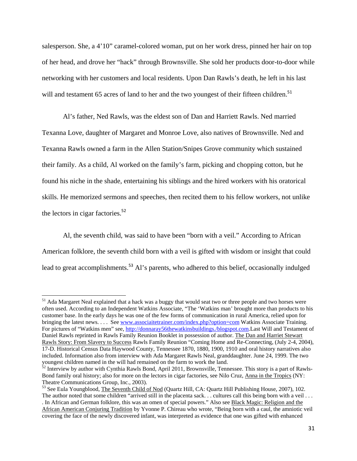salesperson. She, a 4'10" caramel-colored woman, put on her work dress, pinned her hair on top of her head, and drove her "hack" through Brownsville. She sold her products door-to-door while networking with her customers and local residents. Upon Dan Rawls's death, he left in his last will and testament 65 acres of land to her and the two youngest of their fifteen children.<sup>51</sup>

Al's father, Ned Rawls, was the eldest son of Dan and Harriett Rawls. Ned married Texanna Love, daughter of Margaret and Monroe Love, also natives of Brownsville. Ned and Texanna Rawls owned a farm in the Allen Station/Snipes Grove community which sustained their family. As a child, Al worked on the family's farm, picking and chopping cotton, but he found his niche in the shade, entertaining his siblings and the hired workers with his oratorical skills. He memorized sermons and speeches, then recited them to his fellow workers, not unlike the lectors in cigar factories.<sup>52</sup>

Al, the seventh child, was said to have been "born with a veil." According to African American folklore, the seventh child born with a veil is gifted with wisdom or insight that could lead to great accomplishments.<sup>53</sup> Al's parents, who adhered to this belief, occasionally indulged

<sup>&</sup>lt;sup>51</sup> Ada Margaret Neal explained that a hack was a buggy that would seat two or three people and two horses were often used. According to an Independent Watkins Associate, "The 'Watkins man' brought more than products to his customer base. In the early days he was one of the few forms of communication in rural America, relied upon for bringing the latest news. . . . See www.associaitetrainer.com/index.php?option=com Watkins Associate Training. For pictures of "Watkins men" see, http://donnaray56thewatkinsbuildings./blogspot.com.Last Will and Testament of Daniel Rawls reprinted in Rawls Family Reunion Booklet in possession of author. The Dan and Harriet Stewart Rawls Story: From Slavery to Success Rawls Family Reunion "Coming Home and Re-Connecting, (July 2-4, 2004), 17-D. Historical Census Data Haywood County, Tennessee 1870, 1880, 1900, 1910 and oral history narratives also included. Information also from interview with Ada Margaret Rawls Neal, granddaughter. June 24, 1999. The two youngest children named in the will had remained on the farm to work the land.

<sup>52</sup> Interview by author with Cynthia Rawls Bond, April 2011, Brownsville, Tennessee. This story is a part of Rawls-Bond family oral history; also for more on the lectors in cigar factories, see Nilo Cruz, Anna in the Tropics (NY: Theatre Communications Group, Inc., 2003).

<sup>&</sup>lt;sup>53</sup> See Eula Youngblood, The Seventh Child of Nod (Quartz Hill, CA: Quartz Hill Publishing House, 2007), 102.

The author noted that some children "arrived still in the placenta sack. . . cultures call this being born with a veil . . . . In African and German folklore, this was an omen of special powers." Also see Black Magic: Religion and the African American Conjuring Tradition by Yvonne P. Chireau who wrote, "Being born with a caul, the amniotic veil covering the face of the newly discovered infant, was interpreted as evidence that one was gifted with enhanced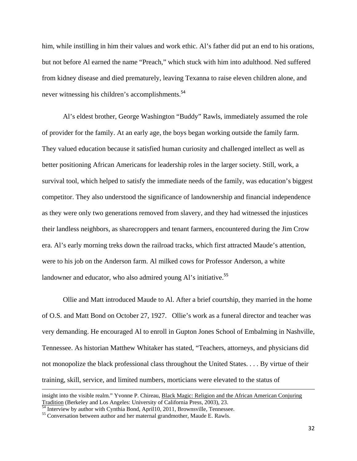him, while instilling in him their values and work ethic. Al's father did put an end to his orations, but not before Al earned the name "Preach," which stuck with him into adulthood. Ned suffered from kidney disease and died prematurely, leaving Texanna to raise eleven children alone, and never witnessing his children's accomplishments.<sup>54</sup>

Al's eldest brother, George Washington "Buddy" Rawls, immediately assumed the role of provider for the family. At an early age, the boys began working outside the family farm. They valued education because it satisfied human curiosity and challenged intellect as well as better positioning African Americans for leadership roles in the larger society. Still, work, a survival tool, which helped to satisfy the immediate needs of the family, was education's biggest competitor. They also understood the significance of landownership and financial independence as they were only two generations removed from slavery, and they had witnessed the injustices their landless neighbors, as sharecroppers and tenant farmers, encountered during the Jim Crow era. Al's early morning treks down the railroad tracks, which first attracted Maude's attention, were to his job on the Anderson farm. Al milked cows for Professor Anderson, a white landowner and educator, who also admired young Al's initiative.<sup>55</sup>

Ollie and Matt introduced Maude to Al. After a brief courtship, they married in the home of O.S. and Matt Bond on October 27, 1927. Ollie's work as a funeral director and teacher was very demanding. He encouraged Al to enroll in Gupton Jones School of Embalming in Nashville, Tennessee. As historian Matthew Whitaker has stated, "Teachers, attorneys, and physicians did not monopolize the black professional class throughout the United States. . . . By virtue of their training, skill, service, and limited numbers, morticians were elevated to the status of

<u> 1989 - Johann Stein, marwolaethau a gweledydd a ganlad y ganlad y ganlad y ganlad y ganlad y ganlad y ganlad</u>

insight into the visible realm." Yvonne P. Chireau, Black Magic: Religion and the African American Conjuring Tradition (Berkeley and Los Angeles: University of California Press, 2003), 23.<br><sup>54</sup> Interview by author with Cynthia Bond, April 10, 2011, Brownsville, Tennessee.<br><sup>55</sup> Conversation between author and her maternal grandmo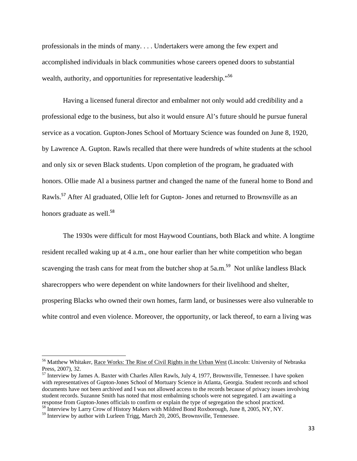professionals in the minds of many. . . . Undertakers were among the few expert and accomplished individuals in black communities whose careers opened doors to substantial wealth, authority, and opportunities for representative leadership."<sup>56</sup>

Having a licensed funeral director and embalmer not only would add credibility and a professional edge to the business, but also it would ensure Al's future should he pursue funeral service as a vocation. Gupton-Jones School of Mortuary Science was founded on June 8, 1920, by Lawrence A. Gupton. Rawls recalled that there were hundreds of white students at the school and only six or seven Black students. Upon completion of the program, he graduated with honors. Ollie made Al a business partner and changed the name of the funeral home to Bond and Rawls.<sup>57</sup> After Al graduated, Ollie left for Gupton- Jones and returned to Brownsville as an honors graduate as well.<sup>58</sup>

The 1930s were difficult for most Haywood Countians, both Black and white. A longtime resident recalled waking up at 4 a.m., one hour earlier than her white competition who began scavenging the trash cans for meat from the butcher shop at  $5a.m.^{59}$  Not unlike landless Black sharecroppers who were dependent on white landowners for their livelihood and shelter, prospering Blacks who owned their own homes, farm land, or businesses were also vulnerable to white control and even violence. Moreover, the opportunity, or lack thereof, to earn a living was

<sup>&</sup>lt;sup>56</sup> Matthew Whitaker, Race Works: The Rise of Civil Rights in the Urban West (Lincoln: University of Nebraska Press, 2007), 32.<br><sup>57</sup> Interview by James A. Baxter with Charles Allen Rawls, July 4, 1977, Brownsville, Tennessee. I have spoken

with representatives of Gupton-Jones School of Mortuary Science in Atlanta, Georgia. Student records and school documents have not been archived and I was not allowed access to the records because of privacy issues involving student records. Suzanne Smith has noted that most embalming schools were not segregated. I am awaiting a response from Gupton-Jones officials to confirm or explain the type of segregation the school practiced. <sup>58</sup> Interview by Larry Crow of History Makers with Mildred Bond Roxborough, June 8, 2005, NY, NY.

<sup>&</sup>lt;sup>59</sup> Interview by author with Lurleen Trigg, March 20, 2005, Brownsville, Tennessee.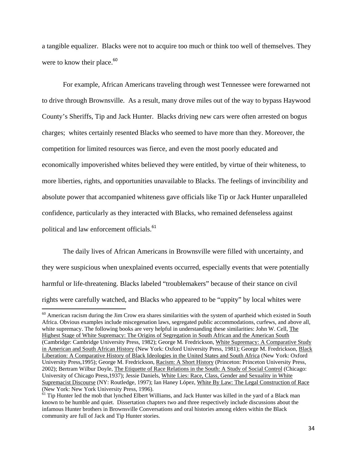a tangible equalizer. Blacks were not to acquire too much or think too well of themselves. They were to know their place. $60$ 

For example, African Americans traveling through west Tennessee were forewarned not to drive through Brownsville. As a result, many drove miles out of the way to bypass Haywood County's Sheriffs, Tip and Jack Hunter. Blacks driving new cars were often arrested on bogus charges; whites certainly resented Blacks who seemed to have more than they. Moreover, the competition for limited resources was fierce, and even the most poorly educated and economically impoverished whites believed they were entitled, by virtue of their whiteness, to more liberties, rights, and opportunities unavailable to Blacks. The feelings of invincibility and absolute power that accompanied whiteness gave officials like Tip or Jack Hunter unparalleled confidence, particularly as they interacted with Blacks, who remained defenseless against political and law enforcement officials.<sup>61</sup>

The daily lives of African Americans in Brownsville were filled with uncertainty, and they were suspicious when unexplained events occurred, especially events that were potentially harmful or life-threatening. Blacks labeled "troublemakers" because of their stance on civil rights were carefully watched, and Blacks who appeared to be "uppity" by local whites were

 $60$  American racism during the Jim Crow era shares similarities with the system of apartheid which existed in South Africa. Obvious examples include miscegenation laws, segregated public accommodations, curfews, and above all, white supremacy. The following books are very helpful in understanding these similarities: John W. Cell, The Highest Stage of White Supremacy: The Origins of Segregation in South African and the American South (Cambridge: Cambridge University Press, 1982); George M. Fredrickson, White Supremacy: A Comparative Study in American and South African History (New York: Oxford University Press, 1981); George M. Fredrickson, Black Liberation: A Comparative History of Black Ideologies in the United States and South Africa (New York: Oxford University Press,1995); George M. Fredrickson, Racism: A Short History (Princeton: Princeton University Press, 2002); Bertram Wilbur Doyle, The Etiquette of Race Relations in the South: A Study of Social Control (Chicago: University of Chicago Press,1937); Jessie Daniels, White Lies: Race, Class, Gender and Sexuality in White Supremacist Discourse (NY: Routledge, 1997); Ian Haney López, White By Law: The Legal Construction of Race (New York: New York University Press, 1996).

<sup>&</sup>lt;sup>61</sup> Tip Hunter led the mob that lynched Elbert Williams, and Jack Hunter was killed in the yard of a Black man known to be humble and quiet. Dissertation chapters two and three respectively include discussions about the infamous Hunter brothers in Brownsville Conversations and oral histories among elders within the Black community are full of Jack and Tip Hunter stories.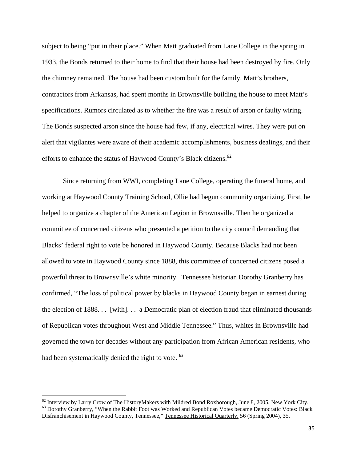subject to being "put in their place." When Matt graduated from Lane College in the spring in 1933, the Bonds returned to their home to find that their house had been destroyed by fire. Only the chimney remained. The house had been custom built for the family. Matt's brothers, contractors from Arkansas, had spent months in Brownsville building the house to meet Matt's specifications. Rumors circulated as to whether the fire was a result of arson or faulty wiring. The Bonds suspected arson since the house had few, if any, electrical wires. They were put on alert that vigilantes were aware of their academic accomplishments, business dealings, and their efforts to enhance the status of Haywood County's Black citizens.<sup>62</sup>

Since returning from WWI, completing Lane College, operating the funeral home, and working at Haywood County Training School, Ollie had begun community organizing. First, he helped to organize a chapter of the American Legion in Brownsville. Then he organized a committee of concerned citizens who presented a petition to the city council demanding that Blacks' federal right to vote be honored in Haywood County. Because Blacks had not been allowed to vote in Haywood County since 1888, this committee of concerned citizens posed a powerful threat to Brownsville's white minority. Tennessee historian Dorothy Granberry has confirmed, "The loss of political power by blacks in Haywood County began in earnest during the election of 1888. . . [with]. . . a Democratic plan of election fraud that eliminated thousands of Republican votes throughout West and Middle Tennessee." Thus, whites in Brownsville had governed the town for decades without any participation from African American residents, who had been systematically denied the right to vote. <sup>63</sup>

 $62$  Interview by Larry Crow of The HistoryMakers with Mildred Bond Roxborough, June 8, 2005, New York City. <sup>63</sup> Dorothy Granberry, "When the Rabbit Foot was Worked and Republican Votes became Democratic Votes: Black Disfranchisement in Haywood County, Tennessee," Tennessee Historical Quarterly, 56 (Spring 2004), 35.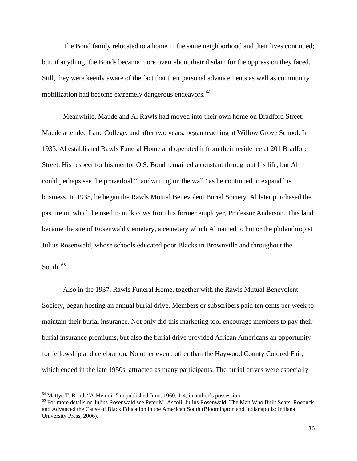The Bond family relocated to a home in the same neighborhood and their lives continued; but, if anything, the Bonds became more overt about their disdain for the oppression they faced. Still, they were keenly aware of the fact that their personal advancements as well as community mobilization had become extremely dangerous endeavors. <sup>64</sup>

Meanwhile, Maude and Al Rawls had moved into their own home on Bradford Street. Maude attended Lane College, and after two years, began teaching at Willow Grove School. In 1933, Al established Rawls Funeral Home and operated it from their residence at 201 Bradford Street. His respect for his mentor O.S. Bond remained a constant throughout his life, but Al could perhaps see the proverbial "handwriting on the wall" as he continued to expand his business. In 1935, he began the Rawls Mutual Benevolent Burial Society. Al later purchased the pasture on which he used to milk cows from his former employer, Professor Anderson. This land became the site of Rosenwald Cemetery, a cemetery which Al named to honor the philanthropist Julius Rosenwald, whose schools educated poor Blacks in Brownville and throughout the

South. <sup>65</sup>

Also in the 1937, Rawls Funeral Home, together with the Rawls Mutual Benevolent Society, began hosting an annual burial drive. Members or subscribers paid ten cents per week to maintain their burial insurance. Not only did this marketing tool encourage members to pay their burial insurance premiums, but also the burial drive provided African Americans an opportunity for fellowship and celebration. No other event, other than the Haywood County Colored Fair, which ended in the late 1950s, attracted as many participants. The burial drives were especially

<sup>64</sup> Mattye T. Bond, "A Memoir," unpublished June, 1960, 1-4, in author's possession.

<sup>&</sup>lt;sup>65</sup> For more details on Julius Rosenwald see Peter M. Ascoli, Julius Rosenwald: The Man Who Built Sears, Roebuck and Advanced the Cause of Black Education in the American South (Bloomington and Indianapolis: Indiana University Press, 2006).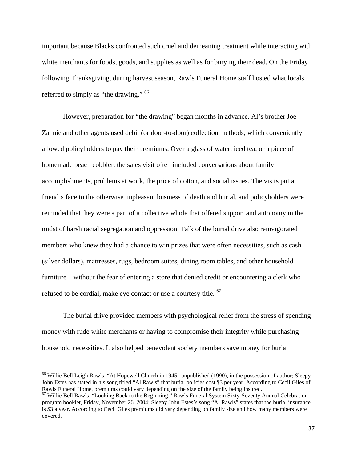important because Blacks confronted such cruel and demeaning treatment while interacting with white merchants for foods, goods, and supplies as well as for burying their dead. On the Friday following Thanksgiving, during harvest season, Rawls Funeral Home staff hosted what locals referred to simply as "the drawing." <sup>66</sup>

However, preparation for "the drawing" began months in advance. Al's brother Joe Zannie and other agents used debit (or door-to-door) collection methods, which conveniently allowed policyholders to pay their premiums. Over a glass of water, iced tea, or a piece of homemade peach cobbler, the sales visit often included conversations about family accomplishments, problems at work, the price of cotton, and social issues. The visits put a friend's face to the otherwise unpleasant business of death and burial, and policyholders were reminded that they were a part of a collective whole that offered support and autonomy in the midst of harsh racial segregation and oppression. Talk of the burial drive also reinvigorated members who knew they had a chance to win prizes that were often necessities, such as cash (silver dollars), mattresses, rugs, bedroom suites, dining room tables, and other household furniture—without the fear of entering a store that denied credit or encountering a clerk who refused to be cordial, make eye contact or use a courtesy title. <sup>67</sup>

The burial drive provided members with psychological relief from the stress of spending money with rude white merchants or having to compromise their integrity while purchasing household necessities. It also helped benevolent society members save money for burial

<sup>&</sup>lt;sup>66</sup> Willie Bell Leigh Rawls, "At Hopewell Church in 1945" unpublished (1990), in the possession of author; Sleepy John Estes has stated in his song titled "Al Rawls" that burial policies cost \$3 per year. According to Cecil Giles of Rawls Funeral Home, premiums could vary depending on the size of the family being insured.

<sup>67</sup> Willie Bell Rawls, "Looking Back to the Beginning," Rawls Funeral System Sixty-Seventy Annual Celebration program booklet, Friday, November 26, 2004; Sleepy John Estes's song "Al Rawls" states that the burial insurance is \$3 a year. According to Cecil Giles premiums did vary depending on family size and how many members were covered.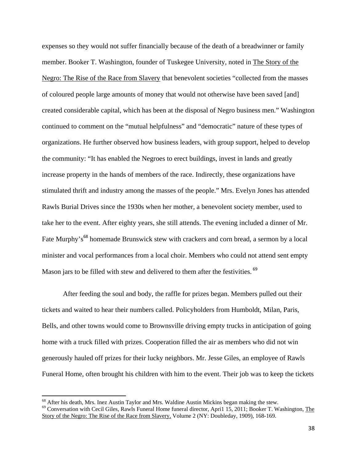expenses so they would not suffer financially because of the death of a breadwinner or family member. Booker T. Washington, founder of Tuskegee University, noted in The Story of the Negro: The Rise of the Race from Slavery that benevolent societies "collected from the masses of coloured people large amounts of money that would not otherwise have been saved [and] created considerable capital, which has been at the disposal of Negro business men." Washington continued to comment on the "mutual helpfulness" and "democratic" nature of these types of organizations. He further observed how business leaders, with group support, helped to develop the community: "It has enabled the Negroes to erect buildings, invest in lands and greatly increase property in the hands of members of the race. Indirectly, these organizations have stimulated thrift and industry among the masses of the people." Mrs. Evelyn Jones has attended Rawls Burial Drives since the 1930s when her mother, a benevolent society member, used to take her to the event. After eighty years, she still attends. The evening included a dinner of Mr. Fate Murphy's<sup>68</sup> homemade Brunswick stew with crackers and corn bread, a sermon by a local minister and vocal performances from a local choir. Members who could not attend sent empty Mason jars to be filled with stew and delivered to them after the festivities.<sup>69</sup>

After feeding the soul and body, the raffle for prizes began. Members pulled out their tickets and waited to hear their numbers called. Policyholders from Humboldt, Milan, Paris, Bells, and other towns would come to Brownsville driving empty trucks in anticipation of going home with a truck filled with prizes. Cooperation filled the air as members who did not win generously hauled off prizes for their lucky neighbors. Mr. Jesse Giles, an employee of Rawls Funeral Home, often brought his children with him to the event. Their job was to keep the tickets

 $68$  After his death, Mrs. Inez Austin Taylor and Mrs. Waldine Austin Mickins began making the stew.

<sup>&</sup>lt;sup>69</sup> Conversation with Cecil Giles, Rawls Funeral Home funeral director, April 15, 2011; Booker T. Washington, The Story of the Negro: The Rise of the Race from Slavery, Volume 2 (NY: Doubleday, 1909), 168-169.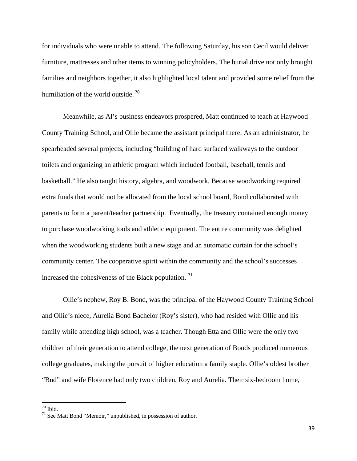for individuals who were unable to attend. The following Saturday, his son Cecil would deliver furniture, mattresses and other items to winning policyholders. The burial drive not only brought families and neighbors together, it also highlighted local talent and provided some relief from the humiliation of the world outside.<sup>70</sup>

Meanwhile, as Al's business endeavors prospered, Matt continued to teach at Haywood County Training School, and Ollie became the assistant principal there. As an administrator, he spearheaded several projects, including "building of hard surfaced walkways to the outdoor toilets and organizing an athletic program which included football, baseball, tennis and basketball." He also taught history, algebra, and woodwork. Because woodworking required extra funds that would not be allocated from the local school board, Bond collaborated with parents to form a parent/teacher partnership. Eventually, the treasury contained enough money to purchase woodworking tools and athletic equipment. The entire community was delighted when the woodworking students built a new stage and an automatic curtain for the school's community center. The cooperative spirit within the community and the school's successes increased the cohesiveness of the Black population. <sup>71</sup>

Ollie's nephew, Roy B. Bond, was the principal of the Haywood County Training School and Ollie's niece, Aurelia Bond Bachelor (Roy's sister), who had resided with Ollie and his family while attending high school, was a teacher. Though Etta and Ollie were the only two children of their generation to attend college, the next generation of Bonds produced numerous college graduates, making the pursuit of higher education a family staple. Ollie's oldest brother "Bud" and wife Florence had only two children, Roy and Aurelia. Their six-bedroom home,

 $\rm ^{70}$  Ibid.

 $71$  See Matt Bond "Memoir," unpublished, in possession of author.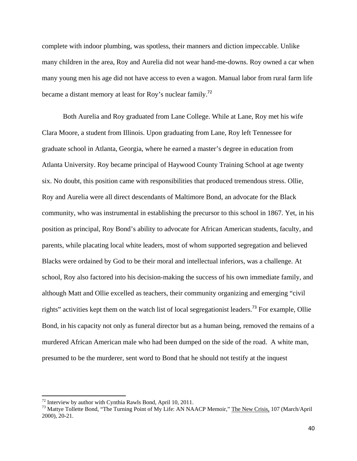complete with indoor plumbing, was spotless, their manners and diction impeccable. Unlike many children in the area, Roy and Aurelia did not wear hand-me-downs. Roy owned a car when many young men his age did not have access to even a wagon. Manual labor from rural farm life became a distant memory at least for Roy's nuclear family.<sup>72</sup>

Both Aurelia and Roy graduated from Lane College. While at Lane, Roy met his wife Clara Moore, a student from Illinois. Upon graduating from Lane, Roy left Tennessee for graduate school in Atlanta, Georgia, where he earned a master's degree in education from Atlanta University. Roy became principal of Haywood County Training School at age twenty six. No doubt, this position came with responsibilities that produced tremendous stress. Ollie, Roy and Aurelia were all direct descendants of Maltimore Bond, an advocate for the Black community, who was instrumental in establishing the precursor to this school in 1867. Yet, in his position as principal, Roy Bond's ability to advocate for African American students, faculty, and parents, while placating local white leaders, most of whom supported segregation and believed Blacks were ordained by God to be their moral and intellectual inferiors, was a challenge. At school, Roy also factored into his decision-making the success of his own immediate family, and although Matt and Ollie excelled as teachers, their community organizing and emerging "civil rights" activities kept them on the watch list of local segregationist leaders.<sup>73</sup> For example, Ollie Bond, in his capacity not only as funeral director but as a human being, removed the remains of a murdered African American male who had been dumped on the side of the road. A white man, presumed to be the murderer, sent word to Bond that he should not testify at the inquest

 $72$  Interview by author with Cynthia Rawls Bond, April 10, 2011.

<sup>&</sup>lt;sup>73</sup> Mattye Tollette Bond, "The Turning Point of My Life: AN NAACP Memoir," The New Crisis, 107 (March/April 2000), 20-21.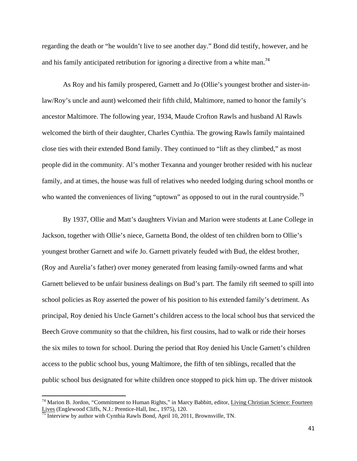regarding the death or "he wouldn't live to see another day." Bond did testify, however, and he and his family anticipated retribution for ignoring a directive from a white man.<sup>74</sup>

As Roy and his family prospered, Garnett and Jo (Ollie's youngest brother and sister-inlaw/Roy's uncle and aunt) welcomed their fifth child, Maltimore, named to honor the family's ancestor Maltimore. The following year, 1934, Maude Crofton Rawls and husband Al Rawls welcomed the birth of their daughter, Charles Cynthia. The growing Rawls family maintained close ties with their extended Bond family. They continued to "lift as they climbed," as most people did in the community. Al's mother Texanna and younger brother resided with his nuclear family, and at times, the house was full of relatives who needed lodging during school months or who wanted the conveniences of living "uptown" as opposed to out in the rural countryside.<sup>75</sup>

By 1937, Ollie and Matt's daughters Vivian and Marion were students at Lane College in Jackson, together with Ollie's niece, Garnetta Bond, the oldest of ten children born to Ollie's youngest brother Garnett and wife Jo. Garnett privately feuded with Bud, the eldest brother, (Roy and Aurelia's father) over money generated from leasing family-owned farms and what Garnett believed to be unfair business dealings on Bud's part. The family rift seemed to spill into school policies as Roy asserted the power of his position to his extended family's detriment. As principal, Roy denied his Uncle Garnett's children access to the local school bus that serviced the Beech Grove community so that the children, his first cousins, had to walk or ride their horses the six miles to town for school. During the period that Roy denied his Uncle Garnett's children access to the public school bus, young Maltimore, the fifth of ten siblings, recalled that the public school bus designated for white children once stopped to pick him up. The driver mistook

<sup>&</sup>lt;sup>74</sup> Marion B. Jordon, "Commitment to Human Rights," in Marcy Babbitt, editor, Living Christian Science: Fourteen Lives (Englewood Cliffs, N.J.: Prentice-Hall, Inc., 1975), 120.

Interview by author with Cynthia Rawls Bond, April 10, 2011, Brownsville, TN.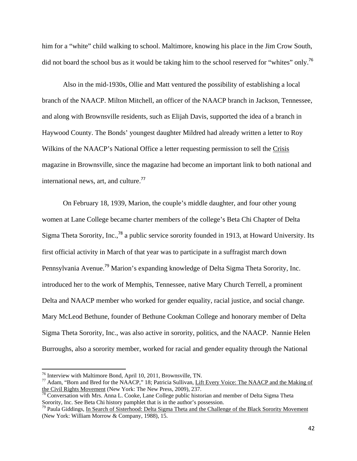him for a "white" child walking to school. Maltimore, knowing his place in the Jim Crow South, did not board the school bus as it would be taking him to the school reserved for "whites" only.<sup>76</sup>

Also in the mid-1930s, Ollie and Matt ventured the possibility of establishing a local branch of the NAACP. Milton Mitchell, an officer of the NAACP branch in Jackson, Tennessee, and along with Brownsville residents, such as Elijah Davis, supported the idea of a branch in Haywood County. The Bonds' youngest daughter Mildred had already written a letter to Roy Wilkins of the NAACP's National Office a letter requesting permission to sell the Crisis magazine in Brownsville, since the magazine had become an important link to both national and international news, art, and culture.<sup>77</sup>

On February 18, 1939, Marion, the couple's middle daughter, and four other young women at Lane College became charter members of the college's Beta Chi Chapter of Delta Sigma Theta Sorority, Inc.,<sup>78</sup> a public service sorority founded in 1913, at Howard University. Its first official activity in March of that year was to participate in a suffragist march down Pennsylvania Avenue.<sup>79</sup> Marion's expanding knowledge of Delta Sigma Theta Sorority, Inc. introduced her to the work of Memphis, Tennessee, native Mary Church Terrell, a prominent Delta and NAACP member who worked for gender equality, racial justice, and social change. Mary McLeod Bethune, founder of Bethune Cookman College and honorary member of Delta Sigma Theta Sorority, Inc., was also active in sorority, politics, and the NAACP. Nannie Helen Burroughs, also a sorority member, worked for racial and gender equality through the National

<sup>76</sup> Interview with Maltimore Bond, April 10, 2011, Brownsville, TN.

<sup>77</sup> Adam, "Born and Bred for the NAACP," 18; Patricia Sullivan, Lift Every Voice: The NAACP and the Making of the Civil Rights Movement (New York: The New Press, 2009), 237.

<sup>&</sup>lt;sup>78</sup> Conversation with Mrs. Anna L. Cooke, Lane College public historian and member of Delta Sigma Theta Sorority, Inc. See Beta Chi history pamphlet that is in the author's possession.<br><sup>79</sup> Paula Giddings, <u>In Search of Sisterhood: Delta Sigma Theta and the Challenge of the Black Sorority Movement</u>

<sup>(</sup>New York: William Morrow & Company, 1988), 15.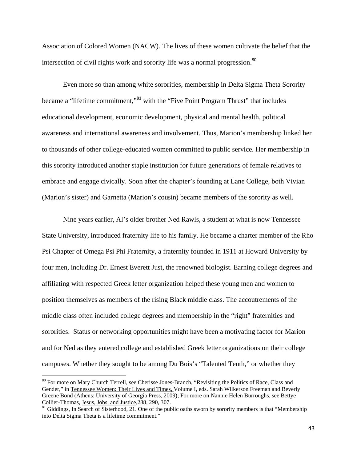Association of Colored Women (NACW). The lives of these women cultivate the belief that the intersection of civil rights work and sorority life was a normal progression.<sup>80</sup>

Even more so than among white sororities, membership in Delta Sigma Theta Sorority became a "lifetime commitment,"<sup>81</sup> with the "Five Point Program Thrust" that includes educational development, economic development, physical and mental health, political awareness and international awareness and involvement. Thus, Marion's membership linked her to thousands of other college-educated women committed to public service. Her membership in this sorority introduced another staple institution for future generations of female relatives to embrace and engage civically. Soon after the chapter's founding at Lane College, both Vivian (Marion's sister) and Garnetta (Marion's cousin) became members of the sorority as well.

Nine years earlier, Al's older brother Ned Rawls, a student at what is now Tennessee State University, introduced fraternity life to his family. He became a charter member of the Rho Psi Chapter of Omega Psi Phi Fraternity, a fraternity founded in 1911 at Howard University by four men, including Dr. Ernest Everett Just, the renowned biologist. Earning college degrees and affiliating with respected Greek letter organization helped these young men and women to position themselves as members of the rising Black middle class. The accoutrements of the middle class often included college degrees and membership in the "right" fraternities and sororities. Status or networking opportunities might have been a motivating factor for Marion and for Ned as they entered college and established Greek letter organizations on their college campuses. Whether they sought to be among Du Bois's "Talented Tenth," or whether they

<sup>&</sup>lt;sup>80</sup> For more on Mary Church Terrell, see Cherisse Jones-Branch, "Revisiting the Politics of Race, Class and Gender," in Tennessee Women: Their Lives and Times, Volume I, eds. Sarah Wilkerson Freeman and Beverly Greene Bond (Athens: University of Georgia Press, 2009); For more on Nannie Helen Burroughs, see Bettye Collier-Thomas, Jesus, Jobs, and Justice,288, 290, 307.

<sup>&</sup>lt;sup>81</sup> Giddings, In Search of Sisterhood, 21. One of the public oaths sworn by sorority members is that "Membership into Delta Sigma Theta is a lifetime commitment."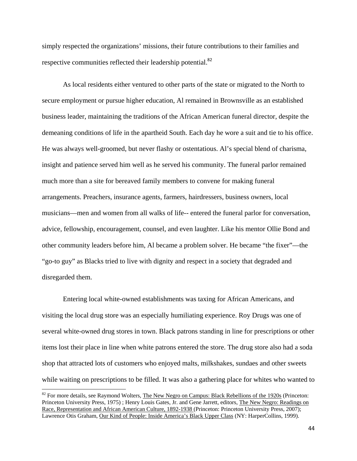simply respected the organizations' missions, their future contributions to their families and respective communities reflected their leadership potential.<sup>82</sup>

As local residents either ventured to other parts of the state or migrated to the North to secure employment or pursue higher education, Al remained in Brownsville as an established business leader, maintaining the traditions of the African American funeral director, despite the demeaning conditions of life in the apartheid South. Each day he wore a suit and tie to his office. He was always well-groomed, but never flashy or ostentatious. Al's special blend of charisma, insight and patience served him well as he served his community. The funeral parlor remained much more than a site for bereaved family members to convene for making funeral arrangements. Preachers, insurance agents, farmers, hairdressers, business owners, local musicians—men and women from all walks of life-- entered the funeral parlor for conversation, advice, fellowship, encouragement, counsel, and even laughter. Like his mentor Ollie Bond and other community leaders before him, Al became a problem solver. He became "the fixer"—the "go-to guy" as Blacks tried to live with dignity and respect in a society that degraded and disregarded them.

Entering local white-owned establishments was taxing for African Americans, and visiting the local drug store was an especially humiliating experience. Roy Drugs was one of several white-owned drug stores in town. Black patrons standing in line for prescriptions or other items lost their place in line when white patrons entered the store. The drug store also had a soda shop that attracted lots of customers who enjoyed malts, milkshakes, sundaes and other sweets while waiting on prescriptions to be filled. It was also a gathering place for whites who wanted to

 $82$  For more details, see Raymond Wolters, The New Negro on Campus: Black Rebellions of the 1920s (Princeton: Princeton University Press, 1975) ; Henry Louis Gates, Jr. and Gene Jarrett, editors, The New Negro: Readings on Race, Representation and African American Culture, 1892-1938 (Princeton: Princeton University Press, 2007); Lawrence Otis Graham, Our Kind of People: Inside America's Black Upper Class (NY: HarperCollins, 1999).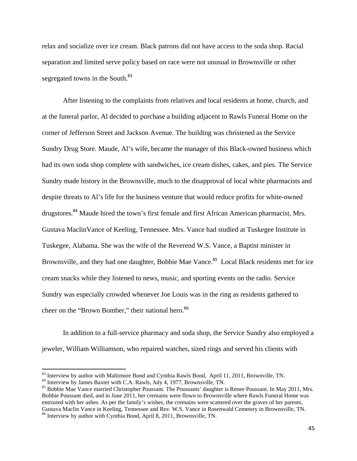relax and socialize over ice cream. Black patrons did not have access to the soda shop. Racial separation and limited serve policy based on race were not unusual in Brownsville or other segregated towns in the South.<sup>83</sup>

After listening to the complaints from relatives and local residents at home, church, and at the funeral parlor, Al decided to purchase a building adjacent to Rawls Funeral Home on the corner of Jefferson Street and Jackson Avenue. The building was christened as the Service Sundry Drug Store. Maude, Al's wife, became the manager of this Black-owned business which had its own soda shop complete with sandwiches, ice cream dishes, cakes, and pies. The Service Sundry made history in the Brownsville, much to the disapproval of local white pharmacists and despite threats to Al's life for the business venture that would reduce profits for white-owned drugstores.<sup>84</sup> Maude hired the town's first female and first African American pharmacist, Mrs. Gustava MaclinVance of Keeling, Tennessee. Mrs. Vance had studied at Tuskegee Institute in Tuskegee, Alabama. She was the wife of the Reverend W.S. Vance, a Baptist minister in Brownsville, and they had one daughter, Bobbie Mae Vance.<sup>85</sup> Local Black residents met for ice cream snacks while they listened to news, music, and sporting events on the radio. Service Sundry was especially crowded whenever Joe Louis was in the ring as residents gathered to cheer on the "Brown Bomber," their national hero.<sup>86</sup>

In addition to a full-service pharmacy and soda shop, the Service Sundry also employed a jeweler, William Williamson, who repaired watches, sized rings and served his clients with

<sup>&</sup>lt;sup>83</sup> Interview by author with Maltimore Bond and Cynthia Rawls Bond, April 11, 2011, Brownville, TN.<br><sup>84</sup> Interview by James Baxter with C.A. Rawls, July 4, 1977, Brownsville, TN.<br><sup>85</sup> Bobbie Mae Vance married Christopher Bobbie Poussant died, and in June 2011, her cremains were flown to Brownsville where Rawls Funeral Home was entrusted with her ashes. As per the family's wishes, the cremains were scattered over the graves of her parents, Gustava Maclin Vance in Keeling, Tennessee and Rev. W.S. Vance in Rosenwald Cemetery in Brownsville, TN. 86 Interview by author with Cynthia Bond, April 8, 2011, Brownsville, TN.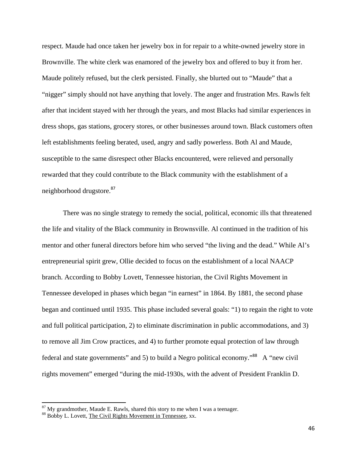respect. Maude had once taken her jewelry box in for repair to a white-owned jewelry store in Brownville. The white clerk was enamored of the jewelry box and offered to buy it from her. Maude politely refused, but the clerk persisted. Finally, she blurted out to "Maude" that a "nigger" simply should not have anything that lovely. The anger and frustration Mrs. Rawls felt after that incident stayed with her through the years, and most Blacks had similar experiences in dress shops, gas stations, grocery stores, or other businesses around town. Black customers often left establishments feeling berated, used, angry and sadly powerless. Both Al and Maude, susceptible to the same disrespect other Blacks encountered, were relieved and personally rewarded that they could contribute to the Black community with the establishment of a neighborhood drugstore.<sup>87</sup>

There was no single strategy to remedy the social, political, economic ills that threatened the life and vitality of the Black community in Brownsville. Al continued in the tradition of his mentor and other funeral directors before him who served "the living and the dead." While Al's entrepreneurial spirit grew, Ollie decided to focus on the establishment of a local NAACP branch. According to Bobby Lovett, Tennessee historian, the Civil Rights Movement in Tennessee developed in phases which began "in earnest" in 1864. By 1881, the second phase began and continued until 1935. This phase included several goals: "1) to regain the right to vote and full political participation, 2) to eliminate discrimination in public accommodations, and 3) to remove all Jim Crow practices, and 4) to further promote equal protection of law through federal and state governments" and 5) to build a Negro political economy."<sup>88</sup> A "new civil rights movement" emerged "during the mid-1930s, with the advent of President Franklin D.

 $87$  My grandmother, Maude E. Rawls, shared this story to me when I was a teenager.  $88$  Bobby L. Lovett, The Civil Rights Movement in Tennessee, xx.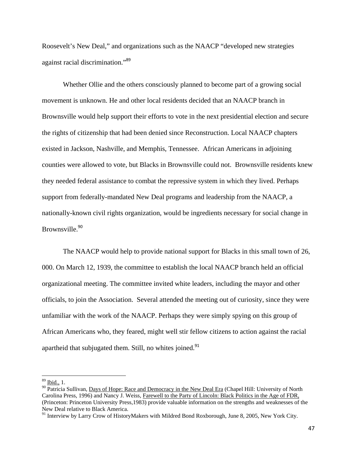Roosevelt's New Deal," and organizations such as the NAACP "developed new strategies against racial discrimination."<sup>89</sup>

Whether Ollie and the others consciously planned to become part of a growing social movement is unknown. He and other local residents decided that an NAACP branch in Brownsville would help support their efforts to vote in the next presidential election and secure the rights of citizenship that had been denied since Reconstruction. Local NAACP chapters existed in Jackson, Nashville, and Memphis, Tennessee. African Americans in adjoining counties were allowed to vote, but Blacks in Brownsville could not. Brownsville residents knew they needed federal assistance to combat the repressive system in which they lived. Perhaps support from federally-mandated New Deal programs and leadership from the NAACP, a nationally-known civil rights organization, would be ingredients necessary for social change in Brownsville.<sup>90</sup>

The NAACP would help to provide national support for Blacks in this small town of 26, 000. On March 12, 1939, the committee to establish the local NAACP branch held an official organizational meeting. The committee invited white leaders, including the mayor and other officials, to join the Association. Several attended the meeting out of curiosity, since they were unfamiliar with the work of the NAACP. Perhaps they were simply spying on this group of African Americans who, they feared, might well stir fellow citizens to action against the racial apartheid that subjugated them. Still, no whites joined.<sup>91</sup>

 $89$  Ibid., 1.

<sup>&</sup>lt;sup>90</sup> Patricia Sullivan, Days of Hope: Race and Democracy in the New Deal Era (Chapel Hill: University of North Carolina Press, 1996) and Nancy J. Weiss, Farewell to the Party of Lincoln: Black Politics in the Age of FDR, (Princeton: Princeton University Press,1983) provide valuable information on the strengths and weaknesses of the New Deal relative to Black America.

<sup>&</sup>lt;sup>91</sup> Interview by Larry Crow of HistoryMakers with Mildred Bond Roxborough, June 8, 2005, New York City.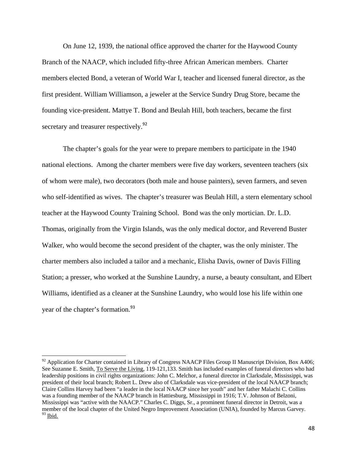On June 12, 1939, the national office approved the charter for the Haywood County Branch of the NAACP, which included fifty-three African American members. Charter members elected Bond, a veteran of World War I, teacher and licensed funeral director, as the first president. William Williamson, a jeweler at the Service Sundry Drug Store, became the founding vice-president. Mattye T. Bond and Beulah Hill, both teachers, became the first secretary and treasurer respectively.<sup>92</sup>

The chapter's goals for the year were to prepare members to participate in the 1940 national elections. Among the charter members were five day workers, seventeen teachers (six of whom were male), two decorators (both male and house painters), seven farmers, and seven who self-identified as wives. The chapter's treasurer was Beulah Hill, a stern elementary school teacher at the Haywood County Training School. Bond was the only mortician. Dr. L.D. Thomas, originally from the Virgin Islands, was the only medical doctor, and Reverend Buster Walker, who would become the second president of the chapter, was the only minister. The charter members also included a tailor and a mechanic, Elisha Davis, owner of Davis Filling Station; a presser, who worked at the Sunshine Laundry, a nurse, a beauty consultant, and Elbert Williams, identified as a cleaner at the Sunshine Laundry, who would lose his life within one year of the chapter's formation.<sup>93</sup>

 $92$  Application for Charter contained in Library of Congress NAACP Files Group II Manuscript Division, Box A406; See Suzanne E. Smith, To Serve the Living, 119-121,133. Smith has included examples of funeral directors who had leadership positions in civil rights organizations: John C. Melchor, a funeral director in Clarksdale, Mississippi, was president of their local branch; Robert L. Drew also of Clarksdale was vice-president of the local NAACP branch; Claire Collins Harvey had been "a leader in the local NAACP since her youth" and her father Malachi C. Collins was a founding member of the NAACP branch in Hattiesburg, Mississippi in 1916; T.V. Johnson of Belzoni, Mississippi was "active with the NAACP." Charles C. Diggs, Sr., a prominent funeral director in Detroit, was a member of the local chapter of the United Negro Improvement Association (UNIA), founded by Marcus Garvey.  $93$  Ibid.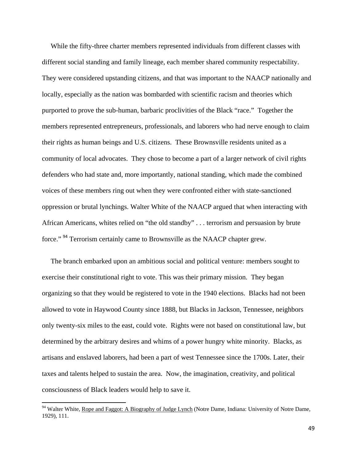While the fifty-three charter members represented individuals from different classes with different social standing and family lineage, each member shared community respectability. They were considered upstanding citizens, and that was important to the NAACP nationally and locally, especially as the nation was bombarded with scientific racism and theories which purported to prove the sub-human, barbaric proclivities of the Black "race." Together the members represented entrepreneurs, professionals, and laborers who had nerve enough to claim their rights as human beings and U.S. citizens. These Brownsville residents united as a community of local advocates. They chose to become a part of a larger network of civil rights defenders who had state and, more importantly, national standing, which made the combined voices of these members ring out when they were confronted either with state-sanctioned oppression or brutal lynchings. Walter White of the NAACP argued that when interacting with African Americans, whites relied on "the old standby" . . . terrorism and persuasion by brute force." <sup>94</sup> Terrorism certainly came to Brownsville as the NAACP chapter grew.

 The branch embarked upon an ambitious social and political venture: members sought to exercise their constitutional right to vote. This was their primary mission. They began organizing so that they would be registered to vote in the 1940 elections. Blacks had not been allowed to vote in Haywood County since 1888, but Blacks in Jackson, Tennessee, neighbors only twenty-six miles to the east, could vote. Rights were not based on constitutional law, but determined by the arbitrary desires and whims of a power hungry white minority. Blacks, as artisans and enslaved laborers, had been a part of west Tennessee since the 1700s. Later, their taxes and talents helped to sustain the area. Now, the imagination, creativity, and political consciousness of Black leaders would help to save it.

<sup>&</sup>lt;sup>94</sup> Walter White, Rope and Faggot: A Biography of Judge Lynch (Notre Dame, Indiana: University of Notre Dame, 1929), 111.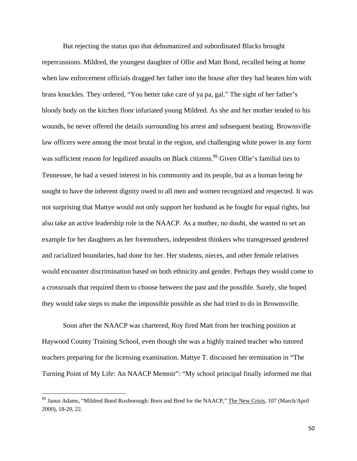But rejecting the status quo that dehumanized and subordinated Blacks brought repercussions. Mildred, the youngest daughter of Ollie and Matt Bond, recalled being at home when law enforcement officials dragged her father into the house after they had beaten him with brass knuckles. They ordered, "You better take care of ya pa, gal." The sight of her father's bloody body on the kitchen floor infuriated young Mildred. As she and her mother tended to his wounds, he never offered the details surrounding his arrest and subsequent beating. Brownsville law officers were among the most brutal in the region, and challenging white power in any form was sufficient reason for legalized assaults on Black citizens.<sup>95</sup> Given Ollie's familial ties to Tennessee, he had a vested interest in his community and its people, but as a human being he sought to have the inherent dignity owed to all men and women recognized and respected. It was not surprising that Mattye would not only support her husband as he fought for equal rights, but also take an active leadership role in the NAACP. As a mother, no doubt, she wanted to set an example for her daughters as her foremothers, independent thinkers who transgressed gendered and racialized boundaries, had done for her. Her students, nieces, and other female relatives would encounter discrimination based on both ethnicity and gender. Perhaps they would come to a crossroads that required them to choose between the past and the possible. Surely, she hoped they would take steps to make the impossible possible as she had tried to do in Brownsville.

Soon after the NAACP was chartered, Roy fired Matt from her teaching position at Haywood County Training School, even though she was a highly trained teacher who tutored teachers preparing for the licensing examination. Mattye T. discussed her termination in "The Turning Point of My Life: An NAACP Memoir": "My school principal finally informed me that

<sup>&</sup>lt;sup>95</sup> Janus Adams, "Mildred Bond Roxborough: Born and Bred for the NAACP," The New Crisis, 107 (March/April 2000), 18-20, 22.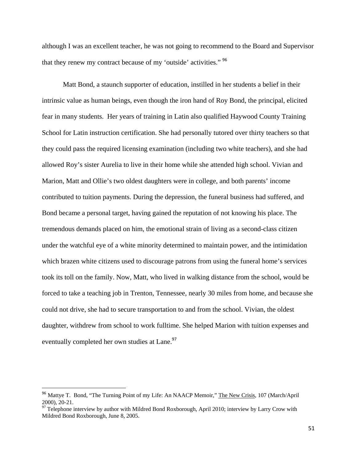although I was an excellent teacher, he was not going to recommend to the Board and Supervisor that they renew my contract because of my 'outside' activities." <sup>96</sup>

Matt Bond, a staunch supporter of education, instilled in her students a belief in their intrinsic value as human beings, even though the iron hand of Roy Bond, the principal, elicited fear in many students. Her years of training in Latin also qualified Haywood County Training School for Latin instruction certification. She had personally tutored over thirty teachers so that they could pass the required licensing examination (including two white teachers), and she had allowed Roy's sister Aurelia to live in their home while she attended high school. Vivian and Marion, Matt and Ollie's two oldest daughters were in college, and both parents' income contributed to tuition payments. During the depression, the funeral business had suffered, and Bond became a personal target, having gained the reputation of not knowing his place. The tremendous demands placed on him, the emotional strain of living as a second-class citizen under the watchful eye of a white minority determined to maintain power, and the intimidation which brazen white citizens used to discourage patrons from using the funeral home's services took its toll on the family. Now, Matt, who lived in walking distance from the school, would be forced to take a teaching job in Trenton, Tennessee, nearly 30 miles from home, and because she could not drive, she had to secure transportation to and from the school. Vivian, the oldest daughter, withdrew from school to work fulltime. She helped Marion with tuition expenses and eventually completed her own studies at Lane.<sup>97</sup>

<sup>96</sup> Mattye T. Bond, "The Turning Point of my Life: An NAACP Memoir," The New Crisis*,* 107 (March/April 2000), 20-21.

<sup>97</sup> Telephone interview by author with Mildred Bond Roxborough, April 2010; interview by Larry Crow with Mildred Bond Roxborough, June 8, 2005.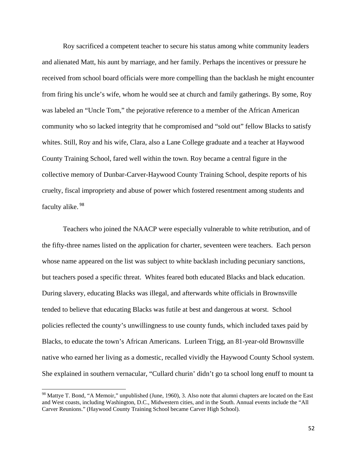Roy sacrificed a competent teacher to secure his status among white community leaders and alienated Matt, his aunt by marriage, and her family. Perhaps the incentives or pressure he received from school board officials were more compelling than the backlash he might encounter from firing his uncle's wife, whom he would see at church and family gatherings. By some, Roy was labeled an "Uncle Tom," the pejorative reference to a member of the African American community who so lacked integrity that he compromised and "sold out" fellow Blacks to satisfy whites. Still, Roy and his wife, Clara, also a Lane College graduate and a teacher at Haywood County Training School, fared well within the town. Roy became a central figure in the collective memory of Dunbar-Carver-Haywood County Training School, despite reports of his cruelty, fiscal impropriety and abuse of power which fostered resentment among students and faculty alike. <sup>98</sup>

 Teachers who joined the NAACP were especially vulnerable to white retribution, and of the fifty-three names listed on the application for charter, seventeen were teachers. Each person whose name appeared on the list was subject to white backlash including pecuniary sanctions, but teachers posed a specific threat. Whites feared both educated Blacks and black education. During slavery, educating Blacks was illegal, and afterwards white officials in Brownsville tended to believe that educating Blacks was futile at best and dangerous at worst. School policies reflected the county's unwillingness to use county funds, which included taxes paid by Blacks, to educate the town's African Americans. Lurleen Trigg, an 81-year-old Brownsville native who earned her living as a domestic, recalled vividly the Haywood County School system. She explained in southern vernacular, "Cullard churin' didn't go ta school long enuff to mount ta

<sup>&</sup>lt;sup>98</sup> Mattye T. Bond, "A Memoir," unpublished (June, 1960), 3. Also note that alumni chapters are located on the East and West coasts, including Washington, D.C., Midwestern cities, and in the South. Annual events include the "All Carver Reunions." (Haywood County Training School became Carver High School).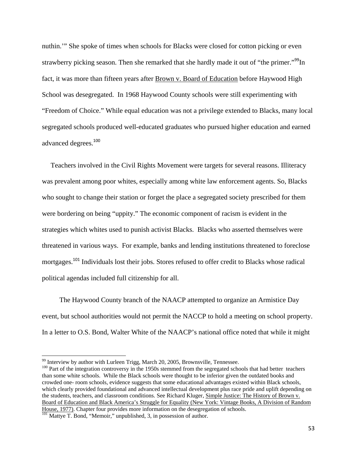nuthin.'" She spoke of times when schools for Blacks were closed for cotton picking or even strawberry picking season. Then she remarked that she hardly made it out of "the primer."<sup>99</sup>In fact, it was more than fifteen years after Brown v. Board of Education before Haywood High School was desegregated. In 1968 Haywood County schools were still experimenting with "Freedom of Choice." While equal education was not a privilege extended to Blacks, many local segregated schools produced well-educated graduates who pursued higher education and earned advanced degrees.<sup>100</sup>

 Teachers involved in the Civil Rights Movement were targets for several reasons. Illiteracy was prevalent among poor whites, especially among white law enforcement agents. So, Blacks who sought to change their station or forget the place a segregated society prescribed for them were bordering on being "uppity." The economic component of racism is evident in the strategies which whites used to punish activist Blacks. Blacks who asserted themselves were threatened in various ways. For example, banks and lending institutions threatened to foreclose mortgages.<sup>101</sup> Individuals lost their jobs. Stores refused to offer credit to Blacks whose radical political agendas included full citizenship for all.

 The Haywood County branch of the NAACP attempted to organize an Armistice Day event, but school authorities would not permit the NACCP to hold a meeting on school property. In a letter to O.S. Bond, Walter White of the NAACP's national office noted that while it might

<sup>&</sup>lt;sup>99</sup> Interview by author with Lurleen Trigg, March 20, 2005, Brownsville, Tennessee.

 $^{100}$  Part of the integration controversy in the 1950s stemmed from the segregated schools that had better teachers than some white schools. While the Black schools were thought to be inferior given the outdated books and crowded one- room schools, evidence suggests that some educational advantages existed within Black schools, which clearly provided foundational and advanced intellectual development plus race pride and uplift depending on the students, teachers, and classroom conditions. See Richard Kluger, Simple Justice: The History of Brown v. Board of Education and Black America's Struggle for Equality (New York: Vintage Books, A Division of Random House, 1977). Chapter four provides more information on the desegregation of schools.

<sup>&</sup>lt;sup>101</sup> Mattye T. Bond, "Memoir," unpublished, 3, in possession of author.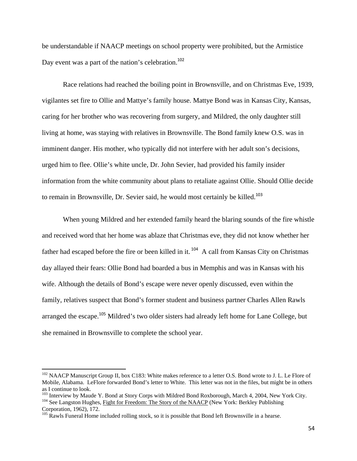be understandable if NAACP meetings on school property were prohibited, but the Armistice Day event was a part of the nation's celebration.<sup>102</sup>

Race relations had reached the boiling point in Brownsville, and on Christmas Eve, 1939, vigilantes set fire to Ollie and Mattye's family house. Mattye Bond was in Kansas City, Kansas, caring for her brother who was recovering from surgery, and Mildred, the only daughter still living at home, was staying with relatives in Brownsville. The Bond family knew O.S. was in imminent danger. His mother, who typically did not interfere with her adult son's decisions, urged him to flee. Ollie's white uncle, Dr. John Sevier, had provided his family insider information from the white community about plans to retaliate against Ollie. Should Ollie decide to remain in Brownsville, Dr. Sevier said, he would most certainly be killed.<sup>103</sup>

When young Mildred and her extended family heard the blaring sounds of the fire whistle and received word that her home was ablaze that Christmas eve, they did not know whether her father had escaped before the fire or been killed in it. <sup>104</sup> A call from Kansas City on Christmas day allayed their fears: Ollie Bond had boarded a bus in Memphis and was in Kansas with his wife. Although the details of Bond's escape were never openly discussed, even within the family, relatives suspect that Bond's former student and business partner Charles Allen Rawls arranged the escape.<sup>105</sup> Mildred's two older sisters had already left home for Lane College, but she remained in Brownsville to complete the school year.

<sup>104</sup> See Langston Hughes, Fight for Freedom: The Story of the NAACP (New York: Berkley Publishing Corporation, 1962), 172.

<sup>&</sup>lt;sup>102</sup> NAACP Manuscript Group II, box C183: White makes reference to a letter O.S. Bond wrote to J. L. Le Flore of Mobile, Alabama. LeFlore forwarded Bond's letter to White. This letter was not in the files, but might be in others as I continue to look.<br><sup>103</sup> Interview by Maude Y. Bond at Story Corps with Mildred Bond Roxborough, March 4, 2004, New York City.

<sup>&</sup>lt;sup>105</sup> Rawls Funeral Home included rolling stock, so it is possible that Bond left Brownsville in a hearse.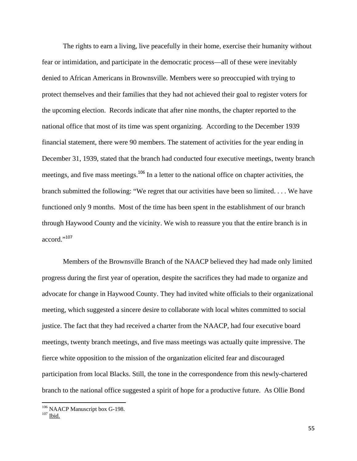The rights to earn a living, live peacefully in their home, exercise their humanity without fear or intimidation, and participate in the democratic process—all of these were inevitably denied to African Americans in Brownsville. Members were so preoccupied with trying to protect themselves and their families that they had not achieved their goal to register voters for the upcoming election. Records indicate that after nine months, the chapter reported to the national office that most of its time was spent organizing. According to the December 1939 financial statement, there were 90 members. The statement of activities for the year ending in December 31, 1939, stated that the branch had conducted four executive meetings, twenty branch meetings, and five mass meetings.<sup>106</sup> In a letter to the national office on chapter activities, the branch submitted the following: "We regret that our activities have been so limited. . . . We have functioned only 9 months. Most of the time has been spent in the establishment of our branch through Haywood County and the vicinity. We wish to reassure you that the entire branch is in accord."<sup>107</sup>

Members of the Brownsville Branch of the NAACP believed they had made only limited progress during the first year of operation, despite the sacrifices they had made to organize and advocate for change in Haywood County. They had invited white officials to their organizational meeting, which suggested a sincere desire to collaborate with local whites committed to social justice. The fact that they had received a charter from the NAACP, had four executive board meetings, twenty branch meetings, and five mass meetings was actually quite impressive. The fierce white opposition to the mission of the organization elicited fear and discouraged participation from local Blacks. Still, the tone in the correspondence from this newly-chartered branch to the national office suggested a spirit of hope for a productive future. As Ollie Bond

  $106$  NAACP Manuscript box G-198.<br> $107$  Ibid.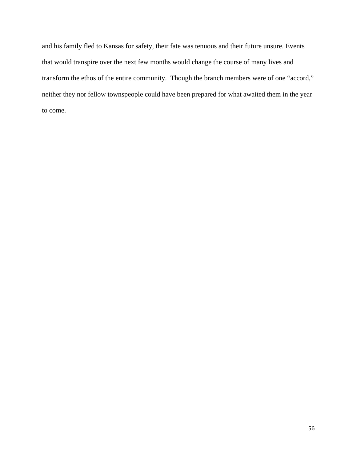and his family fled to Kansas for safety, their fate was tenuous and their future unsure. Events that would transpire over the next few months would change the course of many lives and transform the ethos of the entire community. Though the branch members were of one "accord," neither they nor fellow townspeople could have been prepared for what awaited them in the year to come.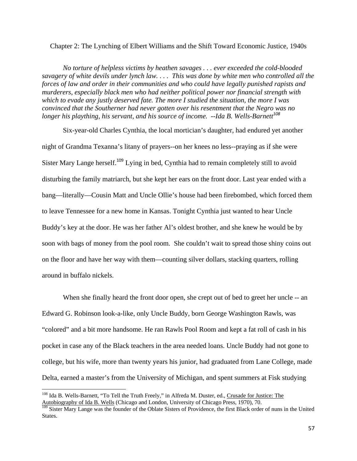Chapter 2: The Lynching of Elbert Williams and the Shift Toward Economic Justice, 1940s

*No torture of helpless victims by heathen savages . . . ever exceeded the cold-blooded savagery of white devils under lynch law. . . . This was done by white men who controlled all the forces of law and order in their communities and who could have legally punished rapists and murderers, especially black men who had neither political power nor financial strength with which to evade any justly deserved fate. The more I studied the situation, the more I was convinced that the Southerner had never gotten over his resentment that the Negro was no longer his plaything, his servant, and his source of income. --Ida B. Wells-Barnett<sup>108</sup>* 

Six-year-old Charles Cynthia, the local mortician's daughter, had endured yet another night of Grandma Texanna's litany of prayers--on her knees no less--praying as if she were Sister Mary Lange herself.<sup>109</sup> Lying in bed, Cynthia had to remain completely still to avoid disturbing the family matriarch, but she kept her ears on the front door. Last year ended with a bang—literally—Cousin Matt and Uncle Ollie's house had been firebombed, which forced them to leave Tennessee for a new home in Kansas. Tonight Cynthia just wanted to hear Uncle Buddy's key at the door. He was her father Al's oldest brother, and she knew he would be by soon with bags of money from the pool room. She couldn't wait to spread those shiny coins out on the floor and have her way with them—counting silver dollars, stacking quarters, rolling around in buffalo nickels.

When she finally heard the front door open, she crept out of bed to greet her uncle -- an Edward G. Robinson look-a-like, only Uncle Buddy, born George Washington Rawls, was "colored" and a bit more handsome. He ran Rawls Pool Room and kept a fat roll of cash in his pocket in case any of the Black teachers in the area needed loans. Uncle Buddy had not gone to college, but his wife, more than twenty years his junior, had graduated from Lane College, made Delta, earned a master's from the University of Michigan, and spent summers at Fisk studying

<sup>108</sup> Ida B. Wells-Barnett, "To Tell the Truth Freely," in Alfreda M. Duster, ed., Crusade for Justice: The Autobiography of Ida B. Wells (Chicago and London, University of Chicago Press, 1970), 70.

<sup>&</sup>lt;sup>109</sup> Sister Mary Lange was the founder of the Oblate Sisters of Providence, the first Black order of nuns in the United States.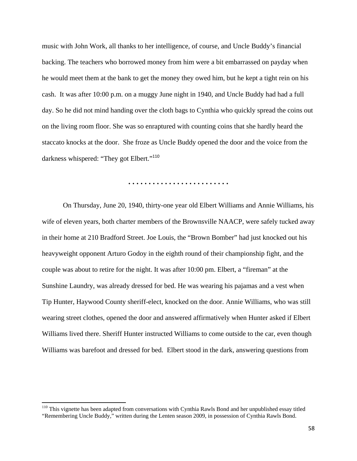music with John Work, all thanks to her intelligence, of course, and Uncle Buddy's financial backing. The teachers who borrowed money from him were a bit embarrassed on payday when he would meet them at the bank to get the money they owed him, but he kept a tight rein on his cash. It was after 10:00 p.m. on a muggy June night in 1940, and Uncle Buddy had had a full day. So he did not mind handing over the cloth bags to Cynthia who quickly spread the coins out on the living room floor. She was so enraptured with counting coins that she hardly heard the staccato knocks at the door. She froze as Uncle Buddy opened the door and the voice from the darkness whispered: "They got Elbert."<sup>110</sup>

**. . . . . . . . . . . . . . . . . . . . . . . . .** 

On Thursday, June 20, 1940, thirty-one year old Elbert Williams and Annie Williams, his wife of eleven years, both charter members of the Brownsville NAACP, were safely tucked away in their home at 210 Bradford Street. Joe Louis, the "Brown Bomber" had just knocked out his heavyweight opponent Arturo Godoy in the eighth round of their championship fight, and the couple was about to retire for the night. It was after 10:00 pm. Elbert, a "fireman" at the Sunshine Laundry, was already dressed for bed. He was wearing his pajamas and a vest when Tip Hunter, Haywood County sheriff-elect, knocked on the door. Annie Williams, who was still wearing street clothes, opened the door and answered affirmatively when Hunter asked if Elbert Williams lived there. Sheriff Hunter instructed Williams to come outside to the car, even though Williams was barefoot and dressed for bed. Elbert stood in the dark, answering questions from

<sup>&</sup>lt;sup>110</sup> This vignette has been adapted from conversations with Cynthia Rawls Bond and her unpublished essay titled "Remembering Uncle Buddy," written during the Lenten season 2009, in possession of Cynthia Rawls Bond.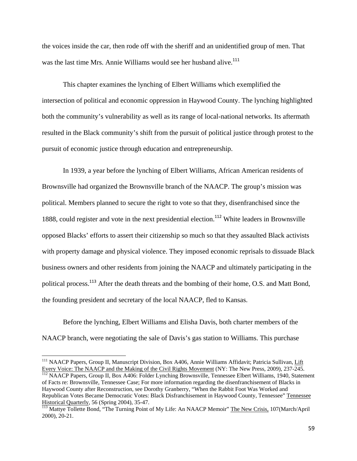the voices inside the car, then rode off with the sheriff and an unidentified group of men. That was the last time Mrs. Annie Williams would see her husband alive.<sup>111</sup>

This chapter examines the lynching of Elbert Williams which exemplified the intersection of political and economic oppression in Haywood County. The lynching highlighted both the community's vulnerability as well as its range of local-national networks. Its aftermath resulted in the Black community's shift from the pursuit of political justice through protest to the pursuit of economic justice through education and entrepreneurship.

 In 1939, a year before the lynching of Elbert Williams, African American residents of Brownsville had organized the Brownsville branch of the NAACP. The group's mission was political. Members planned to secure the right to vote so that they, disenfranchised since the 1888, could register and vote in the next presidential election.<sup>112</sup> White leaders in Brownsville opposed Blacks' efforts to assert their citizenship so much so that they assaulted Black activists with property damage and physical violence. They imposed economic reprisals to dissuade Black business owners and other residents from joining the NAACP and ultimately participating in the political process.<sup>113</sup> After the death threats and the bombing of their home, O.S. and Matt Bond, the founding president and secretary of the local NAACP, fled to Kansas.

Before the lynching, Elbert Williams and Elisha Davis, both charter members of the NAACP branch, were negotiating the sale of Davis's gas station to Williams. This purchase

of Facts re: Brownsville, Tennessee Case; For more information regarding the disenfranchisement of Blacks in Haywood County after Reconstruction, see Dorothy Granberry, "When the Rabbit Foot Was Worked and Republican Votes Became Democratic Votes: Black Disfranchisement in Haywood County, Tennessee" Tennessee Historical Quarterly, 56 (Spring 2004), 35-47.

<sup>&</sup>lt;sup>111</sup> NAACP Papers, Group II, Manuscript Division, Box A406, Annie Williams Affidavit; Patricia Sullivan, Lift Every Voice: The NAACP and the Making of the Civil Rights Movement (NY: The New Press, 2009), 237-245.<br><sup>112</sup> NAACP Papers, Group II, Box A406: Folder Lynching Brownsville, Tennessee Elbert Williams, 1940, Statement

<sup>&</sup>lt;sup>113</sup> Mattye Tollette Bond, "The Turning Point of My Life: An NAACP Memoir" The New Crisis, 107(March/April 2000), 20-21.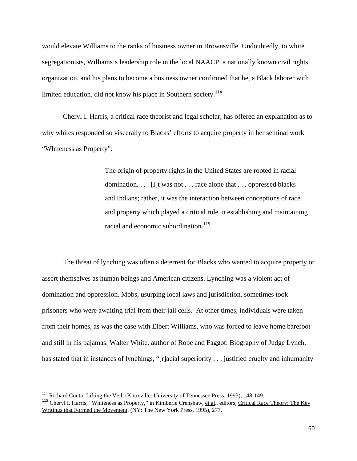would elevate Williams to the ranks of business owner in Brownsville. Undoubtedly, to white segregationists, Williams's leadership role in the local NAACP, a nationally known civil rights organization, and his plans to become a business owner confirmed that he, a Black laborer with limited education, did not know his place in Southern society.<sup>114</sup>

Cheryl I. Harris, a critical race theorist and legal scholar, has offered an explanation as to why whites responded so viscerally to Blacks' efforts to acquire property in her seminal work "Whiteness as Property":

> The origin of property rights in the United States are rooted in racial domination. . . . [I]t was not . . . race alone that . . . oppressed blacks and Indians; rather, it was the interaction between conceptions of race and property which played a critical role in establishing and maintaining racial and economic subordination.<sup>115</sup>

The threat of lynching was often a deterrent for Blacks who wanted to acquire property or assert themselves as human beings and American citizens. Lynching was a violent act of domination and oppression. Mobs, usurping local laws and jurisdiction, sometimes took prisoners who were awaiting trial from their jail cells. At other times, individuals were taken from their homes, as was the case with Elbert Williams, who was forced to leave home barefoot and still in his pajamas. Walter White, author of Rope and Faggot: Biography of Judge Lynch, has stated that in instances of lynchings, "[r]acial superiority . . . justified cruelty and inhumanity

<sup>&</sup>lt;sup>114</sup> Richard Couto, *Lifting the Veil,* (Knoxville: University of Tennessee Press, 1993), 148-149.

<sup>&</sup>lt;sup>115</sup> Cheryl I. Harris, "Whiteness as Property," in Kimberlé Crenshaw, et al., editors, Critical Race Theory: The Key Writings that Formed the Movement. (NY: The New York Press, 1995), 277.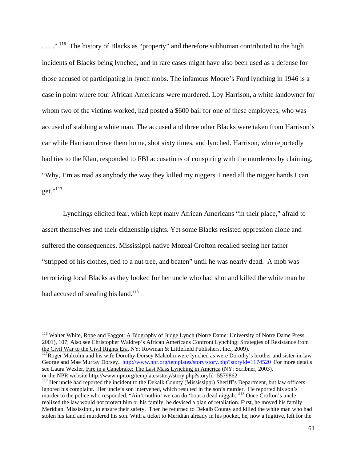...."<sup>116</sup> The history of Blacks as "property" and therefore subhuman contributed to the high incidents of Blacks being lynched, and in rare cases might have also been used as a defense for those accused of participating in lynch mobs. The infamous Moore's Ford lynching in 1946 is a case in point where four African Americans were murdered. Loy Harrison, a white landowner for whom two of the victims worked, had posted a \$600 bail for one of these employees, who was accused of stabbing a white man. The accused and three other Blacks were taken from Harrison's car while Harrison drove them home, shot sixty times, and lynched. Harrison, who reportedly had ties to the Klan, responded to FBI accusations of conspiring with the murderers by claiming, "Why, I'm as mad as anybody the way they killed my niggers. I need all the nigger hands I can get."<sup>117</sup>

Lynchings elicited fear, which kept many African Americans "in their place," afraid to assert themselves and their citizenship rights. Yet some Blacks resisted oppression alone and suffered the consequences. Mississippi native Mozeal Crofton recalled seeing her father "stripped of his clothes, tied to a nut tree, and beaten" until he was nearly dead. A mob was terrorizing local Blacks as they looked for her uncle who had shot and killed the white man he had accused of stealing his land.<sup>118</sup>

<sup>&</sup>lt;sup>116</sup> Walter White, Rope and Faggot: A Biography of Judge Lynch (Notre Dame: University of Notre Dame Press, 2001), 107; Also see Christopher Waldrep's African Americans Confront Lynching: Strategies of Resistance from<br>the Civil War to the Civil Rights Era, NY: Rowman & Littlefield Publishers, Inc., 2009).

 $117$ Roger Malcolm and his wife Dorothy Dorsey Malcolm were lynched as were Dorothy's brother and sister-in-law George and Mae Murray Dorsey. http://www.npr.org/templates/story/story.php?storyId=1174520 For more details see Laura Wexler, Fire in a Canebrake: The Last Mass Lynching in America (NY: Scribner, 2003). or the NPR website http://www.npr.org/templates/story/story.php?storyId=5579862

<sup>&</sup>lt;sup>118</sup> Her uncle had reported the incident to the Dekalk County (Mississippi) Sheriff's Department, but law officers ignored his complaint. Her uncle's son intervened, which resulted in the son's murder. He reported his son's murder to the police who responded, "Ain't nuthin' we can do 'bout a dead niggah."<sup>118</sup> Once Crofton's uncle realized the law would not protect him or his family, he devised a plan of retaliation. First, he moved his family Meridian, Mississippi, to ensure their safety. Then he returned to Dekalb County and killed the white man who had stolen his land and murdered his son. With a ticket to Meridian already in his pocket, he, now a fugitive, left for the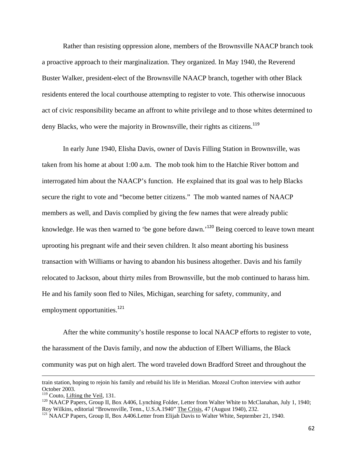Rather than resisting oppression alone, members of the Brownsville NAACP branch took a proactive approach to their marginalization. They organized. In May 1940, the Reverend Buster Walker, president-elect of the Brownsville NAACP branch, together with other Black residents entered the local courthouse attempting to register to vote. This otherwise innocuous act of civic responsibility became an affront to white privilege and to those whites determined to deny Blacks, who were the majority in Brownsville, their rights as citizens.<sup>119</sup>

In early June 1940, Elisha Davis, owner of Davis Filling Station in Brownsville, was taken from his home at about 1:00 a.m. The mob took him to the Hatchie River bottom and interrogated him about the NAACP's function. He explained that its goal was to help Blacks secure the right to vote and "become better citizens." The mob wanted names of NAACP members as well, and Davis complied by giving the few names that were already public knowledge. He was then warned to 'be gone before dawn.<sup>120</sup> Being coerced to leave town meant uprooting his pregnant wife and their seven children. It also meant aborting his business transaction with Williams or having to abandon his business altogether. Davis and his family relocated to Jackson, about thirty miles from Brownsville, but the mob continued to harass him. He and his family soon fled to Niles, Michigan, searching for safety, community, and employment opportunities.<sup>121</sup>

After the white community's hostile response to local NAACP efforts to register to vote, the harassment of the Davis family, and now the abduction of Elbert Williams, the Black community was put on high alert. The word traveled down Bradford Street and throughout the

<u> 1989 - Johann Stein, marwolaethau a gweledydd a ganlad y ganlad y ganlad y ganlad y ganlad y ganlad y ganlad</u>

train station, hoping to rejoin his family and rebuild his life in Meridian. Mozeal Crofton interview with author October 2003.<br><sup>119</sup> Couto, <u>Lifting the Veil</u>, 131.

<sup>&</sup>lt;sup>120</sup> NAACP Papers, Group II, Box A406, Lynching Folder, Letter from Walter White to McClanahan, July 1, 1940; Roy Wilkins, editorial "Brownsville, Tenn., U.S.A.1940" The Crisis, 47 (August 1940), 232.<br><sup>121</sup> NAACP Papers, Group II, Box A406.Letter from Elijah Davis to Walter White, September 21, 1940.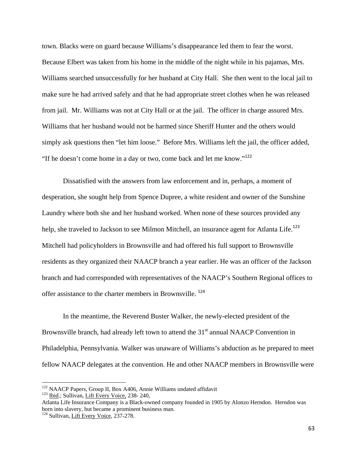town. Blacks were on guard because Williams's disappearance led them to fear the worst. Because Elbert was taken from his home in the middle of the night while in his pajamas, Mrs. Williams searched unsuccessfully for her husband at City Hall. She then went to the local jail to make sure he had arrived safely and that he had appropriate street clothes when he was released from jail. Mr. Williams was not at City Hall or at the jail. The officer in charge assured Mrs. Williams that her husband would not be harmed since Sheriff Hunter and the others would simply ask questions then "let him loose." Before Mrs. Williams left the jail, the officer added, "If he doesn't come home in a day or two, come back and let me know."<sup>122</sup>

Dissatisfied with the answers from law enforcement and in, perhaps, a moment of desperation, she sought help from Spence Dupree, a white resident and owner of the Sunshine Laundry where both she and her husband worked. When none of these sources provided any help, she traveled to Jackson to see Milmon Mitchell, an insurance agent for Atlanta Life.<sup>123</sup> Mitchell had policyholders in Brownsville and had offered his full support to Brownsville residents as they organized their NAACP branch a year earlier. He was an officer of the Jackson branch and had corresponded with representatives of the NAACP's Southern Regional offices to offer assistance to the charter members in Brownsville.<sup>124</sup>

In the meantime, the Reverend Buster Walker, the newly-elected president of the Brownsville branch, had already left town to attend the  $31<sup>st</sup>$  annual NAACP Convention in Philadelphia, Pennsylvania. Walker was unaware of Williams's abduction as he prepared to meet fellow NAACP delegates at the convention. He and other NAACP members in Brownsville were

<sup>&</sup>lt;sup>122</sup> NAACP Papers, Group II, Box A406, Annie Williams undated affidavit <sup>123</sup> Ibid.; Sullivan, Lift Every Voice, 238- 240,

Atlanta Life Insurance Company is a Black-owned company founded in 1905 by Alonzo Herndon. Herndon was born into slavery, but became a prominent business man. 124 Sullivan, Lift Every Voice, 237-278.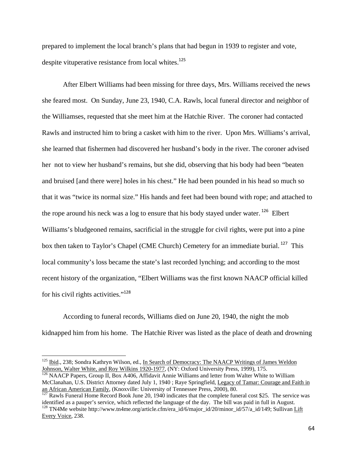prepared to implement the local branch's plans that had begun in 1939 to register and vote, despite vituperative resistance from local whites.<sup>125</sup>

After Elbert Williams had been missing for three days, Mrs. Williams received the news she feared most. On Sunday, June 23, 1940, C.A. Rawls, local funeral director and neighbor of the Williamses, requested that she meet him at the Hatchie River. The coroner had contacted Rawls and instructed him to bring a casket with him to the river. Upon Mrs. Williams's arrival, she learned that fishermen had discovered her husband's body in the river. The coroner advised her not to view her husband's remains, but she did, observing that his body had been "beaten and bruised [and there were] holes in his chest." He had been pounded in his head so much so that it was "twice its normal size." His hands and feet had been bound with rope; and attached to the rope around his neck was a log to ensure that his body stayed under water.<sup>126</sup> Elbert Williams's bludgeoned remains, sacrificial in the struggle for civil rights, were put into a pine box then taken to Taylor's Chapel (CME Church) Cemetery for an immediate burial.<sup>127</sup> This local community's loss became the state's last recorded lynching; and according to the most recent history of the organization, "Elbert Williams was the first known NAACP official killed for his civil rights activities."<sup>128</sup>

According to funeral records, Williams died on June 20, 1940, the night the mob kidnapped him from his home. The Hatchie River was listed as the place of death and drowning

<sup>126</sup> NAACP Papers, Group II, Box A406, Affidavit Annie Williams and letter from Walter White to William McClanahan, U.S. District Attorney dated July 1, 1940 ; Raye Springfield, Legacy of Tamar: Courage and Faith in

<sup>&</sup>lt;sup>125</sup> Ibid., 238; Sondra Kathryn Wilson, ed., In Search of Democracy: The NAACP Writings of James Weldon Johnson, Walter White, and Roy Wilkins 1920-1977, (NY: Oxford University Press, 1999), 175.

an African American Family, (Knoxville: University of Tennessee Press, 2000), 80.<br><sup>127</sup> Rawls Funeral Home Record Book June 20, 1940 indicates that the complete funeral cost \$25. The service was identified as a pauper's s <sup>128</sup> TN4Me website http://www.tn4me.org/article.cfm/era\_id/6/major\_id/20/minor\_id/57/a\_id/149; Sullivan Lift Every Voice, 238.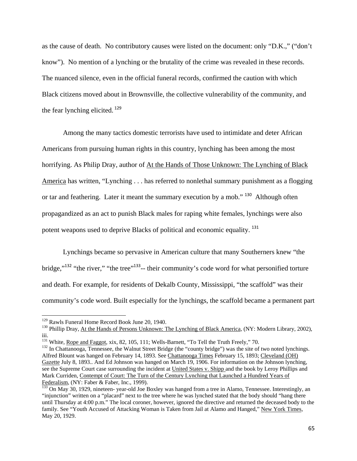as the cause of death. No contributory causes were listed on the document: only "D.K.," ("don't know"). No mention of a lynching or the brutality of the crime was revealed in these records. The nuanced silence, even in the official funeral records, confirmed the caution with which Black citizens moved about in Brownsville, the collective vulnerability of the community, and the fear lynching elicited.  $129$ 

Among the many tactics domestic terrorists have used to intimidate and deter African Americans from pursuing human rights in this country, lynching has been among the most horrifying. As Philip Dray, author of At the Hands of Those Unknown: The Lynching of Black America has written, "Lynching . . . has referred to nonlethal summary punishment as a flogging or tar and feathering. Later it meant the summary execution by a mob."<sup>130</sup> Although often propagandized as an act to punish Black males for raping white females, lynchings were also potent weapons used to deprive Blacks of political and economic equality. <sup>131</sup>

Lynchings became so pervasive in American culture that many Southerners knew "the bridge,"<sup>132</sup> "the river," "the tree"<sup>133</sup>-- their community's code word for what personified torture and death. For example, for residents of Dekalb County, Mississippi, "the scaffold" was their community's code word. Built especially for the lynchings, the scaffold became a permanent part

<sup>&</sup>lt;sup>129</sup> Rawls Funeral Home Record Book June 20, 1940.

<sup>&</sup>lt;sup>130</sup> Phillip Dray, At the Hands of Persons Unknown: The Lynching of Black America, (NY: Modern Library, 2002), iii.

<sup>&</sup>lt;sup>131</sup> White, Rope and Faggot, xix, 82, 105, 111; Wells-Barnett, "To Tell the Truth Freely," 70.<br><sup>132</sup> In Chattanooga, Tennessee, the Walnut Street Bridge (the "county bridge") was the site of two noted lynchings. Alfred Blount was hanged on February 14, 1893. See Chattanooga Times February 15, 1893; Cleveland (OH) Gazette July 8, 1893.. And Ed Johnson was hanged on March 19, 1906. For information on the Johnson lynching, see the Supreme Court case surrounding the incident at United States v. Shipp and the book by Leroy Phillips and Mark Curriden, Contempt of Court: The Turn of the Century Lynching that Launched a Hundred Years of Federalism, (NY: Faber & Faber, Inc., 1999).

<sup>&</sup>lt;sup>133</sup> On May 30, 1929, nineteen- year-old Joe Boxley was hanged from a tree in Alamo, Tennessee. Interestingly, an "injunction" written on a "placard" next to the tree where he was lynched stated that the body should "hang there until Thursday at 4:00 p.m." The local coroner, however, ignored the directive and returned the deceased body to the family. See "Youth Accused of Attacking Woman is Taken from Jail at Alamo and Hanged," New York Times, May 20, 1929.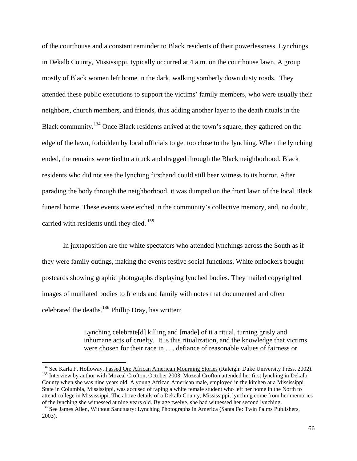of the courthouse and a constant reminder to Black residents of their powerlessness. Lynchings in Dekalb County, Mississippi, typically occurred at 4 a.m. on the courthouse lawn. A group mostly of Black women left home in the dark, walking somberly down dusty roads. They attended these public executions to support the victims' family members, who were usually their neighbors, church members, and friends, thus adding another layer to the death rituals in the Black community.<sup>134</sup> Once Black residents arrived at the town's square, they gathered on the edge of the lawn, forbidden by local officials to get too close to the lynching. When the lynching ended, the remains were tied to a truck and dragged through the Black neighborhood. Black residents who did not see the lynching firsthand could still bear witness to its horror. After parading the body through the neighborhood, it was dumped on the front lawn of the local Black funeral home. These events were etched in the community's collective memory, and, no doubt, carried with residents until they died.<sup>135</sup>

In juxtaposition are the white spectators who attended lynchings across the South as if they were family outings, making the events festive social functions. White onlookers bought postcards showing graphic photographs displaying lynched bodies. They mailed copyrighted images of mutilated bodies to friends and family with notes that documented and often celebrated the deaths.<sup>136</sup> Phillip Dray, has written:

> Lynching celebrate[d] killing and [made] of it a ritual, turning grisly and inhumane acts of cruelty. It is this ritualization, and the knowledge that victims were chosen for their race in . . . defiance of reasonable values of fairness or

<sup>&</sup>lt;sup>134</sup> See Karla F. Holloway, <u>Passed On: African American Mourning Stories</u> (Raleigh: Duke University Press, 2002). <sup>135</sup> Interview by author with Mozeal Crofton, October 2003. Mozeal Crofton attended her first lynching i County when she was nine years old. A young African American male, employed in the kitchen at a Mississippi State in Columbia, Mississippi, was accused of raping a white female student who left her home in the North to attend college in Mississippi. The above details of a Dekalb County, Mississippi, lynching come from her memories of the lynching she witnessed at nine years old. By age twelve, she had witnessed her second lynching. <sup>136</sup> See James Allen, Without Sanctuary: Lynching Photographs in America (Santa Fe: Twin Palms Publishers, 2003).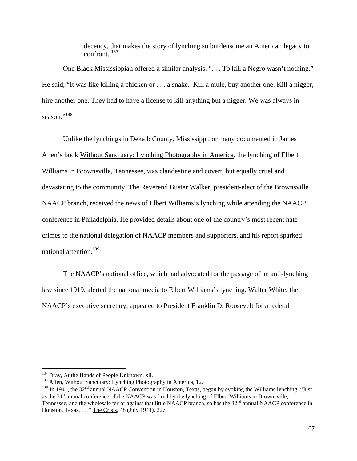decency, that makes the story of lynching so burdensome an American legacy to confront. <sup>137</sup>

One Black Mississippian offered a similar analysis. ". . . To kill a Negro wasn't nothing." He said, "It was like killing a chicken or . . . a snake. Kill a mule, buy another one. Kill a nigger, hire another one. They had to have a license to kill anything but a nigger. We was always in season."138

Unlike the lynchings in Dekalb County, Mississippi, or many documented in James Allen's book Without Sanctuary: Lynching Photography in America, the lynching of Elbert Williams in Brownsville, Tennessee, was clandestine and covert, but equally cruel and devastating to the community. The Reverend Buster Walker, president-elect of the Brownsville NAACP branch, received the news of Elbert Williams's lynching while attending the NAACP conference in Philadelphia. He provided details about one of the country's most recent hate crimes to the national delegation of NAACP members and supporters, and his report sparked national attention.<sup>139</sup>

The NAACP's national office, which had advocated for the passage of an anti-lynching law since 1919, alerted the national media to Elbert Williams's lynching. Walter White, the NAACP's executive secretary, appealed to President Franklin D. Roosevelt for a federal

<sup>&</sup>lt;sup>137</sup> Dray, At the Hands of People Unknown, xii.

<sup>&</sup>lt;sup>138</sup> Allen, Without Sanctuary: Lynching Photography in America, 12.

<sup>&</sup>lt;sup>139</sup> In 1941, the 32<sup>nd</sup> annual NAACP Convention in Houston, Texas, began by evoking the Williams lynching. "Just as the 31<sup>st</sup> annual conference of the NAACP was fired by the lynching of Elbert Williams in Brownsville, Tennessee, and the wholesale terror against that little NAACP branch, so has the 32<sup>nd</sup> annual NAACP conference in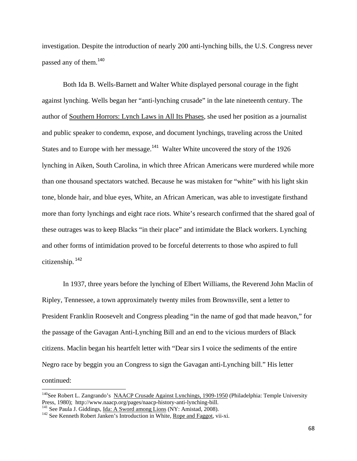investigation. Despite the introduction of nearly 200 anti-lynching bills, the U.S. Congress never passed any of them.<sup>140</sup>

Both Ida B. Wells-Barnett and Walter White displayed personal courage in the fight against lynching. Wells began her "anti-lynching crusade" in the late nineteenth century. The author of Southern Horrors: Lynch Laws in All Its Phases, she used her position as a journalist and public speaker to condemn, expose, and document lynchings, traveling across the United States and to Europe with her message.<sup>141</sup> Walter White uncovered the story of the 1926 lynching in Aiken, South Carolina, in which three African Americans were murdered while more than one thousand spectators watched. Because he was mistaken for "white" with his light skin tone, blonde hair, and blue eyes, White, an African American, was able to investigate firsthand more than forty lynchings and eight race riots. White's research confirmed that the shared goal of these outrages was to keep Blacks "in their place" and intimidate the Black workers. Lynching and other forms of intimidation proved to be forceful deterrents to those who aspired to full citizenship. <sup>142</sup>

In 1937, three years before the lynching of Elbert Williams, the Reverend John Maclin of Ripley, Tennessee, a town approximately twenty miles from Brownsville, sent a letter to President Franklin Roosevelt and Congress pleading "in the name of god that made heavon," for the passage of the Gavagan Anti-Lynching Bill and an end to the vicious murders of Black citizens. Maclin began his heartfelt letter with "Dear sirs I voice the sediments of the entire Negro race by beggin you an Congress to sign the Gavagan anti-Lynching bill." His letter continued:

<sup>&</sup>lt;sup>140</sup>See Robert L. Zangrando's <u>NAACP Crusade Against Lynchings, 1909-1950</u> (Philadelphia: Temple University Press, 1980); http://www.naacp.org/pages/naacp-history-anti-lynching-bill.

<sup>&</sup>lt;sup>141</sup> See Paula J. Giddings, *Ida: A Sword among Lions* (NY: Amistad, 2008).<br><sup>142</sup> See Kenneth Robert Janken's Introduction in White, *Rope and Faggot*, vii-xi.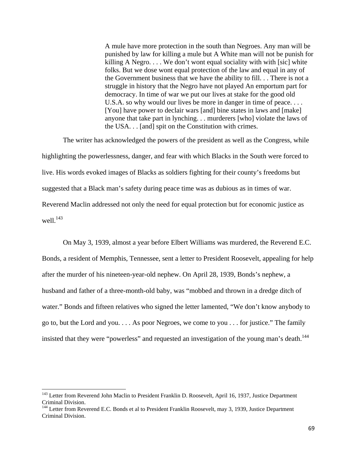A mule have more protection in the south than Negroes. Any man will be punished by law for killing a mule but A White man will not be punish for killing A Negro.... We don't wont equal sociality with with [sic] white folks. But we dose wont equal protection of the law and equal in any of the Government business that we have the ability to fill. . . There is not a struggle in history that the Negro have not played An emportum part for democracy. In time of war we put our lives at stake for the good old U.S.A. so why would our lives be more in danger in time of peace.... [You] have power to declair wars [and] bine states in laws and [make] anyone that take part in lynching. . . murderers [who] violate the laws of the USA. . . [and] spit on the Constitution with crimes.

The writer has acknowledged the powers of the president as well as the Congress, while highlighting the powerlessness, danger, and fear with which Blacks in the South were forced to live. His words evoked images of Blacks as soldiers fighting for their county's freedoms but suggested that a Black man's safety during peace time was as dubious as in times of war. Reverend Maclin addressed not only the need for equal protection but for economic justice as well. $^{143}$ 

On May 3, 1939, almost a year before Elbert Williams was murdered, the Reverend E.C. Bonds, a resident of Memphis, Tennessee, sent a letter to President Roosevelt, appealing for help after the murder of his nineteen-year-old nephew. On April 28, 1939, Bonds's nephew, a husband and father of a three-month-old baby, was "mobbed and thrown in a dredge ditch of water." Bonds and fifteen relatives who signed the letter lamented, "We don't know anybody to go to, but the Lord and you. . . . As poor Negroes, we come to you . . . for justice." The family insisted that they were "powerless" and requested an investigation of the young man's death.<sup>144</sup>

<sup>&</sup>lt;sup>143</sup> Letter from Reverend John Maclin to President Franklin D. Roosevelt, April 16, 1937, Justice Department Criminal Division.

<sup>&</sup>lt;sup>144</sup> Letter from Reverend E.C. Bonds et al to President Franklin Roosevelt, may 3, 1939, Justice Department Criminal Division.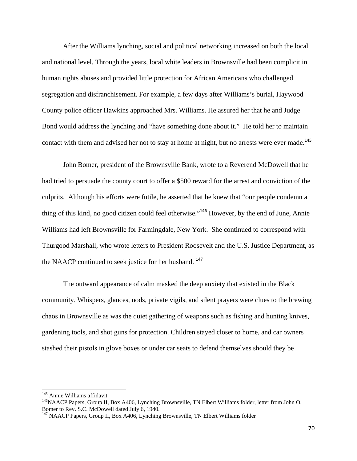After the Williams lynching, social and political networking increased on both the local and national level. Through the years, local white leaders in Brownsville had been complicit in human rights abuses and provided little protection for African Americans who challenged segregation and disfranchisement. For example, a few days after Williams's burial, Haywood County police officer Hawkins approached Mrs. Williams. He assured her that he and Judge Bond would address the lynching and "have something done about it." He told her to maintain contact with them and advised her not to stay at home at night, but no arrests were ever made.<sup>145</sup>

John Bomer, president of the Brownsville Bank, wrote to a Reverend McDowell that he had tried to persuade the county court to offer a \$500 reward for the arrest and conviction of the culprits. Although his efforts were futile, he asserted that he knew that "our people condemn a thing of this kind, no good citizen could feel otherwise."<sup>146</sup> However, by the end of June, Annie Williams had left Brownsville for Farmingdale, New York. She continued to correspond with Thurgood Marshall, who wrote letters to President Roosevelt and the U.S. Justice Department, as the NAACP continued to seek justice for her husband.<sup>147</sup>

The outward appearance of calm masked the deep anxiety that existed in the Black community. Whispers, glances, nods, private vigils, and silent prayers were clues to the brewing chaos in Brownsville as was the quiet gathering of weapons such as fishing and hunting knives, gardening tools, and shot guns for protection. Children stayed closer to home, and car owners stashed their pistols in glove boxes or under car seats to defend themselves should they be

<sup>&</sup>lt;sup>145</sup> Annie Williams affidavit.<br><sup>146</sup>NAACP Papers, Group II, Box A406, Lynching Brownsville, TN Elbert Williams folder, letter from John O. Bomer to Rev. S.C. McDowell dated July 6, 1940.

<sup>&</sup>lt;sup>147</sup> NAACP Papers, Group II, Box A406, Lynching Brownsville, TN Elbert Williams folder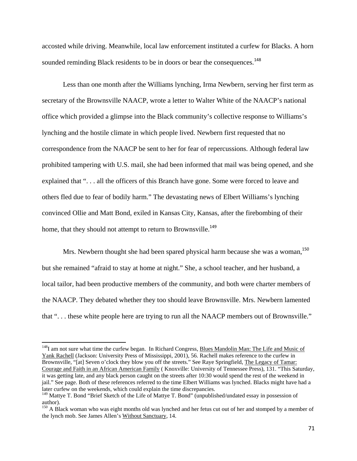accosted while driving. Meanwhile, local law enforcement instituted a curfew for Blacks. A horn sounded reminding Black residents to be in doors or bear the consequences.<sup>148</sup>

Less than one month after the Williams lynching, Irma Newbern, serving her first term as secretary of the Brownsville NAACP, wrote a letter to Walter White of the NAACP's national office which provided a glimpse into the Black community's collective response to Williams's lynching and the hostile climate in which people lived. Newbern first requested that no correspondence from the NAACP be sent to her for fear of repercussions. Although federal law prohibited tampering with U.S. mail, she had been informed that mail was being opened, and she explained that ". . . all the officers of this Branch have gone. Some were forced to leave and others fled due to fear of bodily harm." The devastating news of Elbert Williams's lynching convinced Ollie and Matt Bond, exiled in Kansas City, Kansas, after the firebombing of their home, that they should not attempt to return to Brownsville.<sup>149</sup>

Mrs. Newbern thought she had been spared physical harm because she was a woman.<sup>150</sup> but she remained "afraid to stay at home at night." She, a school teacher, and her husband, a local tailor, had been productive members of the community, and both were charter members of the NAACP. They debated whether they too should leave Brownsville. Mrs. Newbern lamented that ". . . these white people here are trying to run all the NAACP members out of Brownsville."

<sup>&</sup>lt;sup>148</sup>I am not sure what time the curfew began. In Richard Congress, Blues Mandolin Man: The Life and Music of Yank Rachell (Jackson: University Press of Mississippi, 2001), 56. Rachell makes reference to the curfew in Brownsville, "[at] Seven o'clock they blow you off the streets." See Raye Springfield, The Legacy of Tamar: Courage and Faith in an African American Family ( Knoxville: University of Tennessee Press), 131. "This Saturday, it was getting late, and any black person caught on the streets after 10:30 would spend the rest of the weekend in jail." See page. Both of these references referred to the time Elbert Williams was lynched. Blacks might have had a later curfew on the weekends, which could explain the time discrepancies.

<sup>&</sup>lt;sup>149</sup> Mattye T. Bond "Brief Sketch of the Life of Mattye T. Bond" (unpublished/undated essay in possession of author).

<sup>&</sup>lt;sup>150</sup> A Black woman who was eight months old was lynched and her fetus cut out of her and stomped by a member of the lynch mob. See James Allen's Without Sanctuary, 14.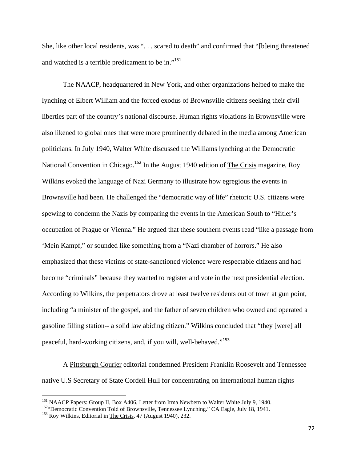She, like other local residents, was ". . . scared to death" and confirmed that "[b]eing threatened and watched is a terrible predicament to be in."<sup>151</sup>

The NAACP, headquartered in New York, and other organizations helped to make the lynching of Elbert William and the forced exodus of Brownsville citizens seeking their civil liberties part of the country's national discourse. Human rights violations in Brownsville were also likened to global ones that were more prominently debated in the media among American politicians. In July 1940, Walter White discussed the Williams lynching at the Democratic National Convention in Chicago.<sup>152</sup> In the August 1940 edition of The Crisis magazine, Roy Wilkins evoked the language of Nazi Germany to illustrate how egregious the events in Brownsville had been. He challenged the "democratic way of life" rhetoric U.S. citizens were spewing to condemn the Nazis by comparing the events in the American South to "Hitler's occupation of Prague or Vienna." He argued that these southern events read "like a passage from 'Mein Kampf," or sounded like something from a "Nazi chamber of horrors." He also emphasized that these victims of state-sanctioned violence were respectable citizens and had become "criminals" because they wanted to register and vote in the next presidential election. According to Wilkins, the perpetrators drove at least twelve residents out of town at gun point, including "a minister of the gospel, and the father of seven children who owned and operated a gasoline filling station-- a solid law abiding citizen." Wilkins concluded that "they [were] all peaceful, hard-working citizens, and, if you will, well-behaved."<sup>153</sup>

A Pittsburgh Courier editorial condemned President Franklin Roosevelt and Tennessee native U.S Secretary of State Cordell Hull for concentrating on international human rights

<sup>&</sup>lt;sup>151</sup> NAACP Papers: Group II, Box A406, Letter from Irma Newbern to Walter White July 9, 1940.

<sup>&</sup>lt;sup>152</sup> "Democratic Convention Told of Brownsville, Tennessee Lynching." CA Eagle, July 18, 1941.<br><sup>153</sup> Roy Wilkins, Editorial in <u>The Crisis</u>, 47 (August 1940), 232.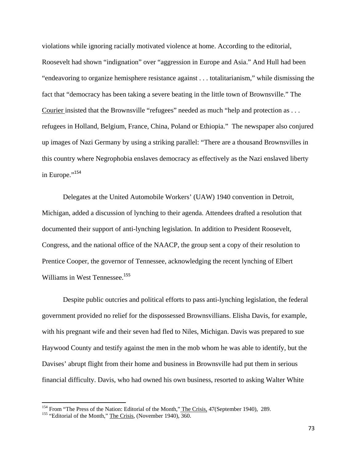violations while ignoring racially motivated violence at home. According to the editorial, Roosevelt had shown "indignation" over "aggression in Europe and Asia." And Hull had been "endeavoring to organize hemisphere resistance against . . . totalitarianism," while dismissing the fact that "democracy has been taking a severe beating in the little town of Brownsville." The Courier insisted that the Brownsville "refugees" needed as much "help and protection as . . . refugees in Holland, Belgium, France, China, Poland or Ethiopia." The newspaper also conjured up images of Nazi Germany by using a striking parallel: "There are a thousand Brownsvilles in this country where Negrophobia enslaves democracy as effectively as the Nazi enslaved liberty in Europe."<sup>154</sup>

Delegates at the United Automobile Workers' (UAW) 1940 convention in Detroit, Michigan, added a discussion of lynching to their agenda. Attendees drafted a resolution that documented their support of anti-lynching legislation. In addition to President Roosevelt, Congress, and the national office of the NAACP, the group sent a copy of their resolution to Prentice Cooper, the governor of Tennessee, acknowledging the recent lynching of Elbert Williams in West Tennessee.<sup>155</sup>

Despite public outcries and political efforts to pass anti-lynching legislation, the federal government provided no relief for the dispossessed Brownsvillians. Elisha Davis, for example, with his pregnant wife and their seven had fled to Niles, Michigan. Davis was prepared to sue Haywood County and testify against the men in the mob whom he was able to identify, but the Davises' abrupt flight from their home and business in Brownsville had put them in serious financial difficulty. Davis, who had owned his own business, resorted to asking Walter White

<sup>&</sup>lt;sup>154</sup> From "The Press of the Nation: Editorial of the Month," The Crisis, 47(September 1940), 289. <sup>155</sup> "Editorial of the Month," The Crisis, (November 1940), 360.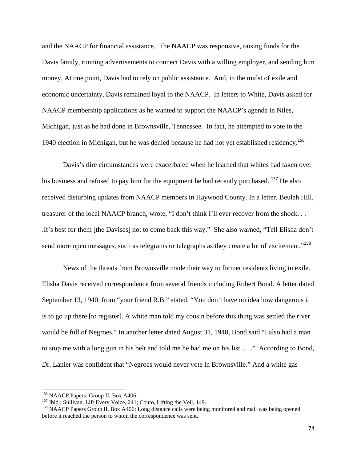and the NAACP for financial assistance. The NAACP was responsive, raising funds for the Davis family, running advertisements to connect Davis with a willing employer, and sending him money. At one point, Davis had to rely on public assistance. And, in the midst of exile and economic uncertainty, Davis remained loyal to the NAACP. In letters to White, Davis asked for NAACP membership applications as he wanted to support the NAACP's agenda in Niles, Michigan, just as he had done in Brownsville, Tennessee. In fact, he attempted to vote in the 1940 election in Michigan, but he was denied because he had not yet established residency.<sup>156</sup>

Davis's dire circumstances were exacerbated when he learned that whites had taken over his business and refused to pay him for the equipment he had recently purchased. <sup>157</sup> He also received disturbing updates from NAACP members in Haywood County. In a letter, Beulah Hill, treasurer of the local NAACP branch, wrote, "I don't think I'll ever recover from the shock. . . .It's best for them [the Davises] not to come back this way." She also warned, "Tell Elisha don't send more open messages, such as telegrams or telegraphs as they create a lot of excitement."<sup>158</sup>

News of the threats from Brownsville made their way to former residents living in exile. Elisha Davis received correspondence from several friends including Robert Bond. A letter dated September 13, 1940, from "your friend R.B." stated, "You don't have no idea how dangerous it is to go up there [to register]. A white man told my cousin before this thing was settled the river would be full of Negroes." In another letter dated August 31, 1940, Bond said "I also had a man to stop me with a long gun in his belt and told me he had me on his list. . . ." According to Bond, Dr. Lanier was confident that "Negroes would never vote in Brownsville." And a white gas

<sup>&</sup>lt;sup>156</sup> NAACP Papers: Group II, Box A406.<br><sup>157</sup> <u>Ibid.;</u> Sullivan, Lift Every Voice, 241; Couto, Lifting the Veil, 149.<br><sup>158</sup> NAACP Papers Group II, Box A406: Long distance calls were being monitored and mail was being opene before it reached the person to whom the correspondence was sent.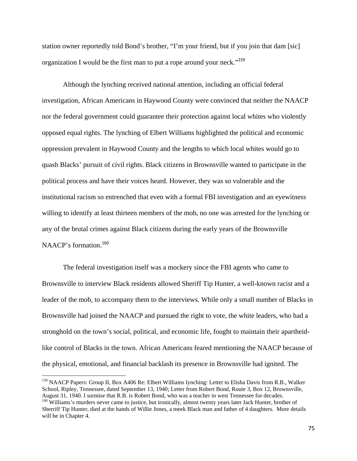station owner reportedly told Bond's brother, "I'm your friend, but if you join that dam [sic] organization I would be the first man to put a rope around your neck."<sup>159</sup>

Although the lynching received national attention, including an official federal investigation, African Americans in Haywood County were convinced that neither the NAACP nor the federal government could guarantee their protection against local whites who violently opposed equal rights. The lynching of Elbert Williams highlighted the political and economic oppression prevalent in Haywood County and the lengths to which local whites would go to quash Blacks' pursuit of civil rights. Black citizens in Brownsville wanted to participate in the political process and have their voices heard. However, they was so vulnerable and the institutional racism so entrenched that even with a formal FBI investigation and an eyewitness willing to identify at least thirteen members of the mob, no one was arrested for the lynching or any of the brutal crimes against Black citizens during the early years of the Brownsville NAACP's formation.<sup>160</sup>

The federal investigation itself was a mockery since the FBI agents who came to Brownsville to interview Black residents allowed Sheriff Tip Hunter, a well-known racist and a leader of the mob, to accompany them to the interviews. While only a small number of Blacks in Brownsville had joined the NAACP and pursued the right to vote, the white leaders, who had a stronghold on the town's social, political, and economic life, fought to maintain their apartheidlike control of Blacks in the town. African Americans feared mentioning the NAACP because of the physical, emotional, and financial backlash its presence in Brownsville had ignited. The

<sup>&</sup>lt;sup>159</sup> NAACP Papers: Group II, Box A406 Re: Elbert Williams lynching: Letter to Elisha Davis from R.B., Walker School, Ripley, Tennessee, dated September 13, 1940; Letter from Robert Bond, Route 3, Box 12, Brownsville, August 31, 1940. I surmise that R.B. is Robert Bond, who was a teacher in west Tennessee for decades.

<sup>&</sup>lt;sup>160</sup> Williams's murders never came to justice, but ironically, almost twenty years later Jack Hunter, brother of Sherriff Tip Hunter, died at the hands of Willie Jones, a meek Black man and father of 4 daughters. More details will be in Chapter 4.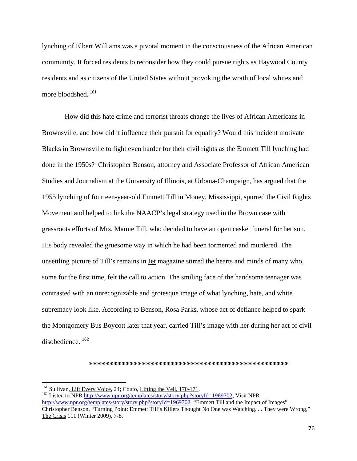lynching of Elbert Williams was a pivotal moment in the consciousness of the African American community. It forced residents to reconsider how they could pursue rights as Haywood County residents and as citizens of the United States without provoking the wrath of local whites and more bloodshed. <sup>161</sup>

 How did this hate crime and terrorist threats change the lives of African Americans in Brownsville, and how did it influence their pursuit for equality? Would this incident motivate Blacks in Brownsville to fight even harder for their civil rights as the Emmett Till lynching had done in the 1950s? Christopher Benson, attorney and Associate Professor of African American Studies and Journalism at the University of Illinois, at Urbana-Champaign, has argued that the 1955 lynching of fourteen-year-old Emmett Till in Money, Mississippi, spurred the Civil Rights Movement and helped to link the NAACP's legal strategy used in the Brown case with grassroots efforts of Mrs. Mamie Till, who decided to have an open casket funeral for her son. His body revealed the gruesome way in which he had been tormented and murdered. The unsettling picture of Till's remains in Jet magazine stirred the hearts and minds of many who, some for the first time, felt the call to action. The smiling face of the handsome teenager was contrasted with an unrecognizable and grotesque image of what lynching, hate, and white supremacy look like. According to Benson, Rosa Parks, whose act of defiance helped to spark the Montgomery Bus Boycott later that year, carried Till's image with her during her act of civil disobedience. <sup>162</sup>

## **\*\*\*\*\*\*\*\*\*\*\*\*\*\*\*\*\*\*\*\*\*\*\*\*\*\*\*\*\*\*\*\*\*\*\*\*\*\*\*\*\*\*\*\*\*\*\*\*\***

<sup>161</sup> Sullivan, Lift Every Voice, 24; Couto, Lifting the Veil, 170-171.<br><sup>162</sup> Listen to NPR http://www.npr.org/templates/story/story.php?storyId=1969702; Visit NPR

http://www.npr.org/templates/story/story.php?storyId=1969702 "Emmett Till and the Impact of Images" Christopher Benson, "Turning Point: Emmett Till's Killers Thought No One was Watching. . . They were Wrong," The Crisis 111 (Winter 2009), 7-8.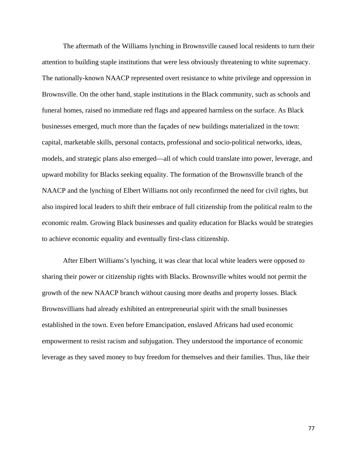The aftermath of the Williams lynching in Brownsville caused local residents to turn their attention to building staple institutions that were less obviously threatening to white supremacy. The nationally-known NAACP represented overt resistance to white privilege and oppression in Brownsville. On the other hand, staple institutions in the Black community, such as schools and funeral homes, raised no immediate red flags and appeared harmless on the surface. As Black businesses emerged, much more than the façades of new buildings materialized in the town: capital, marketable skills, personal contacts, professional and socio-political networks, ideas, models, and strategic plans also emerged—all of which could translate into power, leverage, and upward mobility for Blacks seeking equality. The formation of the Brownsville branch of the NAACP and the lynching of Elbert Williams not only reconfirmed the need for civil rights, but also inspired local leaders to shift their embrace of full citizenship from the political realm to the economic realm. Growing Black businesses and quality education for Blacks would be strategies to achieve economic equality and eventually first-class citizenship.

After Elbert Williams's lynching, it was clear that local white leaders were opposed to sharing their power or citizenship rights with Blacks. Brownsville whites would not permit the growth of the new NAACP branch without causing more deaths and property losses. Black Brownsvillians had already exhibited an entrepreneurial spirit with the small businesses established in the town. Even before Emancipation, enslaved Africans had used economic empowerment to resist racism and subjugation. They understood the importance of economic leverage as they saved money to buy freedom for themselves and their families. Thus, like their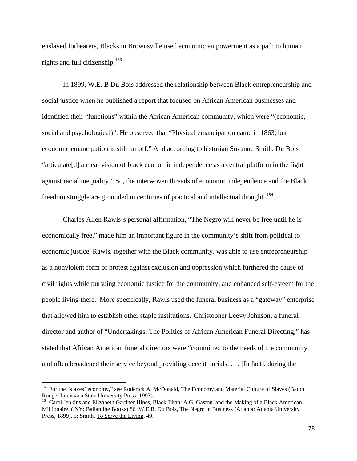enslaved forbearers, Blacks in Brownsville used economic empowerment as a path to human rights and full citizenship.<sup>163</sup>

In 1899, W.E. B Du Bois addressed the relationship between Black entrepreneurship and social justice when he published a report that focused on African American businesses and identified their "functions" within the African American community, which were "(economic, social and psychological)". He observed that "Physical emancipation came in 1863, but economic emancipation is still far off." And according to historian Suzanne Smith, Du Bois "articulate[d] a clear vision of black economic independence as a central platform in the fight against racial inequality." So, the interwoven threads of economic independence and the Black freedom struggle are grounded in centuries of practical and intellectual thought. <sup>164</sup>

Charles Allen Rawls's personal affirmation, "The Negro will never be free until he is economically free," made him an important figure in the community's shift from political to economic justice. Rawls, together with the Black community, was able to use entrepreneurship as a nonviolent form of protest against exclusion and oppression which furthered the cause of civil rights while pursuing economic justice for the community, and enhanced self-esteem for the people living there. More specifically, Rawls used the funeral business as a "gateway" enterprise that allowed him to establish other staple institutions. Christopher Leevy Johnson, a funeral director and author of "Undertakings: The Politics of African American Funeral Directing," has stated that African American funeral directors were "committed to the needs of the community and often broadened their service beyond providing decent burials. . . . [In fact], during the

<sup>&</sup>lt;sup>163</sup> For the "slaves' economy," see Roderick A. McDonald, The Economy and Material Culture of Slaves (Baton Rouge: Louisiana State University Press, 1993).<br><sup>164</sup> Carol Jenkins and Elizabeth Gardner Hines, Black Titan: A.G. Gaston and the Making of a Black American

Millionaire, ( NY: Ballantine Books),86 ;W.E.B. Du Bois, The Negro in Business (Atlanta: Atlanta University Press, 1899), 5; Smith, To Serve the Living, 49.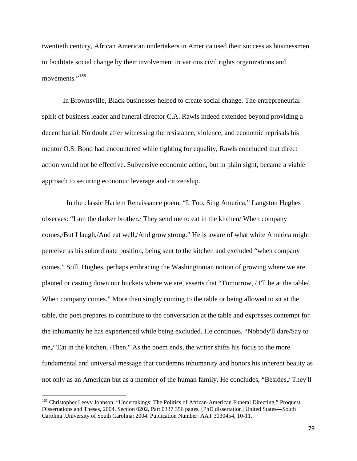twentieth century, African American undertakers in America used their success as businessmen to facilitate social change by their involvement in various civil rights organizations and movements."<sup>165</sup>

In Brownsville, Black businesses helped to create social change. The entrepreneurial spirit of business leader and funeral director C.A. Rawls indeed extended beyond providing a decent burial. No doubt after witnessing the resistance, violence, and economic reprisals his mentor O.S. Bond had encountered while fighting for equality, Rawls concluded that direct action would not be effective. Subversive economic action, but in plain sight, became a viable approach to securing economic leverage and citizenship.

 In the classic Harlem Renaissance poem, "I, Too, Sing America," Langston Hughes observes: "I am the darker brother./ They send me to eat in the kitchen/ When company comes,/But I laugh,/And eat well,/And grow strong." He is aware of what white America might perceive as his subordinate position, being sent to the kitchen and excluded "when company comes." Still, Hughes, perhaps embracing the Washingtonian notion of growing where we are planted or casting down our buckets where we are, asserts that "Tomorrow, / I'll be at the table/ When company comes." More than simply coming to the table or being allowed to sit at the table, the poet prepares to contribute to the conversation at the table and expresses contempt for the inhumanity he has experienced while being excluded. He continues, "Nobody'll dare/Say to me,/"Eat in the kitchen, /Then." As the poem ends, the writer shifts his focus to the more fundamental and universal message that condemns inhumanity and honors his inherent beauty as not only as an American but as a member of the human family. He concludes, "Besides,/ They'll

<sup>&</sup>lt;sup>165</sup> Christopher Leevy Johnson, "Undertakings: The Politics of African-American Funeral Directing," Proquest Dissertations and Theses, 2004. Section 0202, Part 0337 356 pages, [PhD dissertation] United States—South Carolina .University of South Carolina; 2004. Publication Number: AAT 3130454, 10-11.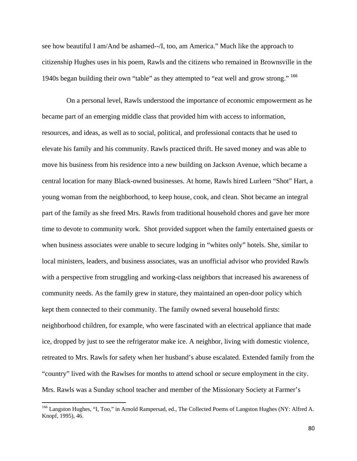see how beautiful I am/And be ashamed--/I, too, am America." Much like the approach to citizenship Hughes uses in his poem, Rawls and the citizens who remained in Brownsville in the 1940s began building their own "table" as they attempted to "eat well and grow strong." <sup>166</sup>

On a personal level, Rawls understood the importance of economic empowerment as he became part of an emerging middle class that provided him with access to information, resources, and ideas, as well as to social, political, and professional contacts that he used to elevate his family and his community. Rawls practiced thrift. He saved money and was able to move his business from his residence into a new building on Jackson Avenue, which became a central location for many Black-owned businesses. At home, Rawls hired Lurleen "Shot" Hart, a young woman from the neighborhood, to keep house, cook, and clean. Shot became an integral part of the family as she freed Mrs. Rawls from traditional household chores and gave her more time to devote to community work. Shot provided support when the family entertained guests or when business associates were unable to secure lodging in "whites only" hotels. She, similar to local ministers, leaders, and business associates, was an unofficial advisor who provided Rawls with a perspective from struggling and working-class neighbors that increased his awareness of community needs. As the family grew in stature, they maintained an open-door policy which kept them connected to their community. The family owned several household firsts: neighborhood children, for example, who were fascinated with an electrical appliance that made ice, dropped by just to see the refrigerator make ice. A neighbor, living with domestic violence, retreated to Mrs. Rawls for safety when her husband's abuse escalated. Extended family from the "country" lived with the Rawlses for months to attend school or secure employment in the city. Mrs. Rawls was a Sunday school teacher and member of the Missionary Society at Farmer's

<sup>&</sup>lt;sup>166</sup> Langston Hughes, "I, Too," in Arnold Rampersad, ed., The Collected Poems of Langston Hughes (NY: Alfred A. Knopf, 1995), 46.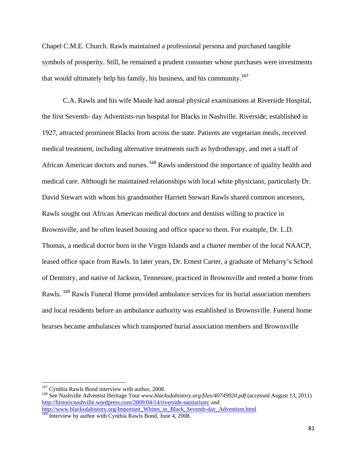Chapel C.M.E. Church. Rawls maintained a professional persona and purchased tangible symbols of prosperity. Still, he remained a prudent consumer whose purchases were investments that would ultimately help his family, his business, and his community.<sup>167</sup>

 C.A. Rawls and his wife Maude had annual physical examinations at Riverside Hospital, the first Seventh- day Adventists-run hospital for Blacks in Nashville. Riverside, established in 1927, attracted prominent Blacks from across the state. Patients ate vegetarian meals, received medical treatment, including alternative treatments such as hydrotherapy, and met a staff of African American doctors and nurses. <sup>168</sup> Rawls understood the importance of quality health and medical care. Although he maintained relationships with local white physicians, particularly Dr. David Stewart with whom his grandmother Harriett Stewart Rawls shared common ancestors, Rawls sought out African American medical doctors and dentists willing to practice in Brownsville, and he often leased housing and office space to them. For example, Dr. L.D. Thomas, a medical doctor born in the Virgin Islands and a charter member of the local NAACP, leased office space from Rawls. In later years, Dr. Ernest Carter, a graduate of Meharry's School of Dentistry, and native of Jackson, Tennessee, practiced in Brownsville and rented a home from Rawls. <sup>169</sup> Rawls Funeral Home provided ambulance services for its burial association members and local residents before an ambulance authority was established in Brownsville. Funeral home hearses became ambulances which transported burial association members and Brownsville

<sup>&</sup>lt;sup>167</sup> Cynthia Rawls Bond interview with author, 2008.<br><sup>168</sup> See Nashville Adventist Heritage Tour *www.blacksdahistory.org/files/40749920.pdf* (accessed August 13, 2011) http://historicnashville.wordpress.com/2009/04/14/riverside-sanitarium/ and http://www.blacksdahistory.org/Important\_Whites\_in\_Black\_Seventh-day\_Adventism.html

<sup>&</sup>lt;sup>169</sup> Interview by author with Cynthia Rawls Bond, June 4, 2008.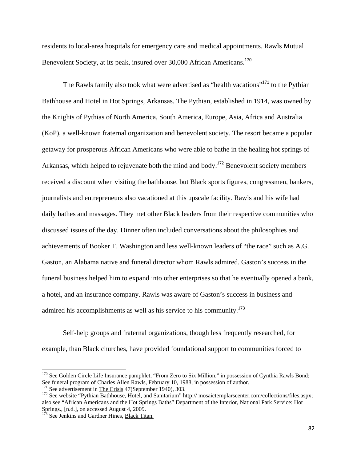residents to local-area hospitals for emergency care and medical appointments. Rawls Mutual Benevolent Society, at its peak, insured over 30,000 African Americans.<sup>170</sup>

The Rawls family also took what were advertised as "health vacations"<sup>171</sup> to the Pythian Bathhouse and Hotel in Hot Springs, Arkansas. The Pythian, established in 1914, was owned by the Knights of Pythias of North America, South America, Europe, Asia, Africa and Australia (KoP), a well-known fraternal organization and benevolent society. The resort became a popular getaway for prosperous African Americans who were able to bathe in the healing hot springs of Arkansas, which helped to rejuvenate both the mind and body.<sup>172</sup> Benevolent society members received a discount when visiting the bathhouse, but Black sports figures, congressmen, bankers, journalists and entrepreneurs also vacationed at this upscale facility. Rawls and his wife had daily bathes and massages. They met other Black leaders from their respective communities who discussed issues of the day. Dinner often included conversations about the philosophies and achievements of Booker T. Washington and less well-known leaders of "the race" such as A.G. Gaston, an Alabama native and funeral director whom Rawls admired. Gaston's success in the funeral business helped him to expand into other enterprises so that he eventually opened a bank, a hotel, and an insurance company. Rawls was aware of Gaston's success in business and admired his accomplishments as well as his service to his community.<sup>173</sup>

Self-help groups and fraternal organizations, though less frequently researched, for example, than Black churches, have provided foundational support to communities forced to

 $170$  See Golden Circle Life Insurance pamphlet, "From Zero to Six Million," in possession of Cynthia Rawls Bond; See funeral program of Charles Allen Rawls, February 10, 1988, in possession of author.<br><sup>171</sup> See advertisement in The Crisis 47(September 1940), 303.

<sup>&</sup>lt;sup>172</sup> See website "Pythian Bathhouse, Hotel, and Sanitarium" http:// mosaictemplarscenter.com/collections/files.aspx; also see "African Americans and the Hot Springs Baths" Department of the Interior, National Park Service: Hot Springs., [n.d.], on accessed August 4, 2009.<br><sup>173</sup> See Jenkins and Gardner Hines, Black Titan.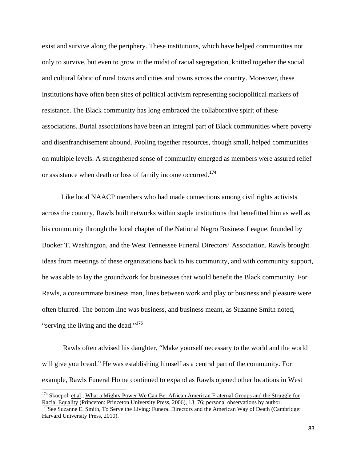exist and survive along the periphery. These institutions, which have helped communities not only to survive, but even to grow in the midst of racial segregation, knitted together the social and cultural fabric of rural towns and cities and towns across the country. Moreover, these institutions have often been sites of political activism representing sociopolitical markers of resistance. The Black community has long embraced the collaborative spirit of these associations. Burial associations have been an integral part of Black communities where poverty and disenfranchisement abound. Pooling together resources, though small, helped communities on multiple levels. A strengthened sense of community emerged as members were assured relief or assistance when death or loss of family income occurred.<sup>174</sup>

 Like local NAACP members who had made connections among civil rights activists across the country, Rawls built networks within staple institutions that benefitted him as well as his community through the local chapter of the National Negro Business League, founded by Booker T. Washington, and the West Tennessee Funeral Directors' Association. Rawls brought ideas from meetings of these organizations back to his community, and with community support, he was able to lay the groundwork for businesses that would benefit the Black community. For Rawls, a consummate business man, lines between work and play or business and pleasure were often blurred. The bottom line was business, and business meant, as Suzanne Smith noted, "serving the living and the dead."<sup>175</sup>

Rawls often advised his daughter, "Make yourself necessary to the world and the world will give you bread." He was establishing himself as a central part of the community. For example, Rawls Funeral Home continued to expand as Rawls opened other locations in West

<sup>&</sup>lt;sup>174</sup> Skocpol, et al., What a Mighty Power We Can Be: African American Fraternal Groups and the Struggle for Racial Equality (Princeton: Princeton University Press, 2006), 13, 76; personal observations by author.<br><sup>175</sup>See Suzanne E. Smith, <u>To Serve the Living: Funeral Directors and the American Way of Death</u> (Cambridge:

Harvard University Press, 2010).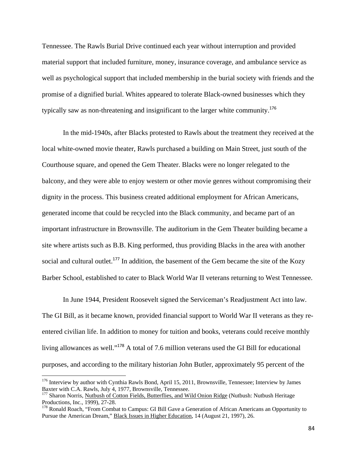Tennessee. The Rawls Burial Drive continued each year without interruption and provided material support that included furniture, money, insurance coverage, and ambulance service as well as psychological support that included membership in the burial society with friends and the promise of a dignified burial. Whites appeared to tolerate Black-owned businesses which they typically saw as non-threatening and insignificant to the larger white community.<sup>176</sup>

In the mid-1940s, after Blacks protested to Rawls about the treatment they received at the local white-owned movie theater, Rawls purchased a building on Main Street, just south of the Courthouse square, and opened the Gem Theater. Blacks were no longer relegated to the balcony, and they were able to enjoy western or other movie genres without compromising their dignity in the process. This business created additional employment for African Americans, generated income that could be recycled into the Black community, and became part of an important infrastructure in Brownsville. The auditorium in the Gem Theater building became a site where artists such as B.B. King performed, thus providing Blacks in the area with another social and cultural outlet.<sup>177</sup> In addition, the basement of the Gem became the site of the Kozy Barber School, established to cater to Black World War II veterans returning to West Tennessee.

In June 1944, President Roosevelt signed the Serviceman's Readjustment Act into law. The GI Bill, as it became known, provided financial support to World War II veterans as they reentered civilian life. In addition to money for tuition and books, veterans could receive monthly living allowances as well."<sup>178</sup> A total of 7.6 million veterans used the GI Bill for educational purposes, and according to the military historian John Butler, approximately 95 percent of the

<sup>&</sup>lt;sup>176</sup> Interview by author with Cynthia Rawls Bond, April 15, 2011, Brownsville, Tennessee; Interview by James Baxter with C.A. Rawls, July 4, 1977, Brownsville, Tennessee.<br><sup>177</sup> Sharon Norris, <u>Nutbush of Cotton Fields, Butterflies, and Wild Onion Ridge</u> (Nutbush: Nutbush Heritage

Productions, Inc., 1999), 27-28.

<sup>&</sup>lt;sup>178</sup> Ronald Roach, "From Combat to Campus: GI Bill Gave a Generation of African Americans an Opportunity to Pursue the American Dream," Black Issues in Higher Education, 14 (August 21, 1997), 26.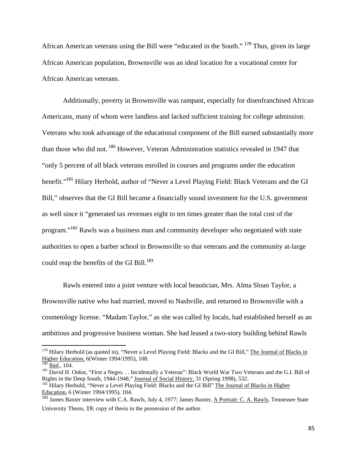African American veterans using the Bill were "educated in the South." <sup>179</sup> Thus, given its large African American population, Brownsville was an ideal location for a vocational center for African American veterans.

Additionally, poverty in Brownsville was rampant, especially for disenfranchised African Americans, many of whom were landless and lacked sufficient training for college admission. Veterans who took advantage of the educational component of the Bill earned substantially more than those who did not.<sup>180</sup> However, Veteran Administration statistics revealed in 1947 that "only 5 percent of all black veterans enrolled in courses and programs under the education benefit."<sup>181</sup> Hilary Herbold, author of "Never a Level Playing Field: Black Veterans and the GI Bill," observes that the GI Bill became a financially sound investment for the U.S. government as well since it "generated tax revenues eight to ten times greater than the total cost of the program."<sup>182</sup> Rawls was a business man and community developer who negotiated with state authorities to open a barber school in Brownsville so that veterans and the community at-large could reap the benefits of the GI Bill.<sup>183</sup>

Rawls entered into a joint venture with local beautician, Mrs. Alma Sloan Taylor, a Brownsville native who had married, moved to Nashville, and returned to Brownsville with a cosmetology license. "Madam Taylor," as she was called by locals, had established herself as an ambitious and progressive business woman. She had leased a two-story building behind Rawls

<sup>&</sup>lt;sup>179</sup> Hilary Herbold (as quoted in), "Never a Level Playing Field: Blacks and the GI Bill," The Journal of Blacks in Higher Education, 6(Winter 1994/1995), 108.<br><sup>180</sup> Ibid., 104.

 $\overline{181}$  David H. Onkst, "First a Negro. . . Incidentally a Veteran": Black World War Two Veterans and the G.I. Bill of Rights in the Deep South, 1944-1948," Journal of Social History, 31 (Spring 1998), 532.

<sup>&</sup>lt;sup>182</sup> Hilary Herbold, "Never a Level Playing Field: Blacks and the GI Bill" The Journal of Blacks in Higher Education, 6 (Winter 1994/1995), 104.

<sup>&</sup>lt;sup>183</sup> James Baxter interview with C.A. Rawls, July 4, 1977; James Baxter, <u>A Portrait: C. A. Rawls</u>, Tennessee State University Thesis, 19; copy of thesis in the possession of the author.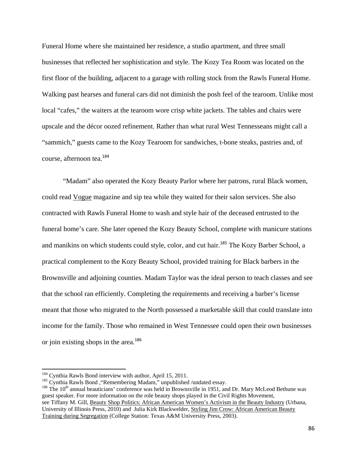Funeral Home where she maintained her residence, a studio apartment, and three small businesses that reflected her sophistication and style. The Kozy Tea Room was located on the first floor of the building, adjacent to a garage with rolling stock from the Rawls Funeral Home. Walking past hearses and funeral cars did not diminish the posh feel of the tearoom. Unlike most local "cafes," the waiters at the tearoom wore crisp white jackets. The tables and chairs were upscale and the décor oozed refinement. Rather than what rural West Tennesseans might call a "sammich," guests came to the Kozy Tearoom for sandwiches, t-bone steaks, pastries and, of course, afternoon tea.<sup>184</sup>

"Madam" also operated the Kozy Beauty Parlor where her patrons, rural Black women, could read Vogue magazine and sip tea while they waited for their salon services. She also contracted with Rawls Funeral Home to wash and style hair of the deceased entrusted to the funeral home's care. She later opened the Kozy Beauty School, complete with manicure stations and manikins on which students could style, color, and cut hair.<sup>185</sup> The Kozy Barber School, a practical complement to the Kozy Beauty School, provided training for Black barbers in the Brownsville and adjoining counties. Madam Taylor was the ideal person to teach classes and see that the school ran efficiently. Completing the requirements and receiving a barber's license meant that those who migrated to the North possessed a marketable skill that could translate into income for the family. Those who remained in West Tennessee could open their own businesses or join existing shops in the area.<sup>186</sup>

<sup>184</sup> Cynthia Rawls Bond interview with author, April 15, 2011.<br><sup>185</sup> Cynthia Rawls Bond , "Remembering Madam," unpublished /undated essay.<br><sup>186</sup> The 10<sup>th</sup> annual beauticians' conference was held in Brownsville in 1951, guest speaker. For more information on the role beauty shops played in the Civil Rights Movement, see Tiffany M. Gill, Beauty Shop Politics: African American Women's Activism in the Beauty Industry (Urbana, University of Illinois Press, 2010) and Julia Kirk Blackwelder, Styling Jim Crow: African American Beauty Training during Segregation (College Station: Texas A&M University Press, 2003).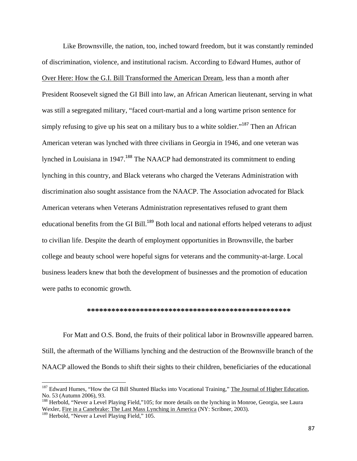Like Brownsville, the nation, too, inched toward freedom, but it was constantly reminded of discrimination, violence, and institutional racism. According to Edward Humes, author of Over Here: How the G.I. Bill Transformed the American Dream, less than a month after President Roosevelt signed the GI Bill into law, an African American lieutenant, serving in what was still a segregated military, "faced court-martial and a long wartime prison sentence for simply refusing to give up his seat on a military bus to a white soldier."<sup>187</sup> Then an African American veteran was lynched with three civilians in Georgia in 1946, and one veteran was lynched in Louisiana in 1947.<sup>188</sup> The NAACP had demonstrated its commitment to ending lynching in this country, and Black veterans who charged the Veterans Administration with discrimination also sought assistance from the NAACP. The Association advocated for Black American veterans when Veterans Administration representatives refused to grant them educational benefits from the GI Bill.<sup>189</sup> Both local and national efforts helped veterans to adjust to civilian life. Despite the dearth of employment opportunities in Brownsville, the barber college and beauty school were hopeful signs for veterans and the community-at-large. Local business leaders knew that both the development of businesses and the promotion of education were paths to economic growth.

## **\*\*\*\*\*\*\*\*\*\*\*\*\*\*\*\*\*\*\*\*\*\*\*\*\*\*\*\*\*\*\*\*\*\*\*\*\*\*\*\*\*\*\*\*\*\*\*\*\*\***

For Matt and O.S. Bond, the fruits of their political labor in Brownsville appeared barren. Still, the aftermath of the Williams lynching and the destruction of the Brownsville branch of the NAACP allowed the Bonds to shift their sights to their children, beneficiaries of the educational

<sup>&</sup>lt;sup>187</sup> Edward Humes, "How the GI Bill Shunted Blacks into Vocational Training," The Journal of Higher Education, No. 53 (Autumn 2006), 93.

<sup>&</sup>lt;sup>188</sup> Herbold, "Never a Level Playing Field,"105; for more details on the lynching in Monroe, Georgia, see Laura Wexler, Fire in a Canebrake: The Last Mass Lynching in America (NY: Scribner, 2003).

<sup>&</sup>lt;sup>189</sup> Herbold, "Never a Level Playing Field," 105.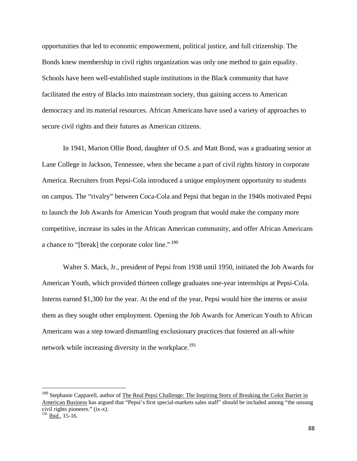opportunities that led to economic empowerment, political justice, and full citizenship. The Bonds knew membership in civil rights organization was only one method to gain equality. Schools have been well-established staple institutions in the Black community that have facilitated the entry of Blacks into mainstream society, thus gaining access to American democracy and its material resources. African Americans have used a variety of approaches to secure civil rights and their futures as American citizens.

In 1941, Marion Ollie Bond, daughter of O.S. and Matt Bond, was a graduating senior at Lane College in Jackson, Tennessee, when she became a part of civil rights history in corporate America. Recruiters from Pepsi-Cola introduced a unique employment opportunity to students on campus. The "rivalry" between Coca-Cola and Pepsi that began in the 1940s motivated Pepsi to launch the Job Awards for American Youth program that would make the company more competitive, increase its sales in the African American community, and offer African Americans a chance to "[break] the corporate color line."<sup>190</sup>

Walter S. Mack, Jr., president of Pepsi from 1938 until 1950, initiated the Job Awards for American Youth, which provided thirteen college graduates one-year internships at Pepsi-Cola. Interns earned \$1,300 for the year. At the end of the year, Pepsi would hire the interns or assist them as they sought other employment. Opening the Job Awards for American Youth to African Americans was a step toward dismantling exclusionary practices that fostered an all-white network while increasing diversity in the workplace.<sup>191</sup>

<sup>&</sup>lt;sup>190</sup> Stephanie Capparell, author of The Real Pepsi Challenge: The Inspiring Story of Breaking the Color Barrier in American Business has argued that "Pepsi's first special-markets sales staff" should be included among "the unsung civil rights pioneers." (ix-x).

 $191$  Ibid., 15-16.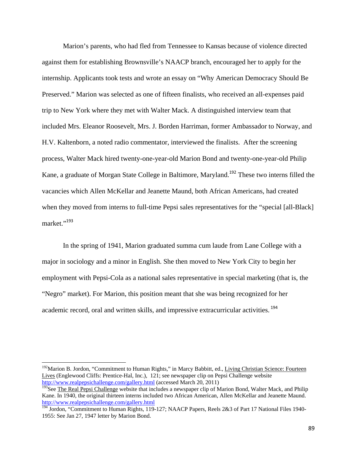Marion's parents, who had fled from Tennessee to Kansas because of violence directed against them for establishing Brownsville's NAACP branch, encouraged her to apply for the internship. Applicants took tests and wrote an essay on "Why American Democracy Should Be Preserved." Marion was selected as one of fifteen finalists, who received an all-expenses paid trip to New York where they met with Walter Mack. A distinguished interview team that included Mrs. Eleanor Roosevelt, Mrs. J. Borden Harriman, former Ambassador to Norway, and H.V. Kaltenborn, a noted radio commentator, interviewed the finalists. After the screening process, Walter Mack hired twenty-one-year-old Marion Bond and twenty-one-year-old Philip Kane, a graduate of Morgan State College in Baltimore, Maryland.<sup>192</sup> These two interns filled the vacancies which Allen McKellar and Jeanette Maund, both African Americans, had created when they moved from interns to full-time Pepsi sales representatives for the "special [all-Black] market."<sup>193</sup>

In the spring of 1941, Marion graduated summa cum laude from Lane College with a major in sociology and a minor in English. She then moved to New York City to begin her employment with Pepsi-Cola as a national sales representative in special marketing (that is, the "Negro" market). For Marion, this position meant that she was being recognized for her academic record, oral and written skills, and impressive extracurricular activities. <sup>194</sup>

<sup>192</sup>Marion B. Jordon, "Commitment to Human Rights," in Marcy Babbitt, ed., Living Christian Science: Fourteen Lives (Englewood Cliffs: Prentice-Hal, Inc.), 121; see newspaper clip on Pepsi Challenge website http://www.realpepsichallenge.com/gallery.html (accessed March 20, 2011)

<sup>&</sup>lt;sup>193</sup>See The Real Pepsi Challenge website that includes a newspaper clip of Marion Bond, Walter Mack, and Philip Kane. In 1940, the original thirteen interns included two African American, Allen McKellar and Jeanette Maund.<br>http://www.realpepsichallenge.com/gallery.html

<sup>&</sup>lt;sup>194</sup> Jordon, "Commitment to Human Rights, 119-127; NAACP Papers, Reels 2&3 of Part 17 National Files 1940-1955: See Jan 27, 1947 letter by Marion Bond.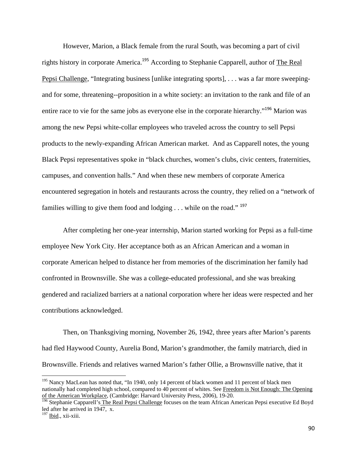However, Marion, a Black female from the rural South, was becoming a part of civil rights history in corporate America.<sup>195</sup> According to Stephanie Capparell, author of The Real Pepsi Challenge, "Integrating business [unlike integrating sports], . . . was a far more sweepingand for some, threatening--proposition in a white society: an invitation to the rank and file of an entire race to vie for the same jobs as everyone else in the corporate hierarchy."<sup>196</sup> Marion was among the new Pepsi white-collar employees who traveled across the country to sell Pepsi products to the newly-expanding African American market. And as Capparell notes, the young Black Pepsi representatives spoke in "black churches, women's clubs, civic centers, fraternities, campuses, and convention halls." And when these new members of corporate America encountered segregation in hotels and restaurants across the country, they relied on a "network of families willing to give them food and lodging  $\dots$  while on the road."<sup>197</sup>

After completing her one-year internship, Marion started working for Pepsi as a full-time employee New York City. Her acceptance both as an African American and a woman in corporate American helped to distance her from memories of the discrimination her family had confronted in Brownsville. She was a college-educated professional, and she was breaking gendered and racialized barriers at a national corporation where her ideas were respected and her contributions acknowledged.

Then, on Thanksgiving morning, November 26, 1942, three years after Marion's parents had fled Haywood County, Aurelia Bond, Marion's grandmother, the family matriarch, died in Brownsville. Friends and relatives warned Marion's father Ollie, a Brownsville native, that it

<sup>&</sup>lt;sup>195</sup> Nancy MacLean has noted that, "In 1940, only 14 percent of black women and 11 percent of black men nationally had completed high school, compared to 40 percent of whites. See Freedom is Not Enough: The Opening of the American Workplace, (Cambridge: Harvard University Press, 2006), 19-20.

<sup>&</sup>lt;sup>196</sup> Stephanie Capparell's The Real Pepsi Challenge focuses on the team African American Pepsi executive Ed Boyd led after he arrived in 1947, x.

<sup>&</sup>lt;sup>197</sup> Ibid., xii-xiii.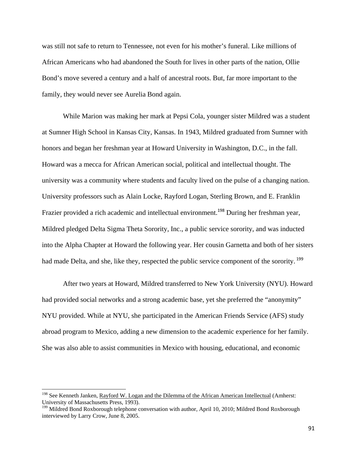was still not safe to return to Tennessee, not even for his mother's funeral. Like millions of African Americans who had abandoned the South for lives in other parts of the nation, Ollie Bond's move severed a century and a half of ancestral roots. But, far more important to the family, they would never see Aurelia Bond again.

While Marion was making her mark at Pepsi Cola, younger sister Mildred was a student at Sumner High School in Kansas City, Kansas. In 1943, Mildred graduated from Sumner with honors and began her freshman year at Howard University in Washington, D.C., in the fall. Howard was a mecca for African American social, political and intellectual thought. The university was a community where students and faculty lived on the pulse of a changing nation. University professors such as Alain Locke, Rayford Logan, Sterling Brown, and E. Franklin Frazier provided a rich academic and intellectual environment.<sup>198</sup> During her freshman year, Mildred pledged Delta Sigma Theta Sorority, Inc., a public service sorority, and was inducted into the Alpha Chapter at Howard the following year. Her cousin Garnetta and both of her sisters had made Delta, and she, like they, respected the public service component of the sorority.<sup>199</sup>

After two years at Howard, Mildred transferred to New York University (NYU). Howard had provided social networks and a strong academic base, yet she preferred the "anonymity" NYU provided. While at NYU, she participated in the American Friends Service (AFS) study abroad program to Mexico, adding a new dimension to the academic experience for her family. She was also able to assist communities in Mexico with housing, educational, and economic

<sup>&</sup>lt;sup>198</sup> See Kenneth Janken, <u>Rayford W. Logan and the Dilemma of the African American Intellectual</u> (Amherst: University of Massachusetts Press, 1993).

<sup>&</sup>lt;sup>199</sup> Mildred Bond Roxborough telephone conversation with author, April 10, 2010; Mildred Bond Roxborough interviewed by Larry Crow, June 8, 2005.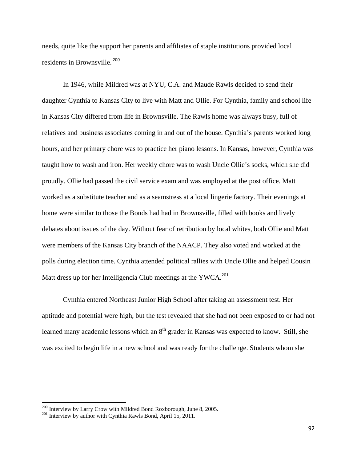needs, quite like the support her parents and affiliates of staple institutions provided local residents in Brownsville. <sup>200</sup>

In 1946, while Mildred was at NYU, C.A. and Maude Rawls decided to send their daughter Cynthia to Kansas City to live with Matt and Ollie. For Cynthia, family and school life in Kansas City differed from life in Brownsville. The Rawls home was always busy, full of relatives and business associates coming in and out of the house. Cynthia's parents worked long hours, and her primary chore was to practice her piano lessons. In Kansas, however, Cynthia was taught how to wash and iron. Her weekly chore was to wash Uncle Ollie's socks, which she did proudly. Ollie had passed the civil service exam and was employed at the post office. Matt worked as a substitute teacher and as a seamstress at a local lingerie factory. Their evenings at home were similar to those the Bonds had had in Brownsville, filled with books and lively debates about issues of the day. Without fear of retribution by local whites, both Ollie and Matt were members of the Kansas City branch of the NAACP. They also voted and worked at the polls during election time. Cynthia attended political rallies with Uncle Ollie and helped Cousin Matt dress up for her Intelligencia Club meetings at the YWCA.<sup>201</sup>

Cynthia entered Northeast Junior High School after taking an assessment test. Her aptitude and potential were high, but the test revealed that she had not been exposed to or had not learned many academic lessons which an  $8<sup>th</sup>$  grader in Kansas was expected to know. Still, she was excited to begin life in a new school and was ready for the challenge. Students whom she

 $200$  Interview by Larry Crow with Mildred Bond Roxborough, June 8, 2005.<br> $201$  Interview by author with Cynthia Rawls Bond, April 15, 2011.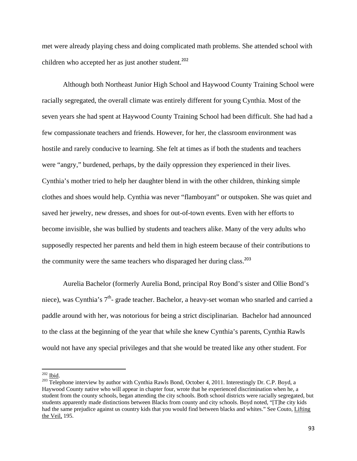met were already playing chess and doing complicated math problems. She attended school with children who accepted her as just another student.<sup>202</sup>

Although both Northeast Junior High School and Haywood County Training School were racially segregated, the overall climate was entirely different for young Cynthia. Most of the seven years she had spent at Haywood County Training School had been difficult. She had had a few compassionate teachers and friends. However, for her, the classroom environment was hostile and rarely conducive to learning. She felt at times as if both the students and teachers were "angry," burdened, perhaps, by the daily oppression they experienced in their lives. Cynthia's mother tried to help her daughter blend in with the other children, thinking simple clothes and shoes would help. Cynthia was never "flamboyant" or outspoken. She was quiet and saved her jewelry, new dresses, and shoes for out-of-town events. Even with her efforts to become invisible, she was bullied by students and teachers alike. Many of the very adults who supposedly respected her parents and held them in high esteem because of their contributions to the community were the same teachers who disparaged her during class.<sup>203</sup>

Aurelia Bachelor (formerly Aurelia Bond, principal Roy Bond's sister and Ollie Bond's niece), was Cynthia's 7<sup>th</sup>- grade teacher. Bachelor, a heavy-set woman who snarled and carried a paddle around with her, was notorious for being a strict disciplinarian. Bachelor had announced to the class at the beginning of the year that while she knew Cynthia's parents, Cynthia Rawls would not have any special privileges and that she would be treated like any other student. For

 $\frac{202}{203}$  <u>Tbid</u>.<br><sup>203</sup> Telephone interview by author with Cynthia Rawls Bond, October 4, 2011. Interestingly Dr. C.P. Boyd, a Haywood County native who will appear in chapter four, wrote that he experienced discrimination when he, a student from the county schools, began attending the city schools. Both school districts were racially segregated, but students apparently made distinctions between Blacks from county and city schools. Boyd noted, "[T]he city kids had the same prejudice against us country kids that you would find between blacks and whites." See Couto, Lifting the Veil, 195.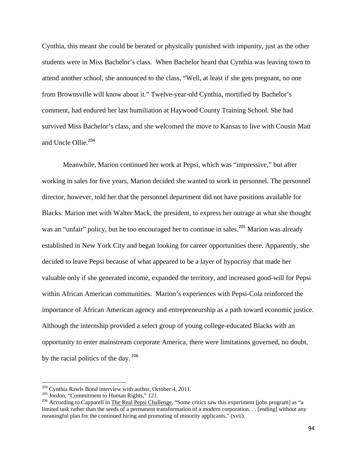Cynthia, this meant she could be berated or physically punished with impunity, just as the other students were in Miss Bachelor's class. When Bachelor heard that Cynthia was leaving town to attend another school, she announced to the class, "Well, at least if she gets pregnant, no one from Brownsville will know about it." Twelve-year-old Cynthia, mortified by Bachelor's comment, had endured her last humiliation at Haywood County Training School. She had survived Miss Bachelor's class, and she welcomed the move to Kansas to live with Cousin Matt and Uncle Ollie.<sup>204</sup>

Meanwhile, Marion continued her work at Pepsi, which was "impressive," but after working in sales for five years, Marion decided she wanted to work in personnel. The personnel director, however, told her that the personnel department did not have positions available for Blacks. Marion met with Walter Mack, the president, to express her outrage at what she thought was an "unfair" policy, but he too encouraged her to continue in sales.<sup>205</sup> Marion was already established in New York City and began looking for career opportunities there. Apparently, she decided to leave Pepsi because of what appeared to be a layer of hypocrisy that made her valuable only if she generated income, expanded the territory, and increased good-will for Pepsi within African American communities. Marion's experiences with Pepsi-Cola reinforced the importance of African American agency and entrepreneurship as a path toward economic justice. Although the internship provided a select group of young college-educated Blacks with an opportunity to enter mainstream corporate America, there were limitations governed, no doubt, by the racial politics of the day.  $^{206}$ 

<sup>&</sup>lt;sup>204</sup> Cynthia Rawls Bond interview with author, October 4, 2011.<br><sup>205</sup> Jordon, "Commitment to Human Rights," 121.<br><sup>206</sup> According to Capparell in <u>The Real Pepsi Challenge</u>, "Some critics saw this experiment [jobs program limited task rather than the seeds of a permanent transformation of a modern corporation. . . [ending] without any meaningful plan for the continued hiring and promoting of minority applicants." (xvii).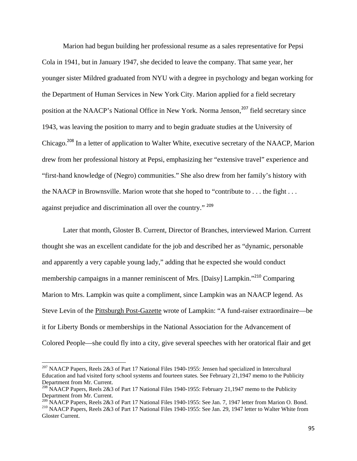Marion had begun building her professional resume as a sales representative for Pepsi Cola in 1941, but in January 1947, she decided to leave the company. That same year, her younger sister Mildred graduated from NYU with a degree in psychology and began working for the Department of Human Services in New York City. Marion applied for a field secretary position at the NAACP's National Office in New York. Norma Jenson,<sup>207</sup> field secretary since 1943, was leaving the position to marry and to begin graduate studies at the University of Chicago.<sup>208</sup> In a letter of application to Walter White, executive secretary of the NAACP, Marion drew from her professional history at Pepsi, emphasizing her "extensive travel" experience and "first-hand knowledge of (Negro) communities." She also drew from her family's history with the NAACP in Brownsville. Marion wrote that she hoped to "contribute to . . . the fight . . . against prejudice and discrimination all over the country." <sup>209</sup>

Later that month, Gloster B. Current, Director of Branches, interviewed Marion. Current thought she was an excellent candidate for the job and described her as "dynamic, personable and apparently a very capable young lady," adding that he expected she would conduct membership campaigns in a manner reminiscent of Mrs. [Daisy] Lampkin."<sup>210</sup> Comparing Marion to Mrs. Lampkin was quite a compliment, since Lampkin was an NAACP legend. As Steve Levin of the Pittsburgh Post-Gazette wrote of Lampkin: "A fund-raiser extraordinaire—be it for Liberty Bonds or memberships in the National Association for the Advancement of Colored People—she could fly into a city, give several speeches with her oratorical flair and get

<sup>&</sup>lt;sup>207</sup> NAACP Papers, Reels  $2\&3$  of Part 17 National Files 1940-1955: Jensen had specialized in Intercultural Education and had visited forty school systems and fourteen states. See February 21,1947 memo to the Publicity Department from Mr. Current.

<sup>&</sup>lt;sup>208</sup> NAACP Papers, Reels 2&3 of Part 17 National Files 1940-1955: February 21,1947 memo to the Publicity Department from Mr. Current.<br><sup>209</sup> NAACP Papers, Reels 2&3 of Part 17 National Files 1940-1955: See Jan. 7, 1947 letter from Marion O. Bond.

<sup>&</sup>lt;sup>210</sup> NAACP Papers, Reels 2&3 of Part 17 National Files 1940-1955: See Jan. 29, 1947 letter to Walter White from Gloster Current.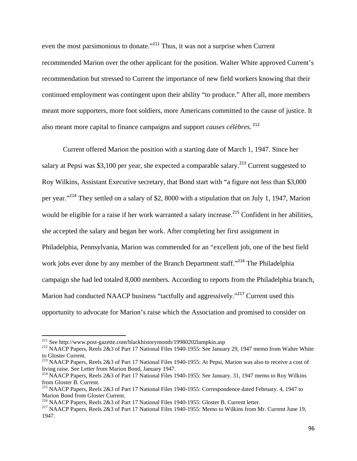even the most parsimonious to donate."<sup>211</sup> Thus, it was not a surprise when Current recommended Marion over the other applicant for the position. Walter White approved Current's recommendation but stressed to Current the importance of new field workers knowing that their continued employment was contingent upon their ability "to produce." After all, more members meant more supporters, more foot soldiers, more Americans committed to the cause of justice. It also meant more capital to finance campaigns and support *causes célèbres*. <sup>212</sup>

Current offered Marion the position with a starting date of March 1, 1947. Since her salary at Pepsi was \$3,100 per year, she expected a comparable salary.<sup>213</sup> Current suggested to Roy Wilkins, Assistant Executive secretary, that Bond start with "a figure not less than \$3,000 per year."<sup>214</sup> They settled on a salary of \$2, 8000 with a stipulation that on July 1, 1947, Marion would be eligible for a raise if her work warranted a salary increase.<sup>215</sup> Confident in her abilities, she accepted the salary and began her work. After completing her first assignment in Philadelphia, Pennsylvania, Marion was commended for an "excellent job, one of the best field work jobs ever done by any member of the Branch Department staff."<sup>216</sup> The Philadelphia campaign she had led totaled 8,000 members. According to reports from the Philadelphia branch, Marion had conducted NAACP business "tactfully and aggressively."<sup>217</sup> Current used this opportunity to advocate for Marion's raise which the Association and promised to consider on

<sup>&</sup>lt;sup>211</sup> See http://www.post-gazette.com/blackhistorymonth/199802021ampkin.asp

<sup>&</sup>lt;sup>212</sup> NAACP Papers, Reels 2&3 of Part 17 National Files 1940-1955: See January 29, 1947 memo from Walter White to Gloster Current.

<sup>213</sup> NAACP Papers, Reels 2&3 of Part 17 National Files 1940-1955: At Pepsi, Marion was also to receive a cost of living raise. See Letter from Marion Bond, January 1947.

<sup>&</sup>lt;sup>214</sup> NAACP Papers, Reels 2&3 of Part 17 National Files 1940-1955: See January. 31, 1947 memo to Roy Wilkins from Gloster B. Current.

<sup>215</sup> NAACP Papers, Reels 2&3 of Part 17 National Files 1940-1955: Correspondence dated February. 4, 1947 to Marion Bond from Gloster Current.<br>
<sup>216</sup> NAACP Papers, Reels 2&3 of Part 17 National Files 1940-1955: Gloster B. Current letter.

<sup>&</sup>lt;sup>217</sup> NAACP Papers, Reels 2&3 of Part 17 National Files 1940-1955: Memo to Wilkins from Mr. Current June 19, 1947.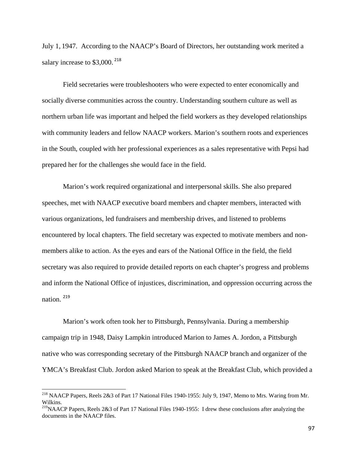July 1, 1947. According to the NAACP's Board of Directors, her outstanding work merited a salary increase to \$3,000.<sup>218</sup>

Field secretaries were troubleshooters who were expected to enter economically and socially diverse communities across the country. Understanding southern culture as well as northern urban life was important and helped the field workers as they developed relationships with community leaders and fellow NAACP workers. Marion's southern roots and experiences in the South, coupled with her professional experiences as a sales representative with Pepsi had prepared her for the challenges she would face in the field.

Marion's work required organizational and interpersonal skills. She also prepared speeches, met with NAACP executive board members and chapter members, interacted with various organizations, led fundraisers and membership drives, and listened to problems encountered by local chapters. The field secretary was expected to motivate members and nonmembers alike to action. As the eyes and ears of the National Office in the field, the field secretary was also required to provide detailed reports on each chapter's progress and problems and inform the National Office of injustices, discrimination, and oppression occurring across the nation. <sup>219</sup>

Marion's work often took her to Pittsburgh, Pennsylvania. During a membership campaign trip in 1948, Daisy Lampkin introduced Marion to James A. Jordon, a Pittsburgh native who was corresponding secretary of the Pittsburgh NAACP branch and organizer of the YMCA's Breakfast Club. Jordon asked Marion to speak at the Breakfast Club, which provided a

<sup>&</sup>lt;sup>218</sup> NAACP Papers, Reels 2&3 of Part 17 National Files 1940-1955: July 9, 1947, Memo to Mrs. Waring from Mr. Wilkins.

<sup>&</sup>lt;sup>219</sup>NAACP Papers, Reels 2&3 of Part 17 National Files 1940-1955: I drew these conclusions after analyzing the documents in the NAACP files.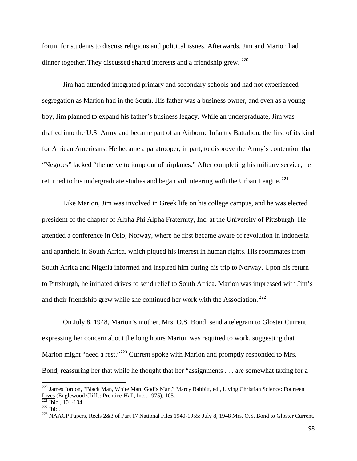forum for students to discuss religious and political issues. Afterwards, Jim and Marion had dinner together. They discussed shared interests and a friendship grew. <sup>220</sup>

Jim had attended integrated primary and secondary schools and had not experienced segregation as Marion had in the South. His father was a business owner, and even as a young boy, Jim planned to expand his father's business legacy. While an undergraduate, Jim was drafted into the U.S. Army and became part of an Airborne Infantry Battalion, the first of its kind for African Americans. He became a paratrooper, in part, to disprove the Army's contention that "Negroes" lacked "the nerve to jump out of airplanes." After completing his military service, he returned to his undergraduate studies and began volunteering with the Urban League.<sup>221</sup>

Like Marion, Jim was involved in Greek life on his college campus, and he was elected president of the chapter of Alpha Phi Alpha Fraternity, Inc. at the University of Pittsburgh. He attended a conference in Oslo, Norway, where he first became aware of revolution in Indonesia and apartheid in South Africa, which piqued his interest in human rights. His roommates from South Africa and Nigeria informed and inspired him during his trip to Norway. Upon his return to Pittsburgh, he initiated drives to send relief to South Africa. Marion was impressed with Jim's and their friendship grew while she continued her work with the Association. <sup>222</sup>

On July 8, 1948, Marion's mother, Mrs. O.S. Bond, send a telegram to Gloster Current expressing her concern about the long hours Marion was required to work, suggesting that Marion might "need a rest."<sup>223</sup> Current spoke with Marion and promptly responded to Mrs. Bond, reassuring her that while he thought that her "assignments . . . are somewhat taxing for a

<sup>&</sup>lt;sup>220</sup> James Jordon, "Black Man, White Man, God's Man," Marcy Babbitt, ed., <u>Living Christian Science: Fourteen</u><br>Lives (Englewood Cliffs: Prentice-Hall, Inc., 1975), 105.<br><sup>221</sup> <u>Ibid.</u>, 101-104.

 $\frac{222}{\text{Bid}}$ , 1977, 106, 11, 105. 223<br> $\frac{1}{223}$  NAACP Papers, Reels 2&3 of Part 17 National Files 1940-1955: July 8, 1948 Mrs. O.S. Bond to Gloster Current.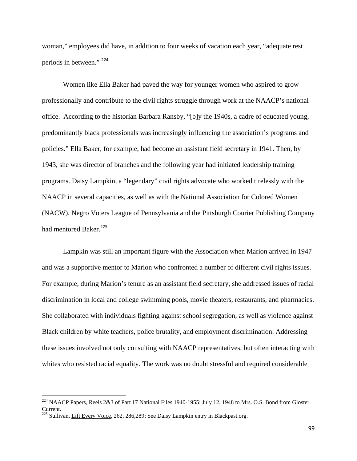woman," employees did have, in addition to four weeks of vacation each year, "adequate rest periods in between."<sup>224</sup>

Women like Ella Baker had paved the way for younger women who aspired to grow professionally and contribute to the civil rights struggle through work at the NAACP's national office. According to the historian Barbara Ransby, "[b]y the 1940s, a cadre of educated young, predominantly black professionals was increasingly influencing the association's programs and policies." Ella Baker, for example, had become an assistant field secretary in 1941. Then, by 1943, she was director of branches and the following year had initiated leadership training programs. Daisy Lampkin, a "legendary" civil rights advocate who worked tirelessly with the NAACP in several capacities, as well as with the National Association for Colored Women (NACW), Negro Voters League of Pennsylvania and the Pittsburgh Courier Publishing Company had mentored Baker.<sup>225</sup>

Lampkin was still an important figure with the Association when Marion arrived in 1947 and was a supportive mentor to Marion who confronted a number of different civil rights issues. For example, during Marion's tenure as an assistant field secretary, she addressed issues of racial discrimination in local and college swimming pools, movie theaters, restaurants, and pharmacies. She collaborated with individuals fighting against school segregation, as well as violence against Black children by white teachers, police brutality, and employment discrimination. Addressing these issues involved not only consulting with NAACP representatives, but often interacting with whites who resisted racial equality. The work was no doubt stressful and required considerable

 $^{224}$  NAACP Papers, Reels 2&3 of Part 17 National Files 1940-1955: July 12, 1948 to Mrs. O.S. Bond from Gloster Current.

 $225$  Sullivan, Lift Every Voice, 262, 286, 289; See Daisy Lampkin entry in Blackpast.org.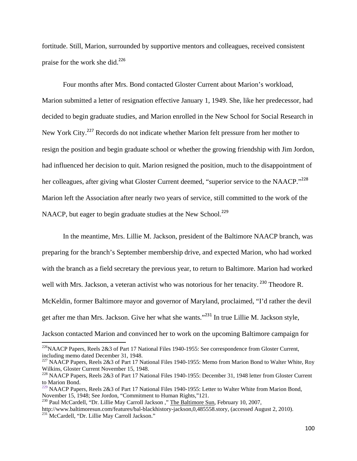fortitude. Still, Marion, surrounded by supportive mentors and colleagues, received consistent praise for the work she did.<sup>226</sup>

Four months after Mrs. Bond contacted Gloster Current about Marion's workload, Marion submitted a letter of resignation effective January 1, 1949. She, like her predecessor, had decided to begin graduate studies, and Marion enrolled in the New School for Social Research in New York City.<sup>227</sup> Records do not indicate whether Marion felt pressure from her mother to resign the position and begin graduate school or whether the growing friendship with Jim Jordon, had influenced her decision to quit. Marion resigned the position, much to the disappointment of her colleagues, after giving what Gloster Current deemed, "superior service to the NAACP."<sup>228</sup> Marion left the Association after nearly two years of service, still committed to the work of the NAACP, but eager to begin graduate studies at the New School.<sup>229</sup>

In the meantime, Mrs. Lillie M. Jackson, president of the Baltimore NAACP branch, was preparing for the branch's September membership drive, and expected Marion, who had worked with the branch as a field secretary the previous year, to return to Baltimore. Marion had worked well with Mrs. Jackson, a veteran activist who was notorious for her tenacity.<sup>230</sup> Theodore R. McKeldin, former Baltimore mayor and governor of Maryland, proclaimed, "I'd rather the devil get after me than Mrs. Jackson. Give her what she wants."<sup>231</sup> In true Lillie M. Jackson style, Jackson contacted Marion and convinced her to work on the upcoming Baltimore campaign for

<sup>&</sup>lt;sup>226</sup>NAACP Papers, Reels 2&3 of Part 17 National Files 1940-1955: See correspondence from Gloster Current, including memo dated December 31, 1948.

<sup>&</sup>lt;sup>227</sup> NAACP Papers, Reels 2&3 of Part 17 National Files 1940-1955: Memo from Marion Bond to Walter White, Roy Wilkins, Gloster Current November 15, 1948.

<sup>&</sup>lt;sup>228</sup> NAACP Papers, Reels 2&3 of Part 17 National Files 1940-1955: December 31, 1948 letter from Gloster Current to Marion Bond.

 $^{229}$  NAACP Papers, Reels 2&3 of Part 17 National Files 1940-1955: Letter to Walter White from Marion Bond, November 15, 1948; See Jordon, "Commitment to Human Rights,"121.

<sup>&</sup>lt;sup>230</sup> Paul McCardell, "Dr. Lillie May Carroll Jackson ," The Baltimore Sun, February 10, 2007, http://www.baltimoresun.com/features/bal-blackhistory-jackson,0,485558.story, (accessed August 2, 2010).<br><sup>231</sup> McCardell, "Dr. Lillie May Carroll Jackson."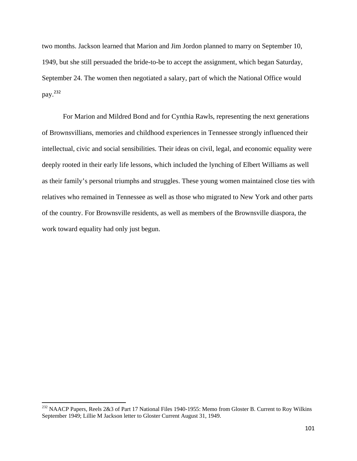two months. Jackson learned that Marion and Jim Jordon planned to marry on September 10, 1949, but she still persuaded the bride-to-be to accept the assignment, which began Saturday, September 24. The women then negotiated a salary, part of which the National Office would pay.<sup>232</sup>

For Marion and Mildred Bond and for Cynthia Rawls, representing the next generations of Brownsvillians, memories and childhood experiences in Tennessee strongly influenced their intellectual, civic and social sensibilities. Their ideas on civil, legal, and economic equality were deeply rooted in their early life lessons, which included the lynching of Elbert Williams as well as their family's personal triumphs and struggles. These young women maintained close ties with relatives who remained in Tennessee as well as those who migrated to New York and other parts of the country. For Brownsville residents, as well as members of the Brownsville diaspora, the work toward equality had only just begun.

<sup>&</sup>lt;sup>232</sup> NAACP Papers, Reels 2&3 of Part 17 National Files 1940-1955: Memo from Gloster B. Current to Roy Wilkins September 1949; Lillie M Jackson letter to Gloster Current August 31, 1949.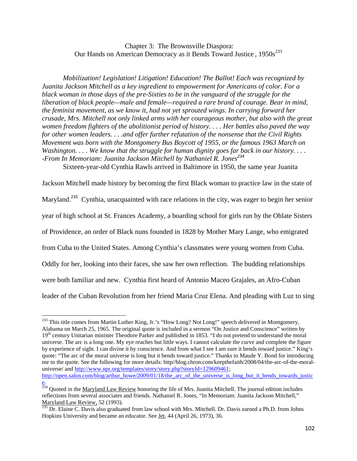Chapter 3: The Brownsville Diaspora: Our Hands on American Democracy as it Bends Toward Justice, 1950s<sup>233</sup>

*Mobilization! Legislation! Litigation! Education! The Ballot! Each was recognized by Juanita Jackson Mitchell as a key ingredient to empowerment for Americans of color. For a black woman in those days of the pre-Sixties to be in the vanguard of the struggle for the liberation of black people—male and female—required a rare brand of courage. Bear in mind, the feminist movement, as we know it, had not yet sprouted wings. In carrying forward her crusade, Mrs. Mitchell not only linked arms with her courageous mother, but also with the great women freedom fighters of the abolitionist period of history. . . . Her battles also paved the way for other women leaders. . . .and offer further refutation of the nonsense that the Civil Rights Movement was born with the Montgomery Bus Boycott of 1955, or the famous 1963 March on Washington. . . . We know that the struggle for human dignity goes far back in our history. . . . -From In Memoriam: Juanita Jackson Mitchell by Nathaniel R. Jones<sup>234</sup>*

Sixteen-year-old Cynthia Rawls arrived in Baltimore in 1950, the same year Juanita

Jackson Mitchell made history by becoming the first Black woman to practice law in the state of Maryland.<sup>235</sup> Cynthia, unacquainted with race relations in the city, was eager to begin her senior year of high school at St. Frances Academy, a boarding school for girls run by the Oblate Sisters of Providence, an order of Black nuns founded in 1828 by Mother Mary Lange, who emigrated from Cuba to the United States. Among Cynthia's classmates were young women from Cuba. Oddly for her, looking into their faces, she saw her own reflection. The budding relationships were both familiar and new. Cynthia first heard of Antonio Maceo Grajales, an Afro-Cuban leader of the Cuban Revolution from her friend Maria Cruz Elena. And pleading with Luz to sing

<sup>&</sup>lt;sup>233</sup> This title comes from Martin Luther King, Jr.'s "How Long? Not Long!" speech delivered in Montgomery, Alabama on March 25, 1965. The original quote is included in a sermon "On Justice and Conscience" written by 19<sup>th</sup> century Unitarian minister Theodore Parker and published in 1853. "I do not pretend to understand the moral universe. The arc is a long one. My eye reaches but little ways. I cannot calculate the curve and complete the figure by experience of sight. I can divine it by conscience. And from what I see I am sure it bends toward justice." King's quote: "The arc of the moral universe is long but it bends toward justice." Thanks to Maude Y. Bond for introducing me to the quote. See the following for more details: http//blog.chron.com/keepthefaith/2008/04/the-arc-of-the-moraluniverse/ and http://www.npr.org/templates/story/story.php?storyId=129609461; http://open.salon.com/blog/arthur\_howe/2009/01/18/the\_arc\_of\_the\_universe\_is\_long\_but\_it\_bends\_towards\_justic\_

e. <sup>234</sup> Quoted in the Maryland Law Review honoring the life of Mrs. Juanita Mitchell. The journal edition includes reflections from several associates and friends. Nathaniel R. Jones, "In Memoriam: Juanita Jackson Mitchell," Maryland Law Review, 52 (1993).

<sup>&</sup>lt;sup>235</sup> Dr. Elaine C. Davis also graduated from law school with Mrs. Mitchell. Dr. Davis earned a Ph.D. from Johns Hopkins University and became an educator. See Jet, 44 (April 26, 1973), 36.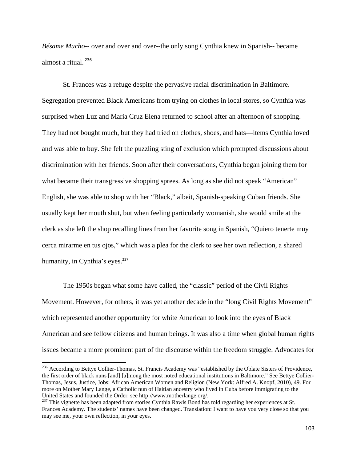*Bésame Mucho*-- over and over and over--the only song Cynthia knew in Spanish-- became almost a ritual.<sup>236</sup>

St. Frances was a refuge despite the pervasive racial discrimination in Baltimore. Segregation prevented Black Americans from trying on clothes in local stores, so Cynthia was surprised when Luz and Maria Cruz Elena returned to school after an afternoon of shopping. They had not bought much, but they had tried on clothes, shoes, and hats—items Cynthia loved and was able to buy. She felt the puzzling sting of exclusion which prompted discussions about discrimination with her friends. Soon after their conversations, Cynthia began joining them for what became their transgressive shopping sprees. As long as she did not speak "American" English, she was able to shop with her "Black," albeit, Spanish-speaking Cuban friends. She usually kept her mouth shut, but when feeling particularly womanish, she would smile at the clerk as she left the shop recalling lines from her favorite song in Spanish, "Quiero tenerte muy cerca mirarme en tus ojos," which was a plea for the clerk to see her own reflection, a shared humanity, in Cynthia's eyes.<sup>237</sup>

The 1950s began what some have called, the "classic" period of the Civil Rights Movement. However, for others, it was yet another decade in the "long Civil Rights Movement" which represented another opportunity for white American to look into the eyes of Black American and see fellow citizens and human beings. It was also a time when global human rights issues became a more prominent part of the discourse within the freedom struggle. Advocates for

<sup>&</sup>lt;sup>236</sup> According to Bettye Collier-Thomas, St. Francis Academy was "established by the Oblate Sisters of Providence, the first order of black nuns [and] [a]mong the most noted educational institutions in Baltimore." See Bettye Collier-Thomas, Jesus, Justice, Jobs: African American Women and Religion (New York: Alfred A. Knopf, 2010), 49. For more on Mother Mary Lange, a Catholic nun of Haitian ancestry who lived in Cuba before immigrating to the United States and founded the Order, see http://www.motherlange.org/.

<sup>&</sup>lt;sup>237</sup> This vignette has been adapted from stories Cynthia Rawls Bond has told regarding her experiences at St. Frances Academy. The students' names have been changed. Translation: I want to have you very close so that you may see me, your own reflection, in your eyes.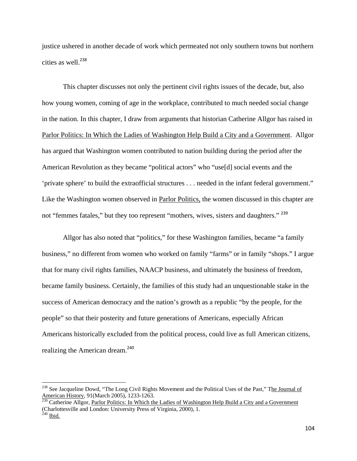justice ushered in another decade of work which permeated not only southern towns but northern cities as well.<sup>238</sup>

This chapter discusses not only the pertinent civil rights issues of the decade, but, also how young women, coming of age in the workplace, contributed to much needed social change in the nation. In this chapter, I draw from arguments that historian Catherine Allgor has raised in Parlor Politics: In Which the Ladies of Washington Help Build a City and a Government. Allgor has argued that Washington women contributed to nation building during the period after the American Revolution as they became "political actors" who "use[d] social events and the 'private sphere' to build the extraofficial structures . . . needed in the infant federal government." Like the Washington women observed in Parlor Politics, the women discussed in this chapter are not "femmes fatales," but they too represent "mothers, wives, sisters and daughters." <sup>239</sup>

Allgor has also noted that "politics," for these Washington families, became "a family business," no different from women who worked on family "farms" or in family "shops." I argue that for many civil rights families, NAACP business, and ultimately the business of freedom, became family business. Certainly, the families of this study had an unquestionable stake in the success of American democracy and the nation's growth as a republic "by the people, for the people" so that their posterity and future generations of Americans, especially African Americans historically excluded from the political process, could live as full American citizens, realizing the American dream.<sup>240</sup>

<sup>&</sup>lt;sup>238</sup> See Jacqueline Dowd, "The Long Civil Rights Movement and the Political Uses of the Past," The Journal of American History, 91(March 2005), 1233-1263.

<sup>&</sup>lt;sup>239</sup> Catherine Allgor, Parlor Politics: In Which the Ladies of Washington Help Build a City and a Government (Charlottesville and London: University Press of Virginia, 2000), 1.

 $^{240}$  Ibid.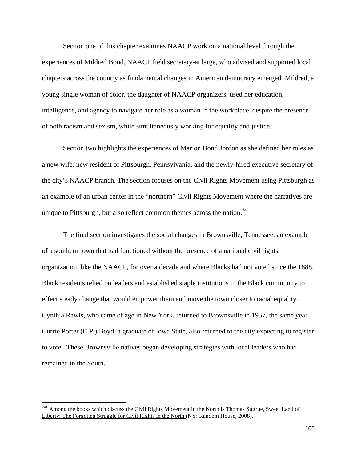Section one of this chapter examines NAACP work on a national level through the experiences of Mildred Bond, NAACP field secretary-at large, who advised and supported local chapters across the country as fundamental changes in American democracy emerged. Mildred, a young single woman of color, the daughter of NAACP organizers, used her education, intelligence, and agency to navigate her role as a woman in the workplace, despite the presence of both racism and sexism, while simultaneously working for equality and justice.

Section two highlights the experiences of Marion Bond Jordon as she defined her roles as a new wife, new resident of Pittsburgh, Pennsylvania, and the newly-hired executive secretary of the city's NAACP branch. The section focuses on the Civil Rights Movement using Pittsburgh as an example of an urban center in the "northern" Civil Rights Movement where the narratives are unique to Pittsburgh, but also reflect common themes across the nation.<sup>241</sup>

The final section investigates the social changes in Brownsville, Tennessee, an example of a southern town that had functioned without the presence of a national civil rights organization, like the NAACP, for over a decade and where Blacks had not voted since the 1888. Black residents relied on leaders and established staple institutions in the Black community to effect steady change that would empower them and move the town closer to racial equality. Cynthia Rawls, who came of age in New York, returned to Brownsville in 1957, the same year Currie Porter (C.P.) Boyd, a graduate of Iowa State, also returned to the city expecting to register to vote. These Brownsville natives began developing strategies with local leaders who had remained in the South.

<sup>&</sup>lt;sup>241</sup> Among the books which discuss the Civil Rights Movement in the North is Thomas Sugrue, Sweet Land of Liberty: The Forgotten Struggle for Civil Rights in the North (NY: Random House, 2008).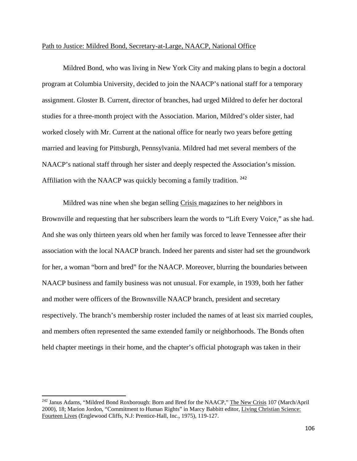## Path to Justice: Mildred Bond, Secretary-at-Large, NAACP, National Office

Mildred Bond, who was living in New York City and making plans to begin a doctoral program at Columbia University, decided to join the NAACP's national staff for a temporary assignment. Gloster B. Current, director of branches, had urged Mildred to defer her doctoral studies for a three-month project with the Association. Marion, Mildred's older sister, had worked closely with Mr. Current at the national office for nearly two years before getting married and leaving for Pittsburgh, Pennsylvania. Mildred had met several members of the NAACP's national staff through her sister and deeply respected the Association's mission. Affiliation with the NAACP was quickly becoming a family tradition. <sup>242</sup>

Mildred was nine when she began selling Crisis magazines to her neighbors in Brownville and requesting that her subscribers learn the words to "Lift Every Voice," as she had. And she was only thirteen years old when her family was forced to leave Tennessee after their association with the local NAACP branch. Indeed her parents and sister had set the groundwork for her, a woman "born and bred" for the NAACP. Moreover, blurring the boundaries between NAACP business and family business was not unusual. For example, in 1939, both her father and mother were officers of the Brownsville NAACP branch, president and secretary respectively. The branch's membership roster included the names of at least six married couples, and members often represented the same extended family or neighborhoods. The Bonds often held chapter meetings in their home, and the chapter's official photograph was taken in their

<sup>&</sup>lt;sup>242</sup> Janus Adams, "Mildred Bond Roxborough: Born and Bred for the NAACP," The New Crisis 107 (March/April 2000), 18; Marion Jordon, "Commitment to Human Rights" in Marcy Babbitt editor, Living Christian Science: Fourteen Lives (Englewood Cliffs, N.J: Prentice-Hall, Inc., 1975), 119-127.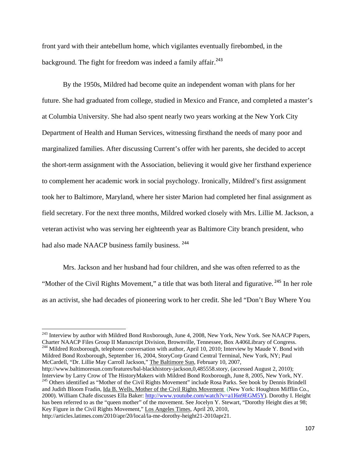front yard with their antebellum home, which vigilantes eventually firebombed, in the background. The fight for freedom was indeed a family affair.<sup>243</sup>

By the 1950s, Mildred had become quite an independent woman with plans for her future. She had graduated from college, studied in Mexico and France, and completed a master's at Columbia University. She had also spent nearly two years working at the New York City Department of Health and Human Services, witnessing firsthand the needs of many poor and marginalized families. After discussing Current's offer with her parents, she decided to accept the short-term assignment with the Association, believing it would give her firsthand experience to complement her academic work in social psychology. Ironically, Mildred's first assignment took her to Baltimore, Maryland, where her sister Marion had completed her final assignment as field secretary. For the next three months, Mildred worked closely with Mrs. Lillie M. Jackson, a veteran activist who was serving her eighteenth year as Baltimore City branch president, who had also made NAACP business family business.<sup>244</sup>

Mrs. Jackson and her husband had four children, and she was often referred to as the "Mother of the Civil Rights Movement," a title that was both literal and figurative.<sup>245</sup> In her role as an activist, she had decades of pioneering work to her credit. She led "Don't Buy Where You

<sup>&</sup>lt;sup>243</sup> Interview by author with Mildred Bond Roxborough, June 4, 2008, New York, New York. See NAACP Papers, Charter NAACP Files Group II Manuscript Division, Brownville, Tennessee, Box A406Library of Congress. 244 Mildred Roxborough, telephone conversation with author, April 10, 2010; Interview by Maude Y. Bond with Mildred Bond Roxborough, September 16, 2004, StoryCorp Grand Central Terminal, New York, NY; Paul McCardell, "Dr. Lillie May Carroll Jackson," The Baltimore Sun, February 10, 2007,

http://www.baltimoresun.com/features/bal-blackhistory-jackson,0,485558.story, (accessed August 2, 2010); Interview by Larry Crow of The HistoryMakers with Mildred Bond Roxborough, June 8, 2005, New York, NY. <sup>245</sup> Others identified as "Mother of the Civil Rights Movement" include Rosa Parks. See book by Dennis Brindell and Judith Bloom Fradin, Ida B. Wells, Mother of the Civil Rights Movement (New York: Houghton Mifflin Co., 2000). William Chafe discusses Ella Baker: http://www.youtube.com/watch?v=a1I6n9EGM5Y). Dorothy I. Height has been referred to as the "queen mother" of the movement. See Jocelyn Y. Stewart, "Dorothy Height dies at 98; Key Figure in the Civil Rights Movement," Los Angeles Times, April 20, 2010, http://articles.latimes.com/2010/apr/20/local/la-me-dorothy-height21-2010apr21.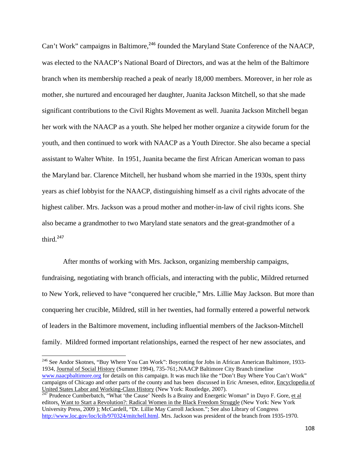Can't Work" campaigns in Baltimore,<sup>246</sup> founded the Maryland State Conference of the NAACP, was elected to the NAACP's National Board of Directors, and was at the helm of the Baltimore branch when its membership reached a peak of nearly 18,000 members. Moreover, in her role as mother, she nurtured and encouraged her daughter, Juanita Jackson Mitchell, so that she made significant contributions to the Civil Rights Movement as well. Juanita Jackson Mitchell began her work with the NAACP as a youth. She helped her mother organize a citywide forum for the youth, and then continued to work with NAACP as a Youth Director. She also became a special assistant to Walter White. In 1951, Juanita became the first African American woman to pass the Maryland bar. Clarence Mitchell, her husband whom she married in the 1930s, spent thirty years as chief lobbyist for the NAACP, distinguishing himself as a civil rights advocate of the highest caliber. Mrs. Jackson was a proud mother and mother-in-law of civil rights icons. She also became a grandmother to two Maryland state senators and the great-grandmother of a third. $247$ 

After months of working with Mrs. Jackson, organizing membership campaigns, fundraising, negotiating with branch officials, and interacting with the public, Mildred returned to New York, relieved to have "conquered her crucible," Mrs. Lillie May Jackson. But more than conquering her crucible, Mildred, still in her twenties, had formally entered a powerful network of leaders in the Baltimore movement, including influential members of the Jackson-Mitchell family. Mildred formed important relationships, earned the respect of her new associates, and

<sup>246</sup> See Andor Skotnes, "Buy Where You Can Work": Boycotting for Jobs in African American Baltimore, 1933-1934, Journal of Social History (Summer 1994), 735-761;.NAACP Baltimore City Branch timeline www.naacpbaltimore.org for details on this campaign. It was much like the "Don't Buy Where You Can't Work" campaigns of Chicago and other parts of the county and has been discussed in Eric Arnesen, editor, Encyclopedia of United States Labor and Working-Class History (New York: Routledge, 2007).

<sup>247</sup> Prudence Cumberbatch, "What 'the Cause' Needs Is a Brainy and Energetic Woman" in Dayo F. Gore, et al editors, Want to Start a Revolution?: Radical Women in the Black Freedom Struggle (New York: New York University Press, 2009 ); McCardell, "Dr. Lillie May Carroll Jackson."; See also Library of Congress http://www.loc.gov/loc/lcib/970324/mitchell.html. Mrs. Jackson was president of the branch from 1935-1970.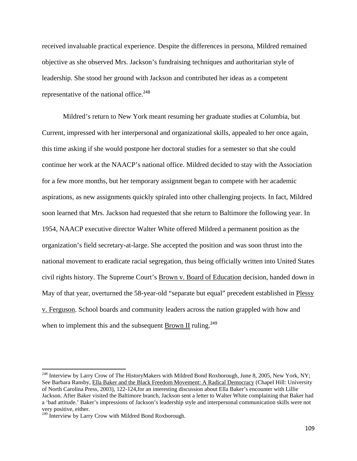received invaluable practical experience. Despite the differences in persona, Mildred remained objective as she observed Mrs. Jackson's fundraising techniques and authoritarian style of leadership. She stood her ground with Jackson and contributed her ideas as a competent representative of the national office.<sup>248</sup>

Mildred's return to New York meant resuming her graduate studies at Columbia, but Current, impressed with her interpersonal and organizational skills, appealed to her once again, this time asking if she would postpone her doctoral studies for a semester so that she could continue her work at the NAACP's national office. Mildred decided to stay with the Association for a few more months, but her temporary assignment began to compete with her academic aspirations, as new assignments quickly spiraled into other challenging projects. In fact, Mildred soon learned that Mrs. Jackson had requested that she return to Baltimore the following year. In 1954, NAACP executive director Walter White offered Mildred a permanent position as the organization's field secretary-at-large. She accepted the position and was soon thrust into the national movement to eradicate racial segregation, thus being officially written into United States civil rights history. The Supreme Court's Brown v. Board of Education decision, handed down in May of that year, overturned the 58-year-old "separate but equal" precedent established in Plessy v. Ferguson. School boards and community leaders across the nation grappled with how and when to implement this and the subsequent Brown II ruling.<sup>249</sup>

<sup>&</sup>lt;sup>248</sup> Interview by Larry Crow of The HistoryMakers with Mildred Bond Roxborough, June 8, 2005, New York, NY; See Barbara Ransby, Ella Baker and the Black Freedom Movement: A Radical Democracy (Chapel Hill: University of North Carolina Press, 2003), 122-124,for an interesting discussion about Ella Baker's encounter with Lillie Jackson. After Baker visited the Baltimore branch, Jackson sent a letter to Walter White complaining that Baker had a 'bad attitude.' Baker's impressions of Jackson's leadership style and interpersonal communication skills were not very positive, either.

<sup>&</sup>lt;sup>249</sup> Interview by Larry Crow with Mildred Bond Roxborough.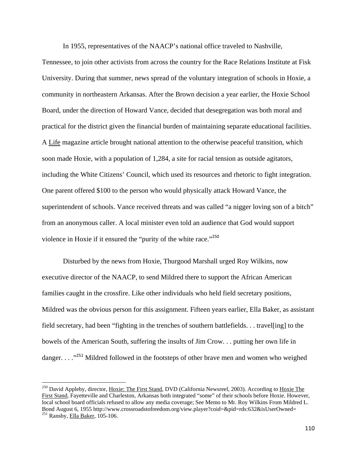In 1955, representatives of the NAACP's national office traveled to Nashville,

Tennessee, to join other activists from across the country for the Race Relations Institute at Fisk University. During that summer, news spread of the voluntary integration of schools in Hoxie, a community in northeastern Arkansas. After the Brown decision a year earlier, the Hoxie School Board, under the direction of Howard Vance, decided that desegregation was both moral and practical for the district given the financial burden of maintaining separate educational facilities. A Life magazine article brought national attention to the otherwise peaceful transition, which soon made Hoxie, with a population of 1,284, a site for racial tension as outside agitators, including the White Citizens' Council, which used its resources and rhetoric to fight integration. One parent offered \$100 to the person who would physically attack Howard Vance, the superintendent of schools. Vance received threats and was called "a nigger loving son of a bitch" from an anonymous caller. A local minister even told an audience that God would support violence in Hoxie if it ensured the "purity of the white race."<sup>250</sup>

Disturbed by the news from Hoxie, Thurgood Marshall urged Roy Wilkins, now executive director of the NAACP, to send Mildred there to support the African American families caught in the crossfire. Like other individuals who held field secretary positions, Mildred was the obvious person for this assignment. Fifteen years earlier, Ella Baker, as assistant field secretary, had been "fighting in the trenches of southern battlefields. . . travel[ing] to the bowels of the American South, suffering the insults of Jim Crow. . . putting her own life in danger.  $\ldots$ <sup>251</sup> Mildred followed in the footsteps of other brave men and women who weighed

<sup>&</sup>lt;sup>250</sup> David Appleby, director, *Hoxie: The First Stand, DVD (California Newsreel, 2003). According to Hoxie The* First Stand, Fayetteville and Charleston, Arkansas both integrated "some" of their schools before Hoxie. However, local school board officials refused to allow any media coverage; See Memo to Mr. Roy Wilkins From Mildred L. Bond August 6, 1955 http://www.crossroadstofreedom.org/view.player?coid=&pid=rds:632&isUserOwned= 251 Ransby, Ella Baker, 105-106.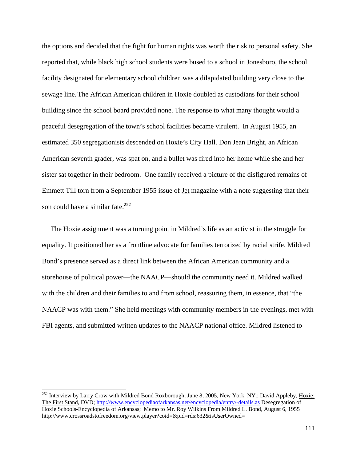the options and decided that the fight for human rights was worth the risk to personal safety. She reported that, while black high school students were bused to a school in Jonesboro, the school facility designated for elementary school children was a dilapidated building very close to the sewage line.The African American children in Hoxie doubled as custodians for their school building since the school board provided none. The response to what many thought would a peaceful desegregation of the town's school facilities became virulent. In August 1955, an estimated 350 segregationists descended on Hoxie's City Hall. Don Jean Bright, an African American seventh grader, was spat on, and a bullet was fired into her home while she and her sister sat together in their bedroom. One family received a picture of the disfigured remains of Emmett Till torn from a September 1955 issue of Jet magazine with a note suggesting that their son could have a similar fate.<sup>252</sup>

 The Hoxie assignment was a turning point in Mildred's life as an activist in the struggle for equality. It positioned her as a frontline advocate for families terrorized by racial strife. Mildred Bond's presence served as a direct link between the African American community and a storehouse of political power—the NAACP—should the community need it. Mildred walked with the children and their families to and from school, reassuring them, in essence, that "the NAACP was with them." She held meetings with community members in the evenings, met with FBI agents, and submitted written updates to the NAACP national office. Mildred listened to

<sup>&</sup>lt;sup>252</sup> Interview by Larry Crow with Mildred Bond Roxborough, June 8, 2005, New York, NY.; David Appleby, Hoxie: The First Stand, DVD; http://www.encyclopediaofarkansas.net/encyclopedia/entry/-details.as Desegregation of Hoxie Schools-Encyclopedia of Arkansas; Memo to Mr. Roy Wilkins From Mildred L. Bond, August 6, 1955 http://www.crossroadstofreedom.org/view.player?coid=&pid=rds:632&isUserOwned=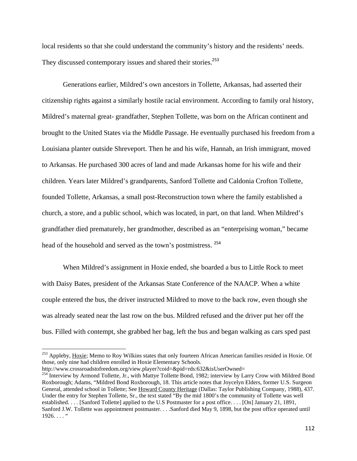local residents so that she could understand the community's history and the residents' needs. They discussed contemporary issues and shared their stories.<sup>253</sup>

Generations earlier, Mildred's own ancestors in Tollette, Arkansas, had asserted their citizenship rights against a similarly hostile racial environment. According to family oral history, Mildred's maternal great- grandfather, Stephen Tollette, was born on the African continent and brought to the United States via the Middle Passage. He eventually purchased his freedom from a Louisiana planter outside Shreveport. Then he and his wife, Hannah, an Irish immigrant, moved to Arkansas. He purchased 300 acres of land and made Arkansas home for his wife and their children. Years later Mildred's grandparents, Sanford Tollette and Caldonia Crofton Tollette, founded Tollette, Arkansas, a small post-Reconstruction town where the family established a church, a store, and a public school, which was located, in part, on that land. When Mildred's grandfather died prematurely, her grandmother, described as an "enterprising woman," became head of the household and served as the town's postmistress. <sup>254</sup>

When Mildred's assignment in Hoxie ended, she boarded a bus to Little Rock to meet with Daisy Bates, president of the Arkansas State Conference of the NAACP. When a white couple entered the bus, the driver instructed Mildred to move to the back row, even though she was already seated near the last row on the bus. Mildred refused and the driver put her off the bus. Filled with contempt, she grabbed her bag, left the bus and began walking as cars sped past

<sup>&</sup>lt;sup>253</sup> Appleby, Hoxie; Memo to Roy Wilkins states that only fourteen African American families resided in Hoxie. Of those, only nine had children enrolled in Hoxie Elementary Schools.

http://www.crossroadstofreedom.org/view.player?coid=&pid=rds:632&isUserOwned= 254 Interview by Armond Tollette, Jr., with Mattye Tollette Bond, 1982; interview by Larry Crow with Mildred Bond Roxborough; Adams, "Mildred Bond Roxborough, 18. This article notes that Joycelyn Elders, former U.S. Surgeon General, attended school in Tollette; See Howard County Heritage (Dallas: Taylor Publishing Company, 1988), 437. Under the entry for Stephen Tollette, Sr., the text stated "By the mid 1800's the community of Tollette was well established. . . . [Sanford Tollette] applied to the U.S Postmaster for a post office. . . . [On] January 21, 1891, Sanford J.W. Tollette was appointment postmaster. . . .Sanford died May 9, 1898, but the post office operated until  $1926. \ldots$  "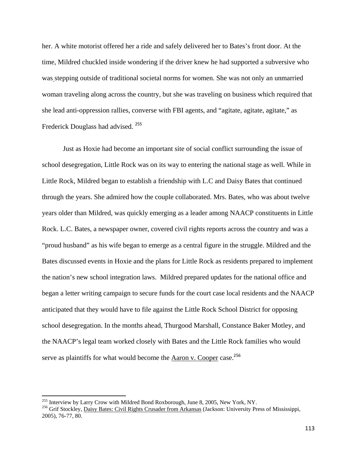her. A white motorist offered her a ride and safely delivered her to Bates's front door. At the time, Mildred chuckled inside wondering if the driver knew he had supported a subversive who was stepping outside of traditional societal norms for women. She was not only an unmarried woman traveling along across the country, but she was traveling on business which required that she lead anti-oppression rallies, converse with FBI agents, and "agitate, agitate, agitate," as Frederick Douglass had advised. <sup>255</sup>

Just as Hoxie had become an important site of social conflict surrounding the issue of school desegregation, Little Rock was on its way to entering the national stage as well. While in Little Rock, Mildred began to establish a friendship with L.C and Daisy Bates that continued through the years. She admired how the couple collaborated. Mrs. Bates, who was about twelve years older than Mildred, was quickly emerging as a leader among NAACP constituents in Little Rock. L.C. Bates, a newspaper owner, covered civil rights reports across the country and was a "proud husband" as his wife began to emerge as a central figure in the struggle. Mildred and the Bates discussed events in Hoxie and the plans for Little Rock as residents prepared to implement the nation's new school integration laws. Mildred prepared updates for the national office and began a letter writing campaign to secure funds for the court case local residents and the NAACP anticipated that they would have to file against the Little Rock School District for opposing school desegregation. In the months ahead, Thurgood Marshall, Constance Baker Motley, and the NAACP's legal team worked closely with Bates and the Little Rock families who would serve as plaintiffs for what would become the Aaron v. Cooper case.<sup>256</sup>

<sup>&</sup>lt;sup>255</sup> Interview by Larry Crow with Mildred Bond Roxborough, June 8, 2005, New York, NY.

<sup>&</sup>lt;sup>256</sup> Grif Stockley, Daisy Bates: Civil Rights Crusader from Arkansas (Jackson: University Press of Mississippi, 2005), 76-77, 80.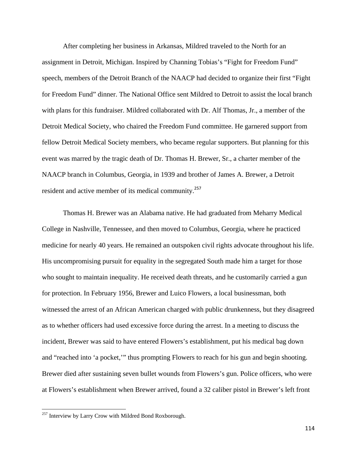After completing her business in Arkansas, Mildred traveled to the North for an assignment in Detroit, Michigan. Inspired by Channing Tobias's "Fight for Freedom Fund" speech, members of the Detroit Branch of the NAACP had decided to organize their first "Fight for Freedom Fund" dinner. The National Office sent Mildred to Detroit to assist the local branch with plans for this fundraiser. Mildred collaborated with Dr. Alf Thomas, Jr., a member of the Detroit Medical Society, who chaired the Freedom Fund committee. He garnered support from fellow Detroit Medical Society members, who became regular supporters. But planning for this event was marred by the tragic death of Dr. Thomas H. Brewer, Sr., a charter member of the NAACP branch in Columbus, Georgia, in 1939 and brother of James A. Brewer, a Detroit resident and active member of its medical community.<sup>257</sup>

Thomas H. Brewer was an Alabama native. He had graduated from Meharry Medical College in Nashville, Tennessee, and then moved to Columbus, Georgia, where he practiced medicine for nearly 40 years. He remained an outspoken civil rights advocate throughout his life. His uncompromising pursuit for equality in the segregated South made him a target for those who sought to maintain inequality. He received death threats, and he customarily carried a gun for protection. In February 1956, Brewer and Luico Flowers, a local businessman, both witnessed the arrest of an African American charged with public drunkenness, but they disagreed as to whether officers had used excessive force during the arrest. In a meeting to discuss the incident, Brewer was said to have entered Flowers's establishment, put his medical bag down and "reached into 'a pocket,'" thus prompting Flowers to reach for his gun and begin shooting. Brewer died after sustaining seven bullet wounds from Flowers's gun. Police officers, who were at Flowers's establishment when Brewer arrived, found a 32 caliber pistol in Brewer's left front

 $^{257}$  Interview by Larry Crow with Mildred Bond Roxborough.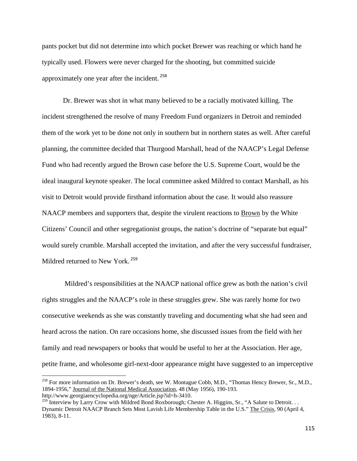pants pocket but did not determine into which pocket Brewer was reaching or which hand he typically used. Flowers were never charged for the shooting, but committed suicide approximately one year after the incident. <sup>258</sup>

Dr. Brewer was shot in what many believed to be a racially motivated killing. The incident strengthened the resolve of many Freedom Fund organizers in Detroit and reminded them of the work yet to be done not only in southern but in northern states as well. After careful planning, the committee decided that Thurgood Marshall, head of the NAACP's Legal Defense Fund who had recently argued the Brown case before the U.S. Supreme Court, would be the ideal inaugural keynote speaker. The local committee asked Mildred to contact Marshall, as his visit to Detroit would provide firsthand information about the case. It would also reassure NAACP members and supporters that, despite the virulent reactions to Brown by the White Citizens' Council and other segregationist groups, the nation's doctrine of "separate but equal" would surely crumble. Marshall accepted the invitation, and after the very successful fundraiser, Mildred returned to New York. <sup>259</sup>

 Mildred's responsibilities at the NAACP national office grew as both the nation's civil rights struggles and the NAACP's role in these struggles grew. She was rarely home for two consecutive weekends as she was constantly traveling and documenting what she had seen and heard across the nation. On rare occasions home, she discussed issues from the field with her family and read newspapers or books that would be useful to her at the Association. Her age, petite frame, and wholesome girl-next-door appearance might have suggested to an imperceptive

<sup>&</sup>lt;sup>258</sup> For more information on Dr. Brewer's death, see W. Montague Cobb, M.D., "Thomas Hency Brewer, Sr., M.D., 1894-1956," Journal of the National Medical Association, 48 (May 1956), 190-193. http://www.georgiaencyclopedia.org/nge/Article.jsp?id=h-3410.

<sup>&</sup>lt;sup>259</sup> Interview by Larry Crow with Mildred Bond Roxborough; Chester A. Higgins, Sr., "A Salute to Detroit. . . Dynamic Detroit NAACP Branch Sets Most Lavish Life Membership Table in the U.S." The Crisis, 90 (April 4, 1983), 8-11.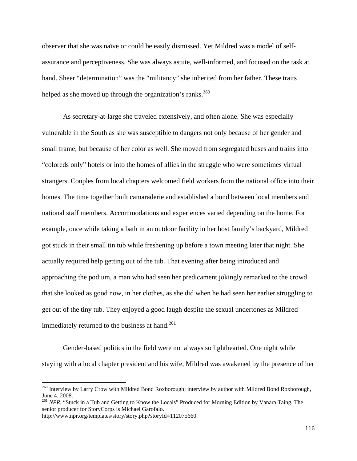observer that she was naïve or could be easily dismissed. Yet Mildred was a model of selfassurance and perceptiveness. She was always astute, well-informed, and focused on the task at hand. Sheer "determination" was the "militancy" she inherited from her father. These traits helped as she moved up through the organization's ranks.<sup>260</sup>

As secretary-at-large she traveled extensively, and often alone. She was especially vulnerable in the South as she was susceptible to dangers not only because of her gender and small frame, but because of her color as well. She moved from segregated buses and trains into "coloreds only" hotels or into the homes of allies in the struggle who were sometimes virtual strangers. Couples from local chapters welcomed field workers from the national office into their homes. The time together built camaraderie and established a bond between local members and national staff members. Accommodations and experiences varied depending on the home. For example, once while taking a bath in an outdoor facility in her host family's backyard, Mildred got stuck in their small tin tub while freshening up before a town meeting later that night. She actually required help getting out of the tub. That evening after being introduced and approaching the podium, a man who had seen her predicament jokingly remarked to the crowd that she looked as good now, in her clothes, as she did when he had seen her earlier struggling to get out of the tiny tub. They enjoyed a good laugh despite the sexual undertones as Mildred immediately returned to the business at hand.<sup>261</sup>

Gender-based politics in the field were not always so lighthearted. One night while staying with a local chapter president and his wife, Mildred was awakened by the presence of her

<sup>&</sup>lt;sup>260</sup> Interview by Larry Crow with Mildred Bond Roxborough; interview by author with Mildred Bond Roxborough, June 4, 2008.

<sup>&</sup>lt;sup>261</sup> *NPR*, "Stuck in a Tub and Getting to Know the Locals" Produced for Morning Edition by Vanara Taing. The senior producer for StoryCorps is Michael Garofalo.

http://www.npr.org/templates/story/story.php?storyId=112075660.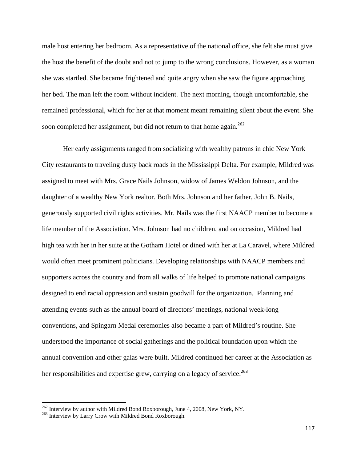male host entering her bedroom. As a representative of the national office, she felt she must give the host the benefit of the doubt and not to jump to the wrong conclusions. However, as a woman she was startled. She became frightened and quite angry when she saw the figure approaching her bed. The man left the room without incident. The next morning, though uncomfortable, she remained professional, which for her at that moment meant remaining silent about the event. She soon completed her assignment, but did not return to that home again.<sup>262</sup>

Her early assignments ranged from socializing with wealthy patrons in chic New York City restaurants to traveling dusty back roads in the Mississippi Delta. For example, Mildred was assigned to meet with Mrs. Grace Nails Johnson, widow of James Weldon Johnson, and the daughter of a wealthy New York realtor. Both Mrs. Johnson and her father, John B. Nails, generously supported civil rights activities. Mr. Nails was the first NAACP member to become a life member of the Association. Mrs. Johnson had no children, and on occasion, Mildred had high tea with her in her suite at the Gotham Hotel or dined with her at La Caravel, where Mildred would often meet prominent politicians. Developing relationships with NAACP members and supporters across the country and from all walks of life helped to promote national campaigns designed to end racial oppression and sustain goodwill for the organization. Planning and attending events such as the annual board of directors' meetings, national week-long conventions, and Spingarn Medal ceremonies also became a part of Mildred's routine. She understood the importance of social gatherings and the political foundation upon which the annual convention and other galas were built. Mildred continued her career at the Association as her responsibilities and expertise grew, carrying on a legacy of service.<sup>263</sup>

 $^{262}$  Interview by author with Mildred Bond Roxborough, June 4, 2008, New York, NY.  $^{263}$  Interview by Larry Crow with Mildred Bond Roxborough.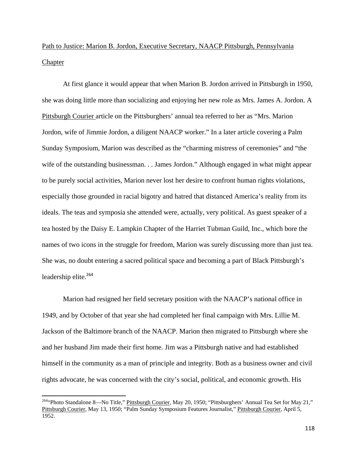## Path to Justice: Marion B. Jordon, Executive Secretary, NAACP Pittsburgh, Pennsylvania **Chapter**

At first glance it would appear that when Marion B. Jordon arrived in Pittsburgh in 1950, she was doing little more than socializing and enjoying her new role as Mrs. James A. Jordon. A Pittsburgh Courier article on the Pittsburghers' annual tea referred to her as "Mrs. Marion Jordon, wife of Jimmie Jordon, a diligent NAACP worker." In a later article covering a Palm Sunday Symposium, Marion was described as the "charming mistress of ceremonies" and "the wife of the outstanding businessman. . . James Jordon." Although engaged in what might appear to be purely social activities, Marion never lost her desire to confront human rights violations, especially those grounded in racial bigotry and hatred that distanced America's reality from its ideals. The teas and symposia she attended were, actually, very political. As guest speaker of a tea hosted by the Daisy E. Lampkin Chapter of the Harriet Tubman Guild, Inc., which bore the names of two icons in the struggle for freedom, Marion was surely discussing more than just tea. She was, no doubt entering a sacred political space and becoming a part of Black Pittsburgh's leadership elite.<sup>264</sup>

Marion had resigned her field secretary position with the NAACP's national office in 1949, and by October of that year she had completed her final campaign with Mrs. Lillie M. Jackson of the Baltimore branch of the NAACP. Marion then migrated to Pittsburgh where she and her husband Jim made their first home. Jim was a Pittsburgh native and had established himself in the community as a man of principle and integrity. Both as a business owner and civil rights advocate, he was concerned with the city's social, political, and economic growth. His

<sup>&</sup>lt;sup>264</sup>"Photo Standalone 8—No Title," Pittsburgh Courier, May 20, 1950; "Pittsburghers' Annual Tea Set for May 21," Pittsburgh Courier, May 13, 1950; "Palm Sunday Symposium Features Journalist," Pittsburgh Courier, April 5, 1952.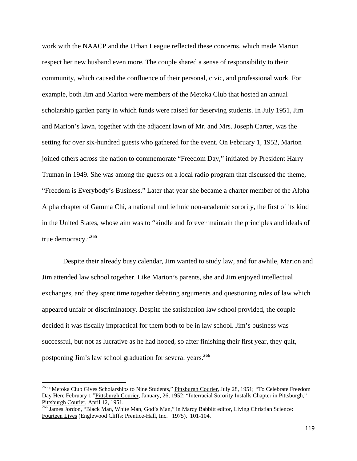work with the NAACP and the Urban League reflected these concerns, which made Marion respect her new husband even more. The couple shared a sense of responsibility to their community, which caused the confluence of their personal, civic, and professional work. For example, both Jim and Marion were members of the Metoka Club that hosted an annual scholarship garden party in which funds were raised for deserving students. In July 1951, Jim and Marion's lawn, together with the adjacent lawn of Mr. and Mrs. Joseph Carter, was the setting for over six-hundred guests who gathered for the event. On February 1, 1952, Marion joined others across the nation to commemorate "Freedom Day," initiated by President Harry Truman in 1949. She was among the guests on a local radio program that discussed the theme, "Freedom is Everybody's Business." Later that year she became a charter member of the Alpha Alpha chapter of Gamma Chi, a national multiethnic non-academic sorority, the first of its kind in the United States, whose aim was to "kindle and forever maintain the principles and ideals of true democracy."<sup>265</sup>

Despite their already busy calendar, Jim wanted to study law, and for awhile, Marion and Jim attended law school together. Like Marion's parents, she and Jim enjoyed intellectual exchanges, and they spent time together debating arguments and questioning rules of law which appeared unfair or discriminatory. Despite the satisfaction law school provided, the couple decided it was fiscally impractical for them both to be in law school. Jim's business was successful, but not as lucrative as he had hoped, so after finishing their first year, they quit, postponing Jim's law school graduation for several years.<sup>266</sup>

<sup>&</sup>lt;sup>265</sup> "Metoka Club Gives Scholarships to Nine Students," Pittsburgh Courier, July 28, 1951; "To Celebrate Freedom Day Here February 1,"Pittsburgh Courier, January, 26, 1952; "Interracial Sorority Installs Chapter in Pittsburgh," Pittsburgh Courier, April 12, 1951.

<sup>266</sup> James Jordon, "Black Man, White Man, God's Man," in Marcy Babbitt editor, Living Christian Science: Fourteen Lives (Englewood Cliffs: Prentice-Hall, Inc. 1975), 101-104.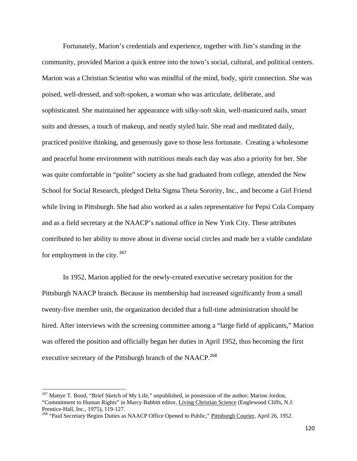Fortunately, Marion's credentials and experience, together with Jim's standing in the community, provided Marion a quick entree into the town's social, cultural, and political centers. Marion was a Christian Scientist who was mindful of the mind, body, spirit connection. She was poised, well-dressed, and soft-spoken, a woman who was articulate, deliberate, and sophisticated. She maintained her appearance with silky-soft skin, well-manicured nails, smart suits and dresses, a touch of makeup, and neatly styled hair. She read and meditated daily, practiced positive thinking, and generously gave to those less fortunate. Creating a wholesome and peaceful home environment with nutritious meals each day was also a priority for her. She was quite comfortable in "polite" society as she had graduated from college, attended the New School for Social Research, pledged Delta Sigma Theta Sorority, Inc., and become a Girl Friend while living in Pittsburgh. She had also worked as a sales representative for Pepsi Cola Company and as a field secretary at the NAACP's national office in New York City. These attributes contributed to her ability to move about in diverse social circles and made her a viable candidate for employment in the city.  $267$ 

In 1952, Marion applied for the newly-created executive secretary position for the Pittsburgh NAACP branch. Because its membership had increased significantly from a small twenty-five member unit, the organization decided that a full-time administration should be hired. After interviews with the screening committee among a "large field of applicants," Marion was offered the position and officially began her duties in April 1952, thus becoming the first executive secretary of the Pittsburgh branch of the NAACP.<sup>268</sup>

<sup>&</sup>lt;sup>267</sup> Mattye T. Bond, "Brief Sketch of My Life," unpublished, in possession of the author; Marion Jordon, "Commitment to Human Rights" in Marcy Babbitt editor, Living Christian Science (Englewood Cliffs, N.J: Prentice-Hall, Inc., 1975), 119-127.

<sup>&</sup>lt;sup>268</sup> "Paid Secretary Begins Duties as NAACP Office Opened to Public," Pittsburgh Courier, April 26, 1952.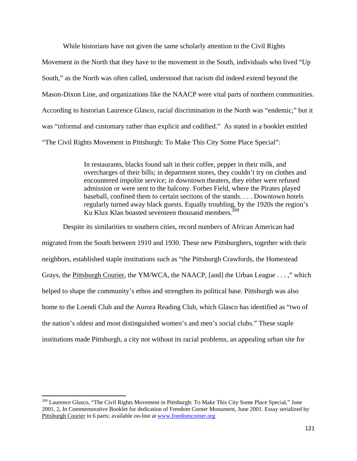While historians have not given the same scholarly attention to the Civil Rights Movement in the North that they have to the movement in the South, individuals who lived "Up South," as the North was often called, understood that racism did indeed extend beyond the Mason-Dixon Line, and organizations like the NAACP were vital parts of northern communities. According to historian Laurence Glasco, racial discrimination in the North was "endemic," but it was "informal and customary rather than explicit and codified." As stated in a booklet entitled "The Civil Rights Movement in Pittsburgh: To Make This City Some Place Special":

> In restaurants, blacks found salt in their coffee, pepper in their milk, and overcharges of their bills; in department stores, they couldn't try on clothes and encountered impolite service; in downtown theaters, they either were refused admission or were sent to the balcony. Forbes Field, where the Pirates played baseball, confined them to certain sections of the stands. . . . Downtown hotels regularly turned away black guests. Equally troubling, by the 1920s the region's Ku Klux Klan boasted seventeen thousand members.<sup>269</sup>

Despite its similarities to southern cities, record numbers of African American had migrated from the South between 1910 and 1930. These new Pittsburghers, together with their neighbors, established staple institutions such as "the Pittsburgh Crawfords, the Homestead Grays, the Pittsburgh Courier, the YM/WCA, the NAACP, [and] the Urban League . . . ," which helped to shape the community's ethos and strengthen its political base. Pittsburgh was also home to the Loendi Club and the Aurora Reading Club, which Glasco has identified as "two of the nation's oldest and most distinguished women's and men's social clubs." These staple institutions made Pittsburgh, a city not without its racial problems, an appealing urban site for

<sup>&</sup>lt;sup>269</sup> Laurence Glasco, "The Civil Rights Movement in Pittsburgh: To Make This City Some Place Special," June 2001, 2, In Commemorative Booklet for dedication of Freedom Corner Monument, June 2001. Essay serialized by Pittsburgh Courier in 6 parts; available on-line at www.freedomcorner.org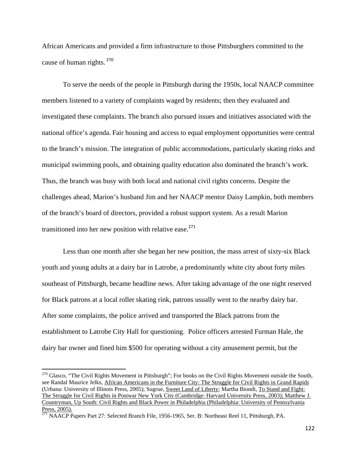African Americans and provided a firm infrastructure to those Pittsburghers committed to the cause of human rights.<sup>270</sup>

To serve the needs of the people in Pittsburgh during the 1950s, local NAACP committee members listened to a variety of complaints waged by residents; then they evaluated and investigated these complaints. The branch also pursued issues and initiatives associated with the national office's agenda. Fair housing and access to equal employment opportunities were central to the branch's mission. The integration of public accommodations, particularly skating rinks and municipal swimming pools, and obtaining quality education also dominated the branch's work. Thus, the branch was busy with both local and national civil rights concerns. Despite the challenges ahead, Marion's husband Jim and her NAACP mentor Daisy Lampkin, both members of the branch's board of directors, provided a robust support system. As a result Marion transitioned into her new position with relative ease. $271$ 

Less than one month after she began her new position, the mass arrest of sixty-six Black youth and young adults at a dairy bar in Latrobe, a predominantly white city about forty miles southeast of Pittsburgh, became headline news. After taking advantage of the one night reserved for Black patrons at a local roller skating rink, patrons usually went to the nearby dairy bar. After some complaints, the police arrived and transported the Black patrons from the establishment to Latrobe City Hall for questioning. Police officers arrested Furman Hale, the dairy bar owner and fined him \$500 for operating without a city amusement permit, but the

 $^{270}$  Glasco, "The Civil Rights Movement in Pittsburgh"; For books on the Civil Rights Movement outside the South, see Randal Maurice Jelks, African Americans in the Furniture City: The Struggle for Civil Rights in Grand Rapids (Urbana: University of Illinois Press, 2005); Sugrue, Sweet Land of Liberty; Martha Biondi, To Stand and Fight: The Struggle for Civil Rights in Postwar New York City (Cambridge: Harvard University Press, 2003); Matthew J. Countryman, Up South: Civil Rights and Black Power in Philadelphia (Philadelphia: University of Pennsylvania Press, 2005).

<sup>&</sup>lt;sup>271</sup> NAACP Papers Part 27: Selected Branch File, 1956-1965, Ser. B: Northeast Reel 11, Pittsburgh, PA.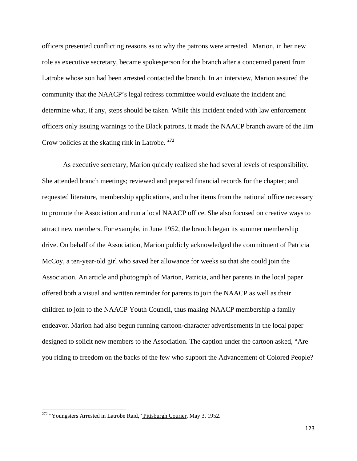officers presented conflicting reasons as to why the patrons were arrested. Marion, in her new role as executive secretary, became spokesperson for the branch after a concerned parent from Latrobe whose son had been arrested contacted the branch. In an interview, Marion assured the community that the NAACP's legal redress committee would evaluate the incident and determine what, if any, steps should be taken. While this incident ended with law enforcement officers only issuing warnings to the Black patrons, it made the NAACP branch aware of the Jim Crow policies at the skating rink in Latrobe. <sup>272</sup>

As executive secretary, Marion quickly realized she had several levels of responsibility. She attended branch meetings; reviewed and prepared financial records for the chapter; and requested literature, membership applications, and other items from the national office necessary to promote the Association and run a local NAACP office. She also focused on creative ways to attract new members. For example, in June 1952, the branch began its summer membership drive. On behalf of the Association, Marion publicly acknowledged the commitment of Patricia McCoy, a ten-year-old girl who saved her allowance for weeks so that she could join the Association. An article and photograph of Marion, Patricia, and her parents in the local paper offered both a visual and written reminder for parents to join the NAACP as well as their children to join to the NAACP Youth Council, thus making NAACP membership a family endeavor. Marion had also begun running cartoon-character advertisements in the local paper designed to solicit new members to the Association. The caption under the cartoon asked, "Are you riding to freedom on the backs of the few who support the Advancement of Colored People?

<sup>&</sup>lt;sup>272</sup> "Youngsters Arrested in Latrobe Raid," Pittsburgh Courier, May 3, 1952.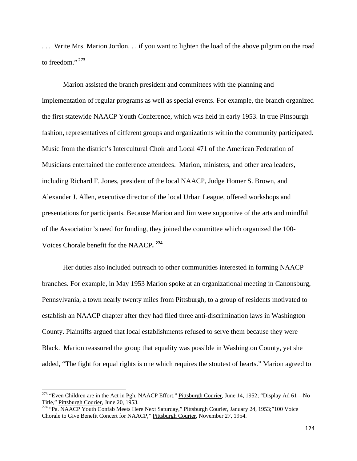. . . Write Mrs. Marion Jordon. . . if you want to lighten the load of the above pilgrim on the road to freedom."<sup>273</sup>

Marion assisted the branch president and committees with the planning and implementation of regular programs as well as special events. For example, the branch organized the first statewide NAACP Youth Conference, which was held in early 1953. In true Pittsburgh fashion, representatives of different groups and organizations within the community participated. Music from the district's Intercultural Choir and Local 471 of the American Federation of Musicians entertained the conference attendees. Marion, ministers, and other area leaders, including Richard F. Jones, president of the local NAACP, Judge Homer S. Brown, and Alexander J. Allen, executive director of the local Urban League, offered workshops and presentations for participants. Because Marion and Jim were supportive of the arts and mindful of the Association's need for funding, they joined the committee which organized the 100- Voices Chorale benefit for the NAACP**. <sup>274</sup>**

Her duties also included outreach to other communities interested in forming NAACP branches. For example, in May 1953 Marion spoke at an organizational meeting in Canonsburg, Pennsylvania, a town nearly twenty miles from Pittsburgh, to a group of residents motivated to establish an NAACP chapter after they had filed three anti-discrimination laws in Washington County. Plaintiffs argued that local establishments refused to serve them because they were Black. Marion reassured the group that equality was possible in Washington County, yet she added, "The fight for equal rights is one which requires the stoutest of hearts." Marion agreed to

<sup>&</sup>lt;sup>273</sup> "Even Children are in the Act in Pgh. NAACP Effort," Pittsburgh Courier, June 14, 1952; "Display Ad 61—No Title," Pittsburgh Courier, June 20, 1953.

<sup>274 &</sup>quot;Pa. NAACP Youth Confab Meets Here Next Saturday," Pittsburgh Courier, January 24, 1953;"100 Voice Chorale to Give Benefit Concert for NAACP," Pittsburgh Courier, November 27, 1954.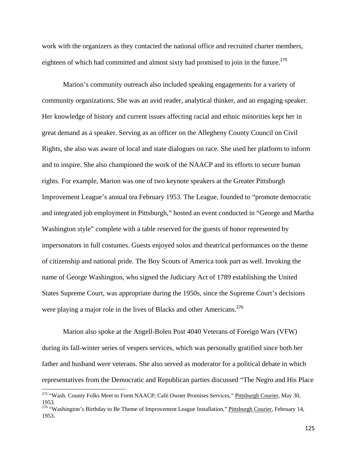work with the organizers as they contacted the national office and recruited charter members, eighteen of which had committed and almost sixty had promised to join in the future.<sup>275</sup>

Marion's community outreach also included speaking engagements for a variety of community organizations. She was an avid reader, analytical thinker, and an engaging speaker. Her knowledge of history and current issues affecting racial and ethnic minorities kept her in great demand as a speaker. Serving as an officer on the Allegheny County Council on Civil Rights, she also was aware of local and state dialogues on race. She used her platform to inform and to inspire. She also championed the work of the NAACP and its efforts to secure human rights. For example, Marion was one of two keynote speakers at the Greater Pittsburgh Improvement League's annual tea February 1953. The League, founded to "promote democratic and integrated job employment in Pittsburgh," hosted an event conducted in "George and Martha Washington style" complete with a table reserved for the guests of honor represented by impersonators in full costumes. Guests enjoyed solos and theatrical performances on the theme of citizenship and national pride. The Boy Scouts of America took part as well. Invoking the name of George Washington, who signed the Judiciary Act of 1789 establishing the United States Supreme Court, was appropriate during the 1950s, since the Supreme Court's decisions were playing a major role in the lives of Blacks and other Americans.<sup>276</sup>

Marion also spoke at the Angell-Bolen Post 4040 Veterans of Foreign Wars (VFW) during its fall-winter series of vespers services, which was personally gratified since both her father and husband were veterans. She also served as moderator for a political debate in which representatives from the Democratic and Republican parties discussed "The Negro and His Place

<sup>&</sup>lt;sup>275</sup> "Wash. County Folks Meet to Form NAACP; Café Owner Promises Services," Pittsburgh Courier, May 30, 1953.

<sup>&</sup>lt;sup>276</sup> "Washington's Birthday to Be Theme of Improvement League Installation," Pittsburgh Courier, February 14, 1953.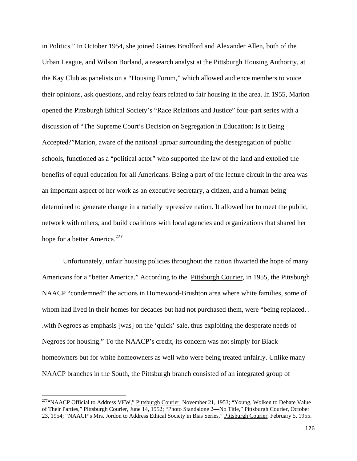in Politics." In October 1954, she joined Gaines Bradford and Alexander Allen, both of the Urban League, and Wilson Borland, a research analyst at the Pittsburgh Housing Authority, at the Kay Club as panelists on a "Housing Forum," which allowed audience members to voice their opinions, ask questions, and relay fears related to fair housing in the area. In 1955, Marion opened the Pittsburgh Ethical Society's "Race Relations and Justice" four-part series with a discussion of "The Supreme Court's Decision on Segregation in Education: Is it Being Accepted?"Marion, aware of the national uproar surrounding the desegregation of public schools, functioned as a "political actor" who supported the law of the land and extolled the benefits of equal education for all Americans. Being a part of the lecture circuit in the area was an important aspect of her work as an executive secretary, a citizen, and a human being determined to generate change in a racially repressive nation. It allowed her to meet the public, network with others, and build coalitions with local agencies and organizations that shared her hope for a better America.<sup>277</sup>

Unfortunately, unfair housing policies throughout the nation thwarted the hope of many Americans for a "better America." According to the Pittsburgh Courier, in 1955, the Pittsburgh NAACP "condemned" the actions in Homewood-Brushton area where white families, some of whom had lived in their homes for decades but had not purchased them, were "being replaced. . .with Negroes as emphasis [was] on the 'quick' sale, thus exploiting the desperate needs of Negroes for housing." To the NAACP's credit, its concern was not simply for Black homeowners but for white homeowners as well who were being treated unfairly. Unlike many NAACP branches in the South, the Pittsburgh branch consisted of an integrated group of

<sup>&</sup>lt;sup>277</sup>"NAACP Official to Address VFW," Pittsburgh Courier, November 21, 1953; "Young, Wolken to Debate Value of Their Parties," Pittsburgh Courier, June 14, 1952; "Photo Standalone 2—No Title," Pittsburgh Courier, October 23, 1954; "NAACP's Mrs. Jordon to Address Ethical Society in Bias Series," Pittsburgh Courier, February 5, 1955.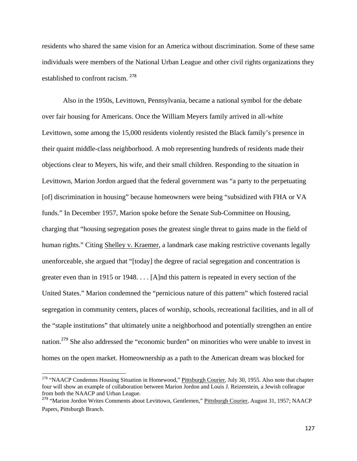residents who shared the same vision for an America without discrimination. Some of these same individuals were members of the National Urban League and other civil rights organizations they established to confront racism. <sup>278</sup>

Also in the 1950s, Levittown, Pennsylvania, became a national symbol for the debate over fair housing for Americans. Once the William Meyers family arrived in all-white Levittown, some among the 15,000 residents violently resisted the Black family's presence in their quaint middle-class neighborhood. A mob representing hundreds of residents made their objections clear to Meyers, his wife, and their small children. Responding to the situation in Levittown, Marion Jordon argued that the federal government was "a party to the perpetuating [of] discrimination in housing" because homeowners were being "subsidized with FHA or VA funds." In December 1957, Marion spoke before the Senate Sub-Committee on Housing, charging that "housing segregation poses the greatest single threat to gains made in the field of human rights." Citing Shelley v. Kraemer, a landmark case making restrictive covenants legally unenforceable, she argued that "[today] the degree of racial segregation and concentration is greater even than in 1915 or 1948. . . . [A]nd this pattern is repeated in every section of the United States." Marion condemned the "pernicious nature of this pattern" which fostered racial segregation in community centers, places of worship, schools, recreational facilities, and in all of the "staple institutions" that ultimately unite a neighborhood and potentially strengthen an entire nation.<sup>279</sup> She also addressed the "economic burden" on minorities who were unable to invest in homes on the open market. Homeownership as a path to the American dream was blocked for

<sup>&</sup>lt;sup>278</sup> "NAACP Condemns Housing Situation in Homewood," Pittsburgh Courier, July 30, 1955. Also note that chapter four will show an example of collaboration between Marion Jordon and Louis J. Reizenstein, a Jewish colleague from both the NAACP and Urban League.

<sup>&</sup>lt;sup>279</sup> "Marion Jordon Writes Comments about Levittown, Gentlemen," Pittsburgh Courier, August 31, 1957; NAACP Papers, Pittsburgh Branch.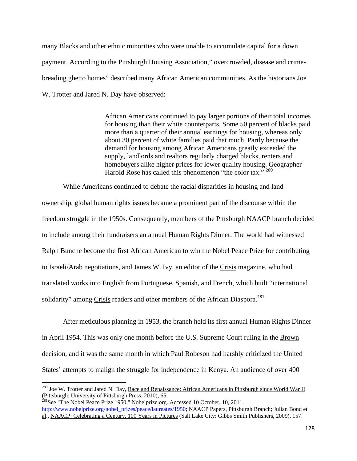many Blacks and other ethnic minorities who were unable to accumulate capital for a down payment. According to the Pittsburgh Housing Association," overcrowded, disease and crimebreading ghetto homes" described many African American communities. As the historians Joe W. Trotter and Jared N. Day have observed:

> African Americans continued to pay larger portions of their total incomes for housing than their white counterparts. Some 50 percent of blacks paid more than a quarter of their annual earnings for housing, whereas only about 30 percent of white families paid that much. Partly because the demand for housing among African Americans greatly exceeded the supply, landlords and realtors regularly charged blacks, renters and homebuyers alike higher prices for lower quality housing. Geographer Harold Rose has called this phenomenon "the color tax." <sup>280</sup>

While Americans continued to debate the racial disparities in housing and land ownership, global human rights issues became a prominent part of the discourse within the freedom struggle in the 1950s. Consequently, members of the Pittsburgh NAACP branch decided to include among their fundraisers an annual Human Rights Dinner. The world had witnessed Ralph Bunche become the first African American to win the Nobel Peace Prize for contributing to Israeli/Arab negotiations, and James W. Ivy, an editor of the Crisis magazine, who had translated works into English from Portuguese, Spanish, and French, which built "international solidarity" among Crisis readers and other members of the African Diaspora.<sup>281</sup>

After meticulous planning in 1953, the branch held its first annual Human Rights Dinner in April 1954. This was only one month before the U.S. Supreme Court ruling in the Brown decision, and it was the same month in which Paul Robeson had harshly criticized the United States' attempts to malign the struggle for independence in Kenya. An audience of over 400

<sup>&</sup>lt;sup>280</sup> Joe W. Trotter and Jared N. Day, Race and Renaissance: African Americans in Pittsburgh since World War II (Pittsburgh: University of Pittsburgh Press, 2010), 65.<br><sup>281</sup>See "The Nobel Peace Prize 1950," Nobelprize.org. Accessed 10 October, 10, 2011.

http://www.nobelprize.org/nobel\_prizes/peace/laureates/1950; NAACP Papers, Pittsburgh Branch; Julian Bond et al., NAACP: Celebrating a Century, 100 Years in Pictures (Salt Lake City: Gibbs Smith Publishers, 2009), 157.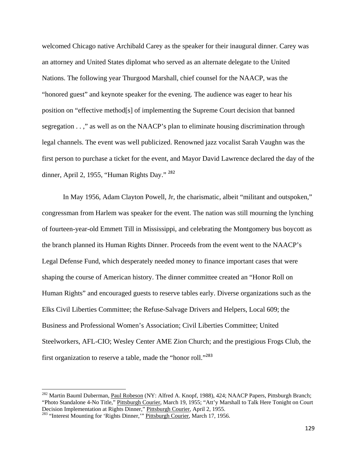welcomed Chicago native Archibald Carey as the speaker for their inaugural dinner. Carey was an attorney and United States diplomat who served as an alternate delegate to the United Nations. The following year Thurgood Marshall, chief counsel for the NAACP, was the "honored guest" and keynote speaker for the evening. The audience was eager to hear his position on "effective method[s] of implementing the Supreme Court decision that banned segregation . . ," as well as on the NAACP's plan to eliminate housing discrimination through legal channels. The event was well publicized. Renowned jazz vocalist Sarah Vaughn was the first person to purchase a ticket for the event, and Mayor David Lawrence declared the day of the dinner, April 2, 1955, "Human Rights Day." <sup>282</sup>

In May 1956, Adam Clayton Powell, Jr, the charismatic, albeit "militant and outspoken," congressman from Harlem was speaker for the event. The nation was still mourning the lynching of fourteen-year-old Emmett Till in Mississippi, and celebrating the Montgomery bus boycott as the branch planned its Human Rights Dinner. Proceeds from the event went to the NAACP's Legal Defense Fund, which desperately needed money to finance important cases that were shaping the course of American history. The dinner committee created an "Honor Roll on Human Rights" and encouraged guests to reserve tables early. Diverse organizations such as the Elks Civil Liberties Committee; the Refuse-Salvage Drivers and Helpers, Local 609; the Business and Professional Women's Association; Civil Liberties Committee; United Steelworkers, AFL-CIO; Wesley Center AME Zion Church; and the prestigious Frogs Club, the first organization to reserve a table, made the "honor roll."<sup>283</sup>

<sup>&</sup>lt;sup>282</sup> Martin Bauml Duberman, Paul Robeson (NY: Alfred A. Knopf, 1988), 424; NAACP Papers, Pittsburgh Branch; "Photo Standalone 4-No Title," Pittsburgh Courier, March 19, 1955; "Att'y Marshall to Talk Here Tonight on Court Decision Implementation at Rights Dinner," Pittsburgh Courier, April 2, 1955.

<sup>&</sup>lt;sup>283</sup> "Interest Mounting for 'Rights Dinner,'" Pittsburgh Courier, March 17, 1956.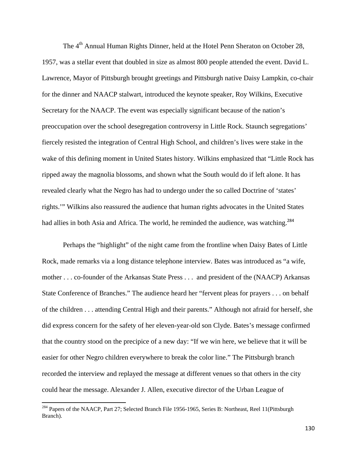The 4<sup>th</sup> Annual Human Rights Dinner, held at the Hotel Penn Sheraton on October 28, 1957, was a stellar event that doubled in size as almost 800 people attended the event. David L. Lawrence, Mayor of Pittsburgh brought greetings and Pittsburgh native Daisy Lampkin, co-chair for the dinner and NAACP stalwart, introduced the keynote speaker, Roy Wilkins, Executive Secretary for the NAACP. The event was especially significant because of the nation's preoccupation over the school desegregation controversy in Little Rock. Staunch segregations' fiercely resisted the integration of Central High School, and children's lives were stake in the wake of this defining moment in United States history. Wilkins emphasized that "Little Rock has ripped away the magnolia blossoms, and shown what the South would do if left alone. It has revealed clearly what the Negro has had to undergo under the so called Doctrine of 'states' rights.'" Wilkins also reassured the audience that human rights advocates in the United States had allies in both Asia and Africa. The world, he reminded the audience, was watching.<sup>284</sup>

Perhaps the "highlight" of the night came from the frontline when Daisy Bates of Little Rock, made remarks via a long distance telephone interview. Bates was introduced as "a wife, mother . . . co-founder of the Arkansas State Press . . . and president of the (NAACP) Arkansas State Conference of Branches." The audience heard her "fervent pleas for prayers . . . on behalf of the children . . . attending Central High and their parents." Although not afraid for herself, she did express concern for the safety of her eleven-year-old son Clyde. Bates's message confirmed that the country stood on the precipice of a new day: "If we win here, we believe that it will be easier for other Negro children everywhere to break the color line." The Pittsburgh branch recorded the interview and replayed the message at different venues so that others in the city could hear the message. Alexander J. Allen, executive director of the Urban League of

<sup>&</sup>lt;sup>284</sup> Papers of the NAACP, Part 27; Selected Branch File 1956-1965, Series B: Northeast, Reel 11(Pittsburgh Branch).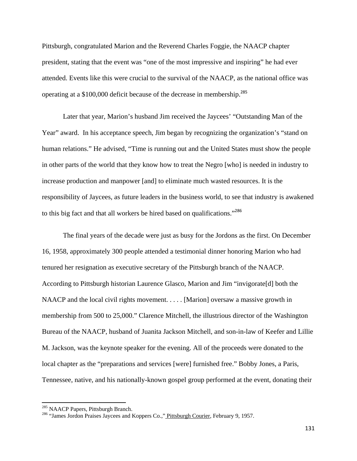Pittsburgh, congratulated Marion and the Reverend Charles Foggie, the NAACP chapter president, stating that the event was "one of the most impressive and inspiring" he had ever attended. Events like this were crucial to the survival of the NAACP, as the national office was operating at a \$100,000 deficit because of the decrease in membership.<sup>285</sup>

Later that year, Marion's husband Jim received the Jaycees' "Outstanding Man of the Year" award. In his acceptance speech, Jim began by recognizing the organization's "stand on human relations." He advised, "Time is running out and the United States must show the people in other parts of the world that they know how to treat the Negro [who] is needed in industry to increase production and manpower [and] to eliminate much wasted resources. It is the responsibility of Jaycees, as future leaders in the business world, to see that industry is awakened to this big fact and that all workers be hired based on qualifications."<sup>286</sup>

The final years of the decade were just as busy for the Jordons as the first. On December 16, 1958, approximately 300 people attended a testimonial dinner honoring Marion who had tenured her resignation as executive secretary of the Pittsburgh branch of the NAACP. According to Pittsburgh historian Laurence Glasco, Marion and Jim "invigorate[d] both the NAACP and the local civil rights movement. . . . . [Marion] oversaw a massive growth in membership from 500 to 25,000." Clarence Mitchell, the illustrious director of the Washington Bureau of the NAACP, husband of Juanita Jackson Mitchell, and son-in-law of Keefer and Lillie M. Jackson, was the keynote speaker for the evening. All of the proceeds were donated to the local chapter as the "preparations and services [were] furnished free." Bobby Jones, a Paris, Tennessee, native, and his nationally-known gospel group performed at the event, donating their

<sup>&</sup>lt;sup>285</sup> NAACP Papers, Pittsburgh Branch.<br><sup>286</sup> "James Jordon Praises Jaycees and Koppers Co.," <u>Pittsburgh Courier</u>, February 9, 1957.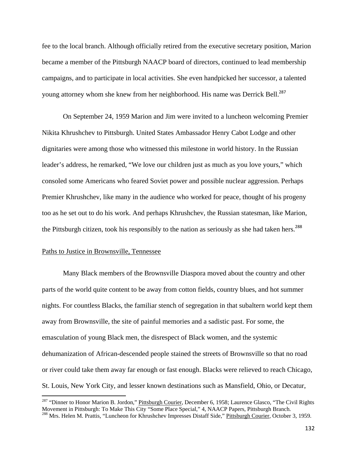fee to the local branch. Although officially retired from the executive secretary position, Marion became a member of the Pittsburgh NAACP board of directors, continued to lead membership campaigns, and to participate in local activities. She even handpicked her successor, a talented young attorney whom she knew from her neighborhood. His name was Derrick Bell.<sup>287</sup>

On September 24, 1959 Marion and Jim were invited to a luncheon welcoming Premier Nikita Khrushchev to Pittsburgh. United States Ambassador Henry Cabot Lodge and other dignitaries were among those who witnessed this milestone in world history. In the Russian leader's address, he remarked, "We love our children just as much as you love yours," which consoled some Americans who feared Soviet power and possible nuclear aggression. Perhaps Premier Khrushchev, like many in the audience who worked for peace, thought of his progeny too as he set out to do his work. And perhaps Khrushchev, the Russian statesman, like Marion, the Pittsburgh citizen, took his responsibly to the nation as seriously as she had taken hers.<sup>288</sup>

## Paths to Justice in Brownsville, Tennessee

Many Black members of the Brownsville Diaspora moved about the country and other parts of the world quite content to be away from cotton fields, country blues, and hot summer nights. For countless Blacks, the familiar stench of segregation in that subaltern world kept them away from Brownsville, the site of painful memories and a sadistic past. For some, the emasculation of young Black men, the disrespect of Black women, and the systemic dehumanization of African-descended people stained the streets of Brownsville so that no road or river could take them away far enough or fast enough. Blacks were relieved to reach Chicago, St. Louis, New York City, and lesser known destinations such as Mansfield, Ohio, or Decatur,

<sup>&</sup>lt;sup>287</sup> "Dinner to Honor Marion B. Jordon," Pittsburgh Courier, December 6, 1958; Laurence Glasco, "The Civil Rights Movement in Pittsburgh: To Make This City "Some Place Special," 4, NAACP Papers, Pittsburgh Branch.

<sup>&</sup>lt;sup>288</sup> Mrs. Helen M. Prattis, "Luncheon for Khrushchev Impresses Distaff Side," Pittsburgh Courier, October 3, 1959.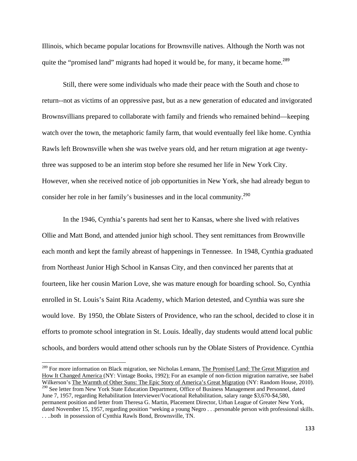Illinois, which became popular locations for Brownsville natives. Although the North was not quite the "promised land" migrants had hoped it would be, for many, it became home.<sup>289</sup>

Still, there were some individuals who made their peace with the South and chose to return--not as victims of an oppressive past, but as a new generation of educated and invigorated Brownsvillians prepared to collaborate with family and friends who remained behind—keeping watch over the town, the metaphoric family farm, that would eventually feel like home. Cynthia Rawls left Brownsville when she was twelve years old, and her return migration at age twentythree was supposed to be an interim stop before she resumed her life in New York City. However, when she received notice of job opportunities in New York, she had already begun to consider her role in her family's businesses and in the local community.<sup>290</sup>

In the 1946, Cynthia's parents had sent her to Kansas, where she lived with relatives Ollie and Matt Bond, and attended junior high school. They sent remittances from Brownville each month and kept the family abreast of happenings in Tennessee. In 1948, Cynthia graduated from Northeast Junior High School in Kansas City, and then convinced her parents that at fourteen, like her cousin Marion Love, she was mature enough for boarding school. So, Cynthia enrolled in St. Louis's Saint Rita Academy, which Marion detested, and Cynthia was sure she would love. By 1950, the Oblate Sisters of Providence, who ran the school, decided to close it in efforts to promote school integration in St. Louis. Ideally, day students would attend local public schools, and borders would attend other schools run by the Oblate Sisters of Providence. Cynthia

<sup>&</sup>lt;sup>289</sup> For more information on Black migration, see Nicholas Lemann, The Promised Land: The Great Migration and How It Changed America (NY: Vintage Books, 1992); For an example of non-fiction migration narrative, see Isabel Wilkerson's The Warmth of Other Suns: The Epic Story of America's Great Migration (NY: Random House, 2010). <sup>290</sup> See letter from New York State Education Department, Office of Business Management and Personnel, dated June 7, 1957, regarding Rehabilitation Interviewer/Vocational Rehabilitation, salary range \$3,670-\$4,580, permanent position and letter from Theresa G. Martin, Placement Director, Urban League of Greater New York, dated November 15, 1957, regarding position "seeking a young Negro . . .personable person with professional skills. . . ..both in possession of Cynthia Rawls Bond, Brownsville, TN.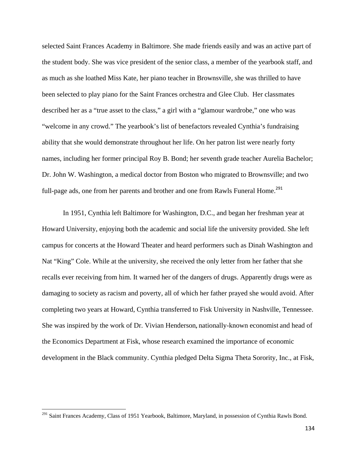selected Saint Frances Academy in Baltimore. She made friends easily and was an active part of the student body. She was vice president of the senior class, a member of the yearbook staff, and as much as she loathed Miss Kate, her piano teacher in Brownsville, she was thrilled to have been selected to play piano for the Saint Frances orchestra and Glee Club. Her classmates described her as a "true asset to the class," a girl with a "glamour wardrobe," one who was "welcome in any crowd." The yearbook's list of benefactors revealed Cynthia's fundraising ability that she would demonstrate throughout her life. On her patron list were nearly forty names, including her former principal Roy B. Bond; her seventh grade teacher Aurelia Bachelor; Dr. John W. Washington, a medical doctor from Boston who migrated to Brownsville; and two full-page ads, one from her parents and brother and one from Rawls Funeral Home.<sup>291</sup>

In 1951, Cynthia left Baltimore for Washington, D.C., and began her freshman year at Howard University, enjoying both the academic and social life the university provided. She left campus for concerts at the Howard Theater and heard performers such as Dinah Washington and Nat "King" Cole. While at the university, she received the only letter from her father that she recalls ever receiving from him. It warned her of the dangers of drugs. Apparently drugs were as damaging to society as racism and poverty, all of which her father prayed she would avoid. After completing two years at Howard, Cynthia transferred to Fisk University in Nashville, Tennessee. She was inspired by the work of Dr. Vivian Henderson**,** nationally-known economist and head of the Economics Department at Fisk, whose research examined the importance of economic development in the Black community. Cynthia pledged Delta Sigma Theta Sorority, Inc., at Fisk,

<sup>&</sup>lt;sup>291</sup> Saint Frances Academy, Class of 1951 Yearbook, Baltimore, Maryland, in possession of Cynthia Rawls Bond.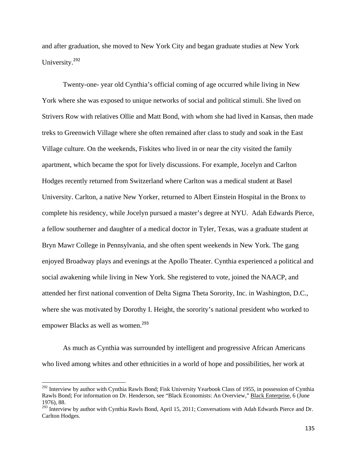and after graduation, she moved to New York City and began graduate studies at New York University.<sup>292</sup>

Twenty-one- year old Cynthia's official coming of age occurred while living in New York where she was exposed to unique networks of social and political stimuli. She lived on Strivers Row with relatives Ollie and Matt Bond, with whom she had lived in Kansas, then made treks to Greenwich Village where she often remained after class to study and soak in the East Village culture. On the weekends, Fiskites who lived in or near the city visited the family apartment, which became the spot for lively discussions. For example, Jocelyn and Carlton Hodges recently returned from Switzerland where Carlton was a medical student at Basel University. Carlton, a native New Yorker, returned to Albert Einstein Hospital in the Bronx to complete his residency, while Jocelyn pursued a master's degree at NYU. Adah Edwards Pierce, a fellow southerner and daughter of a medical doctor in Tyler, Texas, was a graduate student at Bryn Mawr College in Pennsylvania, and she often spent weekends in New York. The gang enjoyed Broadway plays and evenings at the Apollo Theater. Cynthia experienced a political and social awakening while living in New York. She registered to vote, joined the NAACP, and attended her first national convention of Delta Sigma Theta Sorority, Inc. in Washington, D.C., where she was motivated by Dorothy I. Height, the sorority's national president who worked to empower Blacks as well as women.<sup>293</sup>

As much as Cynthia was surrounded by intelligent and progressive African Americans who lived among whites and other ethnicities in a world of hope and possibilities, her work at

<sup>&</sup>lt;sup>292</sup> Interview by author with Cynthia Rawls Bond; Fisk University Yearbook Class of 1955, in possession of Cynthia Rawls Bond; For information on Dr. Henderson, see "Black Economists: An Overview," Black Enterprise, 6 (June 1976), 88.

<sup>&</sup>lt;sup>293</sup> Interview by author with Cynthia Rawls Bond, April 15, 2011; Conversations with Adah Edwards Pierce and Dr. Carlton Hodges.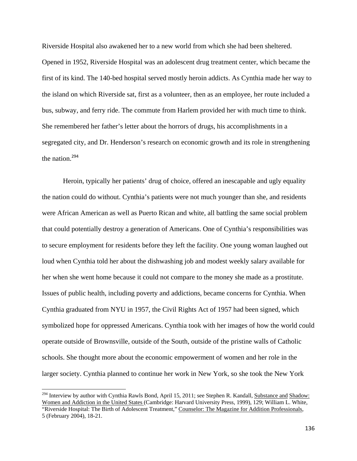Riverside Hospital also awakened her to a new world from which she had been sheltered.

Opened in 1952, Riverside Hospital was an adolescent drug treatment center, which became the first of its kind. The 140-bed hospital served mostly heroin addicts. As Cynthia made her way to the island on which Riverside sat, first as a volunteer, then as an employee, her route included a bus, subway, and ferry ride. The commute from Harlem provided her with much time to think. She remembered her father's letter about the horrors of drugs, his accomplishments in a segregated city, and Dr. Henderson's research on economic growth and its role in strengthening the nation.<sup>294</sup>

Heroin, typically her patients' drug of choice, offered an inescapable and ugly equality the nation could do without. Cynthia's patients were not much younger than she, and residents were African American as well as Puerto Rican and white, all battling the same social problem that could potentially destroy a generation of Americans. One of Cynthia's responsibilities was to secure employment for residents before they left the facility. One young woman laughed out loud when Cynthia told her about the dishwashing job and modest weekly salary available for her when she went home because it could not compare to the money she made as a prostitute. Issues of public health, including poverty and addictions, became concerns for Cynthia. When Cynthia graduated from NYU in 1957, the Civil Rights Act of 1957 had been signed, which symbolized hope for oppressed Americans. Cynthia took with her images of how the world could operate outside of Brownsville, outside of the South, outside of the pristine walls of Catholic schools. She thought more about the economic empowerment of women and her role in the larger society. Cynthia planned to continue her work in New York, so she took the New York

 $294$  Interview by author with Cynthia Rawls Bond, April 15, 2011; see Stephen R. Kandall, Substance and Shadow: Women and Addiction in the United States (Cambridge: Harvard University Press, 1999), 129; William L. White, "Riverside Hospital: The Birth of Adolescent Treatment," Counselor: The Magazine for Addition Professionals, 5 (February 2004), 18-21.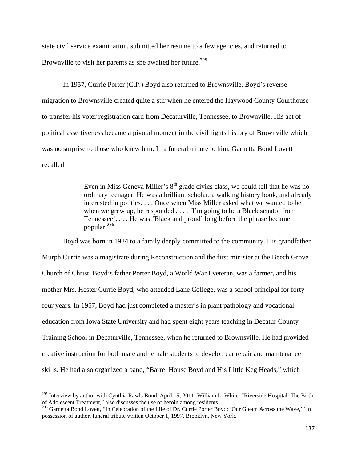state civil service examination, submitted her resume to a few agencies, and returned to Brownville to visit her parents as she awaited her future.<sup>295</sup>

In 1957, Currie Porter (C.P.) Boyd also returned to Brownsville. Boyd's reverse migration to Brownsville created quite a stir when he entered the Haywood County Courthouse to transfer his voter registration card from Decaturville, Tennessee, to Brownville. His act of political assertiveness became a pivotal moment in the civil rights history of Brownville which was no surprise to those who knew him. In a funeral tribute to him, Garnetta Bond Lovett recalled

> Even in Miss Geneva Miller's  $8<sup>th</sup>$  grade civics class, we could tell that he was no ordinary teenager. He was a brilliant scholar, a walking history book, and already interested in politics. . . . Once when Miss Miller asked what we wanted to be when we grew up, he responded  $\dots$ , 'I'm going to be a Black senator from Tennessee'. . . . He was 'Black and proud' long before the phrase became popular.<sup>296</sup>

Boyd was born in 1924 to a family deeply committed to the community. His grandfather Murph Currie was a magistrate during Reconstruction and the first minister at the Beech Grove Church of Christ. Boyd's father Porter Boyd, a World War I veteran, was a farmer, and his mother Mrs. Hester Currie Boyd, who attended Lane College, was a school principal for fortyfour years. In 1957, Boyd had just completed a master's in plant pathology and vocational education from Iowa State University and had spent eight years teaching in Decatur County Training School in Decaturville, Tennessee, when he returned to Brownsville. He had provided creative instruction for both male and female students to develop car repair and maintenance skills. He had also organized a band, "Barrel House Boyd and His Little Keg Heads," which

<sup>&</sup>lt;sup>295</sup> Interview by author with Cynthia Rawls Bond, April 15, 2011; William L. White, "Riverside Hospital: The Birth of Adolescent Treatment," also discusses the use of heroin among residents.

<sup>&</sup>lt;sup>296</sup> Garnetta Bond Lovett, "In Celebration of the Life of Dr. Currie Porter Boyd: 'Our Gleam Across the Wave,'" in possession of author, funeral tribute written October 1, 1997, Brooklyn, New York.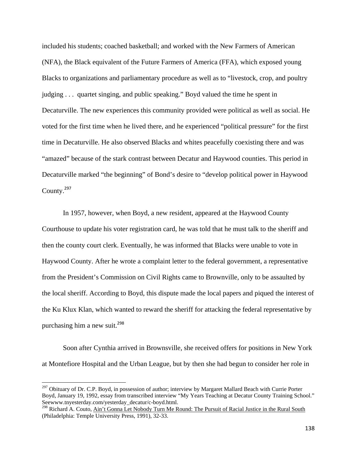included his students; coached basketball; and worked with the New Farmers of American (NFA), the Black equivalent of the Future Farmers of America (FFA), which exposed young Blacks to organizations and parliamentary procedure as well as to "livestock, crop, and poultry judging . . . quartet singing, and public speaking." Boyd valued the time he spent in Decaturville. The new experiences this community provided were political as well as social. He voted for the first time when he lived there, and he experienced "political pressure" for the first time in Decaturville. He also observed Blacks and whites peacefully coexisting there and was "amazed" because of the stark contrast between Decatur and Haywood counties. This period in Decaturville marked "the beginning" of Bond's desire to "develop political power in Haywood County.<sup>297</sup>

In 1957, however, when Boyd, a new resident, appeared at the Haywood County Courthouse to update his voter registration card, he was told that he must talk to the sheriff and then the county court clerk. Eventually, he was informed that Blacks were unable to vote in Haywood County. After he wrote a complaint letter to the federal government, a representative from the President's Commission on Civil Rights came to Brownville, only to be assaulted by the local sheriff. According to Boyd, this dispute made the local papers and piqued the interest of the Ku Klux Klan, which wanted to reward the sheriff for attacking the federal representative by purchasing him a new suit.<sup>298</sup>

 Soon after Cynthia arrived in Brownsville, she received offers for positions in New York at Montefiore Hospital and the Urban League, but by then she had begun to consider her role in

 $297$  Obituary of Dr. C.P. Boyd, in possession of author; interview by Margaret Mallard Beach with Currie Porter Boyd, January 19, 1992, essay from transcribed interview "My Years Teaching at Decatur County Training School." Seewww.tnyesterday.com/yesterday\_decatur/c-boyd.html.

<sup>&</sup>lt;sup>298</sup> Richard A. Couto, Ain't Gonna Let Nobody Turn Me Round: The Pursuit of Racial Justice in the Rural South (Philadelphia: Temple University Press, 1991), 32-33.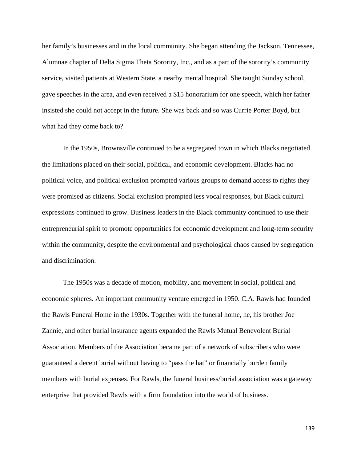her family's businesses and in the local community. She began attending the Jackson, Tennessee, Alumnae chapter of Delta Sigma Theta Sorority, Inc., and as a part of the sorority's community service, visited patients at Western State, a nearby mental hospital. She taught Sunday school, gave speeches in the area, and even received a \$15 honorarium for one speech, which her father insisted she could not accept in the future. She was back and so was Currie Porter Boyd, but what had they come back to?

In the 1950s, Brownsville continued to be a segregated town in which Blacks negotiated the limitations placed on their social, political, and economic development. Blacks had no political voice, and political exclusion prompted various groups to demand access to rights they were promised as citizens. Social exclusion prompted less vocal responses, but Black cultural expressions continued to grow. Business leaders in the Black community continued to use their entrepreneurial spirit to promote opportunities for economic development and long-term security within the community, despite the environmental and psychological chaos caused by segregation and discrimination.

The 1950s was a decade of motion, mobility, and movement in social, political and economic spheres. An important community venture emerged in 1950. C.A. Rawls had founded the Rawls Funeral Home in the 1930s. Together with the funeral home, he, his brother Joe Zannie, and other burial insurance agents expanded the Rawls Mutual Benevolent Burial Association. Members of the Association became part of a network of subscribers who were guaranteed a decent burial without having to "pass the hat" or financially burden family members with burial expenses. For Rawls, the funeral business/burial association was a gateway enterprise that provided Rawls with a firm foundation into the world of business.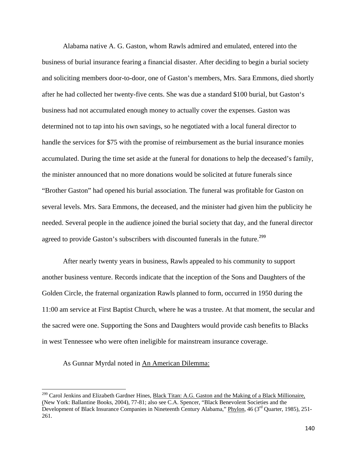Alabama native A. G. Gaston, whom Rawls admired and emulated, entered into the business of burial insurance fearing a financial disaster. After deciding to begin a burial society and soliciting members door-to-door, one of Gaston's members, Mrs. Sara Emmons, died shortly after he had collected her twenty-five cents. She was due a standard \$100 burial, but Gaston's business had not accumulated enough money to actually cover the expenses. Gaston was determined not to tap into his own savings, so he negotiated with a local funeral director to handle the services for \$75 with the promise of reimbursement as the burial insurance monies accumulated. During the time set aside at the funeral for donations to help the deceased's family, the minister announced that no more donations would be solicited at future funerals since "Brother Gaston" had opened his burial association. The funeral was profitable for Gaston on several levels. Mrs. Sara Emmons, the deceased, and the minister had given him the publicity he needed. Several people in the audience joined the burial society that day, and the funeral director agreed to provide Gaston's subscribers with discounted funerals in the future.<sup>299</sup>

After nearly twenty years in business, Rawls appealed to his community to support another business venture. Records indicate that the inception of the Sons and Daughters of the Golden Circle, the fraternal organization Rawls planned to form, occurred in 1950 during the 11:00 am service at First Baptist Church, where he was a trustee. At that moment, the secular and the sacred were one. Supporting the Sons and Daughters would provide cash benefits to Blacks in west Tennessee who were often ineligible for mainstream insurance coverage.

As Gunnar Myrdal noted in An American Dilemma:

<sup>&</sup>lt;sup>299</sup> Carol Jenkins and Elizabeth Gardner Hines, Black Titan: A.G. Gaston and the Making of a Black Millionaire, (New York: Ballantine Books, 2004), 77-81; also see C.A. Spencer, "Black Benevolent Societies and the Development of Black Insurance Companies in Nineteenth Century Alabama," Phylon, 46 (3rd Quarter, 1985), 251- 261.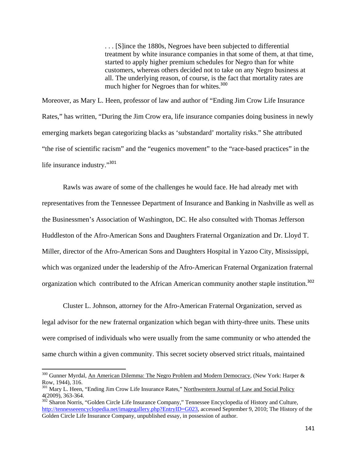. . . [S]ince the 1880s, Negroes have been subjected to differential treatment by white insurance companies in that some of them, at that time, started to apply higher premium schedules for Negro than for white customers, whereas others decided not to take on any Negro business at all. The underlying reason, of course, is the fact that mortality rates are much higher for Negroes than for whites.<sup>300</sup>

Moreover, as Mary L. Heen, professor of law and author of "Ending Jim Crow Life Insurance Rates," has written, "During the Jim Crow era, life insurance companies doing business in newly emerging markets began categorizing blacks as 'substandard' mortality risks." She attributed "the rise of scientific racism" and the "eugenics movement" to the "race-based practices" in the life insurance industry."<sup>301</sup>

Rawls was aware of some of the challenges he would face. He had already met with representatives from the Tennessee Department of Insurance and Banking in Nashville as well as the Businessmen's Association of Washington, DC. He also consulted with Thomas Jefferson Huddleston of the Afro-American Sons and Daughters Fraternal Organization and Dr. Lloyd T. Miller, director of the Afro-American Sons and Daughters Hospital in Yazoo City, Mississippi, which was organized under the leadership of the Afro-American Fraternal Organization fraternal organization which contributed to the African American community another staple institution.<sup>302</sup>

Cluster L. Johnson, attorney for the Afro-American Fraternal Organization, served as legal advisor for the new fraternal organization which began with thirty-three units. These units were comprised of individuals who were usually from the same community or who attended the same church within a given community. This secret society observed strict rituals, maintained

<sup>&</sup>lt;sup>300</sup> Gunner Myrdal, An American Dilemma: The Negro Problem and Modern Democracy, (New York: Harper & Row, 1944), 316.

<sup>&</sup>lt;sup>301</sup> Mary L. Heen, "Ending Jim Crow Life Insurance Rates," Northwestern Journal of Law and Social Policy 4(2009), 363-364.

<sup>&</sup>lt;sup>302</sup> Sharon Norris, "Golden Circle Life Insurance Company," Tennessee Encyclopedia of History and Culture, http://tennesseeencyclopedia.net/imagegallery.php?EntryID=G023, accessed September 9, 2010; The History of the Golden Circle Life Insurance Company, unpublished essay, in possession of author.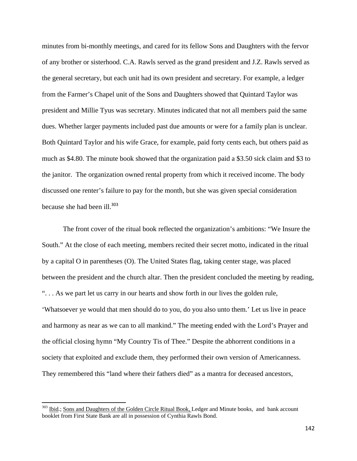minutes from bi-monthly meetings, and cared for its fellow Sons and Daughters with the fervor of any brother or sisterhood. C.A. Rawls served as the grand president and J.Z. Rawls served as the general secretary, but each unit had its own president and secretary. For example, a ledger from the Farmer's Chapel unit of the Sons and Daughters showed that Quintard Taylor was president and Millie Tyus was secretary. Minutes indicated that not all members paid the same dues. Whether larger payments included past due amounts or were for a family plan is unclear. Both Quintard Taylor and his wife Grace, for example, paid forty cents each, but others paid as much as \$4.80. The minute book showed that the organization paid a \$3.50 sick claim and \$3 to the janitor. The organization owned rental property from which it received income. The body discussed one renter's failure to pay for the month, but she was given special consideration because she had been ill.<sup>303</sup>

The front cover of the ritual book reflected the organization's ambitions: "We Insure the South." At the close of each meeting, members recited their secret motto, indicated in the ritual by a capital O in parentheses (O). The United States flag, taking center stage, was placed between the president and the church altar. Then the president concluded the meeting by reading, ". . . As we part let us carry in our hearts and show forth in our lives the golden rule, 'Whatsoever ye would that men should do to you, do you also unto them.' Let us live in peace and harmony as near as we can to all mankind." The meeting ended with the Lord's Prayer and the official closing hymn "My Country Tis of Thee." Despite the abhorrent conditions in a society that exploited and exclude them, they performed their own version of Americanness. They remembered this "land where their fathers died" as a mantra for deceased ancestors,

<sup>&</sup>lt;sup>303</sup> Ibid.; Sons and Daughters of the Golden Circle Ritual Book, Ledger and Minute books, and bank account booklet from First State Bank are all in possession of Cynthia Rawls Bond.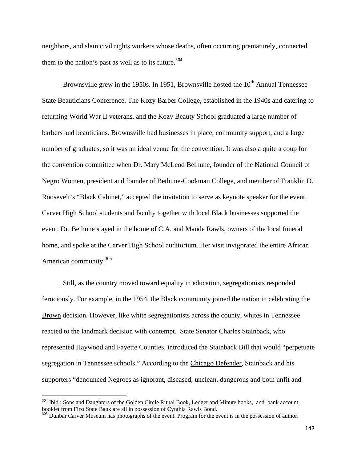neighbors, and slain civil rights workers whose deaths, often occurring prematurely, connected them to the nation's past as well as to its future. $304$ 

Brownsville grew in the 1950s. In 1951, Brownsville hosted the  $10<sup>th</sup>$  Annual Tennessee State Beauticians Conference. The Kozy Barber College, established in the 1940s and catering to returning World War II veterans, and the Kozy Beauty School graduated a large number of barbers and beauticians. Brownsville had businesses in place, community support, and a large number of graduates, so it was an ideal venue for the convention. It was also a quite a coup for the convention committee when Dr. Mary McLeod Bethune, founder of the National Council of Negro Women, president and founder of Bethune-Cookman College, and member of Franklin D. Roosevelt's "Black Cabinet," accepted the invitation to serve as keynote speaker for the event. Carver High School students and faculty together with local Black businesses supported the event. Dr. Bethune stayed in the home of C.A. and Maude Rawls, owners of the local funeral home, and spoke at the Carver High School auditorium. Her visit invigorated the entire African American community.<sup>305</sup>

Still, as the country moved toward equality in education, segregationists responded ferociously. For example, in the 1954, the Black community joined the nation in celebrating the Brown decision. However, like white segregationists across the county, whites in Tennessee reacted to the landmark decision with contempt. State Senator Charles Stainback, who represented Haywood and Fayette Counties, introduced the Stainback Bill that would "perpetuate segregation in Tennessee schools." According to the Chicago Defender, Stainback and his supporters "denounced Negroes as ignorant, diseased, unclean, dangerous and both unfit and

<sup>&</sup>lt;sup>304</sup> Ibid.; Sons and Daughters of the Golden Circle Ritual Book, Ledger and Minute books, and bank account booklet from First State Bank are all in possession of Cynthia Rawls Bond.

<sup>&</sup>lt;sup>305</sup> Dunbar Carver Museum has photographs of the event. Program for the event is in the possession of author.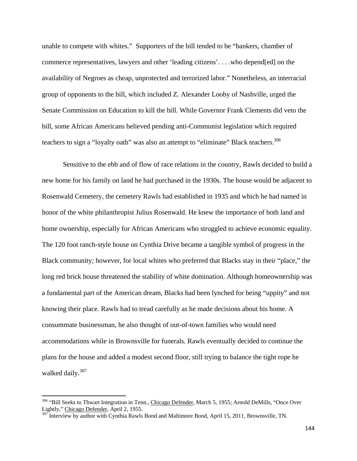unable to compete with whites." Supporters of the bill tended to be "bankers, chamber of commerce representatives, lawyers and other 'leading citizens'. . . .who depend[ed] on the availability of Negroes as cheap, unprotected and terrorized labor." Nonetheless, an interracial group of opponents to the bill, which included Z. Alexander Looby of Nashville, urged the Senate Commission on Education to kill the bill. While Governor Frank Clements did veto the bill, some African Americans believed pending anti-Communist legislation which required teachers to sign a "loyalty oath" was also an attempt to "eliminate" Black teachers.<sup>306</sup>

Sensitive to the ebb and of flow of race relations in the country, Rawls decided to build a new home for his family on land he had purchased in the 1930s. The house would be adjacent to Rosenwald Cemetery, the cemetery Rawls had established in 1935 and which he had named in honor of the white philanthropist Julius Rosenwald. He knew the importance of both land and home ownership, especially for African Americans who struggled to achieve economic equality. The 120 foot ranch-style house on Cynthia Drive became a tangible symbol of progress in the Black community; however, for local whites who preferred that Blacks stay in their "place," the long red brick house threatened the stability of white domination. Although homeownership was a fundamental part of the American dream, Blacks had been lynched for being "uppity" and not knowing their place. Rawls had to tread carefully as he made decisions about his home. A consummate businessman, he also thought of out-of-town families who would need accommodations while in Brownsville for funerals. Rawls eventually decided to continue the plans for the house and added a modest second floor, still trying to balance the tight rope he walked daily.<sup>307</sup>

<sup>&</sup>lt;sup>306</sup> "Bill Seeks to Thwart Integration in Tenn., Chicago Defender, March 5, 1955; Arnold DeMills, "Once Over Lightly," Chicago Defender, April 2, 1955.

<sup>&</sup>lt;sup>307</sup> Interview by author with Cynthia Rawls Bond and Maltimore Bond, April 15, 2011, Brownsville, TN.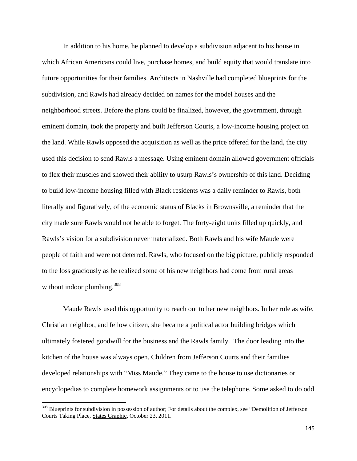In addition to his home, he planned to develop a subdivision adjacent to his house in which African Americans could live, purchase homes, and build equity that would translate into future opportunities for their families. Architects in Nashville had completed blueprints for the subdivision, and Rawls had already decided on names for the model houses and the neighborhood streets. Before the plans could be finalized, however, the government, through eminent domain, took the property and built Jefferson Courts, a low-income housing project on the land. While Rawls opposed the acquisition as well as the price offered for the land, the city used this decision to send Rawls a message. Using eminent domain allowed government officials to flex their muscles and showed their ability to usurp Rawls's ownership of this land. Deciding to build low-income housing filled with Black residents was a daily reminder to Rawls, both literally and figuratively, of the economic status of Blacks in Brownsville, a reminder that the city made sure Rawls would not be able to forget. The forty-eight units filled up quickly, and Rawls's vision for a subdivision never materialized. Both Rawls and his wife Maude were people of faith and were not deterred. Rawls, who focused on the big picture, publicly responded to the loss graciously as he realized some of his new neighbors had come from rural areas without indoor plumbing.<sup>308</sup>

Maude Rawls used this opportunity to reach out to her new neighbors. In her role as wife, Christian neighbor, and fellow citizen, she became a political actor building bridges which ultimately fostered goodwill for the business and the Rawls family. The door leading into the kitchen of the house was always open. Children from Jefferson Courts and their families developed relationships with "Miss Maude." They came to the house to use dictionaries or encyclopedias to complete homework assignments or to use the telephone. Some asked to do odd

<sup>&</sup>lt;sup>308</sup> Blueprints for subdivision in possession of author; For details about the complex, see "Demolition of Jefferson Courts Taking Place, States Graphic, October 23, 2011.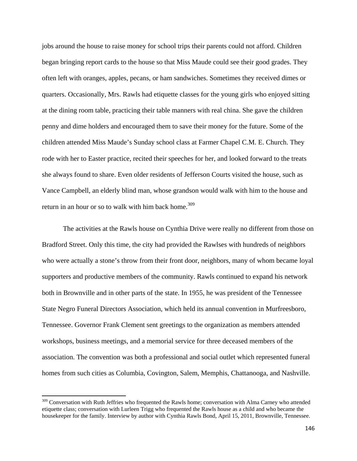jobs around the house to raise money for school trips their parents could not afford. Children began bringing report cards to the house so that Miss Maude could see their good grades. They often left with oranges, apples, pecans, or ham sandwiches. Sometimes they received dimes or quarters. Occasionally, Mrs. Rawls had etiquette classes for the young girls who enjoyed sitting at the dining room table, practicing their table manners with real china. She gave the children penny and dime holders and encouraged them to save their money for the future. Some of the children attended Miss Maude's Sunday school class at Farmer Chapel C.M. E. Church. They rode with her to Easter practice, recited their speeches for her, and looked forward to the treats she always found to share. Even older residents of Jefferson Courts visited the house, such as Vance Campbell, an elderly blind man, whose grandson would walk with him to the house and return in an hour or so to walk with him back home.<sup>309</sup>

The activities at the Rawls house on Cynthia Drive were really no different from those on Bradford Street. Only this time, the city had provided the Rawlses with hundreds of neighbors who were actually a stone's throw from their front door, neighbors, many of whom became loyal supporters and productive members of the community. Rawls continued to expand his network both in Brownville and in other parts of the state. In 1955, he was president of the Tennessee State Negro Funeral Directors Association, which held its annual convention in Murfreesboro, Tennessee. Governor Frank Clement sent greetings to the organization as members attended workshops, business meetings, and a memorial service for three deceased members of the association. The convention was both a professional and social outlet which represented funeral homes from such cities as Columbia, Covington, Salem, Memphis, Chattanooga, and Nashville.

<sup>&</sup>lt;sup>309</sup> Conversation with Ruth Jeffries who frequented the Rawls home; conversation with Alma Carney who attended etiquette class; conversation with Lurleen Trigg who frequented the Rawls house as a child and who became the housekeeper for the family. Interview by author with Cynthia Rawls Bond, April 15, 2011, Brownville, Tennessee.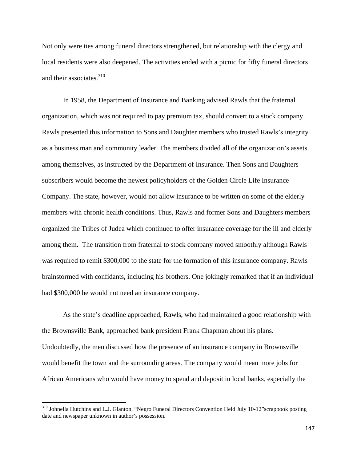Not only were ties among funeral directors strengthened, but relationship with the clergy and local residents were also deepened. The activities ended with a picnic for fifty funeral directors and their associates.<sup>310</sup>

In 1958, the Department of Insurance and Banking advised Rawls that the fraternal organization, which was not required to pay premium tax, should convert to a stock company. Rawls presented this information to Sons and Daughter members who trusted Rawls's integrity as a business man and community leader. The members divided all of the organization's assets among themselves, as instructed by the Department of Insurance. Then Sons and Daughters subscribers would become the newest policyholders of the Golden Circle Life Insurance Company. The state, however, would not allow insurance to be written on some of the elderly members with chronic health conditions. Thus, Rawls and former Sons and Daughters members organized the Tribes of Judea which continued to offer insurance coverage for the ill and elderly among them. The transition from fraternal to stock company moved smoothly although Rawls was required to remit \$300,000 to the state for the formation of this insurance company. Rawls brainstormed with confidants, including his brothers. One jokingly remarked that if an individual had \$300,000 he would not need an insurance company.

As the state's deadline approached, Rawls, who had maintained a good relationship with the Brownsville Bank, approached bank president Frank Chapman about his plans. Undoubtedly, the men discussed how the presence of an insurance company in Brownsville would benefit the town and the surrounding areas. The company would mean more jobs for African Americans who would have money to spend and deposit in local banks, especially the

<sup>&</sup>lt;sup>310</sup> Johnella Hutchins and L.J. Glanton, "Negro Funeral Directors Convention Held July 10-12" scrapbook posting date and newspaper unknown in author's possession.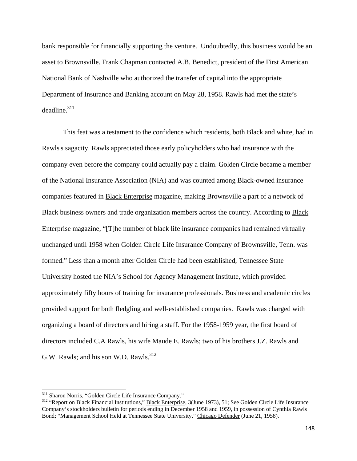bank responsible for financially supporting the venture. Undoubtedly, this business would be an asset to Brownsville. Frank Chapman contacted A.B. Benedict, president of the First American National Bank of Nashville who authorized the transfer of capital into the appropriate Department of Insurance and Banking account on May 28, 1958. Rawls had met the state's  $deadline.<sup>311</sup>$ 

This feat was a testament to the confidence which residents, both Black and white, had in Rawls's sagacity. Rawls appreciated those early policyholders who had insurance with the company even before the company could actually pay a claim. Golden Circle became a member of the National Insurance Association (NIA) and was counted among Black-owned insurance companies featured in Black Enterprise magazine, making Brownsville a part of a network of Black business owners and trade organization members across the country. According to Black Enterprise magazine, "[T]he number of black life insurance companies had remained virtually unchanged until 1958 when Golden Circle Life Insurance Company of Brownsville, Tenn. was formed." Less than a month after Golden Circle had been established, Tennessee State University hosted the NIA's School for Agency Management Institute, which provided approximately fifty hours of training for insurance professionals. Business and academic circles provided support for both fledgling and well-established companies. Rawls was charged with organizing a board of directors and hiring a staff. For the 1958-1959 year, the first board of directors included C.A Rawls, his wife Maude E. Rawls; two of his brothers J.Z. Rawls and G.W. Rawls; and his son W.D. Rawls.<sup>312</sup>

<sup>&</sup>lt;sup>311</sup> Sharon Norris, "Golden Circle Life Insurance Company."<br><sup>312</sup> "Report on Black Financial Institutions," <u>Black Enterprise</u>, 3(June 1973), 51; See Golden Circle Life Insurance Company's stockholders bulletin for periods ending in December 1958 and 1959, in possession of Cynthia Rawls Bond; "Management School Held at Tennessee State University," Chicago Defender (June 21, 1958).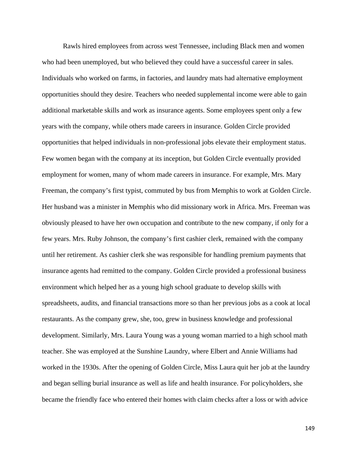Rawls hired employees from across west Tennessee, including Black men and women who had been unemployed, but who believed they could have a successful career in sales. Individuals who worked on farms, in factories, and laundry mats had alternative employment opportunities should they desire. Teachers who needed supplemental income were able to gain additional marketable skills and work as insurance agents. Some employees spent only a few years with the company, while others made careers in insurance. Golden Circle provided opportunities that helped individuals in non-professional jobs elevate their employment status. Few women began with the company at its inception, but Golden Circle eventually provided employment for women, many of whom made careers in insurance. For example, Mrs. Mary Freeman, the company's first typist, commuted by bus from Memphis to work at Golden Circle. Her husband was a minister in Memphis who did missionary work in Africa. Mrs. Freeman was obviously pleased to have her own occupation and contribute to the new company, if only for a few years. Mrs. Ruby Johnson, the company's first cashier clerk, remained with the company until her retirement. As cashier clerk she was responsible for handling premium payments that insurance agents had remitted to the company. Golden Circle provided a professional business environment which helped her as a young high school graduate to develop skills with spreadsheets, audits, and financial transactions more so than her previous jobs as a cook at local restaurants. As the company grew, she, too, grew in business knowledge and professional development. Similarly, Mrs. Laura Young was a young woman married to a high school math teacher. She was employed at the Sunshine Laundry, where Elbert and Annie Williams had worked in the 1930s. After the opening of Golden Circle, Miss Laura quit her job at the laundry and began selling burial insurance as well as life and health insurance. For policyholders, she became the friendly face who entered their homes with claim checks after a loss or with advice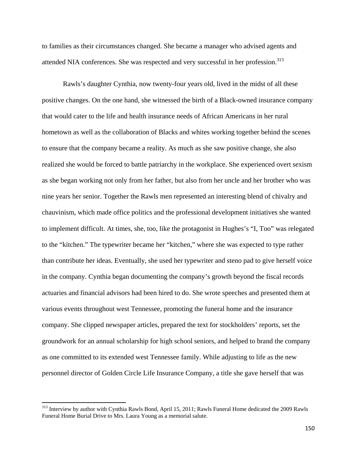to families as their circumstances changed. She became a manager who advised agents and attended NIA conferences. She was respected and very successful in her profession.<sup>313</sup>

Rawls's daughter Cynthia, now twenty-four years old, lived in the midst of all these positive changes. On the one hand, she witnessed the birth of a Black-owned insurance company that would cater to the life and health insurance needs of African Americans in her rural hometown as well as the collaboration of Blacks and whites working together behind the scenes to ensure that the company became a reality. As much as she saw positive change, she also realized she would be forced to battle patriarchy in the workplace. She experienced overt sexism as she began working not only from her father, but also from her uncle and her brother who was nine years her senior. Together the Rawls men represented an interesting blend of chivalry and chauvinism, which made office politics and the professional development initiatives she wanted to implement difficult. At times, she, too, like the protagonist in Hughes's "I, Too" was relegated to the "kitchen." The typewriter became her "kitchen," where she was expected to type rather than contribute her ideas. Eventually, she used her typewriter and steno pad to give herself voice in the company. Cynthia began documenting the company's growth beyond the fiscal records actuaries and financial advisors had been hired to do. She wrote speeches and presented them at various events throughout west Tennessee, promoting the funeral home and the insurance company. She clipped newspaper articles, prepared the text for stockholders' reports, set the groundwork for an annual scholarship for high school seniors, and helped to brand the company as one committed to its extended west Tennessee family. While adjusting to life as the new personnel director of Golden Circle Life Insurance Company, a title she gave herself that was

<sup>&</sup>lt;sup>313</sup> Interview by author with Cynthia Rawls Bond, April 15, 2011; Rawls Funeral Home dedicated the 2009 Rawls Funeral Home Burial Drive to Mrs. Laura Young as a memorial salute.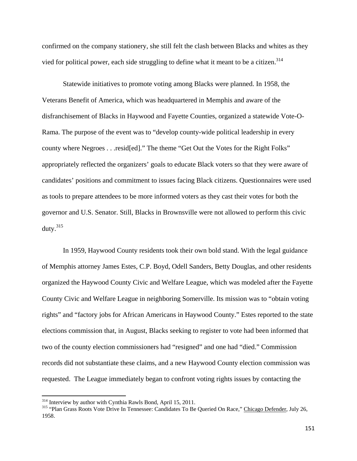confirmed on the company stationery, she still felt the clash between Blacks and whites as they vied for political power, each side struggling to define what it meant to be a citizen.<sup>314</sup>

Statewide initiatives to promote voting among Blacks were planned. In 1958, the Veterans Benefit of America, which was headquartered in Memphis and aware of the disfranchisement of Blacks in Haywood and Fayette Counties, organized a statewide Vote-O-Rama. The purpose of the event was to "develop county-wide political leadership in every county where Negroes . . .resid[ed]." The theme "Get Out the Votes for the Right Folks" appropriately reflected the organizers' goals to educate Black voters so that they were aware of candidates' positions and commitment to issues facing Black citizens. Questionnaires were used as tools to prepare attendees to be more informed voters as they cast their votes for both the governor and U.S. Senator. Still, Blacks in Brownsville were not allowed to perform this civic duty. $315$ 

In 1959, Haywood County residents took their own bold stand. With the legal guidance of Memphis attorney James Estes, C.P. Boyd, Odell Sanders, Betty Douglas, and other residents organized the Haywood County Civic and Welfare League, which was modeled after the Fayette County Civic and Welfare League in neighboring Somerville. Its mission was to "obtain voting rights" and "factory jobs for African Americans in Haywood County." Estes reported to the state elections commission that, in August, Blacks seeking to register to vote had been informed that two of the county election commissioners had "resigned" and one had "died." Commission records did not substantiate these claims, and a new Haywood County election commission was requested. The League immediately began to confront voting rights issues by contacting the

<sup>&</sup>lt;sup>314</sup> Interview by author with Cynthia Rawls Bond, April 15, 2011.

<sup>&</sup>lt;sup>315</sup> "Plan Grass Roots Vote Drive In Tennessee: Candidates To Be Queried On Race," Chicago Defender, July 26, 1958.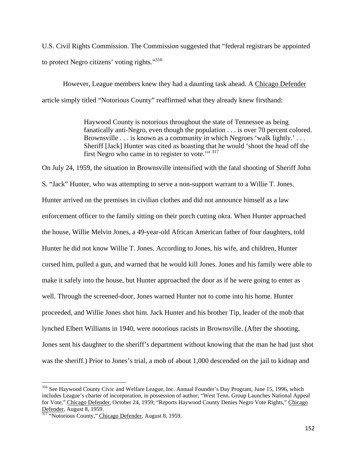U.S. Civil Rights Commission. The Commission suggested that "federal registrars be appointed to protect Negro citizens' voting rights."316

However, League members knew they had a daunting task ahead. A Chicago Defender article simply titled "Notorious County" reaffirmed what they already knew firsthand:

> Haywood County is notorious throughout the state of Tennessee as being fanatically anti-Negro, even though the population . . . is over 70 percent colored. Brownsville . . . is known as a community in which Negroes 'walk lightly.' . . . Sheriff [Jack] Hunter was cited as boasting that he would 'shoot the head off the first Negro who came in to register to vote.'" 317

On July 24, 1959, the situation in Brownsville intensified with the fatal shooting of Sheriff John S. "Jack" Hunter, who was attempting to serve a non-support warrant to a Willie T. Jones. Hunter arrived on the premises in civilian clothes and did not announce himself as a law enforcement officer to the family sitting on their porch cutting okra. When Hunter approached the house, Willie Melvin Jones, a 49-year-old African American father of four daughters, told Hunter he did not know Willie T. Jones. According to Jones, his wife, and children, Hunter cursed him, pulled a gun, and warned that he would kill Jones. Jones and his family were able to make it safely into the house, but Hunter approached the door as if he were going to enter as well. Through the screened-door, Jones warned Hunter not to come into his home. Hunter proceeded, and Willie Jones shot him. Jack Hunter and his brother Tip, leader of the mob that lynched Elbert Williams in 1940, were notorious racists in Brownsville. (After the shooting, Jones sent his daughter to the sheriff's department without knowing that the man he had just shot was the sheriff.) Prior to Jones's trial, a mob of about 1,000 descended on the jail to kidnap and

<sup>316</sup> See Haywood County Civic and Welfare League, Inc. Annual Founder's Day Program, June 15, 1996, which includes League's charter of incorporation, in possession of author; "West Tenn. Group Launches National Appeal for Vote," Chicago Defender, October 24, 1959; "Reports Haywood County Denies Negro Vote Rights," Chicago Defender, August 8, 1959.

<sup>&</sup>lt;sup>317</sup> "Notorious County," Chicago Defender, August 8, 1959.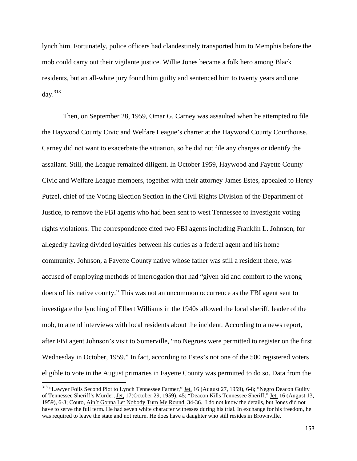lynch him. Fortunately, police officers had clandestinely transported him to Memphis before the mob could carry out their vigilante justice. Willie Jones became a folk hero among Black residents, but an all-white jury found him guilty and sentenced him to twenty years and one day. $318$ 

Then, on September 28, 1959, Omar G. Carney was assaulted when he attempted to file the Haywood County Civic and Welfare League's charter at the Haywood County Courthouse. Carney did not want to exacerbate the situation, so he did not file any charges or identify the assailant. Still, the League remained diligent. In October 1959, Haywood and Fayette County Civic and Welfare League members, together with their attorney James Estes, appealed to Henry Putzel, chief of the Voting Election Section in the Civil Rights Division of the Department of Justice, to remove the FBI agents who had been sent to west Tennessee to investigate voting rights violations. The correspondence cited two FBI agents including Franklin L. Johnson, for allegedly having divided loyalties between his duties as a federal agent and his home community. Johnson, a Fayette County native whose father was still a resident there, was accused of employing methods of interrogation that had "given aid and comfort to the wrong doers of his native county." This was not an uncommon occurrence as the FBI agent sent to investigate the lynching of Elbert Williams in the 1940s allowed the local sheriff, leader of the mob, to attend interviews with local residents about the incident. According to a news report, after FBI agent Johnson's visit to Somerville, "no Negroes were permitted to register on the first Wednesday in October, 1959." In fact, according to Estes's not one of the 500 registered voters eligible to vote in the August primaries in Fayette County was permitted to do so. Data from the

<sup>&</sup>lt;sup>318</sup> "Lawyer Foils Second Plot to Lynch Tennessee Farmer," <u>Jet,</u> 16 (August 27, 1959), 6-8; "Negro Deacon Guilty of Tennessee Sheriff's Murder, Jet. 17(October 29, 1959), 45; "Deacon Kills Tennessee Sheriff," Jet. 16 (August 13, 1959), 6-8; Couto, Ain't Gonna Let Nobody Turn Me Round, 34-36. I do not know the details, but Jones did not have to serve the full term. He had seven white character witnesses during his trial. In exchange for his freedom, he was required to leave the state and not return. He does have a daughter who still resides in Brownville.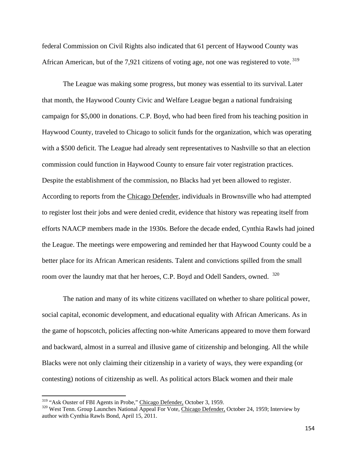federal Commission on Civil Rights also indicated that 61 percent of Haywood County was African American, but of the 7,921 citizens of voting age, not one was registered to vote.<sup>319</sup>

The League was making some progress, but money was essential to its survival. Later that month, the Haywood County Civic and Welfare League began a national fundraising campaign for \$5,000 in donations. C.P. Boyd, who had been fired from his teaching position in Haywood County, traveled to Chicago to solicit funds for the organization, which was operating with a \$500 deficit. The League had already sent representatives to Nashville so that an election commission could function in Haywood County to ensure fair voter registration practices. Despite the establishment of the commission, no Blacks had yet been allowed to register. According to reports from the Chicago Defender, individuals in Brownsville who had attempted to register lost their jobs and were denied credit, evidence that history was repeating itself from efforts NAACP members made in the 1930s. Before the decade ended, Cynthia Rawls had joined the League. The meetings were empowering and reminded her that Haywood County could be a better place for its African American residents. Talent and convictions spilled from the small room over the laundry mat that her heroes, C.P. Boyd and Odell Sanders, owned. <sup>320</sup>

The nation and many of its white citizens vacillated on whether to share political power, social capital, economic development, and educational equality with African Americans. As in the game of hopscotch, policies affecting non-white Americans appeared to move them forward and backward, almost in a surreal and illusive game of citizenship and belonging. All the while Blacks were not only claiming their citizenship in a variety of ways, they were expanding (or contesting) notions of citizenship as well. As political actors Black women and their male

<sup>&</sup>lt;sup>319</sup> "Ask Ouster of FBI Agents in Probe," Chicago Defender, October 3, 1959.

<sup>&</sup>lt;sup>320</sup> West Tenn. Group Launches National Appeal For Vote, Chicago Defender, October 24, 1959; Interview by author with Cynthia Rawls Bond, April 15, 2011.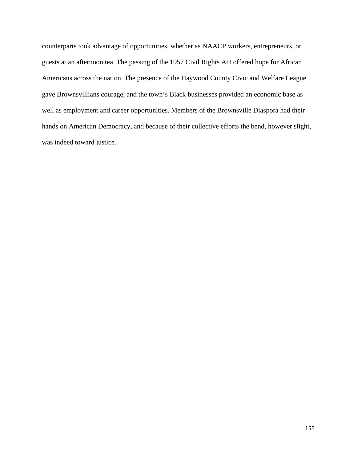counterparts took advantage of opportunities, whether as NAACP workers, entrepreneurs, or guests at an afternoon tea. The passing of the 1957 Civil Rights Act offered hope for African Americans across the nation. The presence of the Haywood County Civic and Welfare League gave Brownsvillians courage, and the town's Black businesses provided an economic base as well as employment and career opportunities. Members of the Brownsville Diaspora had their hands on American Democracy, and because of their collective efforts the bend, however slight, was indeed toward justice.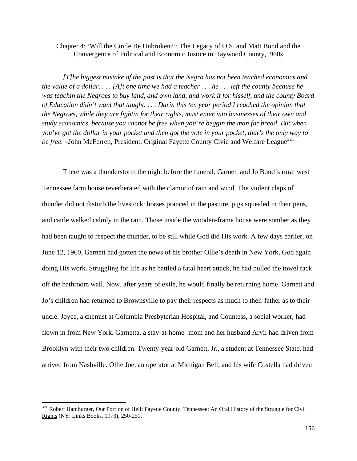## Chapter 4: 'Will the Circle Be Unbroken?': The Legacy of O.S. and Matt Bond and the Convergence of Political and Economic Justice in Haywood County,1960s

*[T]he biggest mistake of the past is that the Negro has not been teached economics and the value of a dollar. . . . [A]t one time we had a teacher . . . he . . . left the county because he was teachin the Negroes to buy land, and own land, and work it for hisself, and the county Board of Education didn't want that taught. . . . Durin this ten year period I reached the opinion that the Negroes, while they are fightin for their rights, must enter into businesses of their own and study economics, because you cannot be free when you're beggin the man for bread. But when you've got the dollar in your pocket and then got the vote in your pocket, that's the only way to be free.* –John McFerren, President, Original Fayette County Civic and Welfare League<sup>321</sup>

There was a thunderstorm the night before the funeral. Garnett and Jo Bond's rural west Tennessee farm house reverberated with the clamor of rain and wind. The violent claps of thunder did not disturb the livestock: horses pranced in the pasture, pigs squealed in their pens, and cattle walked calmly in the rain. Those inside the wooden-frame house were somber as they had been taught to respect the thunder, to be still while God did His work. A few days earlier, on June 12, 1960, Garnett had gotten the news of his brother Ollie's death in New York, God again doing His work. Struggling for life as he battled a fatal heart attack, he had pulled the towel rack off the bathroom wall. Now, after years of exile, he would finally be returning home. Garnett and Jo's children had returned to Brownsville to pay their respects as much to their father as to their uncle. Joyce, a chemist at Columbia Presbyterian Hospital, and Countess, a social worker, had flown in from New York. Garnetta, a stay-at-home- mom and her husband Arvil had driven from Brooklyn with their two children. Twenty-year-old Garnett, Jr., a student at Tennessee State, had arrived from Nashville. Ollie Joe, an operator at Michigan Bell, and his wife Costella had driven

<sup>&</sup>lt;sup>321</sup> Robert Hamburger, Our Portion of Hell: Fayette County, Tennessee: An Oral History of the Struggle for Civil Rights (NY: Links Books, 1973), 250-251.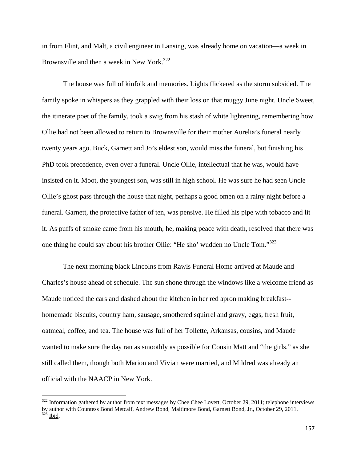in from Flint, and Malt, a civil engineer in Lansing, was already home on vacation—a week in Brownsville and then a week in New York.<sup>322</sup>

The house was full of kinfolk and memories. Lights flickered as the storm subsided. The family spoke in whispers as they grappled with their loss on that muggy June night. Uncle Sweet, the itinerate poet of the family, took a swig from his stash of white lightening, remembering how Ollie had not been allowed to return to Brownsville for their mother Aurelia's funeral nearly twenty years ago. Buck, Garnett and Jo's eldest son, would miss the funeral, but finishing his PhD took precedence, even over a funeral. Uncle Ollie, intellectual that he was, would have insisted on it. Moot, the youngest son, was still in high school. He was sure he had seen Uncle Ollie's ghost pass through the house that night, perhaps a good omen on a rainy night before a funeral. Garnett, the protective father of ten, was pensive. He filled his pipe with tobacco and lit it. As puffs of smoke came from his mouth, he, making peace with death, resolved that there was one thing he could say about his brother Ollie: "He sho' wudden no Uncle Tom."<sup>323</sup>

The next morning black Lincolns from Rawls Funeral Home arrived at Maude and Charles's house ahead of schedule. The sun shone through the windows like a welcome friend as Maude noticed the cars and dashed about the kitchen in her red apron making breakfast- homemade biscuits, country ham, sausage, smothered squirrel and gravy, eggs, fresh fruit, oatmeal, coffee, and tea. The house was full of her Tollette, Arkansas, cousins, and Maude wanted to make sure the day ran as smoothly as possible for Cousin Matt and "the girls," as she still called them, though both Marion and Vivian were married, and Mildred was already an official with the NAACP in New York.

 $322$  Information gathered by author from text messages by Chee Chee Lovett, October 29, 2011; telephone interviews by author with Countess Bond Metcalf, Andrew Bond, Maltimore Bond, Garnett Bond, Jr., October 29, 2011.  $323$  Ibid.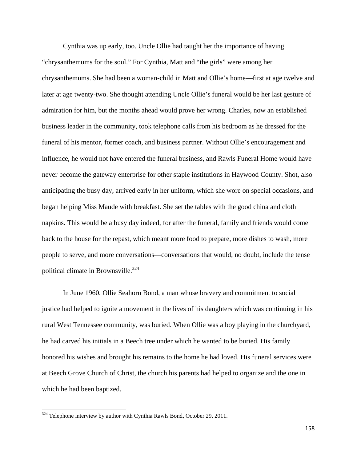Cynthia was up early, too. Uncle Ollie had taught her the importance of having "chrysanthemums for the soul." For Cynthia, Matt and "the girls" were among her chrysanthemums. She had been a woman-child in Matt and Ollie's home—first at age twelve and later at age twenty-two. She thought attending Uncle Ollie's funeral would be her last gesture of admiration for him, but the months ahead would prove her wrong. Charles, now an established business leader in the community, took telephone calls from his bedroom as he dressed for the funeral of his mentor, former coach, and business partner. Without Ollie's encouragement and influence, he would not have entered the funeral business, and Rawls Funeral Home would have never become the gateway enterprise for other staple institutions in Haywood County. Shot, also anticipating the busy day, arrived early in her uniform, which she wore on special occasions, and began helping Miss Maude with breakfast. She set the tables with the good china and cloth napkins. This would be a busy day indeed, for after the funeral, family and friends would come back to the house for the repast, which meant more food to prepare, more dishes to wash, more people to serve, and more conversations—conversations that would, no doubt, include the tense political climate in Brownsville. $324$ 

In June 1960, Ollie Seahorn Bond, a man whose bravery and commitment to social justice had helped to ignite a movement in the lives of his daughters which was continuing in his rural West Tennessee community, was buried. When Ollie was a boy playing in the churchyard, he had carved his initials in a Beech tree under which he wanted to be buried. His family honored his wishes and brought his remains to the home he had loved. His funeral services were at Beech Grove Church of Christ, the church his parents had helped to organize and the one in which he had been baptized.

 $324$  Telephone interview by author with Cynthia Rawls Bond, October 29, 2011.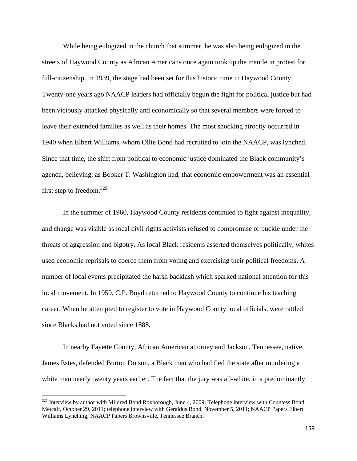While being eulogized in the church that summer, he was also being eulogized in the streets of Haywood County as African Americans once again took up the mantle in protest for full-citizenship. In 1939, the stage had been set for this historic time in Haywood County. Twenty-one years ago NAACP leaders had officially begun the fight for political justice but had been viciously attacked physically and economically so that several members were forced to leave their extended families as well as their homes. The most shocking atrocity occurred in 1940 when Elbert Williams, whom Ollie Bond had recruited to join the NAACP, was lynched. Since that time, the shift from political to economic justice dominated the Black community's agenda, believing, as Booker T. Washington had, that economic empowerment was an essential first step to freedom. $325$ 

In the summer of 1960, Haywood County residents continued to fight against inequality, and change was visible as local civil rights activists refused to compromise or buckle under the threats of aggression and bigotry. As local Black residents asserted themselves politically, whites used economic reprisals to coerce them from voting and exercising their political freedoms. A number of local events precipitated the harsh backlash which sparked national attention for this local movement. In 1959, C.P. Boyd returned to Haywood County to continue his teaching career. When he attempted to register to vote in Haywood County local officials, were rattled since Blacks had not voted since 1888.

In nearby Fayette County, African American attorney and Jackson, Tennessee, native, James Estes, defended Burton Dotson, a Black man who had fled the state after murdering a white man nearly twenty years earlier. The fact that the jury was all-white, in a predominantly

<sup>&</sup>lt;sup>325</sup> Interview by author with Mildred Bond Roxborough, June 4, 2009; Telephone interview with Countess Bond Metcalf, October 29, 2011; telephone interview with Geraldus Bond, November 5, 2011; NAACP Papers Elbert Williams Lynching; NAACP Papers Brownsville, Tennessee Branch.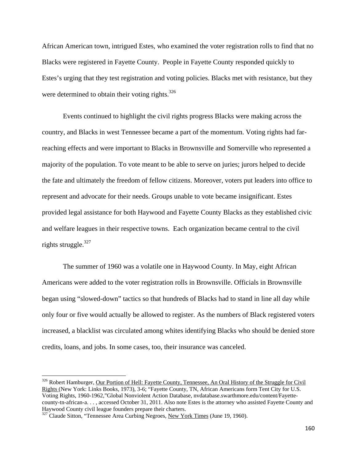African American town, intrigued Estes, who examined the voter registration rolls to find that no Blacks were registered in Fayette County. People in Fayette County responded quickly to Estes's urging that they test registration and voting policies. Blacks met with resistance, but they were determined to obtain their voting rights. $326$ 

Events continued to highlight the civil rights progress Blacks were making across the country, and Blacks in west Tennessee became a part of the momentum. Voting rights had farreaching effects and were important to Blacks in Brownsville and Somerville who represented a majority of the population. To vote meant to be able to serve on juries; jurors helped to decide the fate and ultimately the freedom of fellow citizens. Moreover, voters put leaders into office to represent and advocate for their needs. Groups unable to vote became insignificant. Estes provided legal assistance for both Haywood and Fayette County Blacks as they established civic and welfare leagues in their respective towns. Each organization became central to the civil rights struggle. $327$ 

The summer of 1960 was a volatile one in Haywood County. In May, eight African Americans were added to the voter registration rolls in Brownsville. Officials in Brownsville began using "slowed-down" tactics so that hundreds of Blacks had to stand in line all day while only four or five would actually be allowed to register. As the numbers of Black registered voters increased, a blacklist was circulated among whites identifying Blacks who should be denied store credits, loans, and jobs. In some cases, too, their insurance was canceled.

<sup>&</sup>lt;sup>326</sup> Robert Hamburger, Our Portion of Hell: Fayette County, Tennessee, An Oral History of the Struggle for Civil Rights (New York: Links Books, 1973), 3-6; "Fayette County, TN, African Americans form Tent City for U.S. Voting Rights, 1960-1962,"Global Nonviolent Action Database, nvdatabase.swarthmore.edu/content/Fayettecounty-tn-african-a. . . , accessed October 31, 2011. Also note Estes is the attorney who assisted Fayette County and Haywood County civil league founders prepare their charters.

 $327$  Claude Sitton, "Tennessee Area Curbing Negroes, New York Times (June 19, 1960).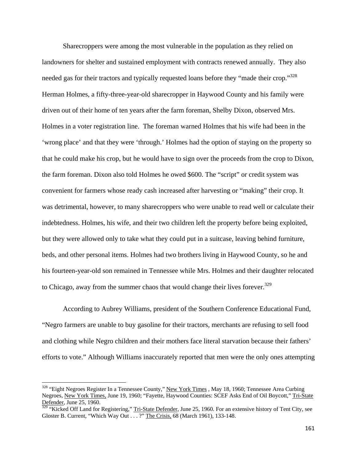Sharecroppers were among the most vulnerable in the population as they relied on landowners for shelter and sustained employment with contracts renewed annually. They also needed gas for their tractors and typically requested loans before they "made their crop."<sup>328</sup> Herman Holmes, a fifty-three-year-old sharecropper in Haywood County and his family were driven out of their home of ten years after the farm foreman, Shelby Dixon, observed Mrs. Holmes in a voter registration line. The foreman warned Holmes that his wife had been in the 'wrong place' and that they were 'through.' Holmes had the option of staying on the property so that he could make his crop, but he would have to sign over the proceeds from the crop to Dixon, the farm foreman. Dixon also told Holmes he owed \$600. The "script" or credit system was convenient for farmers whose ready cash increased after harvesting or "making" their crop. It was detrimental, however, to many sharecroppers who were unable to read well or calculate their indebtedness. Holmes, his wife, and their two children left the property before being exploited, but they were allowed only to take what they could put in a suitcase, leaving behind furniture, beds, and other personal items. Holmes had two brothers living in Haywood County, so he and his fourteen-year-old son remained in Tennessee while Mrs. Holmes and their daughter relocated to Chicago, away from the summer chaos that would change their lives forever.<sup>329</sup>

According to Aubrey Williams, president of the Southern Conference Educational Fund, "Negro farmers are unable to buy gasoline for their tractors, merchants are refusing to sell food and clothing while Negro children and their mothers face literal starvation because their fathers' efforts to vote." Although Williams inaccurately reported that men were the only ones attempting

<sup>&</sup>lt;sup>328</sup> "Eight Negroes Register In a Tennessee County," New York Times, May 18, 1960; Tennessee Area Curbing Negroes, New York Times, June 19, 1960; "Fayette, Haywood Counties: SCEF Asks End of Oil Boycott," Tri-State Defender, June 25, 1960.

**<sup>329 &</sup>quot;Kicked Off Land for Registering,"** Tri-State Defender, June 25, 1960. For an extensive history of Tent City, see Gloster B. Current, "Which Way Out . . . ?" The Crisis, 68 (March 1961), 133-148.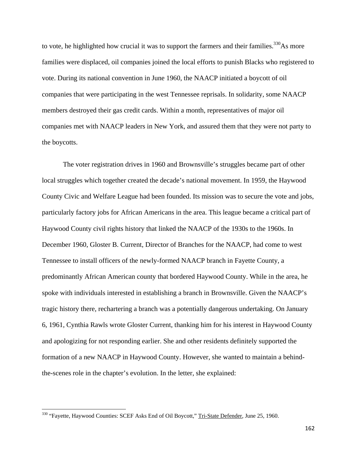to vote, he highlighted how crucial it was to support the farmers and their families.<sup>330</sup>As more families were displaced, oil companies joined the local efforts to punish Blacks who registered to vote. During its national convention in June 1960, the NAACP initiated a boycott of oil companies that were participating in the west Tennessee reprisals. In solidarity, some NAACP members destroyed their gas credit cards. Within a month, representatives of major oil companies met with NAACP leaders in New York, and assured them that they were not party to the boycotts.

The voter registration drives in 1960 and Brownsville's struggles became part of other local struggles which together created the decade's national movement. In 1959, the Haywood County Civic and Welfare League had been founded. Its mission was to secure the vote and jobs, particularly factory jobs for African Americans in the area. This league became a critical part of Haywood County civil rights history that linked the NAACP of the 1930s to the 1960s. In December 1960, Gloster B. Current, Director of Branches for the NAACP, had come to west Tennessee to install officers of the newly-formed NAACP branch in Fayette County, a predominantly African American county that bordered Haywood County. While in the area, he spoke with individuals interested in establishing a branch in Brownsville. Given the NAACP's tragic history there, rechartering a branch was a potentially dangerous undertaking. On January 6, 1961, Cynthia Rawls wrote Gloster Current, thanking him for his interest in Haywood County and apologizing for not responding earlier. She and other residents definitely supported the formation of a new NAACP in Haywood County. However, she wanted to maintain a behindthe-scenes role in the chapter's evolution. In the letter, she explained:

<sup>&</sup>lt;sup>330</sup> "Fayette, Haywood Counties: SCEF Asks End of Oil Boycott," Tri-State Defender, June 25, 1960.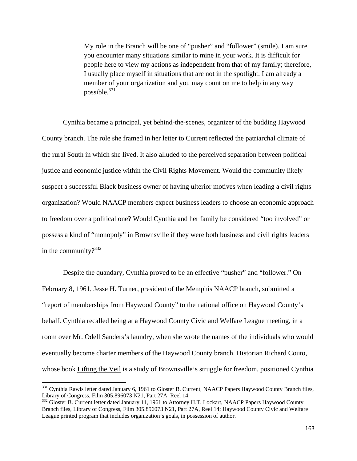My role in the Branch will be one of "pusher" and "follower" (smile). I am sure you encounter many situations similar to mine in your work. It is difficult for people here to view my actions as independent from that of my family; therefore, I usually place myself in situations that are not in the spotlight. I am already a member of your organization and you may count on me to help in any way possible.331

Cynthia became a principal, yet behind-the-scenes, organizer of the budding Haywood County branch. The role she framed in her letter to Current reflected the patriarchal climate of the rural South in which she lived. It also alluded to the perceived separation between political justice and economic justice within the Civil Rights Movement. Would the community likely suspect a successful Black business owner of having ulterior motives when leading a civil rights organization? Would NAACP members expect business leaders to choose an economic approach to freedom over a political one? Would Cynthia and her family be considered "too involved" or possess a kind of "monopoly" in Brownsville if they were both business and civil rights leaders in the community? $332$ 

Despite the quandary, Cynthia proved to be an effective "pusher" and "follower." On February 8, 1961, Jesse H. Turner, president of the Memphis NAACP branch, submitted a "report of memberships from Haywood County" to the national office on Haywood County's behalf. Cynthia recalled being at a Haywood County Civic and Welfare League meeting, in a room over Mr. Odell Sanders's laundry, when she wrote the names of the individuals who would eventually become charter members of the Haywood County branch. Historian Richard Couto, whose book Lifting the Veil is a study of Brownsville's struggle for freedom, positioned Cynthia

<sup>&</sup>lt;sup>331</sup> Cynthia Rawls letter dated January 6, 1961 to Gloster B. Current, NAACP Papers Haywood County Branch files, Library of Congress, Film 305.896073 N21, Part 27A, Reel 14.

<sup>&</sup>lt;sup>332</sup> Gloster B. Current letter dated January 11, 1961 to Attorney H.T. Lockart, NAACP Papers Haywood County Branch files, Library of Congress, Film 305.896073 N21, Part 27A, Reel 14; Haywood County Civic and Welfare League printed program that includes organization's goals, in possession of author.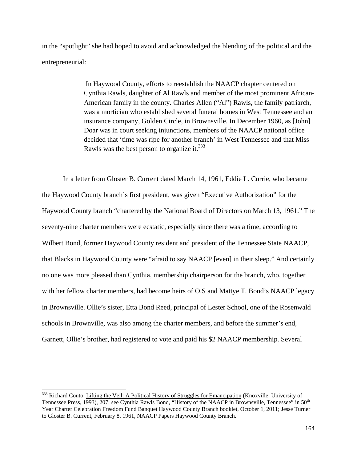in the "spotlight" she had hoped to avoid and acknowledged the blending of the political and the entrepreneurial:

> In Haywood County, efforts to reestablish the NAACP chapter centered on Cynthia Rawls, daughter of Al Rawls and member of the most prominent African-American family in the county. Charles Allen ("Al") Rawls, the family patriarch, was a mortician who established several funeral homes in West Tennessee and an insurance company, Golden Circle, in Brownsville. In December 1960, as [John] Doar was in court seeking injunctions, members of the NAACP national office decided that 'time was ripe for another branch' in West Tennessee and that Miss Rawls was the best person to organize it. $333$

In a letter from Gloster B. Current dated March 14, 1961, Eddie L. Currie, who became the Haywood County branch's first president, was given "Executive Authorization" for the Haywood County branch "chartered by the National Board of Directors on March 13, 1961." The seventy-nine charter members were ecstatic, especially since there was a time, according to Wilbert Bond, former Haywood County resident and president of the Tennessee State NAACP, that Blacks in Haywood County were "afraid to say NAACP [even] in their sleep." And certainly no one was more pleased than Cynthia, membership chairperson for the branch, who, together with her fellow charter members, had become heirs of O.S and Mattye T. Bond's NAACP legacy in Brownsville. Ollie's sister, Etta Bond Reed, principal of Lester School, one of the Rosenwald schools in Brownville, was also among the charter members, and before the summer's end, Garnett, Ollie's brother, had registered to vote and paid his \$2 NAACP membership. Several

<sup>&</sup>lt;sup>333</sup> Richard Couto, Lifting the Veil: A Political History of Struggles for Emancipation (Knoxville: University of Tennessee Press, 1993), 207; see Cynthia Rawls Bond, "History of the NAACP in Brownsville, Tennessee" in 50th Year Charter Celebration Freedom Fund Banquet Haywood County Branch booklet, October 1, 2011; Jesse Turner to Gloster B. Current, February 8, 1961, NAACP Papers Haywood County Branch.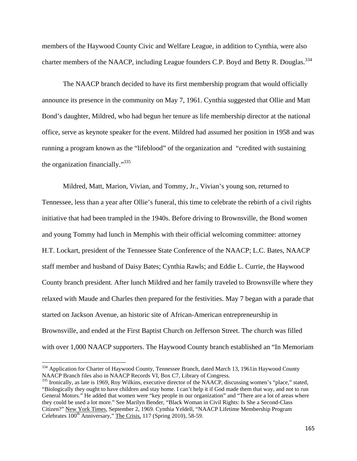members of the Haywood County Civic and Welfare League, in addition to Cynthia, were also charter members of the NAACP, including League founders C.P. Boyd and Betty R. Douglas.<sup>334</sup>

The NAACP branch decided to have its first membership program that would officially announce its presence in the community on May 7, 1961. Cynthia suggested that Ollie and Matt Bond's daughter, Mildred, who had begun her tenure as life membership director at the national office, serve as keynote speaker for the event. Mildred had assumed her position in 1958 and was running a program known as the "lifeblood" of the organization and "credited with sustaining the organization financially."335

Mildred, Matt, Marion, Vivian, and Tommy, Jr., Vivian's young son, returned to Tennessee, less than a year after Ollie's funeral, this time to celebrate the rebirth of a civil rights initiative that had been trampled in the 1940s. Before driving to Brownsville, the Bond women and young Tommy had lunch in Memphis with their official welcoming committee: attorney H.T. Lockart, president of the Tennessee State Conference of the NAACP; L.C. Bates, NAACP staff member and husband of Daisy Bates; Cynthia Rawls; and Eddie L. Currie, the Haywood County branch president. After lunch Mildred and her family traveled to Brownsville where they relaxed with Maude and Charles then prepared for the festivities. May 7 began with a parade that started on Jackson Avenue, an historic site of African-American entrepreneurship in Brownsville, and ended at the First Baptist Church on Jefferson Street. The church was filled with over 1,000 NAACP supporters. The Haywood County branch established an "In Memoriam"

<sup>&</sup>lt;sup>334</sup> Application for Charter of Haywood County, Tennessee Branch, dated March 13, 1961in Haywood County NAACP Branch files also in NAACP Records VI, Box C7, Library of Congress.

 $335$  Ironically, as late is 1969, Roy Wilkins, executive director of the NAACP, discussing women's "place," stated, "Biologically they ought to have children and stay home. I can't help it if God made them that way, and not to run General Motors." He added that women were "key people in our organization" and "There are a lot of areas where they could be used a lot more." See Marilyn Bender, "Black Woman in Civil Rights: Is She a Second-Class Citizen?" New York Times, September 2, 1969. Cynthia Yeldell, "NAACP Lifetime Membership Program Celebrates 100<sup>th</sup> Anniversary," The Crisis, 117 (Spring 2010), 58-59.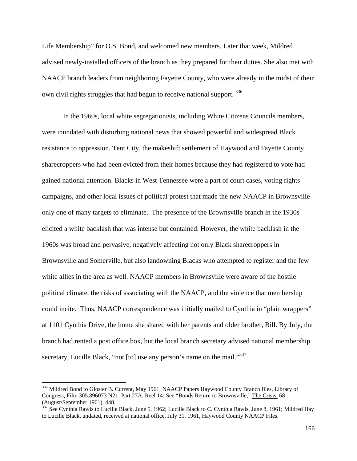Life Membership" for O.S. Bond, and welcomed new members. Later that week, Mildred advised newly-installed officers of the branch as they prepared for their duties. She also met with NAACP branch leaders from neighboring Fayette County, who were already in the midst of their own civil rights struggles that had begun to receive national support. <sup>336</sup>

In the 1960s, local white segregationists, including White Citizens Councils members, were inundated with disturbing national news that showed powerful and widespread Black resistance to oppression. Tent City, the makeshift settlement of Haywood and Fayette County sharecroppers who had been evicted from their homes because they had registered to vote had gained national attention. Blacks in West Tennessee were a part of court cases, voting rights campaigns, and other local issues of political protest that made the new NAACP in Brownsville only one of many targets to eliminate. The presence of the Brownsville branch in the 1930s elicited a white backlash that was intense but contained. However, the white backlash in the 1960s was broad and pervasive, negatively affecting not only Black sharecroppers in Brownsville and Somerville, but also landowning Blacks who attempted to register and the few white allies in the area as well. NAACP members in Brownsville were aware of the hostile political climate, the risks of associating with the NAACP, and the violence that membership could incite. Thus, NAACP correspondence was initially mailed to Cynthia in "plain wrappers" at 1101 Cynthia Drive, the home she shared with her parents and older brother, Bill. By July, the branch had rented a post office box, but the local branch secretary advised national membership secretary, Lucille Black, "not [to] use any person's name on the mail."<sup>337</sup>

<sup>336</sup> Mildred Bond to Gloster B. Current, May 1961, NAACP Papers Haywood County Branch files, Library of Congress, Film 305.896073 N21, Part 27A, Reel 14; See "Bonds Return to Brownsville," The Crisis, 68 (August/September 1961), 448.

<sup>&</sup>lt;sup>337</sup> See Cynthia Rawls to Lucille Black, June 5, 1962; Lucille Black to C. Cynthia Rawls, June 8, 1961; Mildred Hay to Lucille Black, undated, received at national office, July 31, 1961, Haywood County NAACP Files.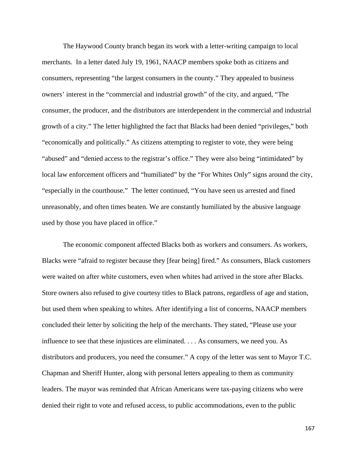The Haywood County branch began its work with a letter-writing campaign to local merchants. In a letter dated July 19, 1961, NAACP members spoke both as citizens and consumers, representing "the largest consumers in the county." They appealed to business owners' interest in the "commercial and industrial growth" of the city, and argued, "The consumer, the producer, and the distributors are interdependent in the commercial and industrial growth of a city." The letter highlighted the fact that Blacks had been denied "privileges," both "economically and politically." As citizens attempting to register to vote, they were being "abused" and "denied access to the registrar's office." They were also being "intimidated" by local law enforcement officers and "humiliated" by the "For Whites Only" signs around the city, "especially in the courthouse." The letter continued, "You have seen us arrested and fined unreasonably, and often times beaten. We are constantly humiliated by the abusive language used by those you have placed in office."

The economic component affected Blacks both as workers and consumers. As workers, Blacks were "afraid to register because they [fear being] fired." As consumers, Black customers were waited on after white customers, even when whites had arrived in the store after Blacks. Store owners also refused to give courtesy titles to Black patrons, regardless of age and station, but used them when speaking to whites. After identifying a list of concerns, NAACP members concluded their letter by soliciting the help of the merchants. They stated, "Please use your influence to see that these injustices are eliminated. . . . As consumers, we need you. As distributors and producers, you need the consumer." A copy of the letter was sent to Mayor T.C. Chapman and Sheriff Hunter, along with personal letters appealing to them as community leaders. The mayor was reminded that African Americans were tax-paying citizens who were denied their right to vote and refused access, to public accommodations, even to the public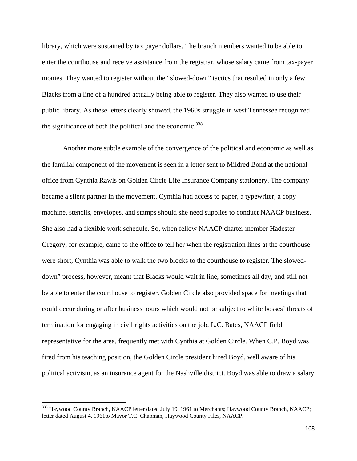library, which were sustained by tax payer dollars. The branch members wanted to be able to enter the courthouse and receive assistance from the registrar, whose salary came from tax-payer monies. They wanted to register without the "slowed-down" tactics that resulted in only a few Blacks from a line of a hundred actually being able to register. They also wanted to use their public library. As these letters clearly showed, the 1960s struggle in west Tennessee recognized the significance of both the political and the economic.<sup>338</sup>

Another more subtle example of the convergence of the political and economic as well as the familial component of the movement is seen in a letter sent to Mildred Bond at the national office from Cynthia Rawls on Golden Circle Life Insurance Company stationery. The company became a silent partner in the movement. Cynthia had access to paper, a typewriter, a copy machine, stencils, envelopes, and stamps should she need supplies to conduct NAACP business. She also had a flexible work schedule. So, when fellow NAACP charter member Hadester Gregory, for example, came to the office to tell her when the registration lines at the courthouse were short, Cynthia was able to walk the two blocks to the courthouse to register. The sloweddown" process, however, meant that Blacks would wait in line, sometimes all day, and still not be able to enter the courthouse to register. Golden Circle also provided space for meetings that could occur during or after business hours which would not be subject to white bosses' threats of termination for engaging in civil rights activities on the job. L.C. Bates, NAACP field representative for the area, frequently met with Cynthia at Golden Circle. When C.P. Boyd was fired from his teaching position, the Golden Circle president hired Boyd, well aware of his political activism, as an insurance agent for the Nashville district. Boyd was able to draw a salary

<sup>&</sup>lt;sup>338</sup> Haywood County Branch, NAACP letter dated July 19, 1961 to Merchants; Haywood County Branch, NAACP; letter dated August 4, 1961to Mayor T.C. Chapman, Haywood County Files, NAACP.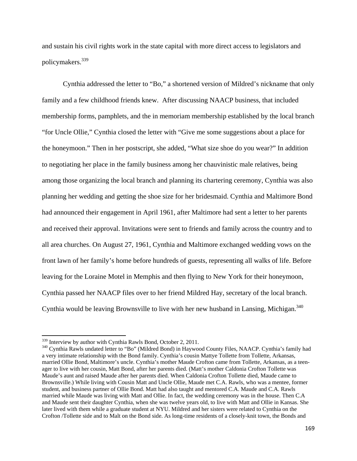and sustain his civil rights work in the state capital with more direct access to legislators and policymakers.339

Cynthia addressed the letter to "Bo," a shortened version of Mildred's nickname that only family and a few childhood friends knew. After discussing NAACP business, that included membership forms, pamphlets, and the in memoriam membership established by the local branch "for Uncle Ollie," Cynthia closed the letter with "Give me some suggestions about a place for the honeymoon." Then in her postscript, she added, "What size shoe do you wear?" In addition to negotiating her place in the family business among her chauvinistic male relatives, being among those organizing the local branch and planning its chartering ceremony, Cynthia was also planning her wedding and getting the shoe size for her bridesmaid. Cynthia and Maltimore Bond had announced their engagement in April 1961, after Maltimore had sent a letter to her parents and received their approval. Invitations were sent to friends and family across the country and to all area churches. On August 27, 1961, Cynthia and Maltimore exchanged wedding vows on the front lawn of her family's home before hundreds of guests, representing all walks of life. Before leaving for the Loraine Motel in Memphis and then flying to New York for their honeymoon, Cynthia passed her NAACP files over to her friend Mildred Hay, secretary of the local branch. Cynthia would be leaving Brownsville to live with her new husband in Lansing, Michigan.<sup>340</sup>

<sup>&</sup>lt;sup>339</sup> Interview by author with Cynthia Rawls Bond, October 2, 2011.

<sup>&</sup>lt;sup>340</sup> Cynthia Rawls undated letter to "Bo" (Mildred Bond) in Haywood County Files, NAACP. Cynthia's family had a very intimate relationship with the Bond family. Cynthia's cousin Mattye Tollette from Tollette, Arkansas, married Ollie Bond, Maltimore's uncle. Cynthia's mother Maude Crofton came from Tollette, Arkansas, as a teenager to live with her cousin, Matt Bond, after her parents died. (Matt's mother Caldonia Crofton Tollette was Maude's aunt and raised Maude after her parents died. When Caldonia Crofton Tollette died, Maude came to Brownsville.) While living with Cousin Matt and Uncle Ollie, Maude met C.A. Rawls, who was a mentee, former student, and business partner of Ollie Bond. Matt had also taught and mentored C.A. Maude and C.A. Rawls married while Maude was living with Matt and Ollie. In fact, the wedding ceremony was in the house. Then C.A and Maude sent their daughter Cynthia, when she was twelve years old, to live with Matt and Ollie in Kansas. She later lived with them while a graduate student at NYU. Mildred and her sisters were related to Cynthia on the Crofton /Tollette side and to Malt on the Bond side. As long-time residents of a closely-knit town, the Bonds and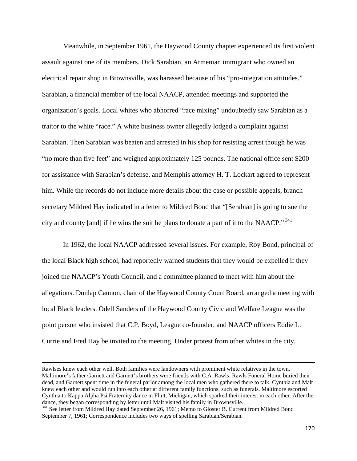Meanwhile, in September 1961, the Haywood County chapter experienced its first violent assault against one of its members. Dick Sarabian, an Armenian immigrant who owned an electrical repair shop in Brownsville, was harassed because of his "pro-integration attitudes." Sarabian, a financial member of the local NAACP, attended meetings and supported the organization's goals. Local whites who abhorred "race mixing" undoubtedly saw Sarabian as a traitor to the white "race." A white business owner allegedly lodged a complaint against Sarabian. Then Sarabian was beaten and arrested in his shop for resisting arrest though he was "no more than five feet" and weighed approximately 125 pounds. The national office sent \$200 for assistance with Sarabian's defense, and Memphis attorney H. T. Lockart agreed to represent him. While the records do not include more details about the case or possible appeals, branch secretary Mildred Hay indicated in a letter to Mildred Bond that "[Serabian] is going to sue the city and county [and] if he wins the suit he plans to donate a part of it to the NAACP." 341

In 1962, the local NAACP addressed several issues. For example, Roy Bond, principal of the local Black high school, had reportedly warned students that they would be expelled if they joined the NAACP's Youth Council, and a committee planned to meet with him about the allegations. Dunlap Cannon, chair of the Haywood County Court Board, arranged a meeting with local Black leaders. Odell Sanders of the Haywood County Civic and Welfare League was the point person who insisted that C.P. Boyd, League co-founder, and NAACP officers Eddie L. Currie and Fred Hay be invited to the meeting. Under protest from other whites in the city,

<u> 1989 - Johann Stoff, amerikansk politiker (d. 1989)</u>

Rawlses knew each other well. Both families were landowners with prominent white relatives in the town. Maltimore's father Garnett and Garnett's brothers were friends with C.A. Rawls. Rawls Funeral Home buried their dead, and Garnett spent time in the funeral parlor among the local men who gathered there to talk. Cynthia and Malt knew each other and would run into each other at different family functions, such as funerals. Maltimore escorted Cynthia to Kappa Alpha Psi Fraternity dance in Flint, Michigan, which sparked their interest in each other. After the dance, they began corresponding by letter until Malt visited his family in Brownsville.<br><sup>341</sup> See letter from Mildred Hay dated September 26, 1961; Memo to Gloster B. Current from Mildred Bond

September 7, 1961; Correspondence includes two ways of spelling Sarabian/Serabian.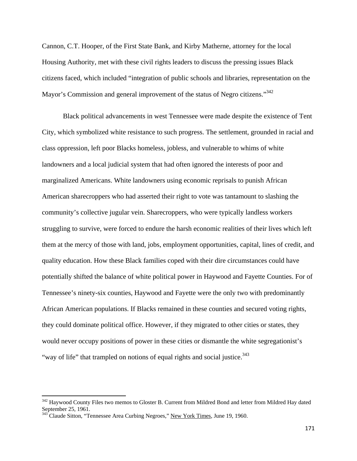Cannon, C.T. Hooper, of the First State Bank, and Kirby Matherne, attorney for the local Housing Authority, met with these civil rights leaders to discuss the pressing issues Black citizens faced, which included "integration of public schools and libraries, representation on the Mayor's Commission and general improvement of the status of Negro citizens."<sup>342</sup>

Black political advancements in west Tennessee were made despite the existence of Tent City, which symbolized white resistance to such progress. The settlement, grounded in racial and class oppression, left poor Blacks homeless, jobless, and vulnerable to whims of white landowners and a local judicial system that had often ignored the interests of poor and marginalized Americans. White landowners using economic reprisals to punish African American sharecroppers who had asserted their right to vote was tantamount to slashing the community's collective jugular vein. Sharecroppers, who were typically landless workers struggling to survive, were forced to endure the harsh economic realities of their lives which left them at the mercy of those with land, jobs, employment opportunities, capital, lines of credit, and quality education. How these Black families coped with their dire circumstances could have potentially shifted the balance of white political power in Haywood and Fayette Counties. For of Tennessee's ninety-six counties, Haywood and Fayette were the only two with predominantly African American populations. If Blacks remained in these counties and secured voting rights, they could dominate political office. However, if they migrated to other cities or states, they would never occupy positions of power in these cities or dismantle the white segregationist's "way of life" that trampled on notions of equal rights and social justice.<sup>343</sup>

<sup>&</sup>lt;sup>342</sup> Haywood County Files two memos to Gloster B. Current from Mildred Bond and letter from Mildred Hay dated September 25, 1961.

 $343$ <sup> $343$ </sup> Claude Sitton, "Tennessee Area Curbing Negroes," <u>New York Times</u>, June 19, 1960.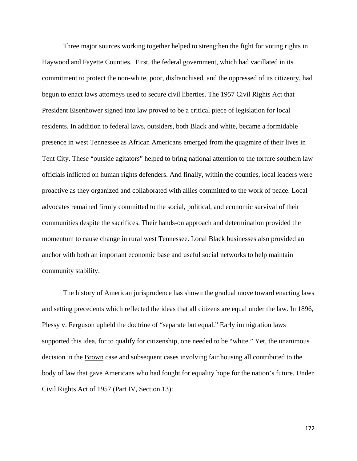Three major sources working together helped to strengthen the fight for voting rights in Haywood and Fayette Counties. First, the federal government, which had vacillated in its commitment to protect the non-white, poor, disfranchised, and the oppressed of its citizenry, had begun to enact laws attorneys used to secure civil liberties. The 1957 Civil Rights Act that President Eisenhower signed into law proved to be a critical piece of legislation for local residents. In addition to federal laws, outsiders, both Black and white, became a formidable presence in west Tennessee as African Americans emerged from the quagmire of their lives in Tent City. These "outside agitators" helped to bring national attention to the torture southern law officials inflicted on human rights defenders. And finally, within the counties, local leaders were proactive as they organized and collaborated with allies committed to the work of peace. Local advocates remained firmly committed to the social, political, and economic survival of their communities despite the sacrifices. Their hands-on approach and determination provided the momentum to cause change in rural west Tennessee. Local Black businesses also provided an anchor with both an important economic base and useful social networks to help maintain community stability.

The history of American jurisprudence has shown the gradual move toward enacting laws and setting precedents which reflected the ideas that all citizens are equal under the law. In 1896, Plessy v. Ferguson upheld the doctrine of "separate but equal." Early immigration laws supported this idea, for to qualify for citizenship, one needed to be "white." Yet, the unanimous decision in the Brown case and subsequent cases involving fair housing all contributed to the body of law that gave Americans who had fought for equality hope for the nation's future. Under Civil Rights Act of 1957 (Part IV, Section 13):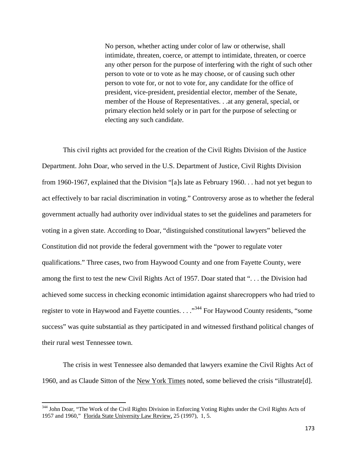No person, whether acting under color of law or otherwise, shall intimidate, threaten, coerce, or attempt to intimidate, threaten, or coerce any other person for the purpose of interfering with the right of such other person to vote or to vote as he may choose, or of causing such other person to vote for, or not to vote for, any candidate for the office of president, vice-president, presidential elector, member of the Senate, member of the House of Representatives. . .at any general, special, or primary election held solely or in part for the purpose of selecting or electing any such candidate.

This civil rights act provided for the creation of the Civil Rights Division of the Justice Department. John Doar, who served in the U.S. Department of Justice, Civil Rights Division from 1960-1967, explained that the Division "[a]s late as February 1960. . . had not yet begun to act effectively to bar racial discrimination in voting." Controversy arose as to whether the federal government actually had authority over individual states to set the guidelines and parameters for voting in a given state. According to Doar, "distinguished constitutional lawyers" believed the Constitution did not provide the federal government with the "power to regulate voter qualifications." Three cases, two from Haywood County and one from Fayette County, were among the first to test the new Civil Rights Act of 1957. Doar stated that ". . . the Division had achieved some success in checking economic intimidation against sharecroppers who had tried to register to vote in Haywood and Fayette counties. . . . "<sup>344</sup> For Haywood County residents, "some success" was quite substantial as they participated in and witnessed firsthand political changes of their rural west Tennessee town.

The crisis in west Tennessee also demanded that lawyers examine the Civil Rights Act of 1960, and as Claude Sitton of the New York Times noted, some believed the crisis "illustrate[d].

<sup>&</sup>lt;sup>344</sup> John Doar, "The Work of the Civil Rights Division in Enforcing Voting Rights under the Civil Rights Acts of 1957 and 1960," Florida State University Law Review, 25 (1997), 1, 5.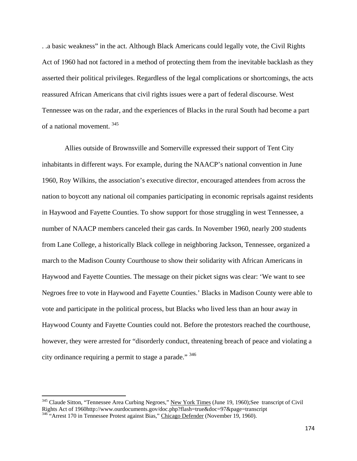. .a basic weakness" in the act. Although Black Americans could legally vote, the Civil Rights Act of 1960 had not factored in a method of protecting them from the inevitable backlash as they asserted their political privileges. Regardless of the legal complications or shortcomings, the acts reassured African Americans that civil rights issues were a part of federal discourse. West Tennessee was on the radar, and the experiences of Blacks in the rural South had become a part of a national movement. <sup>345</sup>

 Allies outside of Brownsville and Somerville expressed their support of Tent City inhabitants in different ways. For example, during the NAACP's national convention in June 1960, Roy Wilkins, the association's executive director, encouraged attendees from across the nation to boycott any national oil companies participating in economic reprisals against residents in Haywood and Fayette Counties. To show support for those struggling in west Tennessee, a number of NAACP members canceled their gas cards. In November 1960, nearly 200 students from Lane College, a historically Black college in neighboring Jackson, Tennessee, organized a march to the Madison County Courthouse to show their solidarity with African Americans in Haywood and Fayette Counties. The message on their picket signs was clear: 'We want to see Negroes free to vote in Haywood and Fayette Counties.' Blacks in Madison County were able to vote and participate in the political process, but Blacks who lived less than an hour away in Haywood County and Fayette Counties could not. Before the protestors reached the courthouse, however, they were arrested for "disorderly conduct, threatening breach of peace and violating a city ordinance requiring a permit to stage a parade." 346

<sup>345</sup> Claude Sitton, "Tennessee Area Curbing Negroes," New York Times (June 19, 1960);See transcript of Civil Rights Act of 1960http://www.ourdocuments.gov/doc.php?flash=true&doc=97&page=transcript 346 "Arrest 170 in Tennessee Protest against Bias," Chicago Defender (November 19, 1960).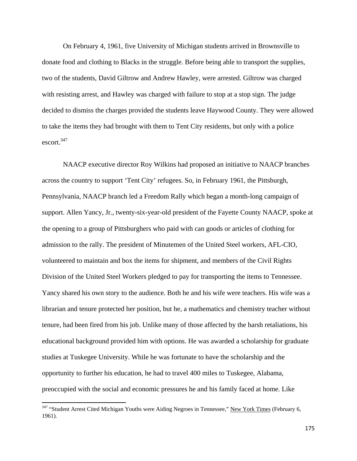On February 4, 1961, five University of Michigan students arrived in Brownsville to donate food and clothing to Blacks in the struggle. Before being able to transport the supplies, two of the students, David Giltrow and Andrew Hawley, were arrested. Giltrow was charged with resisting arrest, and Hawley was charged with failure to stop at a stop sign. The judge decided to dismiss the charges provided the students leave Haywood County. They were allowed to take the items they had brought with them to Tent City residents, but only with a police escort.347

NAACP executive director Roy Wilkins had proposed an initiative to NAACP branches across the country to support 'Tent City' refugees. So, in February 1961, the Pittsburgh, Pennsylvania, NAACP branch led a Freedom Rally which began a month-long campaign of support. Allen Yancy, Jr., twenty-six-year-old president of the Fayette County NAACP, spoke at the opening to a group of Pittsburghers who paid with can goods or articles of clothing for admission to the rally. The president of Minutemen of the United Steel workers, AFL-CIO, volunteered to maintain and box the items for shipment, and members of the Civil Rights Division of the United Steel Workers pledged to pay for transporting the items to Tennessee. Yancy shared his own story to the audience. Both he and his wife were teachers. His wife was a librarian and tenure protected her position, but he, a mathematics and chemistry teacher without tenure, had been fired from his job. Unlike many of those affected by the harsh retaliations, his educational background provided him with options. He was awarded a scholarship for graduate studies at Tuskegee University. While he was fortunate to have the scholarship and the opportunity to further his education, he had to travel 400 miles to Tuskegee, Alabama, preoccupied with the social and economic pressures he and his family faced at home. Like

<sup>&</sup>lt;sup>347</sup> "Student Arrest Cited Michigan Youths were Aiding Negroes in Tennessee," New York Times (February 6, 1961).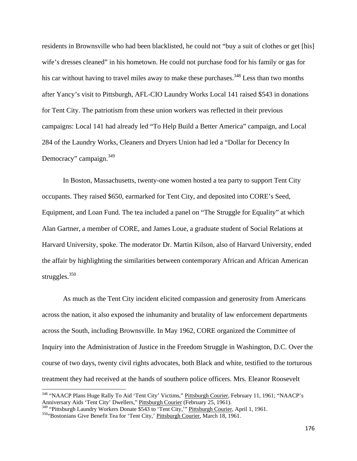residents in Brownsville who had been blacklisted, he could not "buy a suit of clothes or get [his] wife's dresses cleaned" in his hometown. He could not purchase food for his family or gas for his car without having to travel miles away to make these purchases.<sup>348</sup> Less than two months after Yancy's visit to Pittsburgh, AFL-CIO Laundry Works Local 141 raised \$543 in donations for Tent City. The patriotism from these union workers was reflected in their previous campaigns: Local 141 had already led "To Help Build a Better America" campaign, and Local 284 of the Laundry Works, Cleaners and Dryers Union had led a "Dollar for Decency In Democracy" campaign.<sup>349</sup>

In Boston, Massachusetts, twenty-one women hosted a tea party to support Tent City occupants. They raised \$650, earmarked for Tent City, and deposited into CORE's Seed, Equipment, and Loan Fund. The tea included a panel on "The Struggle for Equality" at which Alan Gartner, a member of CORE, and James Loue, a graduate student of Social Relations at Harvard University, spoke. The moderator Dr. Martin Kilson, also of Harvard University, ended the affair by highlighting the similarities between contemporary African and African American struggles.<sup>350</sup>

As much as the Tent City incident elicited compassion and generosity from Americans across the nation, it also exposed the inhumanity and brutality of law enforcement departments across the South, including Brownsville. In May 1962, CORE organized the Committee of Inquiry into the Administration of Justice in the Freedom Struggle in Washington, D.C. Over the course of two days, twenty civil rights advocates, both Black and white, testified to the torturous treatment they had received at the hands of southern police officers. Mrs. Eleanor Roosevelt

<sup>&</sup>lt;sup>348</sup> "NAACP Plans Huge Rally To Aid 'Tent City' Victims," Pittsburgh Courier, February 11, 1961; "NAACP's Anniversary Aids 'Tent City' Dwellers," Pittsburgh Courier (February 25, 1961).

<sup>&</sup>lt;sup>349</sup> "Pittsburgh Laundry Workers Donate \$543 to 'Tent City,'" <u>Pittsburgh Courier</u>, April 1, 1961.<br><sup>350</sup> Bostonians Give Benefit Tea for 'Tent City,' <u>Pittsburgh Courier</u>, March 18, 1961.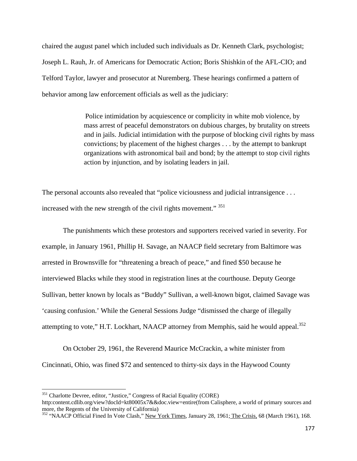chaired the august panel which included such individuals as Dr. Kenneth Clark, psychologist; Joseph L. Rauh, Jr. of Americans for Democratic Action; Boris Shishkin of the AFL-CIO; and Telford Taylor, lawyer and prosecutor at Nuremberg. These hearings confirmed a pattern of behavior among law enforcement officials as well as the judiciary:

> Police intimidation by acquiescence or complicity in white mob violence, by mass arrest of peaceful demonstrators on dubious charges, by brutality on streets and in jails. Judicial intimidation with the purpose of blocking civil rights by mass convictions; by placement of the highest charges . . . by the attempt to bankrupt organizations with astronomical bail and bond; by the attempt to stop civil rights action by injunction, and by isolating leaders in jail.

The personal accounts also revealed that "police viciousness and judicial intransigence . . . increased with the new strength of the civil rights movement." <sup>351</sup>

The punishments which these protestors and supporters received varied in severity. For example, in January 1961, Phillip H. Savage, an NAACP field secretary from Baltimore was arrested in Brownsville for "threatening a breach of peace," and fined \$50 because he interviewed Blacks while they stood in registration lines at the courthouse. Deputy George Sullivan, better known by locals as "Buddy" Sullivan, a well-known bigot, claimed Savage was 'causing confusion.' While the General Sessions Judge "dismissed the charge of illegally attempting to vote," H.T. Lockhart, NAACP attorney from Memphis, said he would appeal.<sup>352</sup>

On October 29, 1961, the Reverend Maurice McCrackin, a white minister from Cincinnati, Ohio, was fined \$72 and sentenced to thirty-six days in the Haywood County

<sup>&</sup>lt;sup>351</sup> Charlotte Devree, editor, "Justice," Congress of Racial Equality (CORE)

http:content.cdlib.org/view?docId=kt80005x7&&doc.view=entire(from Calisphere, a world of primary sources and more, the Regents of the University of California)

<sup>&</sup>lt;sup>352</sup> "NAACP Official Fined In Vote Clash," New York Times, January 28, 1961; The Crisis, 68 (March 1961), 168.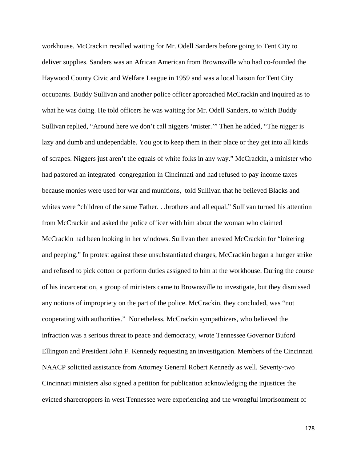workhouse. McCrackin recalled waiting for Mr. Odell Sanders before going to Tent City to deliver supplies. Sanders was an African American from Brownsville who had co-founded the Haywood County Civic and Welfare League in 1959 and was a local liaison for Tent City occupants. Buddy Sullivan and another police officer approached McCrackin and inquired as to what he was doing. He told officers he was waiting for Mr. Odell Sanders, to which Buddy Sullivan replied, "Around here we don't call niggers 'mister.'" Then he added, "The nigger is lazy and dumb and undependable. You got to keep them in their place or they get into all kinds of scrapes. Niggers just aren't the equals of white folks in any way." McCrackin, a minister who had pastored an integrated congregation in Cincinnati and had refused to pay income taxes because monies were used for war and munitions, told Sullivan that he believed Blacks and whites were "children of the same Father. . .brothers and all equal." Sullivan turned his attention from McCrackin and asked the police officer with him about the woman who claimed McCrackin had been looking in her windows. Sullivan then arrested McCrackin for "loitering and peeping." In protest against these unsubstantiated charges, McCrackin began a hunger strike and refused to pick cotton or perform duties assigned to him at the workhouse. During the course of his incarceration, a group of ministers came to Brownsville to investigate, but they dismissed any notions of impropriety on the part of the police. McCrackin, they concluded, was "not cooperating with authorities." Nonetheless, McCrackin sympathizers, who believed the infraction was a serious threat to peace and democracy, wrote Tennessee Governor Buford Ellington and President John F. Kennedy requesting an investigation. Members of the Cincinnati NAACP solicited assistance from Attorney General Robert Kennedy as well. Seventy-two Cincinnati ministers also signed a petition for publication acknowledging the injustices the evicted sharecroppers in west Tennessee were experiencing and the wrongful imprisonment of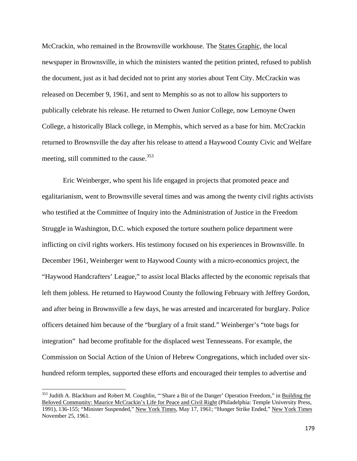McCrackin, who remained in the Brownsville workhouse. The States Graphic, the local newspaper in Brownsville, in which the ministers wanted the petition printed, refused to publish the document, just as it had decided not to print any stories about Tent City. McCrackin was released on December 9, 1961, and sent to Memphis so as not to allow his supporters to publically celebrate his release. He returned to Owen Junior College, now Lemoyne Owen College, a historically Black college, in Memphis, which served as a base for him. McCrackin returned to Brownsville the day after his release to attend a Haywood County Civic and Welfare meeting, still committed to the cause.<sup>353</sup>

Eric Weinberger, who spent his life engaged in projects that promoted peace and egalitarianism, went to Brownsville several times and was among the twenty civil rights activists who testified at the Committee of Inquiry into the Administration of Justice in the Freedom Struggle in Washington, D.C. which exposed the torture southern police department were inflicting on civil rights workers. His testimony focused on his experiences in Brownsville. In December 1961, Weinberger went to Haywood County with a micro-economics project, the "Haywood Handcrafters' League," to assist local Blacks affected by the economic reprisals that left them jobless. He returned to Haywood County the following February with Jeffrey Gordon, and after being in Brownsville a few days, he was arrested and incarcerated for burglary. Police officers detained him because of the "burglary of a fruit stand." Weinberger's "tote bags for integration" had become profitable for the displaced west Tennesseans. For example, the Commission on Social Action of the Union of Hebrew Congregations, which included over sixhundred reform temples, supported these efforts and encouraged their temples to advertise and

<sup>&</sup>lt;sup>353</sup> Judith A. Blackburn and Robert M. Coughlin, "'Share a Bit of the Danger' Operation Freedom," in Building the Beloved Community: Maurice McCrackin's Life for Peace and Civil Right (Philadelphia: Temple University Press, 1991), 136-155; "Minister Suspended," New York Times, May 17, 1961; "Hunger Strike Ended," New York Times November 25, 1961.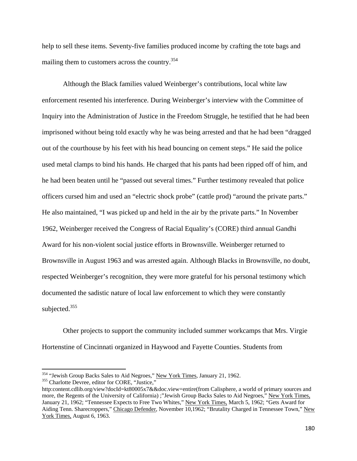help to sell these items. Seventy-five families produced income by crafting the tote bags and mailing them to customers across the country.354

Although the Black families valued Weinberger's contributions, local white law enforcement resented his interference. During Weinberger's interview with the Committee of Inquiry into the Administration of Justice in the Freedom Struggle, he testified that he had been imprisoned without being told exactly why he was being arrested and that he had been "dragged out of the courthouse by his feet with his head bouncing on cement steps." He said the police used metal clamps to bind his hands. He charged that his pants had been ripped off of him, and he had been beaten until he "passed out several times." Further testimony revealed that police officers cursed him and used an "electric shock probe" (cattle prod) "around the private parts." He also maintained, "I was picked up and held in the air by the private parts." In November 1962, Weinberger received the Congress of Racial Equality's (CORE) third annual Gandhi Award for his non-violent social justice efforts in Brownsville. Weinberger returned to Brownsville in August 1963 and was arrested again. Although Blacks in Brownsville, no doubt, respected Weinberger's recognition, they were more grateful for his personal testimony which documented the sadistic nature of local law enforcement to which they were constantly subjected.<sup>355</sup>

Other projects to support the community included summer workcamps that Mrs. Virgie Hortenstine of Cincinnati organized in Haywood and Fayette Counties. Students from

<sup>&</sup>lt;sup>354</sup> "Jewish Group Backs Sales to Aid Negroes," <u>New York Times</u>, January 21, 1962.<br><sup>355</sup> Charlotte Devree, editor for CORE, "Justice,"

http:content.cdlib.org/view?docId=kt80005x7&&doc.view=entire(from Calisphere, a world of primary sources and more, the Regents of the University of California) ;"Jewish Group Backs Sales to Aid Negroes," New York Times, January 21, 1962; "Tennessee Expects to Free Two Whites," New York Times, March 5, 1962; "Gets Award for Aiding Tenn. Sharecroppers," Chicago Defender, November 10,1962; "Brutality Charged in Tennessee Town," New York Times, August 6, 1963.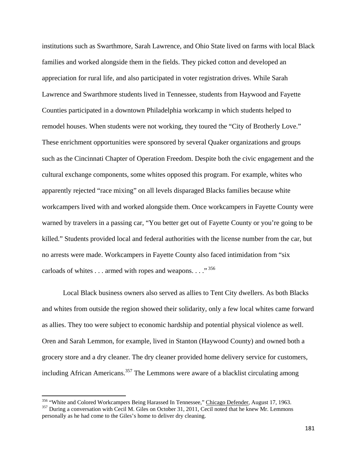institutions such as Swarthmore, Sarah Lawrence, and Ohio State lived on farms with local Black families and worked alongside them in the fields. They picked cotton and developed an appreciation for rural life, and also participated in voter registration drives. While Sarah Lawrence and Swarthmore students lived in Tennessee, students from Haywood and Fayette Counties participated in a downtown Philadelphia workcamp in which students helped to remodel houses. When students were not working, they toured the "City of Brotherly Love." These enrichment opportunities were sponsored by several Quaker organizations and groups such as the Cincinnati Chapter of Operation Freedom. Despite both the civic engagement and the cultural exchange components, some whites opposed this program. For example, whites who apparently rejected "race mixing" on all levels disparaged Blacks families because white workcampers lived with and worked alongside them. Once workcampers in Fayette County were warned by travelers in a passing car, "You better get out of Fayette County or you're going to be killed." Students provided local and federal authorities with the license number from the car, but no arrests were made. Workcampers in Fayette County also faced intimidation from "six carloads of whites . . . armed with ropes and weapons. . . ." 356

Local Black business owners also served as allies to Tent City dwellers. As both Blacks and whites from outside the region showed their solidarity, only a few local whites came forward as allies. They too were subject to economic hardship and potential physical violence as well. Oren and Sarah Lemmon, for example, lived in Stanton (Haywood County) and owned both a grocery store and a dry cleaner. The dry cleaner provided home delivery service for customers, including African Americans.<sup>357</sup> The Lemmons were aware of a blacklist circulating among

<sup>&</sup>lt;sup>356</sup> "White and Colored Workcampers Being Harassed In Tennessee," <u>Chicago Defender</u>, August 17, 1963.<br><sup>357</sup> During a conversation with Cecil M. Giles on October 31, 2011, Cecil noted that he knew Mr. Lemmons personally as he had come to the Giles's home to deliver dry cleaning.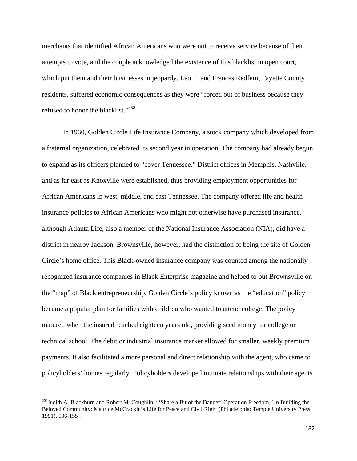merchants that identified African Americans who were not to receive service because of their attempts to vote, and the couple acknowledged the existence of this blacklist in open court, which put them and their businesses in jeopardy. Leo T. and Frances Redfern, Fayette County residents, suffered economic consequences as they were "forced out of business because they refused to honor the blacklist."<sup>358</sup>

In 1960, Golden Circle Life Insurance Company, a stock company which developed from a fraternal organization, celebrated its second year in operation. The company had already begun to expand as its officers planned to "cover Tennessee." District offices in Memphis, Nashville, and as far east as Knoxville were established, thus providing employment opportunities for African Americans in west, middle, and east Tennessee. The company offered life and health insurance policies to African Americans who might not otherwise have purchased insurance, although Atlanta Life, also a member of the National Insurance Association (NIA), did have a district in nearby Jackson. Brownsville, however, had the distinction of being the site of Golden Circle's home office. This Black-owned insurance company was counted among the nationally recognized insurance companies in Black Enterprise magazine and helped to put Brownsville on the "map" of Black entrepreneurship. Golden Circle's policy known as the "education" policy became a popular plan for families with children who wanted to attend college. The policy matured when the insured reached eighteen years old, providing seed money for college or technical school. The debit or industrial insurance market allowed for smaller, weekly premium payments. It also facilitated a more personal and direct relationship with the agent, who came to policyholders' homes regularly. Policyholders developed intimate relationships with their agents

<sup>&</sup>lt;sup>358</sup>Judith A. Blackburn and Robert M. Coughlin, "'Share a Bit of the Danger' Operation Freedom," in Building the Beloved Community: Maurice McCrackin's Life for Peace and Civil Right (Philadelphia: Temple University Press, 1991), 136-155 .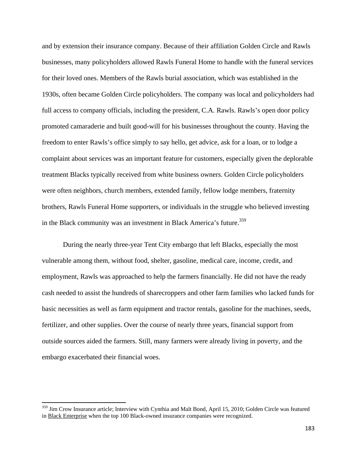and by extension their insurance company. Because of their affiliation Golden Circle and Rawls businesses, many policyholders allowed Rawls Funeral Home to handle with the funeral services for their loved ones. Members of the Rawls burial association, which was established in the 1930s, often became Golden Circle policyholders. The company was local and policyholders had full access to company officials, including the president, C.A. Rawls. Rawls's open door policy promoted camaraderie and built good-will for his businesses throughout the county. Having the freedom to enter Rawls's office simply to say hello, get advice, ask for a loan, or to lodge a complaint about services was an important feature for customers, especially given the deplorable treatment Blacks typically received from white business owners. Golden Circle policyholders were often neighbors, church members, extended family, fellow lodge members, fraternity brothers, Rawls Funeral Home supporters, or individuals in the struggle who believed investing in the Black community was an investment in Black America's future.<sup>359</sup>

During the nearly three-year Tent City embargo that left Blacks, especially the most vulnerable among them, without food, shelter, gasoline, medical care, income, credit, and employment, Rawls was approached to help the farmers financially. He did not have the ready cash needed to assist the hundreds of sharecroppers and other farm families who lacked funds for basic necessities as well as farm equipment and tractor rentals, gasoline for the machines, seeds, fertilizer, and other supplies. Over the course of nearly three years, financial support from outside sources aided the farmers. Still, many farmers were already living in poverty, and the embargo exacerbated their financial woes.

<sup>&</sup>lt;sup>359</sup> Jim Crow Insurance article; Interview with Cynthia and Malt Bond, April 15, 2010; Golden Circle was featured in Black Enterprise when the top 100 Black-owned insurance companies were recognized.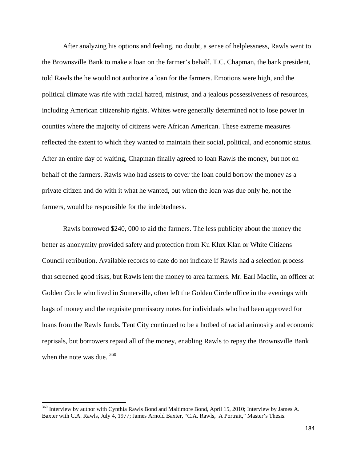After analyzing his options and feeling, no doubt, a sense of helplessness, Rawls went to the Brownsville Bank to make a loan on the farmer's behalf. T.C. Chapman, the bank president, told Rawls the he would not authorize a loan for the farmers. Emotions were high, and the political climate was rife with racial hatred, mistrust, and a jealous possessiveness of resources, including American citizenship rights. Whites were generally determined not to lose power in counties where the majority of citizens were African American. These extreme measures reflected the extent to which they wanted to maintain their social, political, and economic status. After an entire day of waiting, Chapman finally agreed to loan Rawls the money, but not on behalf of the farmers. Rawls who had assets to cover the loan could borrow the money as a private citizen and do with it what he wanted, but when the loan was due only he, not the farmers, would be responsible for the indebtedness.

Rawls borrowed \$240, 000 to aid the farmers. The less publicity about the money the better as anonymity provided safety and protection from Ku Klux Klan or White Citizens Council retribution. Available records to date do not indicate if Rawls had a selection process that screened good risks, but Rawls lent the money to area farmers. Mr. Earl Maclin, an officer at Golden Circle who lived in Somerville, often left the Golden Circle office in the evenings with bags of money and the requisite promissory notes for individuals who had been approved for loans from the Rawls funds. Tent City continued to be a hotbed of racial animosity and economic reprisals, but borrowers repaid all of the money, enabling Rawls to repay the Brownsville Bank when the note was due.  $360$ 

<sup>&</sup>lt;sup>360</sup> Interview by author with Cynthia Rawls Bond and Maltimore Bond, April 15, 2010; Interview by James A. Baxter with C.A. Rawls, July 4, 1977; James Arnold Baxter, "C.A. Rawls, A Portrait," Master's Thesis.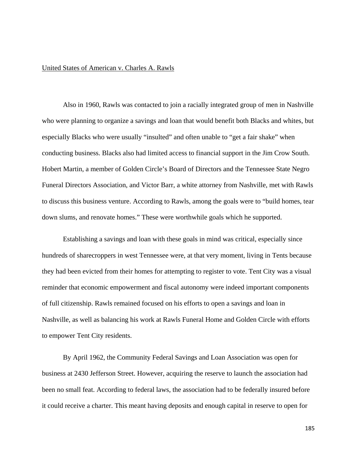## United States of American v. Charles A. Rawls

Also in 1960, Rawls was contacted to join a racially integrated group of men in Nashville who were planning to organize a savings and loan that would benefit both Blacks and whites, but especially Blacks who were usually "insulted" and often unable to "get a fair shake" when conducting business. Blacks also had limited access to financial support in the Jim Crow South. Hobert Martin, a member of Golden Circle's Board of Directors and the Tennessee State Negro Funeral Directors Association, and Victor Barr, a white attorney from Nashville, met with Rawls to discuss this business venture. According to Rawls, among the goals were to "build homes, tear down slums, and renovate homes." These were worthwhile goals which he supported.

Establishing a savings and loan with these goals in mind was critical, especially since hundreds of sharecroppers in west Tennessee were, at that very moment, living in Tents because they had been evicted from their homes for attempting to register to vote. Tent City was a visual reminder that economic empowerment and fiscal autonomy were indeed important components of full citizenship. Rawls remained focused on his efforts to open a savings and loan in Nashville, as well as balancing his work at Rawls Funeral Home and Golden Circle with efforts to empower Tent City residents.

By April 1962, the Community Federal Savings and Loan Association was open for business at 2430 Jefferson Street. However, acquiring the reserve to launch the association had been no small feat. According to federal laws, the association had to be federally insured before it could receive a charter. This meant having deposits and enough capital in reserve to open for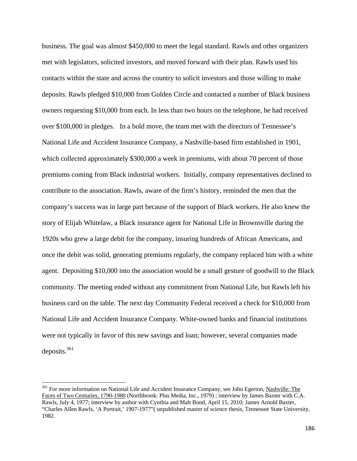business. The goal was almost \$450,000 to meet the legal standard. Rawls and other organizers met with legislators, solicited investors, and moved forward with their plan. Rawls used his contacts within the state and across the country to solicit investors and those willing to make deposits. Rawls pledged \$10,000 from Golden Circle and contacted a number of Black business owners requesting \$10,000 from each. In less than two hours on the telephone, he had received over \$100,000 in pledges. In a bold move, the team met with the directors of Tennessee's National Life and Accident Insurance Company, a Nashville-based firm established in 1901, which collected approximately \$300,000 a week in premiums, with about 70 percent of those premiums coming from Black industrial workers. Initially, company representatives declined to contribute to the association. Rawls, aware of the firm's history, reminded the men that the company's success was in large part because of the support of Black workers. He also knew the story of Elijah Whitelaw, a Black insurance agent for National Life in Brownsville during the 1920s who grew a large debit for the company, insuring hundreds of African Americans, and once the debit was solid, generating premiums regularly, the company replaced him with a white agent. Depositing \$10,000 into the association would be a small gesture of goodwill to the Black community. The meeting ended without any commitment from National Life, but Rawls left his business card on the table. The next day Community Federal received a check for \$10,000 from National Life and Accident Insurance Company. White-owned banks and financial institutions were not typically in favor of this new savings and loan; however, several companies made deposits.<sup>361</sup>

<sup>&</sup>lt;sup>361</sup> For more information on National Life and Accident Insurance Company, see John Egerton, Nashville: The Faces of Two Centuries, 1790-1980 (Northbrook: Plus Media, Inc., 1979) ; interview by James Baxter with C.A. Rawls, July 4, 1977; interview by author with Cynthia and Malt Bond, April 15, 2010; James Arnold Baxter, "Charles Allen Rawls, 'A Portrait,' 1907-1977"( unpublished master of science thesis, Tennessee State University, 1982.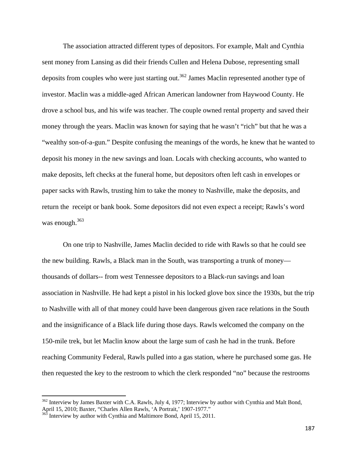The association attracted different types of depositors. For example, Malt and Cynthia sent money from Lansing as did their friends Cullen and Helena Dubose, representing small deposits from couples who were just starting out.<sup>362</sup> James Maclin represented another type of investor. Maclin was a middle-aged African American landowner from Haywood County. He drove a school bus, and his wife was teacher. The couple owned rental property and saved their money through the years. Maclin was known for saying that he wasn't "rich" but that he was a "wealthy son-of-a-gun." Despite confusing the meanings of the words, he knew that he wanted to deposit his money in the new savings and loan. Locals with checking accounts, who wanted to make deposits, left checks at the funeral home, but depositors often left cash in envelopes or paper sacks with Rawls, trusting him to take the money to Nashville, make the deposits, and return the receipt or bank book. Some depositors did not even expect a receipt; Rawls's word was enough.<sup>363</sup>

On one trip to Nashville, James Maclin decided to ride with Rawls so that he could see the new building. Rawls, a Black man in the South, was transporting a trunk of money thousands of dollars-- from west Tennessee depositors to a Black-run savings and loan association in Nashville. He had kept a pistol in his locked glove box since the 1930s, but the trip to Nashville with all of that money could have been dangerous given race relations in the South and the insignificance of a Black life during those days. Rawls welcomed the company on the 150-mile trek, but let Maclin know about the large sum of cash he had in the trunk. Before reaching Community Federal, Rawls pulled into a gas station, where he purchased some gas. He then requested the key to the restroom to which the clerk responded "no" because the restrooms

<sup>&</sup>lt;sup>362</sup> Interview by James Baxter with C.A. Rawls, July 4, 1977; Interview by author with Cynthia and Malt Bond, April 15, 2010; Baxter, "Charles Allen Rawls, July 4, 1977; Interview b<br>
<sup>363</sup> Interview by such a set of the state of the SAL Contract of the Portrait,' 1907-1977."

Interview by author with Cynthia and Maltimore Bond, April 15, 2011.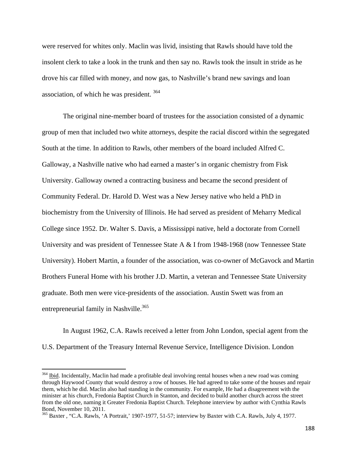were reserved for whites only. Maclin was livid, insisting that Rawls should have told the insolent clerk to take a look in the trunk and then say no. Rawls took the insult in stride as he drove his car filled with money, and now gas, to Nashville's brand new savings and loan association, of which he was president. 364

The original nine-member board of trustees for the association consisted of a dynamic group of men that included two white attorneys, despite the racial discord within the segregated South at the time. In addition to Rawls, other members of the board included Alfred C. Galloway, a Nashville native who had earned a master's in organic chemistry from Fisk University. Galloway owned a contracting business and became the second president of Community Federal. Dr. Harold D. West was a New Jersey native who held a PhD in biochemistry from the University of Illinois. He had served as president of Meharry Medical College since 1952. Dr. Walter S. Davis, a Mississippi native, held a doctorate from Cornell University and was president of Tennessee State A & I from 1948-1968 (now Tennessee State University). Hobert Martin, a founder of the association, was co-owner of McGavock and Martin Brothers Funeral Home with his brother J.D. Martin, a veteran and Tennessee State University graduate. Both men were vice-presidents of the association. Austin Swett was from an entrepreneurial family in Nashville.<sup>365</sup>

In August 1962, C.A. Rawls received a letter from John London, special agent from the U.S. Department of the Treasury Internal Revenue Service, Intelligence Division. London

<sup>&</sup>lt;sup>364</sup> Ibid. Incidentally, Maclin had made a profitable deal involving rental houses when a new road was coming through Haywood County that would destroy a row of houses. He had agreed to take some of the houses and repair them, which he did. Maclin also had standing in the community. For example, He had a disagreement with the minister at his church, Fredonia Baptist Church in Stanton, and decided to build another church across the street from the old one, naming it Greater Fredonia Baptist Church. Telephone interview by author with Cynthia Rawls Bond, November 10, 2011.

<sup>&</sup>lt;sup>365</sup> Baxter , "C.A. Rawls, 'A Portrait,' 1907-1977, 51-57; interview by Baxter with C.A. Rawls, July 4, 1977.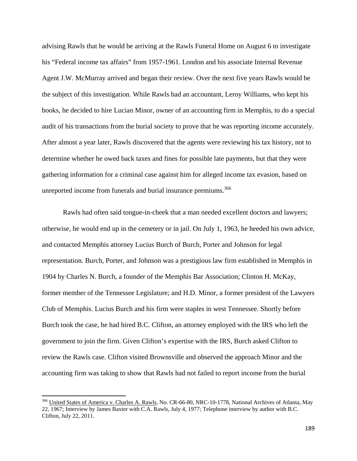advising Rawls that he would be arriving at the Rawls Funeral Home on August 6 to investigate his "Federal income tax affairs" from 1957-1961. London and his associate Internal Revenue Agent J.W. McMurray arrived and began their review. Over the next five years Rawls would be the subject of this investigation. While Rawls had an accountant, Leroy Williams, who kept his books, he decided to hire Lucian Minor, owner of an accounting firm in Memphis, to do a special audit of his transactions from the burial society to prove that he was reporting income accurately. After almost a year later, Rawls discovered that the agents were reviewing his tax history, not to determine whether he owed back taxes and fines for possible late payments, but that they were gathering information for a criminal case against him for alleged income tax evasion, based on unreported income from funerals and burial insurance premiums.<sup>366</sup>

Rawls had often said tongue-in-cheek that a man needed excellent doctors and lawyers; otherwise, he would end up in the cemetery or in jail. On July 1, 1963, he heeded his own advice, and contacted Memphis attorney Lucius Burch of Burch, Porter and Johnson for legal representation. Burch, Porter, and Johnson was a prestigious law firm established in Memphis in 1904 by Charles N. Burch, a founder of the Memphis Bar Association; Clinton H. McKay, former member of the Tennessee Legislature; and H.D. Minor, a former president of the Lawyers Club of Memphis. Lucius Burch and his firm were staples in west Tennessee. Shortly before Burch took the case, he had hired B.C. Clifton, an attorney employed with the IRS who left the government to join the firm. Given Clifton's expertise with the IRS, Burch asked Clifton to review the Rawls case. Clifton visited Brownsville and observed the approach Minor and the accounting firm was taking to show that Rawls had not failed to report income from the burial

<sup>&</sup>lt;sup>366</sup> United States of America v. Charles A. Rawls, No. CR-66-80, NRC-10-1778, National Archives of Atlanta, May 22, 1967; Interview by James Baxter with C.A. Rawls, July 4, 1977; Telephone interview by author with B.C. Clifton, July 22, 2011.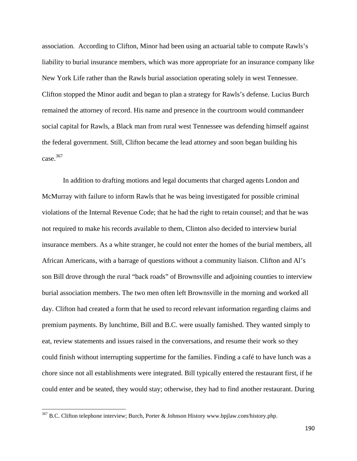association. According to Clifton, Minor had been using an actuarial table to compute Rawls's liability to burial insurance members, which was more appropriate for an insurance company like New York Life rather than the Rawls burial association operating solely in west Tennessee. Clifton stopped the Minor audit and began to plan a strategy for Rawls's defense. Lucius Burch remained the attorney of record. His name and presence in the courtroom would commandeer social capital for Rawls, a Black man from rural west Tennessee was defending himself against the federal government. Still, Clifton became the lead attorney and soon began building his case.367

In addition to drafting motions and legal documents that charged agents London and McMurray with failure to inform Rawls that he was being investigated for possible criminal violations of the Internal Revenue Code; that he had the right to retain counsel; and that he was not required to make his records available to them, Clinton also decided to interview burial insurance members. As a white stranger, he could not enter the homes of the burial members, all African Americans, with a barrage of questions without a community liaison. Clifton and Al's son Bill drove through the rural "back roads" of Brownsville and adjoining counties to interview burial association members. The two men often left Brownsville in the morning and worked all day. Clifton had created a form that he used to record relevant information regarding claims and premium payments. By lunchtime, Bill and B.C. were usually famished. They wanted simply to eat, review statements and issues raised in the conversations, and resume their work so they could finish without interrupting suppertime for the families. Finding a café to have lunch was a chore since not all establishments were integrated. Bill typically entered the restaurant first, if he could enter and be seated, they would stay; otherwise, they had to find another restaurant. During

<sup>&</sup>lt;sup>367</sup> B.C. Clifton telephone interview; Burch, Porter & Johnson History www.bpjlaw.com/history.php.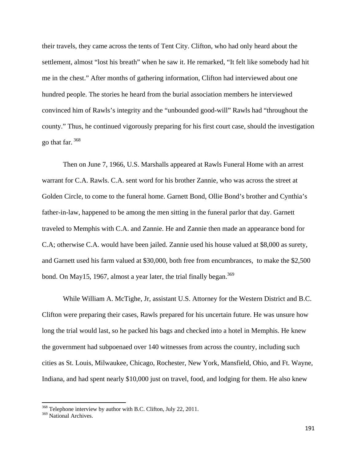their travels, they came across the tents of Tent City. Clifton, who had only heard about the settlement, almost "lost his breath" when he saw it. He remarked, "It felt like somebody had hit me in the chest." After months of gathering information, Clifton had interviewed about one hundred people. The stories he heard from the burial association members he interviewed convinced him of Rawls's integrity and the "unbounded good-will" Rawls had "throughout the county." Thus, he continued vigorously preparing for his first court case, should the investigation go that far. 368

Then on June 7, 1966, U.S. Marshalls appeared at Rawls Funeral Home with an arrest warrant for C.A. Rawls. C.A. sent word for his brother Zannie, who was across the street at Golden Circle, to come to the funeral home. Garnett Bond, Ollie Bond's brother and Cynthia's father-in-law, happened to be among the men sitting in the funeral parlor that day. Garnett traveled to Memphis with C.A. and Zannie. He and Zannie then made an appearance bond for C.A; otherwise C.A. would have been jailed. Zannie used his house valued at \$8,000 as surety, and Garnett used his farm valued at \$30,000, both free from encumbrances, to make the \$2,500 bond. On May15, 1967, almost a year later, the trial finally began.  $369$ 

While William A. McTighe, Jr, assistant U.S. Attorney for the Western District and B.C. Clifton were preparing their cases, Rawls prepared for his uncertain future. He was unsure how long the trial would last, so he packed his bags and checked into a hotel in Memphis. He knew the government had subpoenaed over 140 witnesses from across the country, including such cities as St. Louis, Milwaukee, Chicago, Rochester, New York, Mansfield, Ohio, and Ft. Wayne, Indiana, and had spent nearly \$10,000 just on travel, food, and lodging for them. He also knew

<sup>&</sup>lt;sup>368</sup> Telephone interview by author with B.C. Clifton, July 22, 2011.

<sup>&</sup>lt;sup>369</sup> National Archives.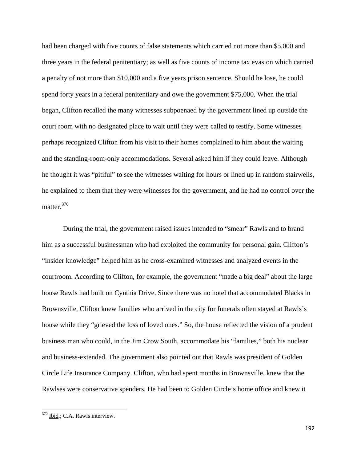had been charged with five counts of false statements which carried not more than \$5,000 and three years in the federal penitentiary; as well as five counts of income tax evasion which carried a penalty of not more than \$10,000 and a five years prison sentence. Should he lose, he could spend forty years in a federal penitentiary and owe the government \$75,000. When the trial began, Clifton recalled the many witnesses subpoenaed by the government lined up outside the court room with no designated place to wait until they were called to testify. Some witnesses perhaps recognized Clifton from his visit to their homes complained to him about the waiting and the standing-room-only accommodations. Several asked him if they could leave. Although he thought it was "pitiful" to see the witnesses waiting for hours or lined up in random stairwells, he explained to them that they were witnesses for the government, and he had no control over the matter.<sup>370</sup>

During the trial, the government raised issues intended to "smear" Rawls and to brand him as a successful businessman who had exploited the community for personal gain. Clifton's "insider knowledge" helped him as he cross-examined witnesses and analyzed events in the courtroom. According to Clifton, for example, the government "made a big deal" about the large house Rawls had built on Cynthia Drive. Since there was no hotel that accommodated Blacks in Brownsville, Clifton knew families who arrived in the city for funerals often stayed at Rawls's house while they "grieved the loss of loved ones." So, the house reflected the vision of a prudent business man who could, in the Jim Crow South, accommodate his "families," both his nuclear and business-extended. The government also pointed out that Rawls was president of Golden Circle Life Insurance Company. Clifton, who had spent months in Brownsville, knew that the Rawlses were conservative spenders. He had been to Golden Circle's home office and knew it

<sup>370</sup> Ibid.; C.A. Rawls interview.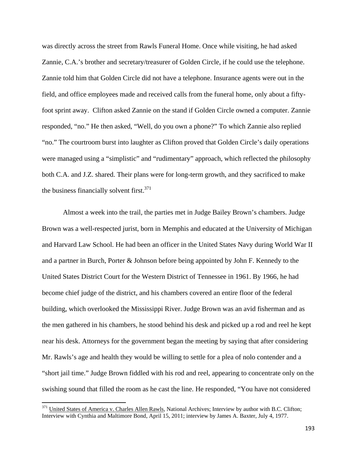was directly across the street from Rawls Funeral Home. Once while visiting, he had asked Zannie, C.A.'s brother and secretary/treasurer of Golden Circle, if he could use the telephone. Zannie told him that Golden Circle did not have a telephone. Insurance agents were out in the field, and office employees made and received calls from the funeral home, only about a fiftyfoot sprint away. Clifton asked Zannie on the stand if Golden Circle owned a computer. Zannie responded, "no." He then asked, "Well, do you own a phone?" To which Zannie also replied "no." The courtroom burst into laughter as Clifton proved that Golden Circle's daily operations were managed using a "simplistic" and "rudimentary" approach, which reflected the philosophy both C.A. and J.Z. shared. Their plans were for long-term growth, and they sacrificed to make the business financially solvent first. $371$ 

Almost a week into the trail, the parties met in Judge Bailey Brown's chambers. Judge Brown was a well-respected jurist, born in Memphis and educated at the University of Michigan and Harvard Law School. He had been an officer in the United States Navy during World War II and a partner in Burch, Porter & Johnson before being appointed by John F. Kennedy to the United States District Court for the Western District of Tennessee in 1961. By 1966, he had become chief judge of the district, and his chambers covered an entire floor of the federal building, which overlooked the Mississippi River. Judge Brown was an avid fisherman and as the men gathered in his chambers, he stood behind his desk and picked up a rod and reel he kept near his desk. Attorneys for the government began the meeting by saying that after considering Mr. Rawls's age and health they would be willing to settle for a plea of nolo contender and a "short jail time." Judge Brown fiddled with his rod and reel, appearing to concentrate only on the swishing sound that filled the room as he cast the line. He responded, "You have not considered

<sup>&</sup>lt;sup>371</sup> United States of America v. Charles Allen Rawls, National Archives; Interview by author with B.C. Clifton; Interview with Cynthia and Maltimore Bond, April 15, 2011; interview by James A. Baxter, July 4, 1977.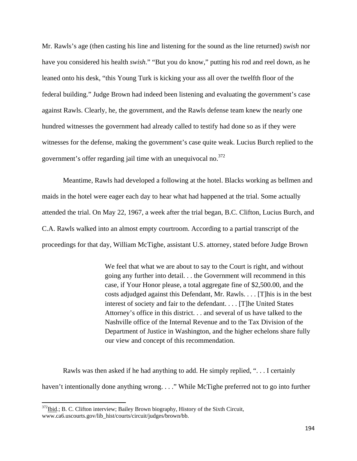Mr. Rawls's age (then casting his line and listening for the sound as the line returned) *swish* nor have you considered his health *swish*." "But you do know," putting his rod and reel down, as he leaned onto his desk, "this Young Turk is kicking your ass all over the twelfth floor of the federal building." Judge Brown had indeed been listening and evaluating the government's case against Rawls. Clearly, he, the government, and the Rawls defense team knew the nearly one hundred witnesses the government had already called to testify had done so as if they were witnesses for the defense, making the government's case quite weak. Lucius Burch replied to the government's offer regarding jail time with an unequivocal no.<sup>372</sup>

Meantime, Rawls had developed a following at the hotel. Blacks working as bellmen and maids in the hotel were eager each day to hear what had happened at the trial. Some actually attended the trial. On May 22, 1967, a week after the trial began, B.C. Clifton, Lucius Burch, and C.A. Rawls walked into an almost empty courtroom. According to a partial transcript of the proceedings for that day, William McTighe, assistant U.S. attorney, stated before Judge Brown

> We feel that what we are about to say to the Court is right, and without going any further into detail. . . the Government will recommend in this case, if Your Honor please, a total aggregate fine of \$2,500.00, and the costs adjudged against this Defendant, Mr. Rawls. . . . [T]his is in the best interest of society and fair to the defendant. . . . [T]he United States Attorney's office in this district. . . and several of us have talked to the Nashville office of the Internal Revenue and to the Tax Division of the Department of Justice in Washington, and the higher echelons share fully our view and concept of this recommendation.

Rawls was then asked if he had anything to add. He simply replied, ". . . I certainly haven't intentionally done anything wrong. . . ." While McTighe preferred not to go into further

<sup>&</sup>lt;sup>372</sup>Ibid.; B. C. Clifton interview; Bailey Brown biography, History of the Sixth Circuit, www.ca6.uscourts.gov/lib\_hist/courts/circuit/judges/brown/bb.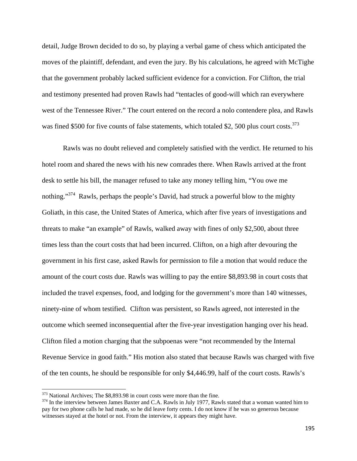detail, Judge Brown decided to do so, by playing a verbal game of chess which anticipated the moves of the plaintiff, defendant, and even the jury. By his calculations, he agreed with McTighe that the government probably lacked sufficient evidence for a conviction. For Clifton, the trial and testimony presented had proven Rawls had "tentacles of good-will which ran everywhere west of the Tennessee River." The court entered on the record a nolo contendere plea, and Rawls was fined \$500 for five counts of false statements, which totaled \$2, 500 plus court costs.<sup>373</sup>

 Rawls was no doubt relieved and completely satisfied with the verdict. He returned to his hotel room and shared the news with his new comrades there. When Rawls arrived at the front desk to settle his bill, the manager refused to take any money telling him, "You owe me nothing."<sup>374</sup> Rawls, perhaps the people's David, had struck a powerful blow to the mighty Goliath, in this case, the United States of America, which after five years of investigations and threats to make "an example" of Rawls, walked away with fines of only \$2,500, about three times less than the court costs that had been incurred. Clifton, on a high after devouring the government in his first case, asked Rawls for permission to file a motion that would reduce the amount of the court costs due. Rawls was willing to pay the entire \$8,893.98 in court costs that included the travel expenses, food, and lodging for the government's more than 140 witnesses, ninety-nine of whom testified. Clifton was persistent, so Rawls agreed, not interested in the outcome which seemed inconsequential after the five-year investigation hanging over his head. Clifton filed a motion charging that the subpoenas were "not recommended by the Internal Revenue Service in good faith." His motion also stated that because Rawls was charged with five of the ten counts, he should be responsible for only \$4,446.99, half of the court costs. Rawls's

<sup>&</sup>lt;sup>373</sup> National Archives; The \$8,893.98 in court costs were more than the fine.<br><sup>374</sup> In the interview between James Baxter and C.A. Rawls in July 1977, Rawls stated that a woman wanted him to pay for two phone calls he had made, so he did leave forty cents. I do not know if he was so generous because witnesses stayed at the hotel or not. From the interview, it appears they might have.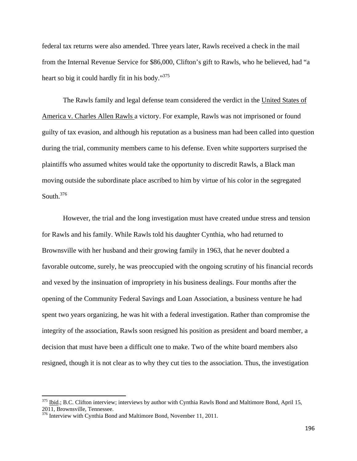federal tax returns were also amended. Three years later, Rawls received a check in the mail from the Internal Revenue Service for \$86,000, Clifton's gift to Rawls, who he believed, had "a heart so big it could hardly fit in his body."<sup>375</sup>

 The Rawls family and legal defense team considered the verdict in the United States of America v. Charles Allen Rawls a victory. For example, Rawls was not imprisoned or found guilty of tax evasion, and although his reputation as a business man had been called into question during the trial, community members came to his defense. Even white supporters surprised the plaintiffs who assumed whites would take the opportunity to discredit Rawls, a Black man moving outside the subordinate place ascribed to him by virtue of his color in the segregated South.376

However, the trial and the long investigation must have created undue stress and tension for Rawls and his family. While Rawls told his daughter Cynthia, who had returned to Brownsville with her husband and their growing family in 1963, that he never doubted a favorable outcome, surely, he was preoccupied with the ongoing scrutiny of his financial records and vexed by the insinuation of impropriety in his business dealings. Four months after the opening of the Community Federal Savings and Loan Association, a business venture he had spent two years organizing, he was hit with a federal investigation. Rather than compromise the integrity of the association, Rawls soon resigned his position as president and board member, a decision that must have been a difficult one to make. Two of the white board members also resigned, though it is not clear as to why they cut ties to the association. Thus, the investigation

<sup>&</sup>lt;sup>375</sup> Ibid.; B.C. Clifton interview; interviews by author with Cynthia Rawls Bond and Maltimore Bond, April 15, 2011, Brownsville, Tennessee.

<sup>&</sup>lt;sup>376</sup> Interview with Cynthia Bond and Maltimore Bond, November 11, 2011.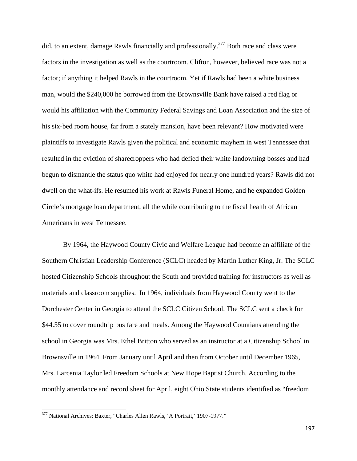did, to an extent, damage Rawls financially and professionally.<sup>377</sup> Both race and class were factors in the investigation as well as the courtroom. Clifton, however, believed race was not a factor; if anything it helped Rawls in the courtroom. Yet if Rawls had been a white business man, would the \$240,000 he borrowed from the Brownsville Bank have raised a red flag or would his affiliation with the Community Federal Savings and Loan Association and the size of his six-bed room house, far from a stately mansion, have been relevant? How motivated were plaintiffs to investigate Rawls given the political and economic mayhem in west Tennessee that resulted in the eviction of sharecroppers who had defied their white landowning bosses and had begun to dismantle the status quo white had enjoyed for nearly one hundred years? Rawls did not dwell on the what-ifs. He resumed his work at Rawls Funeral Home, and he expanded Golden Circle's mortgage loan department, all the while contributing to the fiscal health of African Americans in west Tennessee.

By 1964, the Haywood County Civic and Welfare League had become an affiliate of the Southern Christian Leadership Conference (SCLC) headed by Martin Luther King, Jr. The SCLC hosted Citizenship Schools throughout the South and provided training for instructors as well as materials and classroom supplies. In 1964, individuals from Haywood County went to the Dorchester Center in Georgia to attend the SCLC Citizen School. The SCLC sent a check for \$44.55 to cover roundtrip bus fare and meals. Among the Haywood Countians attending the school in Georgia was Mrs. Ethel Britton who served as an instructor at a Citizenship School in Brownsville in 1964. From January until April and then from October until December 1965, Mrs. Larcenia Taylor led Freedom Schools at New Hope Baptist Church. According to the monthly attendance and record sheet for April, eight Ohio State students identified as "freedom

<sup>377</sup> National Archives; Baxter, "Charles Allen Rawls, 'A Portrait,' 1907-1977."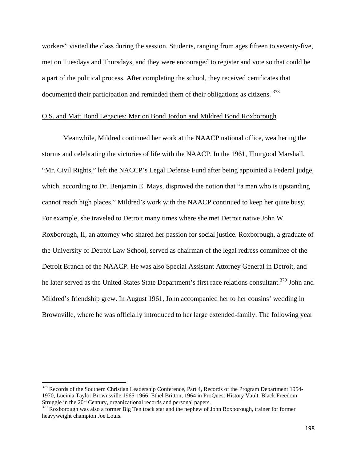workers" visited the class during the session. Students, ranging from ages fifteen to seventy-five, met on Tuesdays and Thursdays, and they were encouraged to register and vote so that could be a part of the political process. After completing the school, they received certificates that documented their participation and reminded them of their obligations as citizens. <sup>378</sup>

## O.S. and Matt Bond Legacies: Marion Bond Jordon and Mildred Bond Roxborough

Meanwhile, Mildred continued her work at the NAACP national office, weathering the storms and celebrating the victories of life with the NAACP. In the 1961, Thurgood Marshall, "Mr. Civil Rights," left the NACCP's Legal Defense Fund after being appointed a Federal judge, which, according to Dr. Benjamin E. Mays, disproved the notion that "a man who is upstanding cannot reach high places." Mildred's work with the NAACP continued to keep her quite busy. For example, she traveled to Detroit many times where she met Detroit native John W. Roxborough, II, an attorney who shared her passion for social justice. Roxborough, a graduate of the University of Detroit Law School, served as chairman of the legal redress committee of the Detroit Branch of the NAACP. He was also Special Assistant Attorney General in Detroit, and he later served as the United States State Department's first race relations consultant.<sup>379</sup> John and Mildred's friendship grew. In August 1961, John accompanied her to her cousins' wedding in Brownville, where he was officially introduced to her large extended-family. The following year

<sup>&</sup>lt;sup>378</sup> Records of the Southern Christian Leadership Conference, Part 4, Records of the Program Department 1954-1970, Lucinia Taylor Brownsville 1965-1966; Ethel Britton, 1964 in ProQuest History Vault. Black Freedom Struggle in the  $20<sup>th</sup>$  Century, organizational records and personal papers.

<sup>&</sup>lt;sup>379</sup> Roxborough was also a former Big Ten track star and the nephew of John Roxborough, trainer for former heavyweight champion Joe Louis.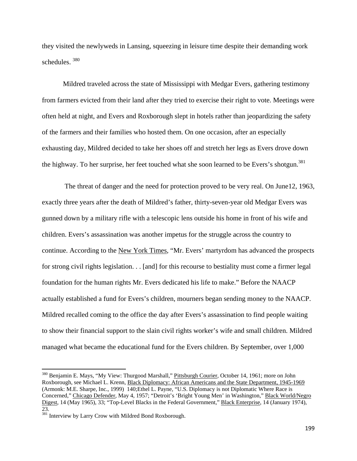they visited the newlyweds in Lansing, squeezing in leisure time despite their demanding work schedules. 380

Mildred traveled across the state of Mississippi with Medgar Evers, gathering testimony from farmers evicted from their land after they tried to exercise their right to vote. Meetings were often held at night, and Evers and Roxborough slept in hotels rather than jeopardizing the safety of the farmers and their families who hosted them. On one occasion, after an especially exhausting day, Mildred decided to take her shoes off and stretch her legs as Evers drove down the highway. To her surprise, her feet touched what she soon learned to be Evers's shotgun.<sup>381</sup>

 The threat of danger and the need for protection proved to be very real. On June12, 1963, exactly three years after the death of Mildred's father, thirty-seven-year old Medgar Evers was gunned down by a military rifle with a telescopic lens outside his home in front of his wife and children. Evers's assassination was another impetus for the struggle across the country to continue. According to the New York Times, "Mr. Evers' martyrdom has advanced the prospects for strong civil rights legislation. . . [and] for this recourse to bestiality must come a firmer legal foundation for the human rights Mr. Evers dedicated his life to make." Before the NAACP actually established a fund for Evers's children, mourners began sending money to the NAACP. Mildred recalled coming to the office the day after Evers's assassination to find people waiting to show their financial support to the slain civil rights worker's wife and small children. Mildred managed what became the educational fund for the Evers children. By September, over 1,000

<sup>&</sup>lt;sup>380</sup> Benjamin E. Mays, "My View: Thurgood Marshall," Pittsburgh Courier, October 14, 1961; more on John Roxborough, see Michael L. Krenn, Black Diplomacy: African Americans and the State Department, 1945-1969 (Armonk: M.E. Sharpe, Inc., 1999) 140;Ethel L. Payne, "U.S. Diplomacy is not Diplomatic Where Race is Concerned," Chicago Defender, May 4, 1957; "Detroit's 'Bright Young Men' in Washington," Black World/Negro Digest, 14 (May 1965), 33; "Top-Level Blacks in the Federal Government," Black Enterprise, 14 (January 1974), 23.

<sup>381</sup> Interview by Larry Crow with Mildred Bond Roxborough.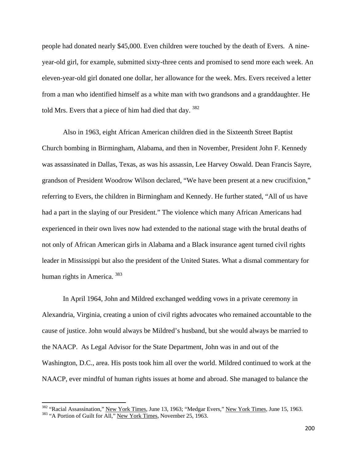people had donated nearly \$45,000. Even children were touched by the death of Evers. A nineyear-old girl, for example, submitted sixty-three cents and promised to send more each week. An eleven-year-old girl donated one dollar, her allowance for the week. Mrs. Evers received a letter from a man who identified himself as a white man with two grandsons and a granddaughter. He told Mrs. Evers that a piece of him had died that day. <sup>382</sup>

Also in 1963, eight African American children died in the Sixteenth Street Baptist Church bombing in Birmingham, Alabama, and then in November, President John F. Kennedy was assassinated in Dallas, Texas, as was his assassin, Lee Harvey Oswald. Dean Francis Sayre, grandson of President Woodrow Wilson declared, "We have been present at a new crucifixion," referring to Evers, the children in Birmingham and Kennedy. He further stated, "All of us have had a part in the slaying of our President." The violence which many African Americans had experienced in their own lives now had extended to the national stage with the brutal deaths of not only of African American girls in Alabama and a Black insurance agent turned civil rights leader in Mississippi but also the president of the United States. What a dismal commentary for human rights in America. 383

In April 1964, John and Mildred exchanged wedding vows in a private ceremony in Alexandria, Virginia, creating a union of civil rights advocates who remained accountable to the cause of justice. John would always be Mildred's husband, but she would always be married to the NAACP. As Legal Advisor for the State Department, John was in and out of the Washington, D.C., area. His posts took him all over the world. Mildred continued to work at the NAACP, ever mindful of human rights issues at home and abroad. She managed to balance the

<sup>&</sup>lt;sup>382</sup> "Racial Assassination," <u>New York Times</u>, June 13, 1963; "Medgar Evers," <u>New York Times</u>, June 15, 1963.<br><sup>383</sup> "A Portion of Guilt for All," <u>New York Times</u>, November 25, 1963.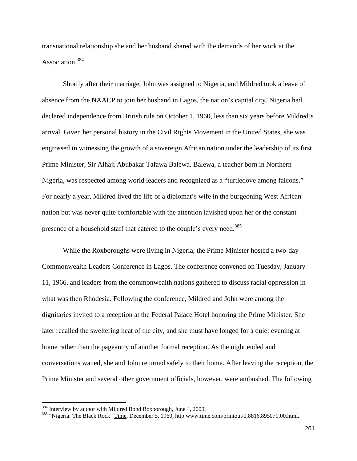transnational relationship she and her husband shared with the demands of her work at the Association.384

 Shortly after their marriage, John was assigned to Nigeria, and Mildred took a leave of absence from the NAACP to join her husband in Lagos, the nation's capital city. Nigeria had declared independence from British rule on October 1, 1960, less than six years before Mildred's arrival. Given her personal history in the Civil Rights Movement in the United States, she was engrossed in witnessing the growth of a sovereign African nation under the leadership of its first Prime Minister, Sir Alhaji Abubakar Tafawa Balewa. Balewa, a teacher born in Northern Nigeria, was respected among world leaders and recognized as a "turtledove among falcons." For nearly a year, Mildred lived the life of a diplomat's wife in the burgeoning West African nation but was never quite comfortable with the attention lavished upon her or the constant presence of a household staff that catered to the couple's every need.<sup>385</sup>

 While the Roxboroughs were living in Nigeria, the Prime Minister hosted a two-day Commonwealth Leaders Conference in Lagos. The conference convened on Tuesday, January 11, 1966, and leaders from the commonwealth nations gathered to discuss racial oppression in what was then Rhodesia. Following the conference, Mildred and John were among the dignitaries invited to a reception at the Federal Palace Hotel honoring the Prime Minister. She later recalled the sweltering heat of the city, and she must have longed for a quiet evening at home rather than the pageantry of another formal reception. As the night ended and conversations waned, she and John returned safely to their home. After leaving the reception, the Prime Minister and several other government officials, however, were ambushed. The following

<sup>&</sup>lt;sup>384</sup> Interview by author with Mildred Bond Roxborough, June 4, 2009.<br><sup>385</sup> "Nigeria: The Black Rock" <u>Time</u>, December 5, 1960, http:www.time.com/printout/0,8816,895071,00.html.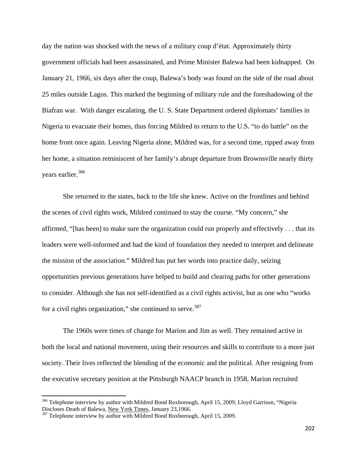day the nation was shocked with the news of a military coup d'état. Approximately thirty government officials had been assassinated, and Prime Minister Balewa had been kidnapped. On January 21, 1966, six days after the coup, Balewa's body was found on the side of the road about 25 miles outside Lagos. This marked the beginning of military rule and the foreshadowing of the Biafran war. With danger escalating, the U. S. State Department ordered diplomats' families in Nigeria to evacuate their homes, thus forcing Mildred to return to the U.S. "to do battle" on the home front once again. Leaving Nigeria alone, Mildred was, for a second time, ripped away from her home, a situation reminiscent of her family's abrupt departure from Brownsville nearly thirty years earlier.<sup>386</sup>

She returned to the states, back to the life she knew. Active on the frontlines and behind the scenes of civil rights work, Mildred continued to stay the course. "My concern," she affirmed, "[has been] to make sure the organization could run properly and effectively . . . that its leaders were well-informed and had the kind of foundation they needed to interpret and delineate the mission of the association." Mildred has put her words into practice daily, seizing opportunities previous generations have helped to build and clearing paths for other generations to consider. Although she has not self-identified as a civil rights activist, but as one who "works for a civil rights organization," she continued to serve.<sup>387</sup>

The 1960s were times of change for Marion and Jim as well. They remained active in both the local and national movement, using their resources and skills to contribute to a more just society. Their lives reflected the blending of the economic and the political. After resigning from the executive secretary position at the Pittsburgh NAACP branch in 1958, Marion recruited

<sup>&</sup>lt;sup>386</sup> Telephone interview by author with Mildred Bond Roxborough, April 15, 2009; Lloyd Garrison, "Nigeria Discloses Death of Balewa, New York Times, January 23,1966.

<sup>&</sup>lt;sup>387</sup> Telephone interview by author with Mildred Bond Roxborough, April 15, 2009.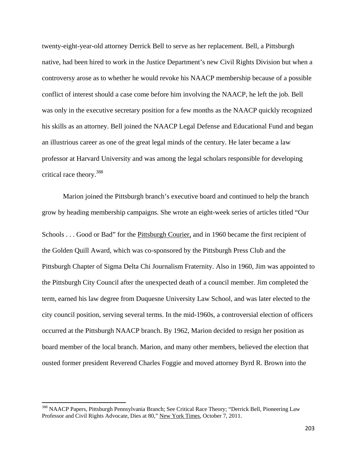twenty-eight-year-old attorney Derrick Bell to serve as her replacement. Bell, a Pittsburgh native, had been hired to work in the Justice Department's new Civil Rights Division but when a controversy arose as to whether he would revoke his NAACP membership because of a possible conflict of interest should a case come before him involving the NAACP, he left the job. Bell was only in the executive secretary position for a few months as the NAACP quickly recognized his skills as an attorney. Bell joined the NAACP Legal Defense and Educational Fund and began an illustrious career as one of the great legal minds of the century. He later became a law professor at Harvard University and was among the legal scholars responsible for developing critical race theory.388

Marion joined the Pittsburgh branch's executive board and continued to help the branch grow by heading membership campaigns. She wrote an eight-week series of articles titled "Our Schools . . . Good or Bad" for the Pittsburgh Courier, and in 1960 became the first recipient of the Golden Quill Award, which was co-sponsored by the Pittsburgh Press Club and the Pittsburgh Chapter of Sigma Delta Chi Journalism Fraternity. Also in 1960, Jim was appointed to the Pittsburgh City Council after the unexpected death of a council member. Jim completed the term, earned his law degree from Duquesne University Law School, and was later elected to the city council position, serving several terms. In the mid-1960s, a controversial election of officers occurred at the Pittsburgh NAACP branch. By 1962, Marion decided to resign her position as board member of the local branch. Marion, and many other members, believed the election that ousted former president Reverend Charles Foggie and moved attorney Byrd R. Brown into the

<sup>&</sup>lt;sup>388</sup> NAACP Papers, Pittsburgh Pennsylvania Branch; See Critical Race Theory; "Derrick Bell, Pioneering Law Professor and Civil Rights Advocate, Dies at 80," New York Times, October 7, 2011.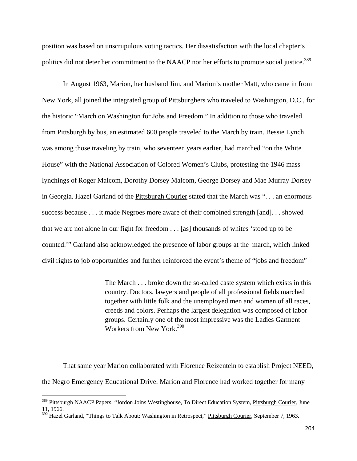position was based on unscrupulous voting tactics. Her dissatisfaction with the local chapter's politics did not deter her commitment to the NAACP nor her efforts to promote social justice.<sup>389</sup>

In August 1963, Marion, her husband Jim, and Marion's mother Matt, who came in from New York, all joined the integrated group of Pittsburghers who traveled to Washington, D.C., for the historic "March on Washington for Jobs and Freedom." In addition to those who traveled from Pittsburgh by bus, an estimated 600 people traveled to the March by train. Bessie Lynch was among those traveling by train, who seventeen years earlier, had marched "on the White House" with the National Association of Colored Women's Clubs, protesting the 1946 mass lynchings of Roger Malcom, Dorothy Dorsey Malcom, George Dorsey and Mae Murray Dorsey in Georgia. Hazel Garland of the Pittsburgh Courier stated that the March was ". . . an enormous success because . . . it made Negroes more aware of their combined strength [and]. . . showed that we are not alone in our fight for freedom . . . [as] thousands of whites 'stood up to be counted.'" Garland also acknowledged the presence of labor groups at the march, which linked civil rights to job opportunities and further reinforced the event's theme of "jobs and freedom"

> The March . . . broke down the so-called caste system which exists in this country. Doctors, lawyers and people of all professional fields marched together with little folk and the unemployed men and women of all races, creeds and colors. Perhaps the largest delegation was composed of labor groups. Certainly one of the most impressive was the Ladies Garment Workers from New York.<sup>390</sup>

That same year Marion collaborated with Florence Reizentein to establish Project NEED, the Negro Emergency Educational Drive. Marion and Florence had worked together for many

<sup>&</sup>lt;sup>389</sup> Pittsburgh NAACP Papers; "Jordon Joins Westinghouse, To Direct Education System, Pittsburgh Courier, June 11, 1966.

<sup>&</sup>lt;sup>390</sup> Hazel Garland, "Things to Talk About: Washington in Retrospect," Pittsburgh Courier, September 7, 1963.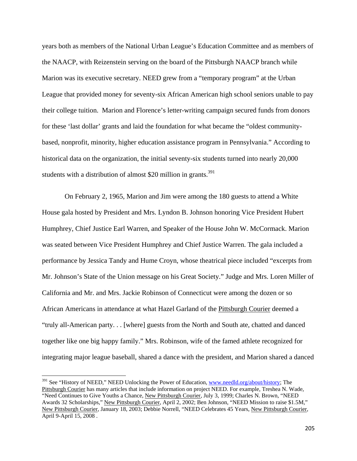years both as members of the National Urban League's Education Committee and as members of the NAACP, with Reizenstein serving on the board of the Pittsburgh NAACP branch while Marion was its executive secretary. NEED grew from a "temporary program" at the Urban League that provided money for seventy-six African American high school seniors unable to pay their college tuition. Marion and Florence's letter-writing campaign secured funds from donors for these 'last dollar' grants and laid the foundation for what became the "oldest communitybased, nonprofit, minority, higher education assistance program in Pennsylvania." According to historical data on the organization, the initial seventy-six students turned into nearly 20,000 students with a distribution of almost \$20 million in grants.<sup>391</sup>

 On February 2, 1965, Marion and Jim were among the 180 guests to attend a White House gala hosted by President and Mrs. Lyndon B. Johnson honoring Vice President Hubert Humphrey, Chief Justice Earl Warren, and Speaker of the House John W. McCormack. Marion was seated between Vice President Humphrey and Chief Justice Warren. The gala included a performance by Jessica Tandy and Hume Croyn, whose theatrical piece included "excerpts from Mr. Johnson's State of the Union message on his Great Society." Judge and Mrs. Loren Miller of California and Mr. and Mrs. Jackie Robinson of Connecticut were among the dozen or so African Americans in attendance at what Hazel Garland of the Pittsburgh Courier deemed a "truly all-American party. . . [where] guests from the North and South ate, chatted and danced together like one big happy family." Mrs. Robinson, wife of the famed athlete recognized for integrating major league baseball, shared a dance with the president, and Marion shared a danced

<sup>&</sup>lt;sup>391</sup> See "History of NEED," NEED Unlocking the Power of Education, www.needld.org/about/history; The Pittsburgh Courier has many articles that include information on project NEED. For example, Treshea N. Wade, "Need Continues to Give Youths a Chance, New Pittsburgh Courier, July 3, 1999; Charles N. Brown, "NEED Awards 32 Scholarships," New Pittsburgh Courier, April 2, 2002; Ben Johnson, "NEED Mission to raise \$1.5M," New Pittsburgh Courier, January 18, 2003; Debbie Norrell, "NEED Celebrates 45 Years, New Pittsburgh Courier, April 9-April 15, 2008 .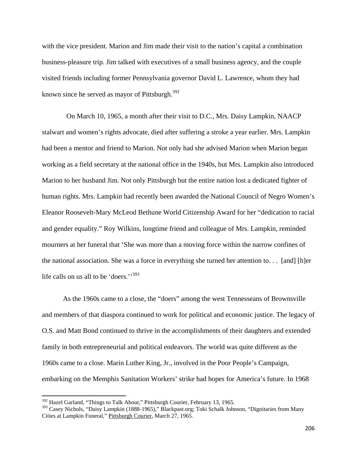with the vice president. Marion and Jim made their visit to the nation's capital a combination business-pleasure trip. Jim talked with executives of a small business agency, and the couple visited friends including former Pennsylvania governor David L. Lawrence, whom they had known since he served as mayor of Pittsburgh. $392$ 

 On March 10, 1965, a month after their visit to D.C., Mrs. Daisy Lampkin, NAACP stalwart and women's rights advocate, died after suffering a stroke a year earlier. Mrs. Lampkin had been a mentor and friend to Marion. Not only had she advised Marion when Marion began working as a field secretary at the national office in the 1940s, but Mrs. Lampkin also introduced Marion to her husband Jim. Not only Pittsburgh but the entire nation lost a dedicated fighter of human rights. Mrs. Lampkin had recently been awarded the National Council of Negro Women's Eleanor Roosevelt-Mary McLeod Bethune World Citizenship Award for her "dedication to racial and gender equality." Roy Wilkins, longtime friend and colleague of Mrs. Lampkin, reminded mourners at her funeral that 'She was more than a moving force within the narrow confines of the national association. She was a force in everything she turned her attention to. . . [and] [h]er life calls on us all to be 'doers."<sup>393</sup>

As the 1960s came to a close, the "doers" among the west Tennesseans of Brownsville and members of that diaspora continued to work for political and economic justice. The legacy of O.S. and Matt Bond continued to thrive in the accomplishments of their daughters and extended family in both entrepreneurial and political endeavors. The world was quite different as the 1960s came to a close. Marin Luther King, Jr., involved in the Poor People's Campaign, embarking on the Memphis Sanitation Workers' strike had hopes for America's future. In 1968

<sup>&</sup>lt;sup>392</sup> Hazel Garland, "Things to Talk About," Pittsburgh Courier, February 13, 1965.

<sup>&</sup>lt;sup>393</sup> Casey Nichols, "Daisy Lampkin (1888-1965)," Blackpast.org; Toki Schalk Johnson, "Dignitaries from Many Cities at Lampkin Funeral," Pittsburgh Courier, March 27, 1965.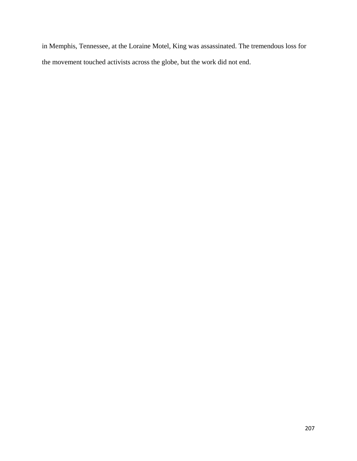in Memphis, Tennessee, at the Loraine Motel, King was assassinated. The tremendous loss for the movement touched activists across the globe, but the work did not end.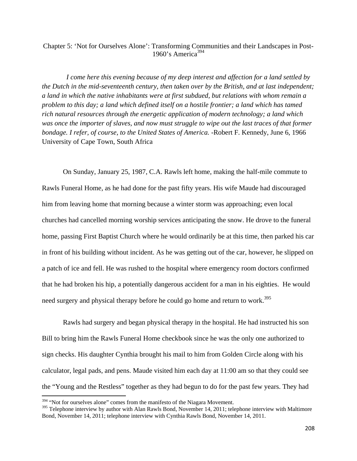# Chapter 5: 'Not for Ourselves Alone': Transforming Communities and their Landscapes in Post-1960's America<sup>394</sup>

*I come here this evening because of my deep interest and affection for a land settled by the Dutch in the mid-seventeenth century, then taken over by the British, and at last independent; a land in which the native inhabitants were at first subdued, but relations with whom remain a problem to this day; a land which defined itself on a hostile frontier; a land which has tamed rich natural resources through the energetic application of modern technology; a land which was once the importer of slaves, and now must struggle to wipe out the last traces of that former bondage. I refer, of course, to the United States of America.* -Robert F. Kennedy, June 6, 1966 University of Cape Town, South Africa

On Sunday, January 25, 1987, C.A. Rawls left home, making the half-mile commute to Rawls Funeral Home, as he had done for the past fifty years. His wife Maude had discouraged him from leaving home that morning because a winter storm was approaching; even local churches had cancelled morning worship services anticipating the snow. He drove to the funeral home, passing First Baptist Church where he would ordinarily be at this time, then parked his car in front of his building without incident. As he was getting out of the car, however, he slipped on a patch of ice and fell. He was rushed to the hospital where emergency room doctors confirmed that he had broken his hip, a potentially dangerous accident for a man in his eighties. He would need surgery and physical therapy before he could go home and return to work.<sup>395</sup>

Rawls had surgery and began physical therapy in the hospital. He had instructed his son Bill to bring him the Rawls Funeral Home checkbook since he was the only one authorized to sign checks. His daughter Cynthia brought his mail to him from Golden Circle along with his calculator, legal pads, and pens. Maude visited him each day at 11:00 am so that they could see the "Young and the Restless" together as they had begun to do for the past few years. They had

 $394$  "Not for ourselves alone" comes from the manifesto of the Niagara Movement.

<sup>&</sup>lt;sup>395</sup> Telephone interview by author with Alan Rawls Bond, November 14, 2011; telephone interview with Maltimore Bond, November 14, 2011; telephone interview with Cynthia Rawls Bond, November 14, 2011.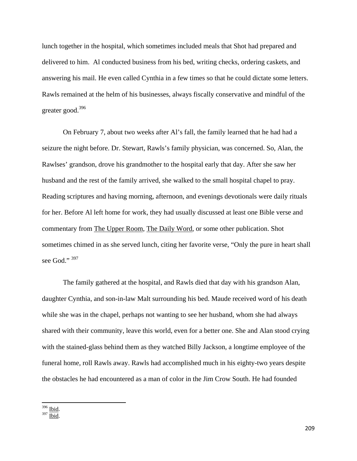lunch together in the hospital, which sometimes included meals that Shot had prepared and delivered to him. Al conducted business from his bed, writing checks, ordering caskets, and answering his mail. He even called Cynthia in a few times so that he could dictate some letters. Rawls remained at the helm of his businesses, always fiscally conservative and mindful of the greater good.<sup>396</sup>

On February 7, about two weeks after Al's fall, the family learned that he had had a seizure the night before. Dr. Stewart, Rawls's family physician, was concerned. So, Alan, the Rawlses' grandson, drove his grandmother to the hospital early that day. After she saw her husband and the rest of the family arrived, she walked to the small hospital chapel to pray. Reading scriptures and having morning, afternoon, and evenings devotionals were daily rituals for her. Before Al left home for work, they had usually discussed at least one Bible verse and commentary from The Upper Room, The Daily Word, or some other publication. Shot sometimes chimed in as she served lunch, citing her favorite verse, "Only the pure in heart shall see God."  $397$ 

The family gathered at the hospital, and Rawls died that day with his grandson Alan, daughter Cynthia, and son-in-law Malt surrounding his bed. Maude received word of his death while she was in the chapel, perhaps not wanting to see her husband, whom she had always shared with their community, leave this world, even for a better one. She and Alan stood crying with the stained-glass behind them as they watched Billy Jackson, a longtime employee of the funeral home, roll Rawls away. Rawls had accomplished much in his eighty-two years despite the obstacles he had encountered as a man of color in the Jim Crow South. He had founded

 396 Ibid.

 $397 \overline{\text{Ibid}}$ .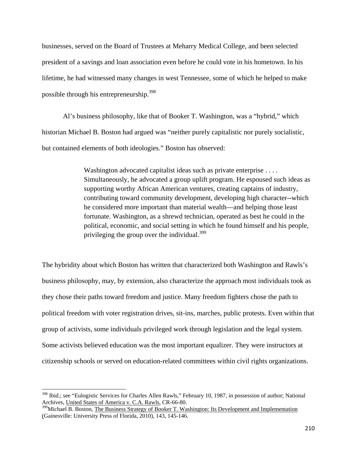businesses, served on the Board of Trustees at Meharry Medical College, and been selected president of a savings and loan association even before he could vote in his hometown. In his lifetime, he had witnessed many changes in west Tennessee, some of which he helped to make possible through his entrepreneurship.<sup>398</sup>

Al's business philosophy, like that of Booker T. Washington, was a "hybrid," which historian Michael B. Boston had argued was "neither purely capitalistic nor purely socialistic, but contained elements of both ideologies." Boston has observed:

> Washington advocated capitalist ideas such as private enterprise . . . . Simultaneously, he advocated a group uplift program. He espoused such ideas as supporting worthy African American ventures, creating captains of industry, contributing toward community development, developing high character--which he considered more important than material wealth—and helping those least fortunate. Washington, as a shrewd technician, operated as best he could in the political, economic, and social setting in which he found himself and his people, privileging the group over the individual.<sup>399</sup>

The hybridity about which Boston has written that characterized both Washington and Rawls's business philosophy, may, by extension, also characterize the approach most individuals took as they chose their paths toward freedom and justice. Many freedom fighters chose the path to political freedom with voter registration drives, sit-ins, marches, public protests. Even within that group of activists, some individuals privileged work through legislation and the legal system. Some activists believed education was the most important equalizer. They were instructors at citizenship schools or served on education-related committees within civil rights organizations.

<sup>398</sup> Ibid.; see "Eulogistic Services for Charles Allen Rawls," February 10, 1987, in possession of author; National Archives, United States of America v. C.A. Rawls, CR-66-80.

<sup>&</sup>lt;sup>399</sup>Michael B. Boston, The Business Strategy of Booker T. Washington: Its Development and Implementation (Gainesville: University Press of Florida, 2010), 143, 145-146.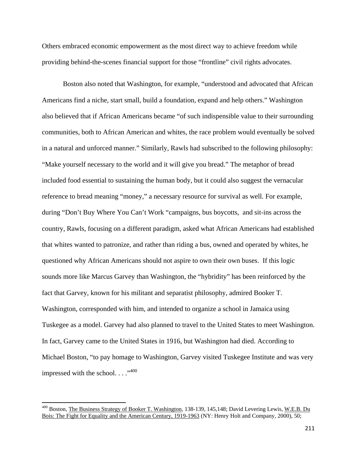Others embraced economic empowerment as the most direct way to achieve freedom while providing behind-the-scenes financial support for those "frontline" civil rights advocates.

Boston also noted that Washington, for example, "understood and advocated that African Americans find a niche, start small, build a foundation, expand and help others." Washington also believed that if African Americans became "of such indispensible value to their surrounding communities, both to African American and whites, the race problem would eventually be solved in a natural and unforced manner." Similarly, Rawls had subscribed to the following philosophy: "Make yourself necessary to the world and it will give you bread." The metaphor of bread included food essential to sustaining the human body, but it could also suggest the vernacular reference to bread meaning "money," a necessary resource for survival as well. For example, during "Don't Buy Where You Can't Work "campaigns, bus boycotts, and sit-ins across the country, Rawls, focusing on a different paradigm, asked what African Americans had established that whites wanted to patronize, and rather than riding a bus, owned and operated by whites, he questioned why African Americans should not aspire to own their own buses. If this logic sounds more like Marcus Garvey than Washington, the "hybridity" has been reinforced by the fact that Garvey, known for his militant and separatist philosophy, admired Booker T. Washington, corresponded with him, and intended to organize a school in Jamaica using Tuskegee as a model. Garvey had also planned to travel to the United States to meet Washington. In fact, Garvey came to the United States in 1916, but Washington had died. According to Michael Boston, "to pay homage to Washington, Garvey visited Tuskegee Institute and was very impressed with the school...." $^{400}$ 

<sup>&</sup>lt;sup>400</sup> Boston, The Business Strategy of Booker T. Washington, 138-139, 145,148; David Levering Lewis, W.E.B. Du Bois: The Fight for Equality and the American Century, 1919-1963 (NY: Henry Holt and Company, 2000), 50;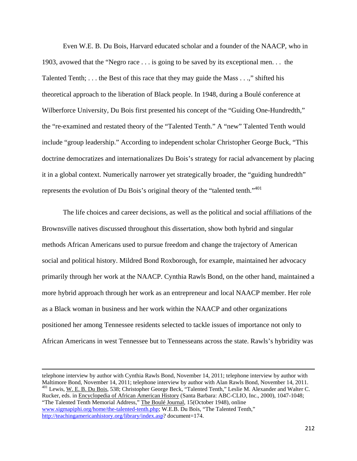Even W.E. B. Du Bois, Harvard educated scholar and a founder of the NAACP, who in 1903, avowed that the "Negro race . . . is going to be saved by its exceptional men. . . the Talented Tenth; . . . the Best of this race that they may guide the Mass . . .," shifted his theoretical approach to the liberation of Black people. In 1948, during a Boulé conference at Wilberforce University, Du Bois first presented his concept of the "Guiding One-Hundredth," the "re-examined and restated theory of the "Talented Tenth." A "new" Talented Tenth would include "group leadership." According to independent scholar Christopher George Buck, "This doctrine democratizes and internationalizes Du Bois's strategy for racial advancement by placing it in a global context. Numerically narrower yet strategically broader, the "guiding hundredth" represents the evolution of Du Bois's original theory of the "talented tenth."<sup>401</sup>

The life choices and career decisions, as well as the political and social affiliations of the Brownsville natives discussed throughout this dissertation, show both hybrid and singular methods African Americans used to pursue freedom and change the trajectory of American social and political history. Mildred Bond Roxborough, for example, maintained her advocacy primarily through her work at the NAACP. Cynthia Rawls Bond, on the other hand, maintained a more hybrid approach through her work as an entrepreneur and local NAACP member. Her role as a Black woman in business and her work within the NAACP and other organizations positioned her among Tennessee residents selected to tackle issues of importance not only to African Americans in west Tennessee but to Tennesseans across the state. Rawls's hybridity was

telephone interview by author with Cynthia Rawls Bond, November 14, 2011; telephone interview by author with Maltimore Bond, November 14, 2011; telephone interview by author with Alan Rawls Bond, November 14, 2011. <sup>401</sup> Lewis, W. E. B. Du Bois, 538; Christopher George Beck, "Talented Tenth," Leslie M. Alexander and Walter C. Rucker, eds. in Encyclopedia of African American History (Santa Barbara: ABC-CLIO, Inc., 2000), 1047-1048; "The Talented Tenth Memorial Address," The Boulé Journal, 15(October 1948), online www.sigmapiphi.org/home/the-talented-tenth.php; W.E.B. Du Bois, "The Talented Tenth," http://teachingamericanhistory.org/library/index.asp? document=174.

<u> 1989 - Johann Stein, marwolaethau a gweledydd a ganlad y ganlad y ganlad y ganlad y ganlad y ganlad y ganlad</u>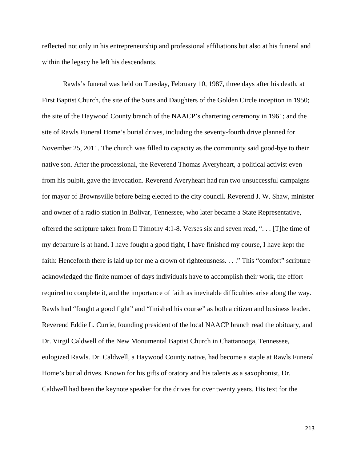reflected not only in his entrepreneurship and professional affiliations but also at his funeral and within the legacy he left his descendants.

Rawls's funeral was held on Tuesday, February 10, 1987, three days after his death, at First Baptist Church, the site of the Sons and Daughters of the Golden Circle inception in 1950; the site of the Haywood County branch of the NAACP's chartering ceremony in 1961; and the site of Rawls Funeral Home's burial drives, including the seventy-fourth drive planned for November 25, 2011. The church was filled to capacity as the community said good-bye to their native son. After the processional, the Reverend Thomas Averyheart, a political activist even from his pulpit, gave the invocation. Reverend Averyheart had run two unsuccessful campaigns for mayor of Brownsville before being elected to the city council. Reverend J. W. Shaw, minister and owner of a radio station in Bolivar, Tennessee, who later became a State Representative, offered the scripture taken from II Timothy 4:1-8. Verses six and seven read, ". . . [T]he time of my departure is at hand. I have fought a good fight, I have finished my course, I have kept the faith: Henceforth there is laid up for me a crown of righteousness. . . ." This "comfort" scripture acknowledged the finite number of days individuals have to accomplish their work, the effort required to complete it, and the importance of faith as inevitable difficulties arise along the way. Rawls had "fought a good fight" and "finished his course" as both a citizen and business leader. Reverend Eddie L. Currie, founding president of the local NAACP branch read the obituary, and Dr. Virgil Caldwell of the New Monumental Baptist Church in Chattanooga, Tennessee, eulogized Rawls. Dr. Caldwell, a Haywood County native, had become a staple at Rawls Funeral Home's burial drives. Known for his gifts of oratory and his talents as a saxophonist, Dr. Caldwell had been the keynote speaker for the drives for over twenty years. His text for the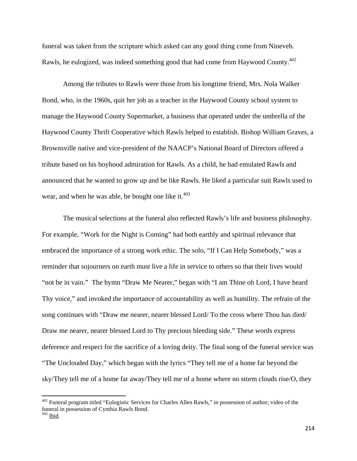funeral was taken from the scripture which asked can any good thing come from Nineveh. Rawls, he eulogized, was indeed something good that had come from Haywood County.402

Among the tributes to Rawls were those from his longtime friend, Mrs. Nola Walker Bond, who, in the 1960s, quit her job as a teacher in the Haywood County school system to manage the Haywood County Supermarket, a business that operated under the umbrella of the Haywood County Thrift Cooperative which Rawls helped to establish. Bishop William Graves, a Brownsville native and vice-president of the NAACP's National Board of Directors offered a tribute based on his boyhood admiration for Rawls. As a child, he had emulated Rawls and announced that he wanted to grow up and be like Rawls. He liked a particular suit Rawls used to wear, and when he was able, he bought one like it. $403$ 

The musical selections at the funeral also reflected Rawls's life and business philosophy. For example, "Work for the Night is Coming" had both earthly and spiritual relevance that embraced the importance of a strong work ethic. The solo, "If I Can Help Somebody," was a reminder that sojourners on earth must live a life in service to others so that their lives would "not be in vain." The hymn "Draw Me Nearer," began with "I am Thine oh Lord, I have heard Thy voice," and invoked the importance of accountability as well as humility. The refrain of the song continues with "Draw me nearer, nearer blessed Lord/ To the cross where Thou has died/ Draw me nearer, nearer blessed Lord to Thy precious bleeding side." These words express deference and respect for the sacrifice of a loving deity. The final song of the funeral service was "The Unclouded Day," which began with the lyrics "They tell me of a home far beyond the sky/They tell me of a home far away/They tell me of a home where no storm clouds rise/O, they

<sup>&</sup>lt;sup>402</sup> Funeral program titled "Eulogistic Services for Charles Allen Rawls," in possession of author; video of the funeral in possession of Cynthia Rawls Bond.

 $403$  Ibid.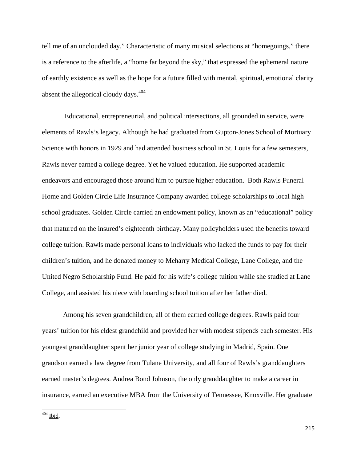tell me of an unclouded day." Characteristic of many musical selections at "homegoings," there is a reference to the afterlife, a "home far beyond the sky," that expressed the ephemeral nature of earthly existence as well as the hope for a future filled with mental, spiritual, emotional clarity absent the allegorical cloudy days.<sup>404</sup>

 Educational, entrepreneurial, and political intersections, all grounded in service, were elements of Rawls's legacy. Although he had graduated from Gupton-Jones School of Mortuary Science with honors in 1929 and had attended business school in St. Louis for a few semesters, Rawls never earned a college degree. Yet he valued education. He supported academic endeavors and encouraged those around him to pursue higher education. Both Rawls Funeral Home and Golden Circle Life Insurance Company awarded college scholarships to local high school graduates. Golden Circle carried an endowment policy, known as an "educational" policy that matured on the insured's eighteenth birthday. Many policyholders used the benefits toward college tuition. Rawls made personal loans to individuals who lacked the funds to pay for their children's tuition, and he donated money to Meharry Medical College, Lane College, and the United Negro Scholarship Fund. He paid for his wife's college tuition while she studied at Lane College, and assisted his niece with boarding school tuition after her father died.

Among his seven grandchildren, all of them earned college degrees. Rawls paid four years' tuition for his eldest grandchild and provided her with modest stipends each semester. His youngest granddaughter spent her junior year of college studying in Madrid, Spain. One grandson earned a law degree from Tulane University, and all four of Rawls's granddaughters earned master's degrees. Andrea Bond Johnson, the only granddaughter to make a career in insurance, earned an executive MBA from the University of Tennessee, Knoxville. Her graduate

 $404$  Ibid.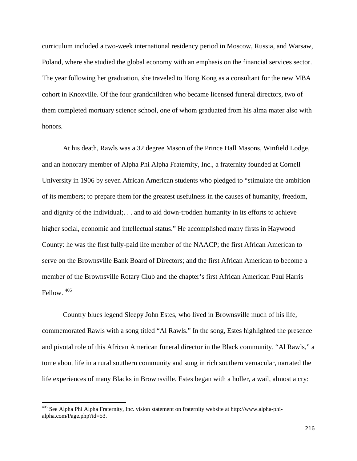curriculum included a two-week international residency period in Moscow, Russia, and Warsaw, Poland, where she studied the global economy with an emphasis on the financial services sector. The year following her graduation, she traveled to Hong Kong as a consultant for the new MBA cohort in Knoxville. Of the four grandchildren who became licensed funeral directors, two of them completed mortuary science school, one of whom graduated from his alma mater also with honors.

At his death, Rawls was a 32 degree Mason of the Prince Hall Masons, Winfield Lodge, and an honorary member of Alpha Phi Alpha Fraternity, Inc., a fraternity founded at Cornell University in 1906 by seven African American students who pledged to "stimulate the ambition of its members; to prepare them for the greatest usefulness in the causes of humanity, freedom, and dignity of the individual;. . . and to aid down-trodden humanity in its efforts to achieve higher social, economic and intellectual status." He accomplished many firsts in Haywood County: he was the first fully-paid life member of the NAACP; the first African American to serve on the Brownsville Bank Board of Directors; and the first African American to become a member of the Brownsville Rotary Club and the chapter's first African American Paul Harris Fellow. 405

Country blues legend Sleepy John Estes, who lived in Brownsville much of his life, commemorated Rawls with a song titled "Al Rawls." In the song, Estes highlighted the presence and pivotal role of this African American funeral director in the Black community. "Al Rawls," a tome about life in a rural southern community and sung in rich southern vernacular, narrated the life experiences of many Blacks in Brownsville. Estes began with a holler, a wail, almost a cry:

<sup>405</sup> See Alpha Phi Alpha Fraternity, Inc. vision statement on fraternity website at http://www.alpha-phialpha.com/Page.php?id=53.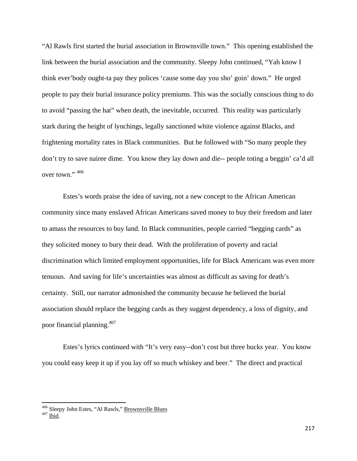"Al Rawls first started the burial association in Brownsville town." This opening established the link between the burial association and the community. Sleepy John continued, "Yah know I think ever'body ought-ta pay they polices 'cause some day you sho' goin' down." He urged people to pay their burial insurance policy premiums. This was the socially conscious thing to do to avoid "passing the hat" when death, the inevitable, occurred. This reality was particularly stark during the height of lynchings, legally sanctioned white violence against Blacks, and frightening mortality rates in Black communities. But he followed with "So many people they don't try to save nairee dime. You know they lay down and die-- people toting a beggin' ca'd all over town."  $406$ 

 Estes's words praise the idea of saving, not a new concept to the African American community since many enslaved African Americans saved money to buy their freedom and later to amass the resources to buy land. In Black communities, people carried "begging cards" as they solicited money to bury their dead. With the proliferation of poverty and racial discrimination which limited employment opportunities, life for Black Americans was even more tenuous. And saving for life's uncertainties was almost as difficult as saving for death's certainty. Still, our narrator admonished the community because he believed the burial association should replace the begging cards as they suggest dependency, a loss of dignity, and poor financial planning.407

Estes's lyrics continued with "It's very easy--don't cost but three bucks year. You know you could easy keep it up if you lay off so much whiskey and beer." The direct and practical

 $^{406}$  Sleepy John Estes, "Al Rawls," Brownsville Blues $^{407}$ Ibid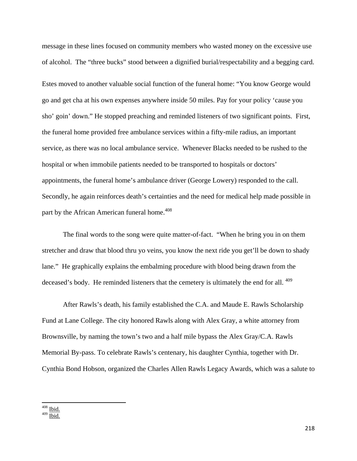message in these lines focused on community members who wasted money on the excessive use of alcohol. The "three bucks" stood between a dignified burial/respectability and a begging card.

Estes moved to another valuable social function of the funeral home: "You know George would go and get cha at his own expenses anywhere inside 50 miles. Pay for your policy 'cause you sho' goin' down." He stopped preaching and reminded listeners of two significant points. First, the funeral home provided free ambulance services within a fifty-mile radius, an important service, as there was no local ambulance service. Whenever Blacks needed to be rushed to the hospital or when immobile patients needed to be transported to hospitals or doctors' appointments, the funeral home's ambulance driver (George Lowery) responded to the call. Secondly, he again reinforces death's certainties and the need for medical help made possible in part by the African American funeral home.<sup>408</sup>

The final words to the song were quite matter-of-fact. "When he bring you in on them stretcher and draw that blood thru yo veins, you know the next ride you get'll be down to shady lane." He graphically explains the embalming procedure with blood being drawn from the deceased's body. He reminded listeners that the cemetery is ultimately the end for all. <sup>409</sup>

After Rawls's death, his family established the C.A. and Maude E. Rawls Scholarship Fund at Lane College. The city honored Rawls along with Alex Gray, a white attorney from Brownsville, by naming the town's two and a half mile bypass the Alex Gray/C.A. Rawls Memorial By-pass. To celebrate Rawls's centenary, his daughter Cynthia, together with Dr. Cynthia Bond Hobson, organized the Charles Allen Rawls Legacy Awards, which was a salute to

 $408$  Ibid.

 $409$  Ibid.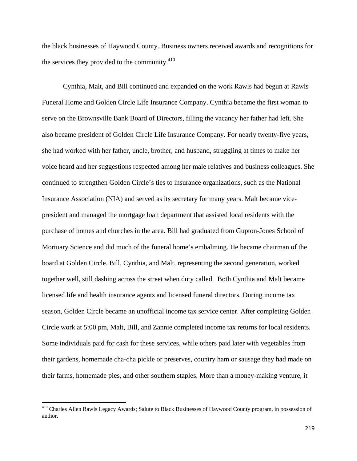the black businesses of Haywood County. Business owners received awards and recognitions for the services they provided to the community.<sup>410</sup>

Cynthia, Malt, and Bill continued and expanded on the work Rawls had begun at Rawls Funeral Home and Golden Circle Life Insurance Company. Cynthia became the first woman to serve on the Brownsville Bank Board of Directors, filling the vacancy her father had left. She also became president of Golden Circle Life Insurance Company. For nearly twenty-five years, she had worked with her father, uncle, brother, and husband, struggling at times to make her voice heard and her suggestions respected among her male relatives and business colleagues. She continued to strengthen Golden Circle's ties to insurance organizations, such as the National Insurance Association (NIA) and served as its secretary for many years. Malt became vicepresident and managed the mortgage loan department that assisted local residents with the purchase of homes and churches in the area. Bill had graduated from Gupton-Jones School of Mortuary Science and did much of the funeral home's embalming. He became chairman of the board at Golden Circle. Bill, Cynthia, and Malt, representing the second generation, worked together well, still dashing across the street when duty called. Both Cynthia and Malt became licensed life and health insurance agents and licensed funeral directors. During income tax season, Golden Circle became an unofficial income tax service center. After completing Golden Circle work at 5:00 pm, Malt, Bill, and Zannie completed income tax returns for local residents. Some individuals paid for cash for these services, while others paid later with vegetables from their gardens, homemade cha-cha pickle or preserves, country ham or sausage they had made on their farms, homemade pies, and other southern staples. More than a money-making venture, it

<sup>&</sup>lt;sup>410</sup> Charles Allen Rawls Legacy Awards; Salute to Black Businesses of Haywood County program, in possession of author.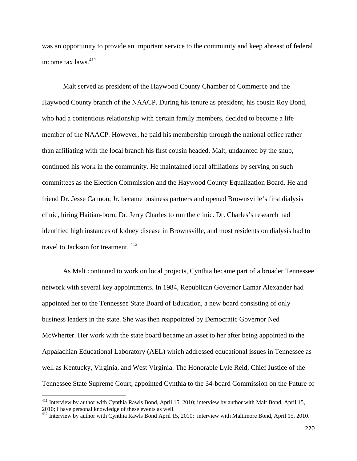was an opportunity to provide an important service to the community and keep abreast of federal income tax laws.<sup>411</sup>

Malt served as president of the Haywood County Chamber of Commerce and the Haywood County branch of the NAACP. During his tenure as president, his cousin Roy Bond, who had a contentious relationship with certain family members, decided to become a life member of the NAACP. However, he paid his membership through the national office rather than affiliating with the local branch his first cousin headed. Malt, undaunted by the snub, continued his work in the community. He maintained local affiliations by serving on such committees as the Election Commission and the Haywood County Equalization Board. He and friend Dr. Jesse Cannon, Jr. became business partners and opened Brownsville's first dialysis clinic, hiring Haitian-born, Dr. Jerry Charles to run the clinic. Dr. Charles's research had identified high instances of kidney disease in Brownsville, and most residents on dialysis had to travel to Jackson for treatment. <sup>412</sup>

As Malt continued to work on local projects, Cynthia became part of a broader Tennessee network with several key appointments. In 1984, Republican Governor Lamar Alexander had appointed her to the Tennessee State Board of Education, a new board consisting of only business leaders in the state. She was then reappointed by Democratic Governor Ned McWherter. Her work with the state board became an asset to her after being appointed to the Appalachian Educational Laboratory (AEL) which addressed educational issues in Tennessee as well as Kentucky, Virginia, and West Virginia. The Honorable Lyle Reid, Chief Justice of the Tennessee State Supreme Court, appointed Cynthia to the 34-board Commission on the Future of

<sup>&</sup>lt;sup>411</sup> Interview by author with Cynthia Rawls Bond, April 15, 2010; interview by author with Malt Bond, April 15, 2010; I have personal knowledge of these events as well.

<sup>&</sup>lt;sup>412</sup> Interview by author with Cynthia Rawls Bond April 15, 2010; interview with Maltimore Bond, April 15, 2010.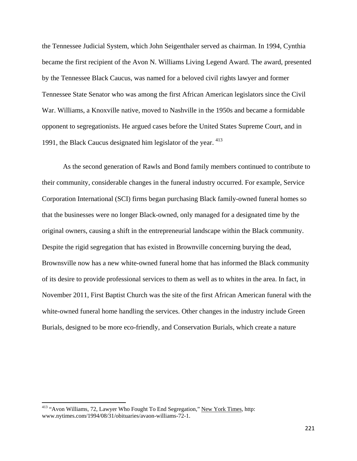the Tennessee Judicial System, which John Seigenthaler served as chairman. In 1994, Cynthia became the first recipient of the Avon N. Williams Living Legend Award. The award, presented by the Tennessee Black Caucus, was named for a beloved civil rights lawyer and former Tennessee State Senator who was among the first African American legislators since the Civil War. Williams, a Knoxville native, moved to Nashville in the 1950s and became a formidable opponent to segregationists. He argued cases before the United States Supreme Court, and in 1991, the Black Caucus designated him legislator of the year.  $413$ 

As the second generation of Rawls and Bond family members continued to contribute to their community, considerable changes in the funeral industry occurred. For example, Service Corporation International (SCI) firms began purchasing Black family-owned funeral homes so that the businesses were no longer Black-owned, only managed for a designated time by the original owners, causing a shift in the entrepreneurial landscape within the Black community. Despite the rigid segregation that has existed in Brownville concerning burying the dead, Brownsville now has a new white-owned funeral home that has informed the Black community of its desire to provide professional services to them as well as to whites in the area. In fact, in November 2011, First Baptist Church was the site of the first African American funeral with the white-owned funeral home handling the services. Other changes in the industry include Green Burials, designed to be more eco-friendly, and Conservation Burials, which create a nature

<sup>&</sup>lt;sup>413</sup> "Avon Williams, 72, Lawyer Who Fought To End Segregation," New York Times, http: www.nytimes.com/1994/08/31/obituaries/avaon-williams-72-1.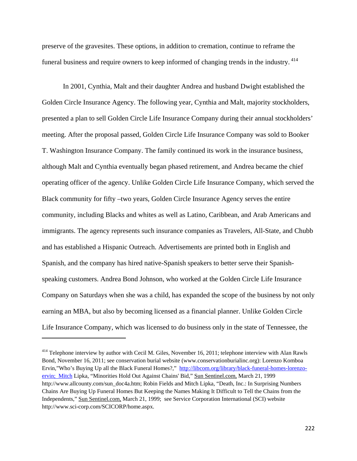preserve of the gravesites. These options, in addition to cremation, continue to reframe the funeral business and require owners to keep informed of changing trends in the industry. 414

In 2001, Cynthia, Malt and their daughter Andrea and husband Dwight established the Golden Circle Insurance Agency. The following year, Cynthia and Malt, majority stockholders, presented a plan to sell Golden Circle Life Insurance Company during their annual stockholders' meeting. After the proposal passed, Golden Circle Life Insurance Company was sold to Booker T. Washington Insurance Company. The family continued its work in the insurance business, although Malt and Cynthia eventually began phased retirement, and Andrea became the chief operating officer of the agency. Unlike Golden Circle Life Insurance Company, which served the Black community for fifty –two years, Golden Circle Insurance Agency serves the entire community, including Blacks and whites as well as Latino, Caribbean, and Arab Americans and immigrants. The agency represents such insurance companies as Travelers, All-State, and Chubb and has established a Hispanic Outreach. Advertisements are printed both in English and Spanish, and the company has hired native-Spanish speakers to better serve their Spanishspeaking customers. Andrea Bond Johnson, who worked at the Golden Circle Life Insurance Company on Saturdays when she was a child, has expanded the scope of the business by not only earning an MBA, but also by becoming licensed as a financial planner. Unlike Golden Circle Life Insurance Company, which was licensed to do business only in the state of Tennessee, the

<sup>&</sup>lt;sup>414</sup> Telephone interview by author with Cecil M. Giles, November 16, 2011; telephone interview with Alan Rawls Bond, November 16, 2011; see conservation burial website (www.conservationburialinc.org): Lorenzo Komboa Ervin,"Who's Buying Up all the Black Funeral Homes?," http://libcom.org/library/black-funeral-homes-lorenzoervin; Mitch Lipka, "Minorities Hold Out Against Chains' Bid," Sun Sentinel.com, March 21, 1999 http://www.allcounty.com/sun\_doc4a.htm; Robin Fields and Mitch Lipka, "Death, Inc.: In Surprising Numbers Chains Are Buying Up Funeral Homes But Keeping the Names Making It Difficult to Tell the Chains from the Independents," Sun Sentinel.com, March 21, 1999; see Service Corporation International (SCI) website http://www.sci-corp.com/SCICORP/home.aspx.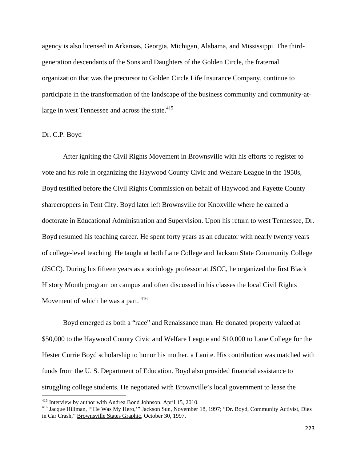agency is also licensed in Arkansas, Georgia, Michigan, Alabama, and Mississippi. The thirdgeneration descendants of the Sons and Daughters of the Golden Circle, the fraternal organization that was the precursor to Golden Circle Life Insurance Company, continue to participate in the transformation of the landscape of the business community and community-atlarge in west Tennessee and across the state.<sup>415</sup>

### Dr. C.P. Boyd

After igniting the Civil Rights Movement in Brownsville with his efforts to register to vote and his role in organizing the Haywood County Civic and Welfare League in the 1950s, Boyd testified before the Civil Rights Commission on behalf of Haywood and Fayette County sharecroppers in Tent City. Boyd later left Brownsville for Knoxville where he earned a doctorate in Educational Administration and Supervision. Upon his return to west Tennessee, Dr. Boyd resumed his teaching career. He spent forty years as an educator with nearly twenty years of college-level teaching. He taught at both Lane College and Jackson State Community College (JSCC). During his fifteen years as a sociology professor at JSCC, he organized the first Black History Month program on campus and often discussed in his classes the local Civil Rights Movement of which he was a part.  $416$ 

Boyd emerged as both a "race" and Renaissance man. He donated property valued at \$50,000 to the Haywood County Civic and Welfare League and \$10,000 to Lane College for the Hester Currie Boyd scholarship to honor his mother, a Lanite. His contribution was matched with funds from the U. S. Department of Education. Boyd also provided financial assistance to struggling college students. He negotiated with Brownville's local government to lease the

<sup>&</sup>lt;sup>415</sup> Interview by author with Andrea Bond Johnson, April 15, 2010.

<sup>&</sup>lt;sup>416</sup> Jacque Hillman, "'He Was My Hero,"" Jackson Sun, November 18, 1997; "Dr. Boyd, Community Activist, Dies in Car Crash," Brownsville States Graphic, October 30, 1997.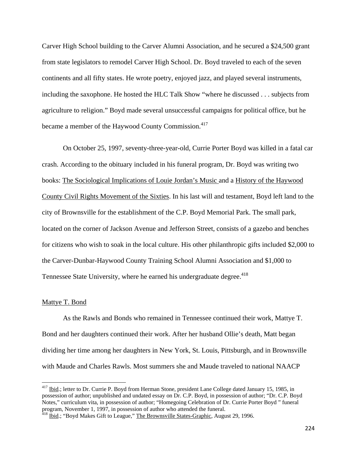Carver High School building to the Carver Alumni Association, and he secured a \$24,500 grant from state legislators to remodel Carver High School. Dr. Boyd traveled to each of the seven continents and all fifty states. He wrote poetry, enjoyed jazz, and played several instruments, including the saxophone. He hosted the HLC Talk Show "where he discussed . . . subjects from agriculture to religion." Boyd made several unsuccessful campaigns for political office, but he became a member of the Haywood County Commission.<sup>417</sup>

On October 25, 1997, seventy-three-year-old, Currie Porter Boyd was killed in a fatal car crash. According to the obituary included in his funeral program, Dr. Boyd was writing two books: The Sociological Implications of Louie Jordan's Music and a History of the Haywood County Civil Rights Movement of the Sixties. In his last will and testament, Boyd left land to the city of Brownsville for the establishment of the C.P. Boyd Memorial Park. The small park, located on the corner of Jackson Avenue and Jefferson Street, consists of a gazebo and benches for citizens who wish to soak in the local culture. His other philanthropic gifts included \$2,000 to the Carver-Dunbar-Haywood County Training School Alumni Association and \$1,000 to Tennessee State University, where he earned his undergraduate degree.<sup>418</sup>

### Mattye T. Bond

As the Rawls and Bonds who remained in Tennessee continued their work, Mattye T. Bond and her daughters continued their work. After her husband Ollie's death, Matt began dividing her time among her daughters in New York, St. Louis, Pittsburgh, and in Brownsville with Maude and Charles Rawls. Most summers she and Maude traveled to national NAACP

<sup>&</sup>lt;sup>417</sup> Ibid.; letter to Dr. Currie P. Boyd from Herman Stone, president Lane College dated January 15, 1985, in possession of author; unpublished and undated essay on Dr. C.P. Boyd, in possession of author; "Dr. C.P. Boyd Notes," curriculum vita, in possession of author; "Homegoing Celebration of Dr. Currie Porter Boyd " funeral program, November 1, 1997, in possession of author who attended the funeral.

 $^{418}$  Ibid.; "Boyd Makes Gift to League," The Brownsville States-Graphic, August 29, 1996.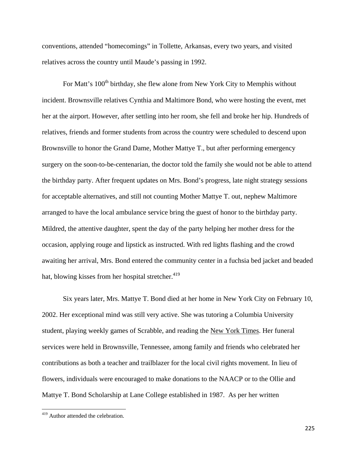conventions, attended "homecomings" in Tollette, Arkansas, every two years, and visited relatives across the country until Maude's passing in 1992.

For Matt's 100<sup>th</sup> birthday, she flew alone from New York City to Memphis without incident. Brownsville relatives Cynthia and Maltimore Bond, who were hosting the event, met her at the airport. However, after settling into her room, she fell and broke her hip. Hundreds of relatives, friends and former students from across the country were scheduled to descend upon Brownsville to honor the Grand Dame, Mother Mattye T., but after performing emergency surgery on the soon-to-be-centenarian, the doctor told the family she would not be able to attend the birthday party. After frequent updates on Mrs. Bond's progress, late night strategy sessions for acceptable alternatives, and still not counting Mother Mattye T. out, nephew Maltimore arranged to have the local ambulance service bring the guest of honor to the birthday party. Mildred, the attentive daughter, spent the day of the party helping her mother dress for the occasion, applying rouge and lipstick as instructed. With red lights flashing and the crowd awaiting her arrival, Mrs. Bond entered the community center in a fuchsia bed jacket and beaded hat, blowing kisses from her hospital stretcher.<sup>419</sup>

Six years later, Mrs. Mattye T. Bond died at her home in New York City on February 10, 2002. Her exceptional mind was still very active. She was tutoring a Columbia University student, playing weekly games of Scrabble, and reading the New York Times. Her funeral services were held in Brownsville, Tennessee, among family and friends who celebrated her contributions as both a teacher and trailblazer for the local civil rights movement. In lieu of flowers, individuals were encouraged to make donations to the NAACP or to the Ollie and Mattye T. Bond Scholarship at Lane College established in 1987. As per her written

 <sup>419</sup> Author attended the celebration.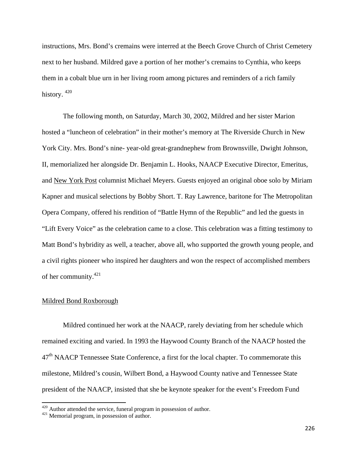instructions, Mrs. Bond's cremains were interred at the Beech Grove Church of Christ Cemetery next to her husband. Mildred gave a portion of her mother's cremains to Cynthia, who keeps them in a cobalt blue urn in her living room among pictures and reminders of a rich family history.  $420$ 

The following month, on Saturday, March 30, 2002, Mildred and her sister Marion hosted a "luncheon of celebration" in their mother's memory at The Riverside Church in New York City. Mrs. Bond's nine- year-old great-grandnephew from Brownsville, Dwight Johnson, II, memorialized her alongside Dr. Benjamin L. Hooks, NAACP Executive Director, Emeritus, and New York Post columnist Michael Meyers. Guests enjoyed an original oboe solo by Miriam Kapner and musical selections by Bobby Short. T. Ray Lawrence, baritone for The Metropolitan Opera Company, offered his rendition of "Battle Hymn of the Republic" and led the guests in "Lift Every Voice" as the celebration came to a close. This celebration was a fitting testimony to Matt Bond's hybridity as well, a teacher, above all, who supported the growth young people, and a civil rights pioneer who inspired her daughters and won the respect of accomplished members of her community.421

#### Mildred Bond Roxborough

Mildred continued her work at the NAACP, rarely deviating from her schedule which remained exciting and varied. In 1993 the Haywood County Branch of the NAACP hosted the  $47<sup>th</sup>$  NAACP Tennessee State Conference, a first for the local chapter. To commemorate this milestone, Mildred's cousin, Wilbert Bond, a Haywood County native and Tennessee State president of the NAACP, insisted that she be keynote speaker for the event's Freedom Fund

 $420$  Author attended the service, funeral program in possession of author.  $421$  Memorial program, in possession of author.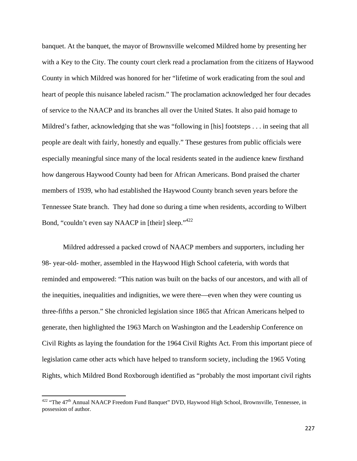banquet. At the banquet, the mayor of Brownsville welcomed Mildred home by presenting her with a Key to the City. The county court clerk read a proclamation from the citizens of Haywood County in which Mildred was honored for her "lifetime of work eradicating from the soul and heart of people this nuisance labeled racism." The proclamation acknowledged her four decades of service to the NAACP and its branches all over the United States. It also paid homage to Mildred's father, acknowledging that she was "following in [his] footsteps . . . in seeing that all people are dealt with fairly, honestly and equally." These gestures from public officials were especially meaningful since many of the local residents seated in the audience knew firsthand how dangerous Haywood County had been for African Americans. Bond praised the charter members of 1939, who had established the Haywood County branch seven years before the Tennessee State branch. They had done so during a time when residents, according to Wilbert Bond, "couldn't even say NAACP in [their] sleep."<sup>422</sup>

Mildred addressed a packed crowd of NAACP members and supporters, including her 98- year-old- mother, assembled in the Haywood High School cafeteria, with words that reminded and empowered: "This nation was built on the backs of our ancestors, and with all of the inequities, inequalities and indignities, we were there—even when they were counting us three-fifths a person." She chronicled legislation since 1865 that African Americans helped to generate, then highlighted the 1963 March on Washington and the Leadership Conference on Civil Rights as laying the foundation for the 1964 Civil Rights Act. From this important piece of legislation came other acts which have helped to transform society, including the 1965 Voting Rights, which Mildred Bond Roxborough identified as "probably the most important civil rights

 $422$  "The  $47<sup>th</sup>$  Annual NAACP Freedom Fund Banquet" DVD, Haywood High School, Brownsville, Tennessee, in possession of author.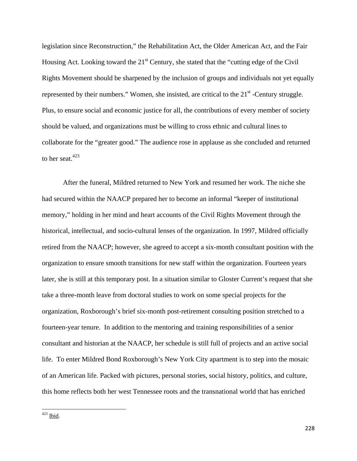legislation since Reconstruction," the Rehabilitation Act, the Older American Act, and the Fair Housing Act. Looking toward the  $21<sup>st</sup>$  Century, she stated that the "cutting edge of the Civil" Rights Movement should be sharpened by the inclusion of groups and individuals not yet equally represented by their numbers." Women, she insisted, are critical to the  $21<sup>st</sup>$  -Century struggle. Plus, to ensure social and economic justice for all, the contributions of every member of society should be valued, and organizations must be willing to cross ethnic and cultural lines to collaborate for the "greater good." The audience rose in applause as she concluded and returned to her seat. $423$ 

After the funeral, Mildred returned to New York and resumed her work. The niche she had secured within the NAACP prepared her to become an informal "keeper of institutional memory," holding in her mind and heart accounts of the Civil Rights Movement through the historical, intellectual, and socio-cultural lenses of the organization. In 1997, Mildred officially retired from the NAACP; however, she agreed to accept a six-month consultant position with the organization to ensure smooth transitions for new staff within the organization. Fourteen years later, she is still at this temporary post. In a situation similar to Gloster Current's request that she take a three-month leave from doctoral studies to work on some special projects for the organization, Roxborough's brief six-month post-retirement consulting position stretched to a fourteen-year tenure. In addition to the mentoring and training responsibilities of a senior consultant and historian at the NAACP, her schedule is still full of projects and an active social life. To enter Mildred Bond Roxborough's New York City apartment is to step into the mosaic of an American life. Packed with pictures, personal stories, social history, politics, and culture, this home reflects both her west Tennessee roots and the transnational world that has enriched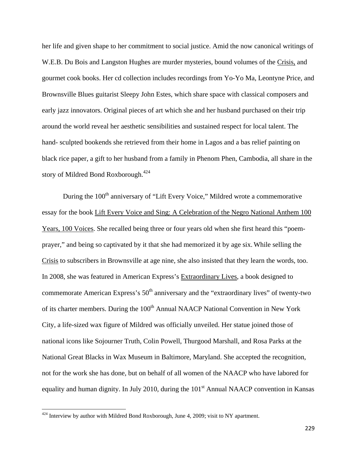her life and given shape to her commitment to social justice. Amid the now canonical writings of W.E.B. Du Bois and Langston Hughes are murder mysteries, bound volumes of the Crisis, and gourmet cook books. Her cd collection includes recordings from Yo-Yo Ma, Leontyne Price, and Brownsville Blues guitarist Sleepy John Estes, which share space with classical composers and early jazz innovators. Original pieces of art which she and her husband purchased on their trip around the world reveal her aesthetic sensibilities and sustained respect for local talent. The hand- sculpted bookends she retrieved from their home in Lagos and a bas relief painting on black rice paper, a gift to her husband from a family in Phenom Phen, Cambodia, all share in the story of Mildred Bond Roxborough.<sup>424</sup>

During the 100<sup>th</sup> anniversary of "Lift Every Voice," Mildred wrote a commemorative essay for the book Lift Every Voice and Sing: A Celebration of the Negro National Anthem 100 Years, 100 Voices. She recalled being three or four years old when she first heard this "poemprayer," and being so captivated by it that she had memorized it by age six. While selling the Crisis to subscribers in Brownsville at age nine, she also insisted that they learn the words, too. In 2008, she was featured in American Express's Extraordinary Lives, a book designed to commemorate American Express's  $50<sup>th</sup>$  anniversary and the "extraordinary lives" of twenty-two of its charter members. During the 100<sup>th</sup> Annual NAACP National Convention in New York City, a life-sized wax figure of Mildred was officially unveiled. Her statue joined those of national icons like Sojourner Truth, Colin Powell, Thurgood Marshall, and Rosa Parks at the National Great Blacks in Wax Museum in Baltimore, Maryland. She accepted the recognition, not for the work she has done, but on behalf of all women of the NAACP who have labored for equality and human dignity. In July 2010, during the  $101<sup>st</sup>$  Annual NAACP convention in Kansas

 $424$  Interview by author with Mildred Bond Roxborough, June 4, 2009; visit to NY apartment.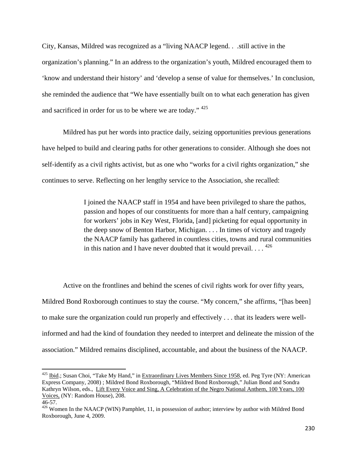City, Kansas, Mildred was recognized as a "living NAACP legend. . .still active in the organization's planning." In an address to the organization's youth, Mildred encouraged them to 'know and understand their history' and 'develop a sense of value for themselves.' In conclusion, she reminded the audience that "We have essentially built on to what each generation has given and sacrificed in order for us to be where we are today." 425

Mildred has put her words into practice daily, seizing opportunities previous generations have helped to build and clearing paths for other generations to consider. Although she does not self-identify as a civil rights activist, but as one who "works for a civil rights organization," she continues to serve. Reflecting on her lengthy service to the Association, she recalled:

> I joined the NAACP staff in 1954 and have been privileged to share the pathos, passion and hopes of our constituents for more than a half century, campaigning for workers' jobs in Key West, Florida, [and] picketing for equal opportunity in the deep snow of Benton Harbor, Michigan. . . . In times of victory and tragedy the NAACP family has gathered in countless cities, towns and rural communities in this nation and I have never doubted that it would prevail.  $\ldots$ . <sup>426</sup>

Active on the frontlines and behind the scenes of civil rights work for over fifty years, Mildred Bond Roxborough continues to stay the course. "My concern," she affirms, "[has been] to make sure the organization could run properly and effectively . . . that its leaders were wellinformed and had the kind of foundation they needed to interpret and delineate the mission of the association." Mildred remains disciplined, accountable, and about the business of the NAACP.

<sup>&</sup>lt;sup>425</sup> Ibid.; Susan Choi, "Take My Hand," in Extraordinary Lives Members Since 1958, ed. Peg Tyre (NY: American Express Company, 2008) ; Mildred Bond Roxborough, "Mildred Bond Roxborough," Julian Bond and Sondra Kathryn Wilson, eds., Lift Every Voice and Sing, A Celebration of the Negro National Anthem, 100 Years, 100 Voices, (NY: Random House), 208.

<sup>46-57.</sup> 

<sup>&</sup>lt;sup>426</sup> Women In the NAACP (WIN) Pamphlet, 11, in possession of author; interview by author with Mildred Bond Roxborough, June 4, 2009.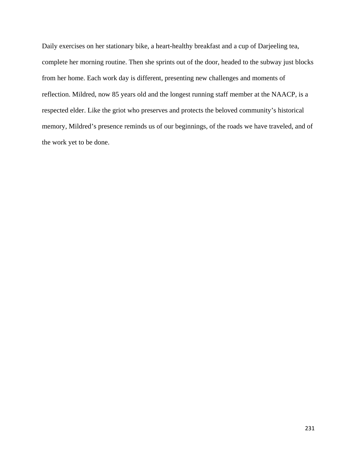Daily exercises on her stationary bike, a heart-healthy breakfast and a cup of Darjeeling tea, complete her morning routine. Then she sprints out of the door, headed to the subway just blocks from her home. Each work day is different, presenting new challenges and moments of reflection. Mildred, now 85 years old and the longest running staff member at the NAACP, is a respected elder. Like the griot who preserves and protects the beloved community's historical memory, Mildred's presence reminds us of our beginnings, of the roads we have traveled, and of the work yet to be done.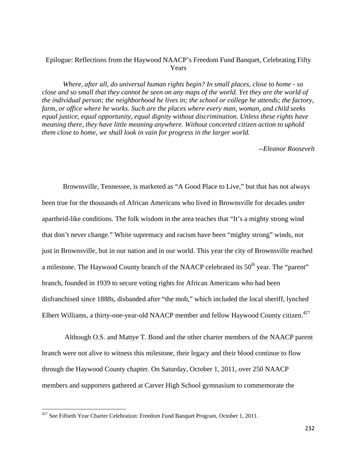## Epilogue: Reflections from the Haywood NAACP's Freedom Fund Banquet, Celebrating Fifty Years

*Where, after all, do universal human rights begin? In small places, close to home - so close and so small that they cannot be seen on any maps of the world. Yet they are the world of the individual person; the neighborhood he lives in; the school or college he attends; the factory, farm, or office where he works. Such are the places where every man, woman, and child seeks equal justice, equal opportunity, equal dignity without discrimination. Unless these rights have meaning there, they have little meaning anywhere. Without concerted citizen action to uphold them close to home, we shall look in vain for progress in the larger world.*

*--Eleanor Roosevelt* 

Brownsville, Tennessee, is marketed as "A Good Place to Live," but that has not always been true for the thousands of African Americans who lived in Brownsville for decades under apartheid-like conditions. The folk wisdom in the area teaches that "It's a mighty strong wind that don't never change." White supremacy and racism have been "mighty strong" winds, not just in Brownsville, but in our nation and in our world. This year the city of Brownsville reached a milestone. The Haywood County branch of the NAACP celebrated its  $50<sup>th</sup>$  year. The "parent" branch, founded in 1939 to secure voting rights for African Americans who had been disfranchised since 1888s, disbanded after "the mob," which included the local sheriff, lynched Elbert Williams, a thirty-one-year-old NAACP member and fellow Haywood County citizen.<sup>427</sup>

 Although O.S. and Mattye T. Bond and the other charter members of the NAACP parent branch were not alive to witness this milestone, their legacy and their blood continue to flow through the Haywood County chapter. On Saturday, October 1, 2011, over 250 NAACP members and supporters gathered at Carver High School gymnasium to commemorate the

<sup>&</sup>lt;sup>427</sup> See Fiftieth Year Charter Celebration: Freedom Fund Banquet Program, October 1, 2011.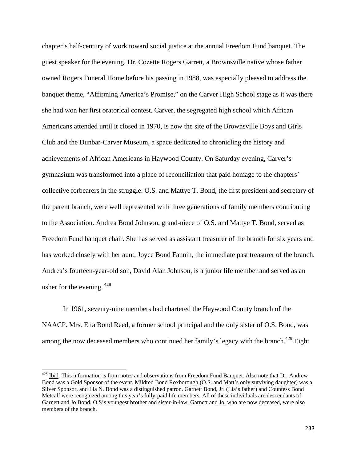chapter's half-century of work toward social justice at the annual Freedom Fund banquet. The guest speaker for the evening, Dr. Cozette Rogers Garrett, a Brownsville native whose father owned Rogers Funeral Home before his passing in 1988, was especially pleased to address the banquet theme, "Affirming America's Promise," on the Carver High School stage as it was there she had won her first oratorical contest. Carver, the segregated high school which African Americans attended until it closed in 1970, is now the site of the Brownsville Boys and Girls Club and the Dunbar-Carver Museum, a space dedicated to chronicling the history and achievements of African Americans in Haywood County. On Saturday evening, Carver's gymnasium was transformed into a place of reconciliation that paid homage to the chapters' collective forbearers in the struggle. O.S. and Mattye T. Bond, the first president and secretary of the parent branch, were well represented with three generations of family members contributing to the Association. Andrea Bond Johnson, grand-niece of O.S. and Mattye T. Bond, served as Freedom Fund banquet chair. She has served as assistant treasurer of the branch for six years and has worked closely with her aunt, Joyce Bond Fannin, the immediate past treasurer of the branch. Andrea's fourteen-year-old son, David Alan Johnson, is a junior life member and served as an usher for the evening.  $428$ 

In 1961, seventy-nine members had chartered the Haywood County branch of the NAACP. Mrs. Etta Bond Reed, a former school principal and the only sister of O.S. Bond, was among the now deceased members who continued her family's legacy with the branch.<sup>429</sup> Eight

<sup>&</sup>lt;sup>428</sup> Ibid. This information is from notes and observations from Freedom Fund Banquet. Also note that Dr. Andrew Bond was a Gold Sponsor of the event. Mildred Bond Roxborough (O.S. and Matt's only surviving daughter) was a Silver Sponsor, and Lia N. Bond was a distinguished patron. Garnett Bond, Jr. (Lia's father) and Countess Bond Metcalf were recognized among this year's fully-paid life members. All of these individuals are descendants of Garnett and Jo Bond, O.S's youngest brother and sister-in-law. Garnett and Jo, who are now deceased, were also members of the branch.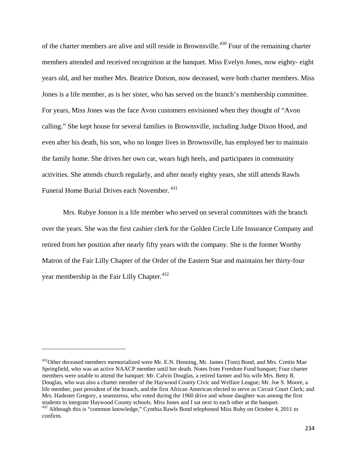of the charter members are alive and still reside in Brownsville.<sup>430</sup> Four of the remaining charter members attended and received recognition at the banquet. Miss Evelyn Jones, now eighty- eight years old, and her mother Mrs. Beatrice Dotson, now deceased, were both charter members. Miss Jones is a life member, as is her sister, who has served on the branch's membership committee. For years, Miss Jones was the face Avon customers envisioned when they thought of "Avon calling." She kept house for several families in Brownsville, including Judge Dixon Hood, and even after his death, his son, who no longer lives in Brownsville, has employed her to maintain the family home. She drives her own car, wears high heels, and participates in community activities. She attends church regularly, and after nearly eighty years, she still attends Rawls Funeral Home Burial Drives each November. 431

Mrs. Rubye Jonson is a life member who served on several committees with the branch over the years. She was the first cashier clerk for the Golden Circle Life Insurance Company and retired from her position after nearly fifty years with the company. She is the former Worthy Matron of the Fair Lilly Chapter of the Order of the Eastern Star and maintains her thirty-four year membership in the Fair Lilly Chapter.<sup>432</sup>

<sup>&</sup>lt;sup>431</sup>Other deceased members memorialized were Mr. E.N. Henning, Mr. James (Tom) Bond, and Mrs. Crettie Mae Springfield, who was an active NAACP member until her death. Notes from Freedom Fund banquet; Four charter members were unable to attend the banquet: Mr. Calvin Douglas, a retired farmer and his wife Mrs. Betty R. Douglas, who was also a charter member of the Haywood County Civic and Welfare League; Mr. Joe S. Moore, a life member, past president of the branch, and the first African American elected to serve as Circuit Court Clerk; and Mrs. Hadester Gregory, a seamstress, who voted during the 1960 drive and whose daughter was among the first students to integrate Haywood County schools. Miss Jones and I sat next to each other at the banquet.

<sup>&</sup>lt;sup>432</sup> Although this is "common knowledge," Cynthia Rawls Bond telephoned Miss Ruby on October 4, 2011 to confirm.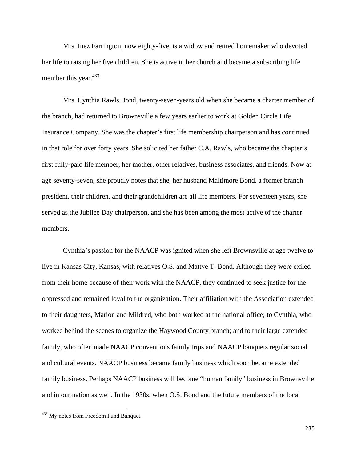Mrs. Inez Farrington, now eighty-five, is a widow and retired homemaker who devoted her life to raising her five children. She is active in her church and became a subscribing life member this year.<sup>433</sup>

Mrs. Cynthia Rawls Bond, twenty-seven-years old when she became a charter member of the branch, had returned to Brownsville a few years earlier to work at Golden Circle Life Insurance Company. She was the chapter's first life membership chairperson and has continued in that role for over forty years. She solicited her father C.A. Rawls, who became the chapter's first fully-paid life member, her mother, other relatives, business associates, and friends. Now at age seventy-seven, she proudly notes that she, her husband Maltimore Bond, a former branch president, their children, and their grandchildren are all life members. For seventeen years, she served as the Jubilee Day chairperson, and she has been among the most active of the charter members.

Cynthia's passion for the NAACP was ignited when she left Brownsville at age twelve to live in Kansas City, Kansas, with relatives O.S. and Mattye T. Bond. Although they were exiled from their home because of their work with the NAACP, they continued to seek justice for the oppressed and remained loyal to the organization. Their affiliation with the Association extended to their daughters, Marion and Mildred, who both worked at the national office; to Cynthia, who worked behind the scenes to organize the Haywood County branch; and to their large extended family, who often made NAACP conventions family trips and NAACP banquets regular social and cultural events. NAACP business became family business which soon became extended family business. Perhaps NAACP business will become "human family" business in Brownsville and in our nation as well. In the 1930s, when O.S. Bond and the future members of the local

<sup>&</sup>lt;sup>433</sup> My notes from Freedom Fund Banquet.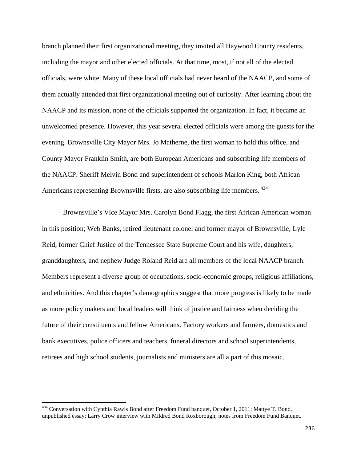branch planned their first organizational meeting, they invited all Haywood County residents, including the mayor and other elected officials. At that time, most, if not all of the elected officials, were white. Many of these local officials had never heard of the NAACP, and some of them actually attended that first organizational meeting out of curiosity. After learning about the NAACP and its mission, none of the officials supported the organization. In fact, it became an unwelcomed presence. However, this year several elected officials were among the guests for the evening. Brownsville City Mayor Mrs. Jo Matherne, the first woman to hold this office, and County Mayor Franklin Smith, are both European Americans and subscribing life members of the NAACP. Sheriff Melvin Bond and superintendent of schools Marlon King, both African Americans representing Brownsville firsts, are also subscribing life members. 434

Brownsville's Vice Mayor Mrs. Carolyn Bond Flagg, the first African American woman in this position; Web Banks, retired lieutenant colonel and former mayor of Brownsville; Lyle Reid, former Chief Justice of the Tennessee State Supreme Court and his wife, daughters, granddaughters, and nephew Judge Roland Reid are all members of the local NAACP branch. Members represent a diverse group of occupations, socio-economic groups, religious affiliations, and ethnicities. And this chapter's demographics suggest that more progress is likely to be made as more policy makers and local leaders will think of justice and fairness when deciding the future of their constituents and fellow Americans. Factory workers and farmers, domestics and bank executives, police officers and teachers, funeral directors and school superintendents, retirees and high school students, journalists and ministers are all a part of this mosaic.

<sup>&</sup>lt;sup>434</sup> Conversation with Cynthia Rawls Bond after Freedom Fund banquet, October 1, 2011; Mattye T. Bond, unpublished essay; Larry Crow interview with Mildred Bond Roxborough; notes from Freedom Fund Banquet.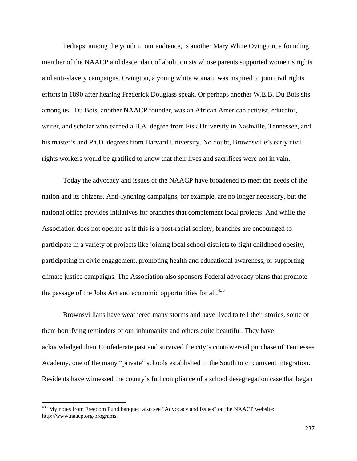Perhaps, among the youth in our audience, is another Mary White Ovington, a founding member of the NAACP and descendant of abolitionists whose parents supported women's rights and anti-slavery campaigns. Ovington, a young white woman, was inspired to join civil rights efforts in 1890 after hearing Frederick Douglass speak. Or perhaps another W.E.B. Du Bois sits among us. Du Bois, another NAACP founder, was an African American activist, educator, writer, and scholar who earned a B.A. degree from Fisk University in Nashville, Tennessee, and his master's and Ph.D. degrees from Harvard University. No doubt, Brownsville's early civil rights workers would be gratified to know that their lives and sacrifices were not in vain.

Today the advocacy and issues of the NAACP have broadened to meet the needs of the nation and its citizens. Anti-lynching campaigns, for example, are no longer necessary, but the national office provides initiatives for branches that complement local projects. And while the Association does not operate as if this is a post-racial society, branches are encouraged to participate in a variety of projects like joining local school districts to fight childhood obesity, participating in civic engagement, promoting health and educational awareness, or supporting climate justice campaigns. The Association also sponsors Federal advocacy plans that promote the passage of the Jobs Act and economic opportunities for all. $^{435}$ 

Brownsvillians have weathered many storms and have lived to tell their stories, some of them horrifying reminders of our inhumanity and others quite beautiful. They have acknowledged their Confederate past and survived the city's controversial purchase of Tennessee Academy, one of the many "private" schools established in the South to circumvent integration. Residents have witnessed the county's full compliance of a school desegregation case that began

<sup>&</sup>lt;sup>435</sup> My notes from Freedom Fund banquet; also see "Advocacy and Issues" on the NAACP website: http://www.naacp.org/programs.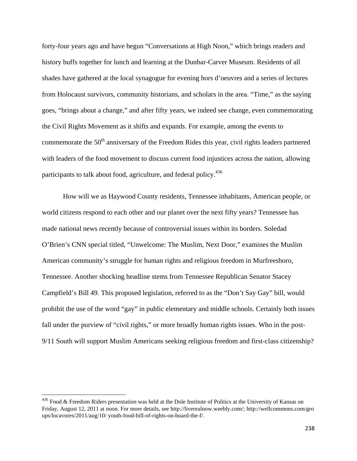forty-four years ago and have begun "Conversations at High Noon," which brings readers and history buffs together for lunch and learning at the Dunbar-Carver Museum. Residents of all shades have gathered at the local synagogue for evening hors d'oeuvres and a series of lectures from Holocaust survivors, community historians, and scholars in the area. "Time," as the saying goes, "brings about a change," and after fifty years, we indeed see change, even commemorating the Civil Rights Movement as it shifts and expands. For example, among the events to commemorate the  $50<sup>th</sup>$  anniversary of the Freedom Rides this year, civil rights leaders partnered with leaders of the food movement to discuss current food injustices across the nation, allowing participants to talk about food, agriculture, and federal policy.<sup>436</sup>

How will we as Haywood County residents, Tennessee inhabitants, American people, or world citizens respond to each other and our planet over the next fifty years? Tennessee has made national news recently because of controversial issues within its borders. Soledad O'Brien's CNN special titled, "Unwelcome: The Muslim, Next Door," examines the Muslim American community's struggle for human rights and religious freedom in Murfreesboro, Tennessee. Another shocking headline stems from Tennessee Republican Senator Stacey Campfield's Bill 49. This proposed legislation, referred to as the "Don't Say Gay" bill, would prohibit the use of the word "gay" in public elementary and middle schools. Certainly both issues fall under the purview of "civil rights," or more broadly human rights issues. Who in the post-9/11 South will support Muslim Americans seeking religious freedom and first-class citizenship?

 $436$  Food & Freedom Riders presentation was held at the Dole Institute of Politics at the University of Kansas on Friday, August 12, 2011 at noon. For more details, see http://liverealnow.weebly.com/; http://wellcommons.com/gro ups/locavores/2011/aug/10/ youth-food-bill-of-rights-on-board-the-f/.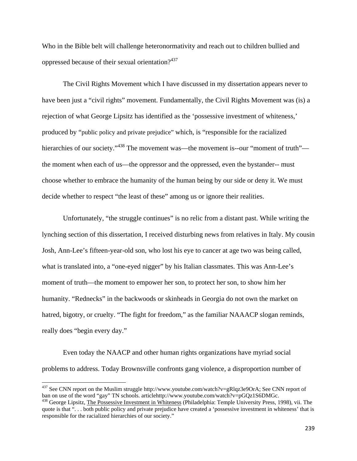Who in the Bible belt will challenge heteronormativity and reach out to children bullied and oppressed because of their sexual orientation?<sup>437</sup>

The Civil Rights Movement which I have discussed in my dissertation appears never to have been just a "civil rights" movement. Fundamentally, the Civil Rights Movement was (is) a rejection of what George Lipsitz has identified as the 'possessive investment of whiteness,' produced by "public policy and private prejudice" which, is "responsible for the racialized hierarchies of our society."<sup>438</sup> The movement was—the movement is--our "moment of truth" the moment when each of us—the oppressor and the oppressed, even the bystander-- must choose whether to embrace the humanity of the human being by our side or deny it. We must decide whether to respect "the least of these" among us or ignore their realities.

Unfortunately, "the struggle continues" is no relic from a distant past. While writing the lynching section of this dissertation, I received disturbing news from relatives in Italy. My cousin Josh, Ann-Lee's fifteen-year-old son, who lost his eye to cancer at age two was being called, what is translated into, a "one-eyed nigger" by his Italian classmates. This was Ann-Lee's moment of truth—the moment to empower her son, to protect her son, to show him her humanity. "Rednecks" in the backwoods or skinheads in Georgia do not own the market on hatred, bigotry, or cruelty. "The fight for freedom," as the familiar NAAACP slogan reminds, really does "begin every day."

Even today the NAACP and other human rights organizations have myriad social problems to address. Today Brownsville confronts gang violence, a disproportion number of

<sup>&</sup>lt;sup>437</sup> See CNN report on the Muslim struggle http://www.youtube.com/watch?v=gRlqz3e9OrA; See CNN report of ban on use of the word "gay" TN schools. articlehttp://www.youtube.com/watch?v=pGQz1S6DMGc.

<sup>438</sup> George Lipsitz, The Possessive Investment in Whiteness (Philadelphia: Temple University Press, 1998), vii. The quote is that ". . . both public policy and private prejudice have created a 'possessive investment in whiteness' that is responsible for the racialized hierarchies of our society."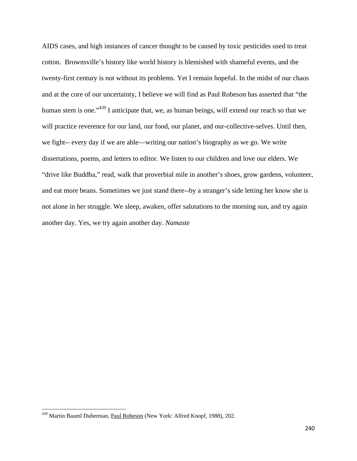AIDS cases, and high instances of cancer thought to be caused by toxic pesticides used to treat cotton. Brownsville's history like world history is blemished with shameful events, and the twenty-first century is not without its problems. Yet I remain hopeful. In the midst of our chaos and at the core of our uncertainty, I believe we will find as Paul Robeson has asserted that "the human stem is one."<sup>439</sup> I anticipate that, we, as human beings, will extend our reach so that we will practice reverence for our land, our food, our planet, and our-collective-selves. Until then, we fight-- every day if we are able—writing our nation's biography as we go. We write dissertations, poems, and letters to editor. We listen to our children and love our elders. We "drive like Buddha," read, walk that proverbial mile in another's shoes, grow gardens, volunteer, and eat more beans. Sometimes we just stand there--by a stranger's side letting her know she is not alone in her struggle. We sleep, awaken, offer salutations to the morning sun, and try again another day. Yes, we try again another day. *Namaste*

<sup>&</sup>lt;sup>439</sup> Martin Bauml Duberman, Paul Robeson (New York: Alfred Knopf, 1988), 202.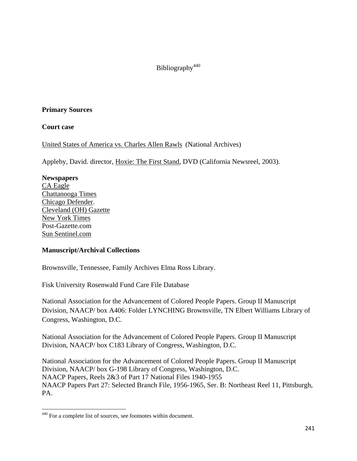# Bibliography<sup>440</sup>

## **Primary Sources**

## **Court case**

United States of America vs. Charles Allen Rawls (National Archives)

Appleby, David. director, Hoxie: The First Stand, DVD (California Newsreel, 2003).

## **Newspapers**

CA Eagle Chattanooga Times Chicago Defender. Cleveland (OH) Gazette New York Times Post-Gazette.com Sun Sentinel.com

# **Manuscript/Archival Collections**

Brownsville, Tennessee, Family Archives Elma Ross Library.

Fisk University Rosenwald Fund Care File Database

National Association for the Advancement of Colored People Papers. Group II Manuscript Division, NAACP/ box A406: Folder LYNCHING Brownsville, TN Elbert Williams Library of Congress, Washington, D.C.

National Association for the Advancement of Colored People Papers. Group II Manuscript Division, NAACP/ box C183 Library of Congress, Washington, D.C.

National Association for the Advancement of Colored People Papers. Group II Manuscript Division, NAACP/ box G-198 Library of Congress, Washington, D.C. NAACP Papers, Reels 2&3 of Part 17 National Files 1940-1955 NAACP Papers Part 27: Selected Branch File, 1956-1965, Ser. B: Northeast Reel 11, Pittsburgh, PA.

<sup>440</sup> For a complete list of sources, see footnotes within document.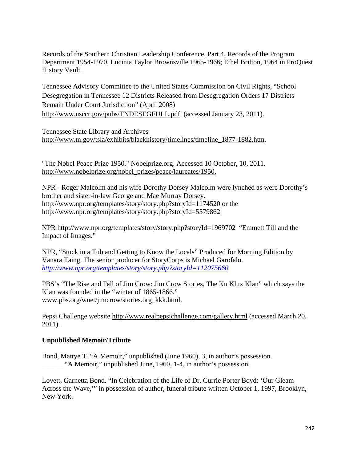Records of the Southern Christian Leadership Conference, Part 4, Records of the Program Department 1954-1970, Lucinia Taylor Brownsville 1965-1966; Ethel Britton, 1964 in ProQuest History Vault.

Tennessee Advisory Committee to the United States Commission on Civil Rights, "School Desegregation in Tennessee 12 Districts Released from Desegregation Orders 17 Districts Remain Under Court Jurisdiction" (April 2008) http://www.usccr.gov/pubs/TNDESEGFULL.pdf (accessed January 23, 2011).

Tennessee State Library and Archives http://www.tn.gov/tsla/exhibits/blackhistory/timelines/timeline\_1877-1882.htm.

"The Nobel Peace Prize 1950," Nobelprize.org. Accessed 10 October, 10, 2011. http://www.nobelprize.org/nobel\_prizes/peace/laureates/1950.

NPR - Roger Malcolm and his wife Dorothy Dorsey Malcolm were lynched as were Dorothy's brother and sister-in-law George and Mae Murray Dorsey. http://www.npr.org/templates/story/story.php?storyId=1174520 or the http://www.npr.org/templates/story/story.php?storyId=5579862

NPR http://www.npr.org/templates/story/story.php?storyId=1969702 "Emmett Till and the Impact of Images."

NPR, "Stuck in a Tub and Getting to Know the Locals" Produced for Morning Edition by Vanara Taing. The senior producer for StoryCorps is Michael Garofalo. *http://www.npr.org/templates/story/story.php?storyId=112075660*

PBS's "The Rise and Fall of Jim Crow: Jim Crow Stories, The Ku Klux Klan" which says the Klan was founded in the "winter of 1865-1866." www.pbs.org/wnet/jimcrow/stories.org\_kkk.html.

Pepsi Challenge website http://www.realpepsichallenge.com/gallery.html (accessed March 20, 2011).

# **Unpublished Memoir/Tribute**

Bond, Mattye T. "A Memoir," unpublished (June 1960), 3, in author's possession. \_\_\_\_\_\_ "A Memoir," unpublished June, 1960, 1-4, in author's possession.

Lovett, Garnetta Bond. "In Celebration of the Life of Dr. Currie Porter Boyd: 'Our Gleam Across the Wave,'" in possession of author, funeral tribute written October 1, 1997, Brooklyn, New York.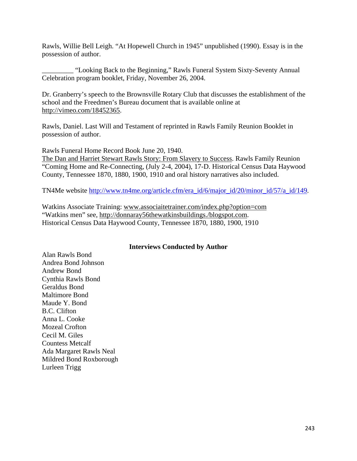Rawls, Willie Bell Leigh. "At Hopewell Church in 1945" unpublished (1990). Essay is in the possession of author.

\_\_\_\_\_\_\_\_\_ "Looking Back to the Beginning," Rawls Funeral System Sixty-Seventy Annual Celebration program booklet, Friday, November 26, 2004.

Dr. Granberry's speech to the Brownsville Rotary Club that discusses the establishment of the school and the Freedmen's Bureau document that is available online at http://vimeo.com/18452365.

Rawls, Daniel. Last Will and Testament of reprinted in Rawls Family Reunion Booklet in possession of author.

Rawls Funeral Home Record Book June 20, 1940. The Dan and Harriet Stewart Rawls Story: From Slavery to Success. Rawls Family Reunion "Coming Home and Re-Connecting, (July 2-4, 2004), 17-D. Historical Census Data Haywood County, Tennessee 1870, 1880, 1900, 1910 and oral history narratives also included.

TN4Me website http://www.tn4me.org/article.cfm/era\_id/6/major\_id/20/minor\_id/57/a\_id/149.

Watkins Associate Training: www.associaitetrainer.com/index.php?option=com "Watkins men" see, http://donnaray56thewatkinsbuildings./blogspot.com. Historical Census Data Haywood County, Tennessee 1870, 1880, 1900, 1910

# **Interviews Conducted by Author**

Alan Rawls Bond Andrea Bond Johnson Andrew Bond Cynthia Rawls Bond Geraldus Bond Maltimore Bond Maude Y. Bond B.C. Clifton Anna L. Cooke Mozeal Crofton Cecil M. Giles Countess Metcalf Ada Margaret Rawls Neal Mildred Bond Roxborough Lurleen Trigg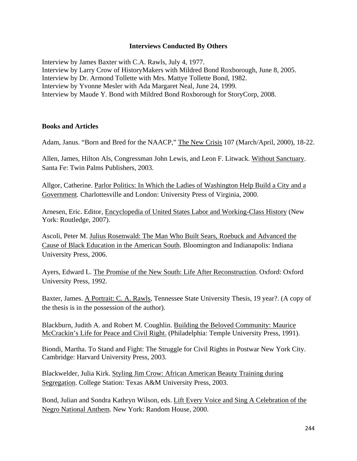#### **Interviews Conducted By Others**

Interview by James Baxter with C.A. Rawls, July 4, 1977. Interview by Larry Crow of HistoryMakers with Mildred Bond Roxborough, June 8, 2005. Interview by Dr. Armond Tollette with Mrs. Mattye Tollette Bond, 1982. Interview by Yvonne Mesler with Ada Margaret Neal, June 24, 1999. Interview by Maude Y. Bond with Mildred Bond Roxborough for StoryCorp, 2008.

#### **Books and Articles**

Adam, Janus. "Born and Bred for the NAACP," The New Crisis 107 (March/April, 2000), 18-22.

Allen, James, Hilton Als, Congressman John Lewis, and Leon F. Litwack. Without Sanctuary. Santa Fe: Twin Palms Publishers, 2003.

Allgor, Catherine. Parlor Politics: In Which the Ladies of Washington Help Build a City and a Government. Charlottesville and London: University Press of Virginia, 2000.

Arnesen, Eric. Editor, Encyclopedia of United States Labor and Working-Class History (New York: Routledge, 2007).

Ascoli, Peter M. Julius Rosenwald: The Man Who Built Sears, Roebuck and Advanced the Cause of Black Education in the American South. Bloomington and Indianapolis: Indiana University Press, 2006.

Ayers, Edward L. The Promise of the New South: Life After Reconstruction. Oxford: Oxford University Press, 1992.

Baxter, James. A Portrait: C. A. Rawls, Tennessee State University Thesis, 19 year?. (A copy of the thesis is in the possession of the author).

Blackburn, Judith A. and Robert M. Coughlin. Building the Beloved Community: Maurice McCrackin's Life for Peace and Civil Right. (Philadelphia: Temple University Press, 1991).

Biondi, Martha. To Stand and Fight: The Struggle for Civil Rights in Postwar New York City. Cambridge: Harvard University Press, 2003.

Blackwelder, Julia Kirk. Styling Jim Crow: African American Beauty Training during Segregation. College Station: Texas A&M University Press, 2003.

Bond, Julian and Sondra Kathryn Wilson, eds. Lift Every Voice and Sing A Celebration of the Negro National Anthem. New York: Random House, 2000.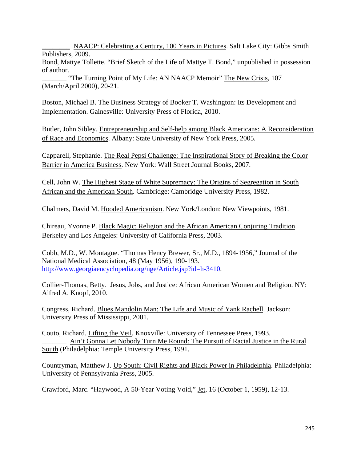\_\_\_\_\_\_\_\_ NAACP: Celebrating a Century, 100 Years in Pictures. Salt Lake City: Gibbs Smith Publishers, 2009.

Bond, Mattye Tollette. "Brief Sketch of the Life of Mattye T. Bond," unpublished in possession of author.

"The Turning Point of My Life: AN NAACP Memoir" The New Crisis, 107 (March/April 2000), 20-21.

Boston, Michael B. The Business Strategy of Booker T. Washington: Its Development and Implementation. Gainesville: University Press of Florida, 2010.

Butler, John Sibley. Entrepreneurship and Self-help among Black Americans: A Reconsideration of Race and Economics. Albany: State University of New York Press, 2005.

Capparell, Stephanie. The Real Pepsi Challenge: The Inspirational Story of Breaking the Color Barrier in America Business. New York: Wall Street Journal Books, 2007.

Cell, John W. The Highest Stage of White Supremacy: The Origins of Segregation in South African and the American South. Cambridge: Cambridge University Press, 1982.

Chalmers, David M. Hooded Americanism. New York/London: New Viewpoints, 1981.

Chireau, Yvonne P. Black Magic: Religion and the African American Conjuring Tradition. Berkeley and Los Angeles: University of California Press, 2003.

Cobb, M.D., W. Montague. "Thomas Hency Brewer, Sr., M.D., 1894-1956," Journal of the National Medical Association, 48 (May 1956), 190-193. http://www.georgiaencyclopedia.org/nge/Article.jsp?id=h-3410.

Collier-Thomas, Betty. Jesus, Jobs, and Justice: African American Women and Religion. NY: Alfred A. Knopf, 2010.

Congress, Richard. Blues Mandolin Man: The Life and Music of Yank Rachell. Jackson: University Press of Mississippi, 2001.

Couto, Richard. Lifting the Veil. Knoxville: University of Tennessee Press, 1993. Ain't Gonna Let Nobody Turn Me Round: The Pursuit of Racial Justice in the Rural South (Philadelphia: Temple University Press, 1991.

Countryman, Matthew J. Up South: Civil Rights and Black Power in Philadelphia. Philadelphia: University of Pennsylvania Press, 2005.

Crawford, Marc. "Haywood, A 50-Year Voting Void," Jet, 16 (October 1, 1959), 12-13.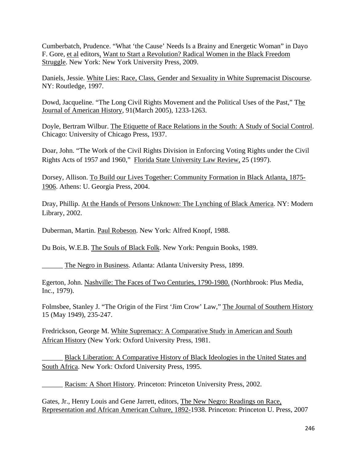Cumberbatch, Prudence. "What 'the Cause' Needs Is a Brainy and Energetic Woman" in Dayo F. Gore, et al editors, Want to Start a Revolution? Radical Women in the Black Freedom Struggle. New York: New York University Press, 2009.

Daniels, Jessie. White Lies: Race, Class, Gender and Sexuality in White Supremacist Discourse. NY: Routledge, 1997.

Dowd, Jacqueline. "The Long Civil Rights Movement and the Political Uses of the Past," The Journal of American History, 91(March 2005), 1233-1263.

Doyle, Bertram Wilbur. The Etiquette of Race Relations in the South: A Study of Social Control. Chicago: University of Chicago Press, 1937.

Doar, John. "The Work of the Civil Rights Division in Enforcing Voting Rights under the Civil Rights Acts of 1957 and 1960," Florida State University Law Review, 25 (1997).

Dorsey, Allison. To Build our Lives Together: Community Formation in Black Atlanta, 1875- 1906. Athens: U. Georgia Press, 2004.

Dray, Phillip. At the Hands of Persons Unknown: The Lynching of Black America. NY: Modern Library, 2002.

Duberman, Martin. Paul Robeson. New York: Alfred Knopf, 1988.

Du Bois, W.E.B. The Souls of Black Folk. New York: Penguin Books, 1989.

The Negro in Business. Atlanta: Atlanta University Press, 1899.

Egerton, John. Nashville: The Faces of Two Centuries, 1790-1980. (Northbrook: Plus Media, Inc., 1979).

Folmsbee, Stanley J. "The Origin of the First 'Jim Crow' Law," The Journal of Southern History 15 (May 1949), 235-247.

Fredrickson, George M. White Supremacy: A Comparative Study in American and South African History (New York: Oxford University Press, 1981.

Black Liberation: A Comparative History of Black Ideologies in the United States and South Africa. New York: Oxford University Press, 1995.

Racism: A Short History. Princeton: Princeton University Press, 2002.

Gates, Jr., Henry Louis and Gene Jarrett, editors, The New Negro: Readings on Race, Representation and African American Culture, 1892-1938. Princeton: Princeton U. Press, 2007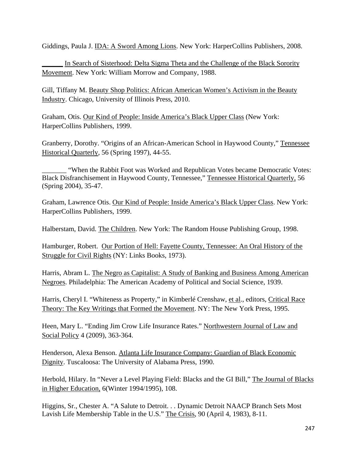Giddings, Paula J. IDA: A Sword Among Lions. New York: HarperCollins Publishers, 2008.

In Search of Sisterhood: Delta Sigma Theta and the Challenge of the Black Sorority Movement. New York: William Morrow and Company, 1988.

Gill, Tiffany M. Beauty Shop Politics: African American Women's Activism in the Beauty Industry. Chicago, University of Illinois Press, 2010.

Graham, Otis. Our Kind of People: Inside America's Black Upper Class (New York: HarperCollins Publishers, 1999.

Granberry, Dorothy. "Origins of an African-American School in Haywood County," Tennessee Historical Quarterly, 56 (Spring 1997), 44-55.

"When the Rabbit Foot was Worked and Republican Votes became Democratic Votes: Black Disfranchisement in Haywood County, Tennessee," Tennessee Historical Quarterly, 56 (Spring 2004), 35-47.

Graham, Lawrence Otis. Our Kind of People: Inside America's Black Upper Class. New York: HarperCollins Publishers, 1999.

Halberstam, David. The Children. New York: The Random House Publishing Group, 1998.

Hamburger, Robert. Our Portion of Hell: Fayette County, Tennessee: An Oral History of the Struggle for Civil Rights (NY: Links Books, 1973).

Harris, Abram L. The Negro as Capitalist: A Study of Banking and Business Among American Negroes. Philadelphia: The American Academy of Political and Social Science, 1939.

Harris, Cheryl I. "Whiteness as Property," in Kimberlé Crenshaw, et al., editors, Critical Race Theory: The Key Writings that Formed the Movement. NY: The New York Press, 1995.

Heen, Mary L. "Ending Jim Crow Life Insurance Rates." Northwestern Journal of Law and Social Policy 4 (2009), 363-364.

Henderson, Alexa Benson. Atlanta Life Insurance Company: Guardian of Black Economic Dignity. Tuscaloosa: The University of Alabama Press, 1990.

Herbold, Hilary. In "Never a Level Playing Field: Blacks and the GI Bill," The Journal of Blacks in Higher Education, 6(Winter 1994/1995), 108.

Higgins, Sr., Chester A. "A Salute to Detroit. . . Dynamic Detroit NAACP Branch Sets Most Lavish Life Membership Table in the U.S." The Crisis, 90 (April 4, 1983), 8-11.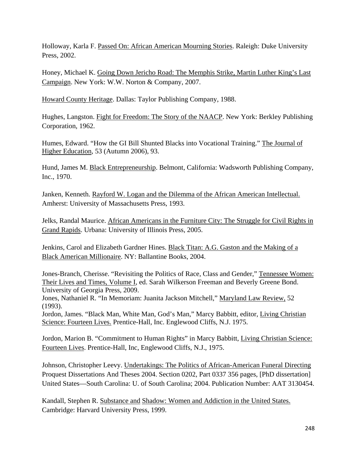Holloway, Karla F. Passed On: African American Mourning Stories. Raleigh: Duke University Press, 2002.

Honey, Michael K. Going Down Jericho Road: The Memphis Strike, Martin Luther King's Last Campaign. New York: W.W. Norton & Company, 2007.

Howard County Heritage. Dallas: Taylor Publishing Company, 1988.

Hughes, Langston. Fight for Freedom: The Story of the NAACP. New York: Berkley Publishing Corporation, 1962.

Humes, Edward. "How the GI Bill Shunted Blacks into Vocational Training." The Journal of Higher Education, 53 (Autumn 2006), 93.

Hund, James M. Black Entrepreneurship. Belmont, California: Wadsworth Publishing Company, Inc., 1970.

Janken, Kenneth. Rayford W. Logan and the Dilemma of the African American Intellectual. Amherst: University of Massachusetts Press, 1993.

Jelks, Randal Maurice. African Americans in the Furniture City: The Struggle for Civil Rights in Grand Rapids. Urbana: University of Illinois Press, 2005.

Jenkins, Carol and Elizabeth Gardner Hines. Black Titan: A.G. Gaston and the Making of a Black American Millionaire. NY: Ballantine Books, 2004.

Jones-Branch, Cherisse. "Revisiting the Politics of Race, Class and Gender," Tennessee Women: Their Lives and Times, Volume I, ed. Sarah Wilkerson Freeman and Beverly Greene Bond. University of Georgia Press, 2009.

Jones, Nathaniel R. "In Memoriam: Juanita Jackson Mitchell," Maryland Law Review, 52 (1993).

Jordon, James. "Black Man, White Man, God's Man," Marcy Babbitt, editor, Living Christian Science: Fourteen Lives. Prentice-Hall, Inc. Englewood Cliffs, N.J. 1975.

Jordon, Marion B. "Commitment to Human Rights" in Marcy Babbitt, Living Christian Science: Fourteen Lives. Prentice-Hall, Inc, Englewood Cliffs, N.J., 1975.

Johnson, Christopher Leevy. Undertakings: The Politics of African-American Funeral Directing Proquest Dissertations And Theses 2004. Section 0202, Part 0337 356 pages, [PhD dissertation] United States—South Carolina: U. of South Carolina; 2004. Publication Number: AAT 3130454.

Kandall, Stephen R. Substance and Shadow: Women and Addiction in the United States. Cambridge: Harvard University Press, 1999.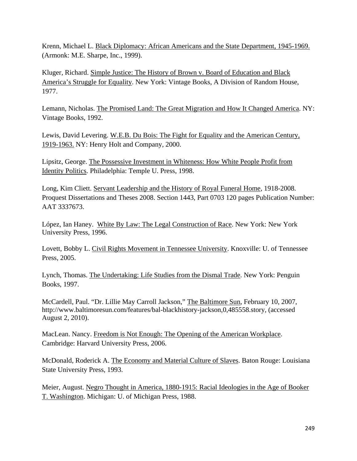Krenn, Michael L. Black Diplomacy: African Americans and the State Department, 1945-1969. (Armonk: M.E. Sharpe, Inc., 1999).

Kluger, Richard. Simple Justice: The History of Brown v. Board of Education and Black America's Struggle for Equality. New York: Vintage Books, A Division of Random House, 1977.

Lemann, Nicholas. The Promised Land: The Great Migration and How It Changed America. NY: Vintage Books, 1992.

Lewis, David Levering. W.E.B. Du Bois: The Fight for Equality and the American Century, 1919-1963. NY: Henry Holt and Company, 2000.

Lipsitz, George. The Possessive Investment in Whiteness: How White People Profit from Identity Politics. Philadelphia: Temple U. Press, 1998.

Long, Kim Cliett. Servant Leadership and the History of Royal Funeral Home, 1918-2008. Proquest Dissertations and Theses 2008. Section 1443, Part 0703 120 pages Publication Number: AAT 3337673.

López, Ian Haney. White By Law: The Legal Construction of Race. New York: New York University Press, 1996.

Lovett, Bobby L. Civil Rights Movement in Tennessee University. Knoxville: U. of Tennessee Press, 2005.

Lynch, Thomas. The Undertaking: Life Studies from the Dismal Trade. New York: Penguin Books, 1997.

McCardell, Paul. "Dr. Lillie May Carroll Jackson," The Baltimore Sun, February 10, 2007, http://www.baltimoresun.com/features/bal-blackhistory-jackson,0,485558.story, (accessed August 2, 2010).

MacLean. Nancy. Freedom is Not Enough: The Opening of the American Workplace. Cambridge: Harvard University Press, 2006.

McDonald, Roderick A. The Economy and Material Culture of Slaves. Baton Rouge: Louisiana State University Press, 1993.

Meier, August. Negro Thought in America, 1880-1915: Racial Ideologies in the Age of Booker T. Washington. Michigan: U. of Michigan Press, 1988.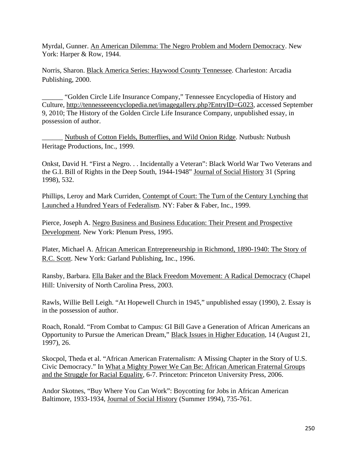Myrdal, Gunner. An American Dilemma: The Negro Problem and Modern Democracy. New York: Harper & Row, 1944.

Norris, Sharon. Black America Series: Haywood County Tennessee. Charleston: Arcadia Publishing, 2000.

\_\_\_\_\_\_ "Golden Circle Life Insurance Company," Tennessee Encyclopedia of History and Culture, http://tennesseeencyclopedia.net/imagegallery.php?EntryID=G023, accessed September 9, 2010; The History of the Golden Circle Life Insurance Company, unpublished essay, in possession of author.

\_\_\_\_\_\_ Nutbush of Cotton Fields, Butterflies, and Wild Onion Ridge. Nutbush: Nutbush Heritage Productions, Inc., 1999.

Onkst, David H. "First a Negro. . . Incidentally a Veteran": Black World War Two Veterans and the G.I. Bill of Rights in the Deep South, 1944-1948" Journal of Social History 31 (Spring 1998), 532.

Phillips, Leroy and Mark Curriden, Contempt of Court: The Turn of the Century Lynching that Launched a Hundred Years of Federalism. NY: Faber & Faber, Inc., 1999.

Pierce, Joseph A. Negro Business and Business Education: Their Present and Prospective Development. New York: Plenum Press, 1995.

Plater, Michael A. African American Entrepreneurship in Richmond, 1890-1940: The Story of R.C. Scott. New York: Garland Publishing, Inc., 1996.

Ransby, Barbara. Ella Baker and the Black Freedom Movement: A Radical Democracy (Chapel Hill: University of North Carolina Press, 2003.

Rawls, Willie Bell Leigh. "At Hopewell Church in 1945," unpublished essay (1990), 2. Essay is in the possession of author.

Roach, Ronald. "From Combat to Campus: GI Bill Gave a Generation of African Americans an Opportunity to Pursue the American Dream," Black Issues in Higher Education, 14 (August 21, 1997), 26.

Skocpol, Theda et al. "African American Fraternalism: A Missing Chapter in the Story of U.S. Civic Democracy." In What a Mighty Power We Can Be: African American Fraternal Groups and the Struggle for Racial Equality, 6-7. Princeton: Princeton University Press, 2006.

Andor Skotnes, "Buy Where You Can Work": Boycotting for Jobs in African American Baltimore, 1933-1934, Journal of Social History (Summer 1994), 735-761.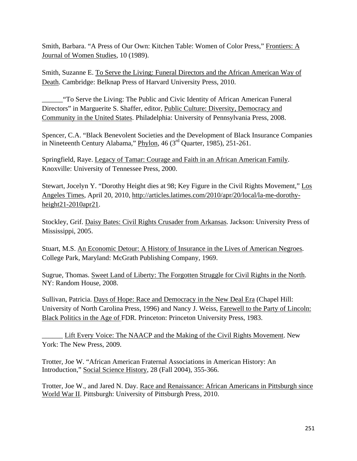Smith, Barbara. "A Press of Our Own: Kitchen Table: Women of Color Press," Frontiers: A Journal of Women Studies, 10 (1989).

Smith, Suzanne E. To Serve the Living: Funeral Directors and the African American Way of Death. Cambridge: Belknap Press of Harvard University Press, 2010.

\_\_\_\_\_\_"To Serve the Living: The Public and Civic Identity of African American Funeral Directors" in Marguerite S. Shaffer, editor, Public Culture: Diversity, Democracy and Community in the United States. Philadelphia: University of Pennsylvania Press, 2008.

Spencer, C.A. "Black Benevolent Societies and the Development of Black Insurance Companies in Nineteenth Century Alabama," Phylon, 46 (3rd Quarter, 1985), 251-261.

Springfield, Raye. Legacy of Tamar: Courage and Faith in an African American Family. Knoxville: University of Tennessee Press, 2000.

Stewart, Jocelyn Y. "Dorothy Height dies at 98; Key Figure in the Civil Rights Movement," Los Angeles Times, April 20, 2010, http://articles.latimes.com/2010/apr/20/local/la-me-dorothyheight21-2010apr21.

Stockley, Grif. Daisy Bates: Civil Rights Crusader from Arkansas. Jackson: University Press of Mississippi, 2005.

Stuart, M.S. An Economic Detour: A History of Insurance in the Lives of American Negroes. College Park, Maryland: McGrath Publishing Company, 1969.

Sugrue, Thomas. Sweet Land of Liberty: The Forgotten Struggle for Civil Rights in the North. NY: Random House, 2008.

Sullivan, Patricia. Days of Hope: Race and Democracy in the New Deal Era (Chapel Hill: University of North Carolina Press, 1996) and Nancy J. Weiss, Farewell to the Party of Lincoln: Black Politics in the Age of FDR. Princeton: Princeton University Press, 1983.

\_\_\_\_\_\_ Lift Every Voice: The NAACP and the Making of the Civil Rights Movement. New York: The New Press, 2009.

Trotter, Joe W. "African American Fraternal Associations in American History: An Introduction," Social Science History, 28 (Fall 2004), 355-366.

Trotter, Joe W., and Jared N. Day. Race and Renaissance: African Americans in Pittsburgh since World War II. Pittsburgh: University of Pittsburgh Press, 2010.